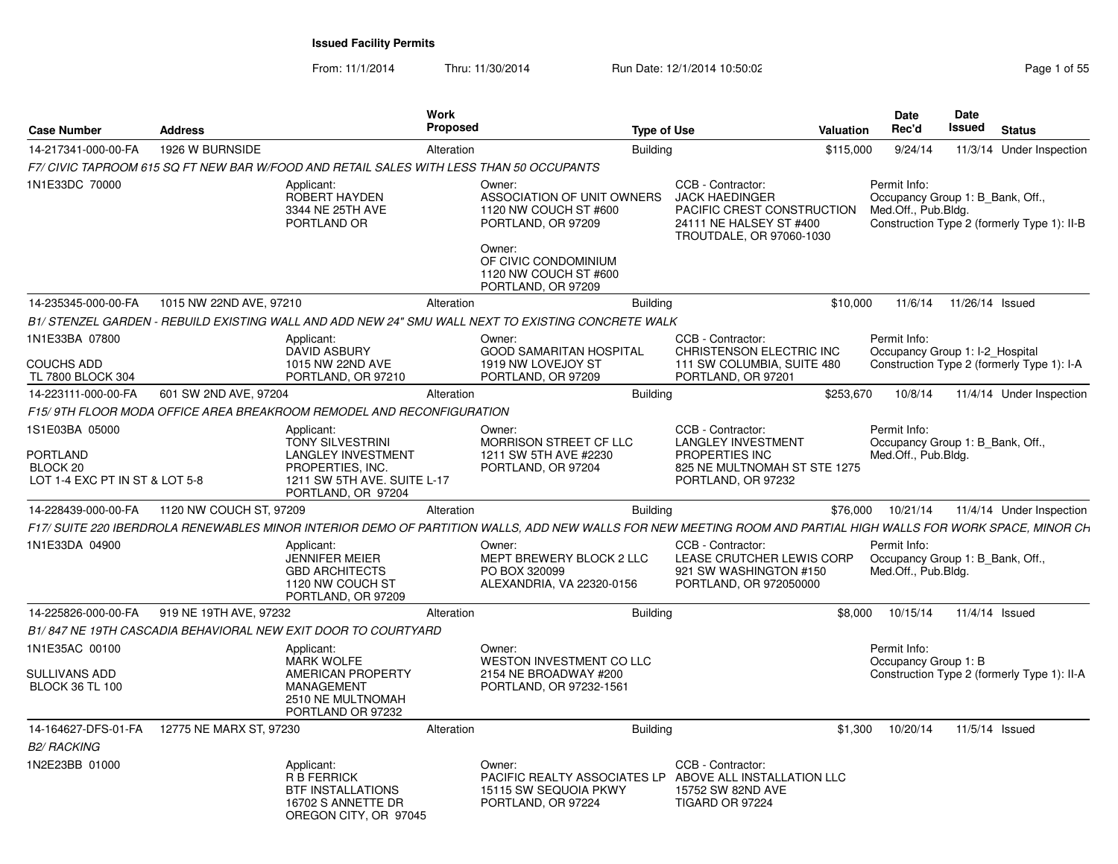From: 11/1/2014

Thru: 11/30/2014 Run Date: 12/1/2014 10:50:02 Rege 1 of 55

| <b>Case Number</b>                                                       | <b>Address</b>          |                                                                                                                               | <b>Work</b><br><b>Proposed</b> |                                                                                                                                                                      | <b>Type of Use</b> |                                                                                                                                                                | Valuation | <b>Date</b><br>Rec'd                                                    | Date<br><b>Issued</b> | <b>Status</b>                               |
|--------------------------------------------------------------------------|-------------------------|-------------------------------------------------------------------------------------------------------------------------------|--------------------------------|----------------------------------------------------------------------------------------------------------------------------------------------------------------------|--------------------|----------------------------------------------------------------------------------------------------------------------------------------------------------------|-----------|-------------------------------------------------------------------------|-----------------------|---------------------------------------------|
| 14-217341-000-00-FA                                                      | 1926 W BURNSIDE         |                                                                                                                               | Alteration                     |                                                                                                                                                                      | <b>Building</b>    |                                                                                                                                                                | \$115,000 | 9/24/14                                                                 |                       | 11/3/14 Under Inspection                    |
|                                                                          |                         | F7/ CIVIC TAPROOM 615 SQ FT NEW BAR W/FOOD AND RETAIL SALES WITH LESS THAN 50 OCCUPANTS                                       |                                |                                                                                                                                                                      |                    |                                                                                                                                                                |           |                                                                         |                       |                                             |
| 1N1E33DC 70000                                                           |                         | Applicant:<br>ROBERT HAYDEN<br>3344 NE 25TH AVE<br>PORTLAND OR                                                                |                                | Owner:<br>ASSOCIATION OF UNIT OWNERS<br>1120 NW COUCH ST #600<br>PORTLAND, OR 97209<br>Owner:<br>OF CIVIC CONDOMINIUM<br>1120 NW COUCH ST #600<br>PORTLAND, OR 97209 |                    | CCB - Contractor:<br><b>JACK HAEDINGER</b><br>PACIFIC CREST CONSTRUCTION<br>24111 NE HALSEY ST #400<br>TROUTDALE, OR 97060-1030                                |           | Permit Info:<br>Occupancy Group 1: B Bank, Off.,<br>Med.Off., Pub.Bldg. |                       | Construction Type 2 (formerly Type 1): II-B |
| 14-235345-000-00-FA                                                      | 1015 NW 22ND AVE, 97210 |                                                                                                                               | Alteration                     |                                                                                                                                                                      | <b>Building</b>    |                                                                                                                                                                | \$10,000  | 11/6/14                                                                 | 11/26/14 Issued       |                                             |
|                                                                          |                         |                                                                                                                               |                                | B1/ STENZEL GARDEN - REBUILD EXISTING WALL AND ADD NEW 24" SMU WALL NEXT TO EXISTING CONCRETE WALK                                                                   |                    |                                                                                                                                                                |           |                                                                         |                       |                                             |
| 1N1E33BA 07800<br><b>COUCHS ADD</b><br>TL 7800 BLOCK 304                 |                         | Applicant:<br>DAVID ASBURY<br>1015 NW 22ND AVE<br>PORTLAND, OR 97210                                                          |                                | Owner:<br><b>GOOD SAMARITAN HOSPITAL</b><br>1919 NW LOVEJOY ST<br>PORTLAND, OR 97209                                                                                 |                    | CCB - Contractor:<br>CHRISTENSON ELECTRIC INC<br>111 SW COLUMBIA, SUITE 480<br>PORTLAND, OR 97201                                                              |           | Permit Info:<br>Occupancy Group 1: I-2_Hospital                         |                       | Construction Type 2 (formerly Type 1): I-A  |
| 14-223111-000-00-FA                                                      | 601 SW 2ND AVE, 97204   |                                                                                                                               | Alteration                     |                                                                                                                                                                      | <b>Building</b>    |                                                                                                                                                                | \$253,670 | 10/8/14                                                                 |                       | 11/4/14 Under Inspection                    |
|                                                                          |                         | F15/9TH FLOOR MODA OFFICE AREA BREAKROOM REMODEL AND RECONFIGURATION                                                          |                                |                                                                                                                                                                      |                    |                                                                                                                                                                |           |                                                                         |                       |                                             |
| 1S1E03BA 05000                                                           |                         | Applicant:                                                                                                                    |                                | Owner:                                                                                                                                                               |                    | CCB - Contractor:                                                                                                                                              |           | Permit Info:                                                            |                       |                                             |
| <b>PORTLAND</b><br>BLOCK <sub>20</sub><br>LOT 1-4 EXC PT IN ST & LOT 5-8 |                         | <b>TONY SILVESTRINI</b><br><b>LANGLEY INVESTMENT</b><br>PROPERTIES, INC.<br>1211 SW 5TH AVE. SUITE L-17<br>PORTLAND, OR 97204 |                                | MORRISON STREET CF LLC<br>1211 SW 5TH AVE #2230<br>PORTLAND, OR 97204                                                                                                |                    | <b>LANGLEY INVESTMENT</b><br>PROPERTIES INC<br>825 NE MULTNOMAH ST STE 1275<br>PORTLAND, OR 97232                                                              |           | Occupancy Group 1: B_Bank, Off.,<br>Med.Off., Pub.Bldg.                 |                       |                                             |
| 14-228439-000-00-FA                                                      | 1120 NW COUCH ST, 97209 |                                                                                                                               | Alteration                     |                                                                                                                                                                      | <b>Building</b>    |                                                                                                                                                                | \$76,000  | 10/21/14                                                                |                       | 11/4/14 Under Inspection                    |
|                                                                          |                         |                                                                                                                               |                                |                                                                                                                                                                      |                    | F17/ SUITE 220 IBERDROLA RENEWABLES MINOR INTERIOR DEMO OF PARTITION WALLS, ADD NEW WALLS FOR NEW MEETING ROOM AND PARTIAL HIGH WALLS FOR WORK SPACE, MINOR CH |           |                                                                         |                       |                                             |
| 1N1E33DA 04900                                                           |                         | Applicant:<br>JENNIFER MEIER<br><b>GBD ARCHITECTS</b><br>1120 NW COUCH ST<br>PORTLAND, OR 97209                               |                                | Owner:<br>MEPT BREWERY BLOCK 2 LLC<br>PO BOX 320099<br>ALEXANDRIA, VA 22320-0156                                                                                     |                    | CCB - Contractor:<br>LEASE CRUTCHER LEWIS CORP<br>921 SW WASHINGTON #150<br>PORTLAND, OR 972050000                                                             |           | Permit Info:<br>Occupancy Group 1: B Bank, Off.,<br>Med.Off., Pub.Bldg. |                       |                                             |
| 14-225826-000-00-FA                                                      | 919 NE 19TH AVE, 97232  |                                                                                                                               | Alteration                     |                                                                                                                                                                      | <b>Building</b>    |                                                                                                                                                                | \$8,000   | 10/15/14                                                                | 11/4/14 Issued        |                                             |
|                                                                          |                         | B1/847 NE 19TH CASCADIA BEHAVIORAL NEW EXIT DOOR TO COURTYARD                                                                 |                                |                                                                                                                                                                      |                    |                                                                                                                                                                |           |                                                                         |                       |                                             |
| 1N1E35AC 00100                                                           |                         | Applicant:<br><b>MARK WOLFE</b>                                                                                               |                                | Owner:<br><b>WESTON INVESTMENT CO LLC</b><br>2154 NE BROADWAY #200                                                                                                   |                    |                                                                                                                                                                |           | Permit Info:<br>Occupancy Group 1: B                                    |                       |                                             |
| <b>SULLIVANS ADD</b><br><b>BLOCK 36 TL 100</b>                           |                         | <b>AMERICAN PROPERTY</b><br><b>MANAGEMENT</b><br>2510 NE MULTNOMAH<br>PORTLAND OR 97232                                       |                                | PORTLAND, OR 97232-1561                                                                                                                                              |                    |                                                                                                                                                                |           |                                                                         |                       | Construction Type 2 (formerly Type 1): II-A |
| 14-164627-DFS-01-FA                                                      | 12775 NE MARX ST, 97230 |                                                                                                                               | Alteration                     |                                                                                                                                                                      | <b>Building</b>    |                                                                                                                                                                | \$1,300   | 10/20/14                                                                | 11/5/14 Issued        |                                             |
| <b>B2/ RACKING</b>                                                       |                         |                                                                                                                               |                                |                                                                                                                                                                      |                    |                                                                                                                                                                |           |                                                                         |                       |                                             |
| 1N2E23BB 01000                                                           |                         | Applicant:<br><b>R B FERRICK</b><br><b>BTF INSTALLATIONS</b><br>16702 S ANNETTE DR<br>OREGON CITY, OR 97045                   |                                | Owner:<br>15115 SW SEQUOIA PKWY<br>PORTLAND, OR 97224                                                                                                                |                    | CCB - Contractor:<br>PACIFIC REALTY ASSOCIATES LP ABOVE ALL INSTALLATION LLC<br>15752 SW 82ND AVE<br>TIGARD OR 97224                                           |           |                                                                         |                       |                                             |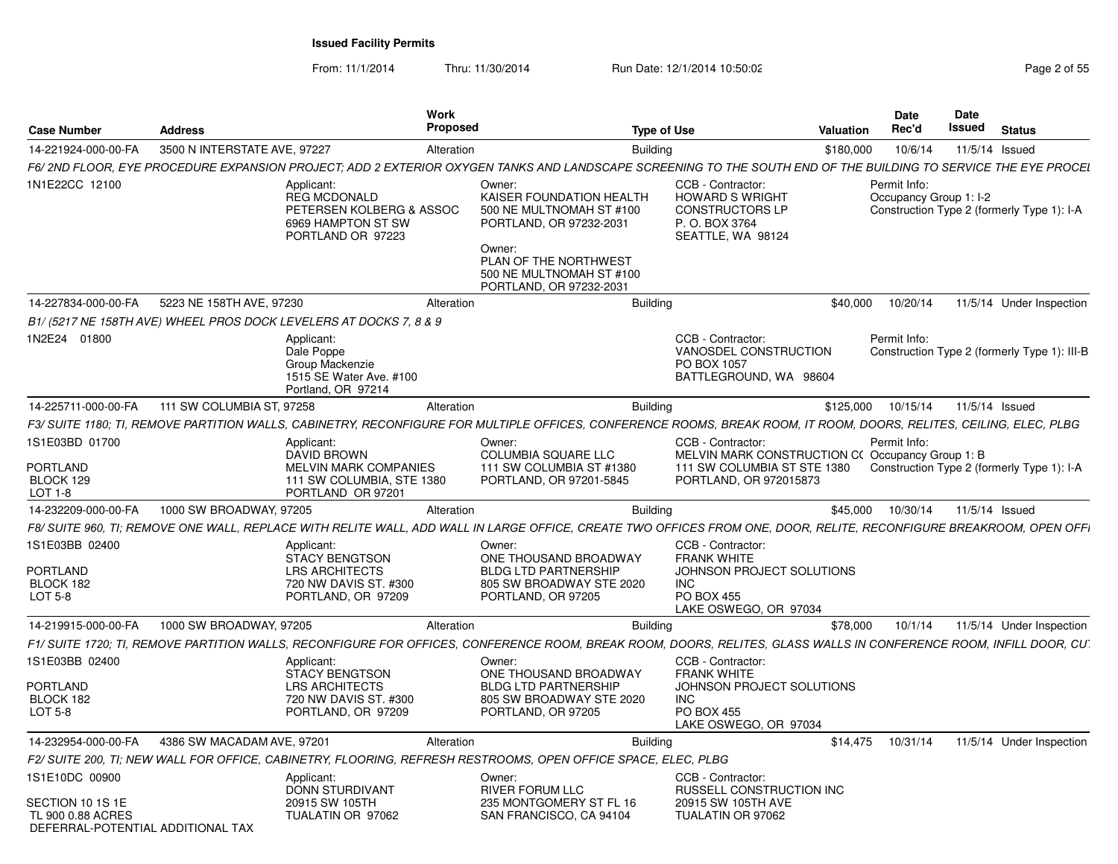From: 11/1/2014

Thru: 11/30/2014 Run Date: 12/1/2014 10:50:02 Rege 2 of 55

| <b>Case Number</b>                                                                           | <b>Address</b>               |                                                                                                             | Work<br><b>Proposed</b> |                                                                                                                                                                                     | <b>Type of Use</b>                                                                                                               | Valuation | Date<br>Rec'd                          | Date<br>Issued | <b>Status</b>                                |
|----------------------------------------------------------------------------------------------|------------------------------|-------------------------------------------------------------------------------------------------------------|-------------------------|-------------------------------------------------------------------------------------------------------------------------------------------------------------------------------------|----------------------------------------------------------------------------------------------------------------------------------|-----------|----------------------------------------|----------------|----------------------------------------------|
| 14-221924-000-00-FA                                                                          | 3500 N INTERSTATE AVE, 97227 |                                                                                                             | Alteration              | <b>Building</b>                                                                                                                                                                     |                                                                                                                                  | \$180,000 | 10/6/14                                | 11/5/14 Issued |                                              |
|                                                                                              |                              |                                                                                                             |                         | F6/ 2ND FLOOR. EYE PROCEDURE EXPANSION PROJECT: ADD 2 EXTERIOR OXYGEN TANKS AND LANDSCAPE SCREENING TO THE SOUTH END OF THE BUILDING TO SERVICE THE EYE PROCEI                      |                                                                                                                                  |           |                                        |                |                                              |
| 1N1E22CC 12100                                                                               |                              | Applicant:<br><b>REG MCDONALD</b><br>PETERSEN KOLBERG & ASSOC<br>6969 HAMPTON ST SW<br>PORTLAND OR 97223    |                         | Owner:<br>KAISER FOUNDATION HEALTH<br>500 NE MULTNOMAH ST #100<br>PORTLAND, OR 97232-2031<br>Owner:<br>PLAN OF THE NORTHWEST<br>500 NE MULTNOMAH ST #100<br>PORTLAND, OR 97232-2031 | CCB - Contractor:<br><b>HOWARD S WRIGHT</b><br><b>CONSTRUCTORS LP</b><br>P.O. BOX 3764<br>SEATTLE, WA 98124                      |           | Permit Info:<br>Occupancy Group 1: I-2 |                | Construction Type 2 (formerly Type 1): I-A   |
| 14-227834-000-00-FA                                                                          | 5223 NE 158TH AVE, 97230     |                                                                                                             | Alteration              | <b>Building</b>                                                                                                                                                                     |                                                                                                                                  | \$40,000  | 10/20/14                               |                | 11/5/14 Under Inspection                     |
|                                                                                              |                              | B1/(5217 NE 158TH AVE) WHEEL PROS DOCK LEVELERS AT DOCKS 7, 8 & 9                                           |                         |                                                                                                                                                                                     |                                                                                                                                  |           |                                        |                |                                              |
| 1N2E24 01800                                                                                 |                              | Applicant:<br>Dale Poppe<br>Group Mackenzie<br>1515 SE Water Ave. #100<br>Portland, OR 97214                |                         |                                                                                                                                                                                     | CCB - Contractor:<br>VANOSDEL CONSTRUCTION<br>PO BOX 1057<br>BATTLEGROUND, WA 98604                                              |           | Permit Info:                           |                | Construction Type 2 (formerly Type 1): III-B |
| 14-225711-000-00-FA                                                                          | 111 SW COLUMBIA ST, 97258    |                                                                                                             | Alteration              | <b>Building</b>                                                                                                                                                                     |                                                                                                                                  | \$125,000 | 10/15/14                               | 11/5/14 Issued |                                              |
|                                                                                              |                              |                                                                                                             |                         | F3/ SUITE 1180; TI, REMOVE PARTITION WALLS, CABINETRY, RECONFIGURE FOR MULTIPLE OFFICES, CONFERENCE ROOMS, BREAK ROOM, IT ROOM, DOORS, RELITES, CEILING, ELEC, PLBG                 |                                                                                                                                  |           |                                        |                |                                              |
| 1S1E03BD 01700                                                                               |                              | Applicant:<br><b>DAVID BROWN</b>                                                                            |                         | Owner:<br>COLUMBIA SQUARE LLC                                                                                                                                                       | CCB - Contractor:<br>MELVIN MARK CONSTRUCTION C(Occupancy Group 1: B                                                             |           | Permit Info:                           |                |                                              |
| <b>PORTLAND</b><br>BLOCK 129<br>LOT 1-8                                                      |                              | <b>MELVIN MARK COMPANIES</b><br>111 SW COLUMBIA, STE 1380<br>PORTLAND OR 97201                              |                         | 111 SW COLUMBIA ST #1380<br>PORTLAND, OR 97201-5845                                                                                                                                 | 111 SW COLUMBIA ST STE 1380<br>PORTLAND, OR 972015873                                                                            |           |                                        |                | Construction Type 2 (formerly Type 1): I-A   |
| 14-232209-000-00-FA                                                                          | 1000 SW BROADWAY, 97205      |                                                                                                             | Alteration              | <b>Building</b>                                                                                                                                                                     |                                                                                                                                  | \$45,000  | 10/30/14                               | 11/5/14 Issued |                                              |
|                                                                                              |                              |                                                                                                             |                         | F8/ SUITE 960. TI: REMOVE ONE WALL. REPLACE WITH RELITE WALL. ADD WALL IN LARGE OFFICE. CREATE TWO OFFICES FROM ONE. DOOR. RELITE. RECONFIGURE BREAKROOM. OPEN OFFI                 |                                                                                                                                  |           |                                        |                |                                              |
| 1S1E03BB 02400                                                                               |                              | Applicant:<br><b>STACY BENGTSON</b>                                                                         |                         | Owner:<br>ONE THOUSAND BROADWAY                                                                                                                                                     | CCB - Contractor:<br><b>FRANK WHITE</b>                                                                                          |           |                                        |                |                                              |
| <b>PORTLAND</b><br>BLOCK 182<br>LOT 5-8                                                      |                              | <b>LRS ARCHITECTS</b><br>720 NW DAVIS ST. #300<br>PORTLAND, OR 97209                                        |                         | <b>BLDG LTD PARTNERSHIP</b><br>805 SW BROADWAY STE 2020<br>PORTLAND, OR 97205                                                                                                       | JOHNSON PROJECT SOLUTIONS<br><b>INC</b><br><b>PO BOX 455</b>                                                                     |           |                                        |                |                                              |
|                                                                                              |                              |                                                                                                             |                         |                                                                                                                                                                                     | LAKE OSWEGO, OR 97034                                                                                                            |           |                                        |                |                                              |
| 14-219915-000-00-FA                                                                          | 1000 SW BROADWAY, 97205      |                                                                                                             | Alteration              | <b>Building</b>                                                                                                                                                                     |                                                                                                                                  | \$78,000  | 10/1/14                                |                | 11/5/14 Under Inspection                     |
|                                                                                              |                              |                                                                                                             |                         | F1/ SUITE 1720; TI, REMOVE PARTITION WALLS, RECONFIGURE FOR OFFICES, CONFERENCE ROOM, BREAK ROOM, DOORS, RELITES, GLASS WALLS IN CONFERENCE ROOM, INFILL DOOR, CU                   |                                                                                                                                  |           |                                        |                |                                              |
| 1S1E03BB 02400<br>PORTLAND<br>BLOCK 182<br>LOT 5-8                                           |                              | Applicant:<br><b>STACY BENGTSON</b><br><b>LRS ARCHITECTS</b><br>720 NW DAVIS ST. #300<br>PORTLAND, OR 97209 |                         | Owner:<br>ONE THOUSAND BROADWAY<br><b>BLDG LTD PARTNERSHIP</b><br>805 SW BROADWAY STE 2020<br>PORTLAND, OR 97205                                                                    | CCB - Contractor:<br><b>FRANK WHITE</b><br>JOHNSON PROJECT SOLUTIONS<br><b>INC</b><br><b>PO BOX 455</b><br>LAKE OSWEGO, OR 97034 |           |                                        |                |                                              |
| 14-232954-000-00-FA                                                                          | 4386 SW MACADAM AVE, 97201   |                                                                                                             |                         | <b>Building</b>                                                                                                                                                                     |                                                                                                                                  | \$14,475  | 10/31/14                               |                | 11/5/14 Under Inspection                     |
|                                                                                              |                              |                                                                                                             | Alteration              | F2/ SUITE 200, TI; NEW WALL FOR OFFICE, CABINETRY, FLOORING, REFRESH RESTROOMS, OPEN OFFICE SPACE, ELEC, PLBG                                                                       |                                                                                                                                  |           |                                        |                |                                              |
|                                                                                              |                              |                                                                                                             |                         |                                                                                                                                                                                     |                                                                                                                                  |           |                                        |                |                                              |
| 1S1E10DC 00900<br>SECTION 10 1S 1E<br>TL 900 0.88 ACRES<br>DEFERRAL-POTENTIAL ADDITIONAL TAX |                              | Applicant:<br>DONN STURDIVANT<br>20915 SW 105TH<br>TUALATIN OR 97062                                        |                         | Owner:<br><b>RIVER FORUM LLC</b><br>235 MONTGOMERY ST FL 16<br>SAN FRANCISCO, CA 94104                                                                                              | CCB - Contractor:<br>RUSSELL CONSTRUCTION INC<br>20915 SW 105TH AVE<br>TUALATIN OR 97062                                         |           |                                        |                |                                              |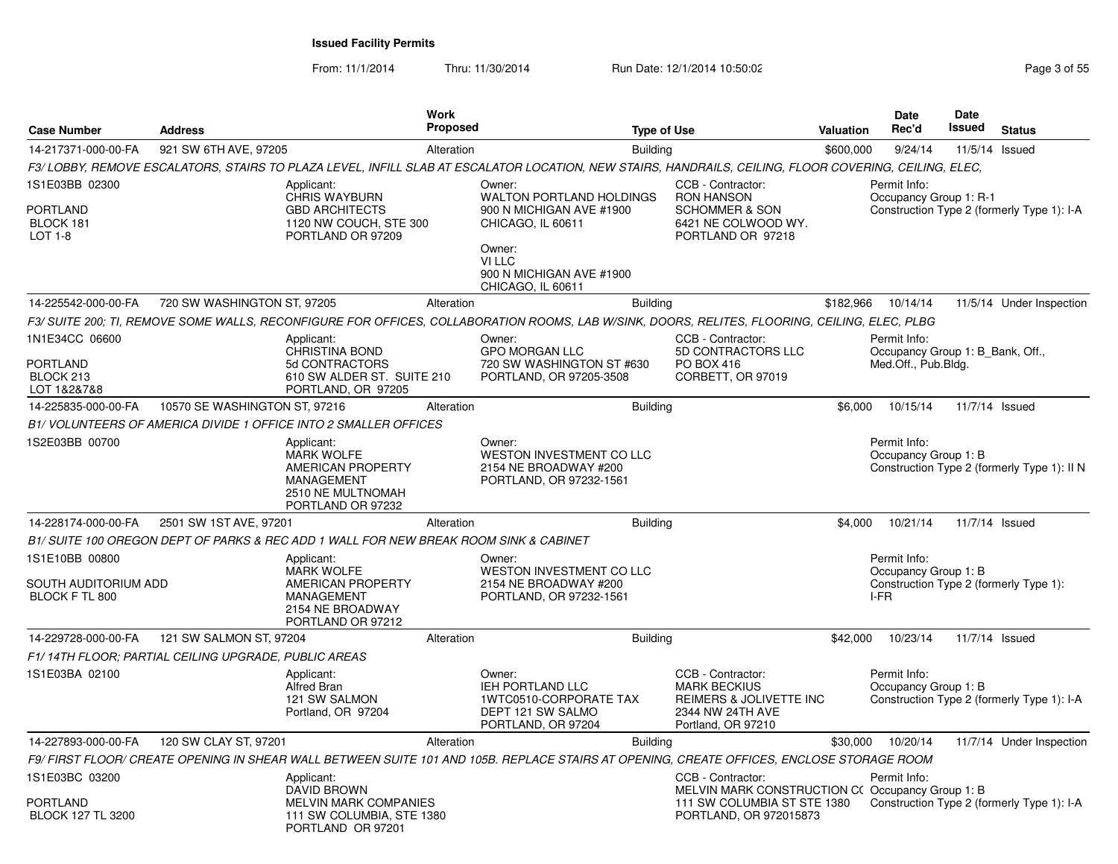From: 11/1/2014

Thru: 11/30/2014 Run Date: 12/1/2014 10:50:02 Rege 3 of 55

| <b>Case Number</b>                                            | <b>Address</b>                                       |                                                                                                                                                       | <b>Work</b><br><b>Proposed</b> |                                                                                                                                                                 | <b>Type of Use</b> |                                                                                                                               | Valuation | <b>Date</b><br>Rec'd                                                    | <b>Date</b><br>Issued | <b>Status</b>                               |
|---------------------------------------------------------------|------------------------------------------------------|-------------------------------------------------------------------------------------------------------------------------------------------------------|--------------------------------|-----------------------------------------------------------------------------------------------------------------------------------------------------------------|--------------------|-------------------------------------------------------------------------------------------------------------------------------|-----------|-------------------------------------------------------------------------|-----------------------|---------------------------------------------|
| 14-217371-000-00-FA                                           | 921 SW 6TH AVE, 97205                                |                                                                                                                                                       | Alteration                     |                                                                                                                                                                 | <b>Building</b>    |                                                                                                                               | \$600,000 | 9/24/14                                                                 | 11/5/14 Issued        |                                             |
|                                                               |                                                      | F3/LOBBY, REMOVE ESCALATORS, STAIRS TO PLAZA LEVEL, INFILL SLAB AT ESCALATOR LOCATION, NEW STAIRS, HANDRAILS, CEILING, FLOOR COVERING, CEILING, ELEC, |                                |                                                                                                                                                                 |                    |                                                                                                                               |           |                                                                         |                       |                                             |
| 1S1E03BB 02300<br>PORTLAND<br>BLOCK 181<br>LOT 1-8            |                                                      | Applicant:<br>CHRIS WAYBURN<br><b>GBD ARCHITECTS</b><br>1120 NW COUCH, STE 300<br>PORTLAND OR 97209                                                   |                                | Owner:<br><b>WALTON PORTLAND HOLDINGS</b><br>900 N MICHIGAN AVE #1900<br>CHICAGO, IL 60611<br>Owner:<br>VI LLC<br>900 N MICHIGAN AVE #1900<br>CHICAGO, IL 60611 |                    | CCB - Contractor:<br><b>RON HANSON</b><br><b>SCHOMMER &amp; SON</b><br>6421 NE COLWOOD WY.<br>PORTLAND OR 97218               |           | Permit Info:<br>Occupancy Group 1: R-1                                  |                       | Construction Type 2 (formerly Type 1): I-A  |
| 14-225542-000-00-FA                                           | 720 SW WASHINGTON ST, 97205                          |                                                                                                                                                       | Alteration                     |                                                                                                                                                                 | <b>Building</b>    |                                                                                                                               | \$182,966 | 10/14/14                                                                |                       | 11/5/14 Under Inspection                    |
|                                                               |                                                      | F3/ SUITE 200; TI, REMOVE SOME WALLS, RECONFIGURE FOR OFFICES, COLLABORATION ROOMS, LAB W/SINK, DOORS, RELITES, FLOORING, CEILING, ELEC, PLBG         |                                |                                                                                                                                                                 |                    |                                                                                                                               |           |                                                                         |                       |                                             |
| 1N1E34CC 06600<br>PORTLAND<br>BLOCK 213<br>LOT 1&2&7&8        |                                                      | Applicant:<br>CHRISTINA BOND<br>5d CONTRACTORS<br>610 SW ALDER ST. SUITE 210<br>PORTLAND, OR 97205                                                    |                                | Owner:<br><b>GPO MORGAN LLC</b><br>720 SW WASHINGTON ST #630<br>PORTLAND, OR 97205-3508                                                                         |                    | CCB - Contractor:<br>5D CONTRACTORS LLC<br>PO BOX 416<br>CORBETT, OR 97019                                                    |           | Permit Info:<br>Occupancy Group 1: B Bank, Off.,<br>Med.Off., Pub.Bldg. |                       |                                             |
| 14-225835-000-00-FA                                           | 10570 SE WASHINGTON ST, 97216                        |                                                                                                                                                       | Alteration                     |                                                                                                                                                                 | <b>Building</b>    |                                                                                                                               | \$6.000   | 10/15/14                                                                | 11/7/14 Issued        |                                             |
|                                                               |                                                      | B1/ VOLUNTEERS OF AMERICA DIVIDE 1 OFFICE INTO 2 SMALLER OFFICES                                                                                      |                                |                                                                                                                                                                 |                    |                                                                                                                               |           |                                                                         |                       |                                             |
| 1S2E03BB 00700                                                |                                                      | Applicant:<br><b>MARK WOLFE</b><br><b>AMERICAN PROPERTY</b><br><b>MANAGEMENT</b><br>2510 NE MULTNOMAH<br>PORTLAND OR 97232                            |                                | Owner:<br>WESTON INVESTMENT CO LLC<br>2154 NE BROADWAY #200<br>PORTLAND, OR 97232-1561                                                                          |                    |                                                                                                                               |           | Permit Info:<br>Occupancy Group 1: B                                    |                       | Construction Type 2 (formerly Type 1): II N |
| 14-228174-000-00-FA                                           | 2501 SW 1ST AVE, 97201                               |                                                                                                                                                       | Alteration                     |                                                                                                                                                                 | <b>Building</b>    |                                                                                                                               | \$4.000   | 10/21/14                                                                | 11/7/14 Issued        |                                             |
|                                                               |                                                      | B1/ SUITE 100 OREGON DEPT OF PARKS & REC ADD 1 WALL FOR NEW BREAK ROOM SINK & CABINET                                                                 |                                |                                                                                                                                                                 |                    |                                                                                                                               |           |                                                                         |                       |                                             |
| 1S1E10BB 00800<br>SOUTH AUDITORIUM ADD<br>BLOCK F TL 800      |                                                      | Applicant:<br><b>MARK WOLFE</b><br><b>AMERICAN PROPERTY</b><br><b>MANAGEMENT</b><br>2154 NE BROADWAY<br>PORTLAND OR 97212                             |                                | Owner:<br>WESTON INVESTMENT CO LLC<br>2154 NE BROADWAY #200<br>PORTLAND, OR 97232-1561                                                                          |                    |                                                                                                                               |           | Permit Info:<br>Occupancy Group 1: B<br>I-FR                            |                       | Construction Type 2 (formerly Type 1):      |
| 14-229728-000-00-FA                                           | 121 SW SALMON ST, 97204                              |                                                                                                                                                       | Alteration                     |                                                                                                                                                                 | <b>Building</b>    |                                                                                                                               | \$42,000  | 10/23/14                                                                | 11/7/14 Issued        |                                             |
|                                                               | F1/14TH FLOOR: PARTIAL CEILING UPGRADE, PUBLIC AREAS |                                                                                                                                                       |                                |                                                                                                                                                                 |                    |                                                                                                                               |           |                                                                         |                       |                                             |
| 1S1E03BA 02100                                                |                                                      | Applicant:<br><b>Alfred Bran</b><br>121 SW SALMON<br>Portland, OR 97204                                                                               |                                | Owner:<br>IEH PORTLAND LLC<br>1WTC0510-CORPORATE TAX<br>DEPT 121 SW SALMO<br>PORTLAND, OR 97204                                                                 |                    | CCB - Contractor:<br><b>MARK BECKIUS</b><br>REIMERS & JOLIVETTE INC<br>2344 NW 24TH AVE<br>Portland, OR 97210                 |           | Permit Info:<br>Occupancy Group 1: B                                    |                       | Construction Type 2 (formerly Type 1): I-A  |
| 14-227893-000-00-FA                                           | 120 SW CLAY ST, 97201                                |                                                                                                                                                       | Alteration                     |                                                                                                                                                                 | <b>Building</b>    |                                                                                                                               | \$30,000  | 10/20/14                                                                |                       | 11/7/14 Under Inspection                    |
|                                                               |                                                      | F9/FIRST FLOOR/CREATE OPENING IN SHEAR WALL BETWEEN SUITE 101 AND 105B. REPLACE STAIRS AT OPENING, CREATE OFFICES, ENCLOSE STORAGE ROOM               |                                |                                                                                                                                                                 |                    |                                                                                                                               |           |                                                                         |                       |                                             |
| 1S1E03BC 03200<br><b>PORTLAND</b><br><b>BLOCK 127 TL 3200</b> |                                                      | Applicant:<br>DAVID BROWN<br><b>MELVIN MARK COMPANIES</b><br>111 SW COLUMBIA, STE 1380<br>PORTLAND OR 97201                                           |                                |                                                                                                                                                                 |                    | CCB - Contractor:<br>MELVIN MARK CONSTRUCTION C(Occupancy Group 1: B<br>111 SW COLUMBIA ST STE 1380<br>PORTLAND, OR 972015873 |           | Permit Info:                                                            |                       | Construction Type 2 (formerly Type 1): I-A  |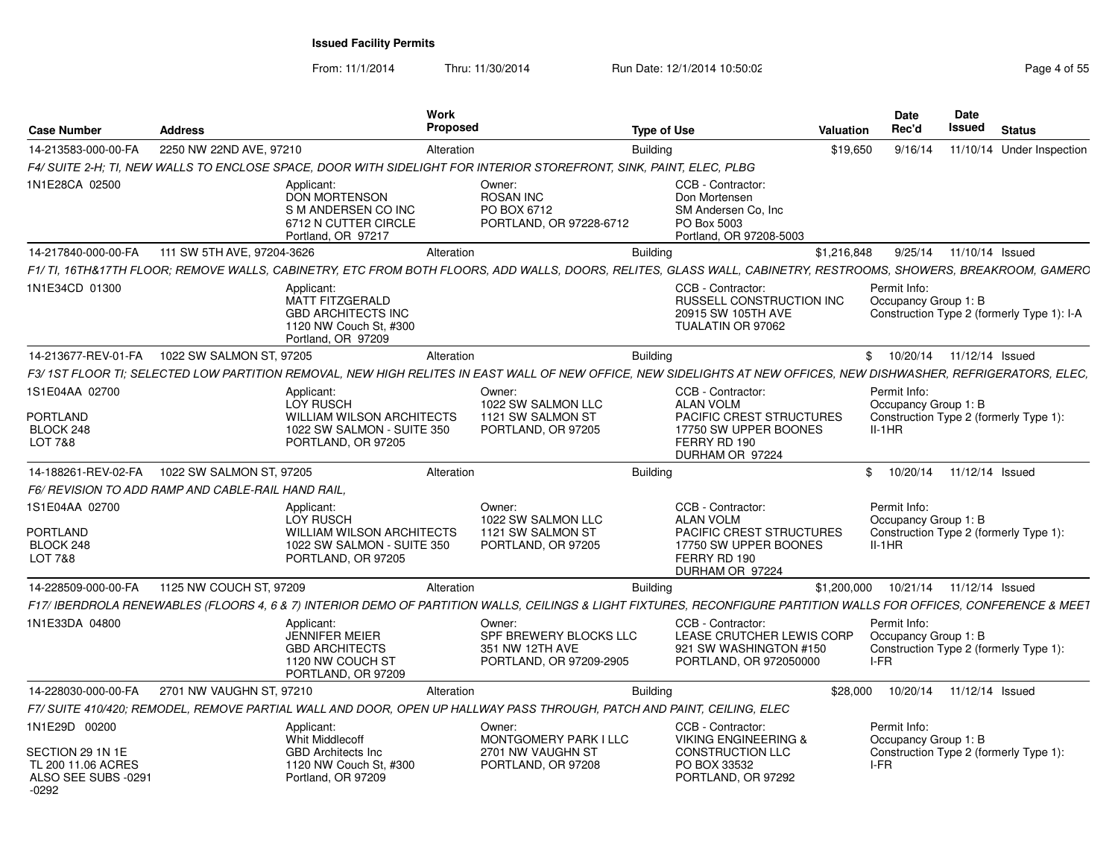| <b>Case Number</b>                                   | <b>Address</b>                                     | <b>Work</b><br><b>Proposed</b>                                                                                  |                                                                                                                        | <b>Type of Use</b>                                                                                                                                                  | Valuation   | <b>Date</b><br>Rec'd                                                                       | Date<br>Issued            | <b>Status</b>                              |
|------------------------------------------------------|----------------------------------------------------|-----------------------------------------------------------------------------------------------------------------|------------------------------------------------------------------------------------------------------------------------|---------------------------------------------------------------------------------------------------------------------------------------------------------------------|-------------|--------------------------------------------------------------------------------------------|---------------------------|--------------------------------------------|
| 14-213583-000-00-FA                                  | 2250 NW 22ND AVE, 97210                            | Alteration                                                                                                      |                                                                                                                        | <b>Building</b>                                                                                                                                                     | \$19,650    | 9/16/14                                                                                    |                           | 11/10/14 Under Inspection                  |
|                                                      |                                                    |                                                                                                                 | F4/ SUITE 2-H; TI, NEW WALLS TO ENCLOSE SPACE, DOOR WITH SIDELIGHT FOR INTERIOR STOREFRONT, SINK, PAINT, ELEC, PLBG    |                                                                                                                                                                     |             |                                                                                            |                           |                                            |
| 1N1E28CA 02500                                       |                                                    | Applicant:<br><b>DON MORTENSON</b><br>S M ANDERSEN CO INC<br>6712 N CUTTER CIRCLE<br>Portland, OR 97217         | Owner:<br><b>ROSAN INC</b><br>PO BOX 6712<br>PORTLAND, OR 97228-6712                                                   | CCB - Contractor:<br>Don Mortensen<br>SM Andersen Co. Inc.<br>PO Box 5003<br>Portland, OR 97208-5003                                                                |             |                                                                                            |                           |                                            |
| 14-217840-000-00-FA                                  | 111 SW 5TH AVE, 97204-3626                         | Alteration                                                                                                      |                                                                                                                        | <b>Building</b>                                                                                                                                                     | \$1,216,848 |                                                                                            | 9/25/14  11/10/14  Issued |                                            |
|                                                      |                                                    |                                                                                                                 |                                                                                                                        | F1/TI. 16TH&17TH FLOOR: REMOVE WALLS. CABINETRY. ETC FROM BOTH FLOORS. ADD WALLS. DOORS. RELITES. GLASS WALL. CABINETRY. RESTROOMS. SHOWERS. BREAKROOM. GAMERC      |             |                                                                                            |                           |                                            |
| 1N1E34CD 01300                                       |                                                    | Applicant:<br>MATT FITZGERALD<br><b>GBD ARCHITECTS INC</b><br>1120 NW Couch St, #300<br>Portland, OR 97209      |                                                                                                                        | CCB - Contractor:<br><b>RUSSELL CONSTRUCTION INC.</b><br>20915 SW 105TH AVE<br>TUALATIN OR 97062                                                                    |             | Permit Info:<br>Occupancy Group 1: B                                                       |                           | Construction Type 2 (formerly Type 1): I-A |
|                                                      | 14-213677-REV-01-FA  1022 SW SALMON ST, 97205      | Alteration                                                                                                      |                                                                                                                        | <b>Building</b>                                                                                                                                                     |             | \$ 10/20/14 11/12/14 Issued                                                                |                           |                                            |
|                                                      |                                                    |                                                                                                                 |                                                                                                                        | F3/1ST FLOOR TI; SELECTED LOW PARTITION REMOVAL, NEW HIGH RELITES IN EAST WALL OF NEW OFFICE, NEW SIDELIGHTS AT NEW OFFICES, NEW DISHWASHER, REFRIGERATORS, ELEC,   |             |                                                                                            |                           |                                            |
| 1S1E04AA 02700                                       |                                                    | Applicant:<br>LOY RUSCH                                                                                         | Owner:<br>1022 SW SALMON LLC                                                                                           | CCB - Contractor:<br><b>ALAN VOLM</b>                                                                                                                               |             | Permit Info:<br>Occupancy Group 1: B                                                       |                           |                                            |
| <b>PORTLAND</b><br>BLOCK 248<br>LOT 7&8              |                                                    | <b>WILLIAM WILSON ARCHITECTS</b><br>1022 SW SALMON - SUITE 350<br>PORTLAND, OR 97205                            | 1121 SW SALMON ST<br>PORTLAND, OR 97205                                                                                | <b>PACIFIC CREST STRUCTURES</b><br>17750 SW UPPER BOONES<br>FERRY RD 190<br>DURHAM OR 97224                                                                         |             | Construction Type 2 (formerly Type 1):<br>$II-1HR$                                         |                           |                                            |
|                                                      | 14-188261-REV-02-FA  1022 SW SALMON ST, 97205      | Alteration                                                                                                      |                                                                                                                        | <b>Building</b>                                                                                                                                                     |             | \$<br>10/20/14  11/12/14  Issued                                                           |                           |                                            |
|                                                      | F6/ REVISION TO ADD RAMP AND CABLE-RAIL HAND RAIL. |                                                                                                                 |                                                                                                                        |                                                                                                                                                                     |             |                                                                                            |                           |                                            |
| 1S1E04AA 02700<br>PORTLAND<br>BLOCK 248<br>LOT 7&8   |                                                    | Applicant:<br>LOY RUSCH<br><b>WILLIAM WILSON ARCHITECTS</b><br>1022 SW SALMON - SUITE 350<br>PORTLAND, OR 97205 | Owner:<br>1022 SW SALMON LLC<br>1121 SW SALMON ST<br>PORTLAND, OR 97205                                                | CCB - Contractor:<br><b>ALAN VOLM</b><br><b>PACIFIC CREST STRUCTURES</b><br>17750 SW UPPER BOONES<br>FERRY RD 190<br>DURHAM OR 97224                                |             | Permit Info:<br>Occupancy Group 1: B<br>Construction Type 2 (formerly Type 1):<br>$II-1HR$ |                           |                                            |
| 14-228509-000-00-FA                                  | 1125 NW COUCH ST, 97209                            | Alteration                                                                                                      |                                                                                                                        | <b>Building</b>                                                                                                                                                     | \$1,200,000 | 10/21/14  11/12/14  Issued                                                                 |                           |                                            |
|                                                      |                                                    |                                                                                                                 |                                                                                                                        | F17/ IBERDROLA RENEWABLES (FLOORS 4, 6 & 7) INTERIOR DEMO OF PARTITION WALLS, CEILINGS & LIGHT FIXTURES, RECONFIGURE PARTITION WALLS FOR OFFICES, CONFERENCE & MEET |             |                                                                                            |                           |                                            |
| 1N1E33DA 04800                                       |                                                    | Applicant:<br>JENNIFER MEIER<br><b>GBD ARCHITECTS</b><br>1120 NW COUCH ST<br>PORTLAND, OR 97209                 | Owner:<br>SPF BREWERY BLOCKS LLC<br>351 NW 12TH AVE<br>PORTLAND, OR 97209-2905                                         | CCB - Contractor:<br>LEASE CRUTCHER LEWIS CORP<br>921 SW WASHINGTON #150<br>PORTLAND, OR 972050000                                                                  |             | Permit Info:<br>Occupancy Group 1: B<br>Construction Type 2 (formerly Type 1):<br>I-FR     |                           |                                            |
| 14-228030-000-00-FA                                  | 2701 NW VAUGHN ST, 97210                           | Alteration                                                                                                      |                                                                                                                        | <b>Building</b>                                                                                                                                                     | \$28,000    | 10/20/14  11/12/14  Issued                                                                 |                           |                                            |
|                                                      |                                                    |                                                                                                                 | F7/ SUITE 410/420; REMODEL, REMOVE PARTIAL WALL AND DOOR, OPEN UP HALLWAY PASS THROUGH, PATCH AND PAINT, CEILING, ELEC |                                                                                                                                                                     |             |                                                                                            |                           |                                            |
| 1N1E29D 00200<br>SECTION 29 1N 1E                    |                                                    | Applicant:<br><b>Whit Middlecoff</b><br>GBD Architects Inc                                                      | Owner:<br><b>MONTGOMERY PARK I LLC</b><br>2701 NW VAUGHN ST                                                            | CCB - Contractor:<br><b>VIKING ENGINEERING &amp;</b><br><b>CONSTRUCTION LLC</b><br>PO BOX 33532                                                                     |             | Permit Info:<br>Occupancy Group 1: B<br>Construction Type 2 (formerly Type 1):<br>I-FR     |                           |                                            |
| TL 200 11.06 ACRES<br>ALSO SEE SUBS -0291<br>$-0292$ |                                                    | 1120 NW Couch St, #300<br>Portland, OR 97209                                                                    | PORTLAND, OR 97208                                                                                                     | PORTLAND, OR 97292                                                                                                                                                  |             |                                                                                            |                           |                                            |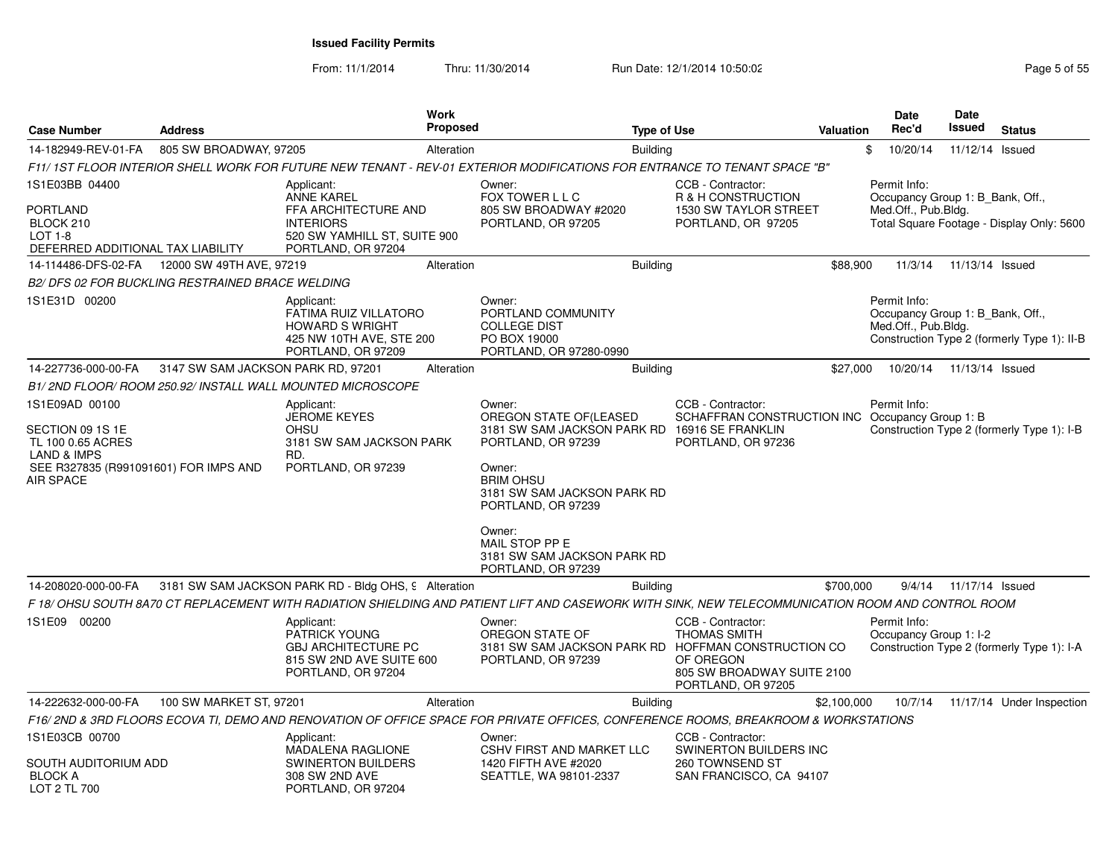| <b>Case Number</b>                                                                                                                      | <b>Address</b>                                  | <b>Work</b><br>Proposed                                                                                                                                                                                                                                                  |                                                                                                                                                                                                                                                                             | <b>Type of Use</b> |                                                                                                           | <b>Valuation</b> | <b>Date</b><br>Rec'd                                                    | Date<br><b>Issued</b> | <b>Status</b>                               |
|-----------------------------------------------------------------------------------------------------------------------------------------|-------------------------------------------------|--------------------------------------------------------------------------------------------------------------------------------------------------------------------------------------------------------------------------------------------------------------------------|-----------------------------------------------------------------------------------------------------------------------------------------------------------------------------------------------------------------------------------------------------------------------------|--------------------|-----------------------------------------------------------------------------------------------------------|------------------|-------------------------------------------------------------------------|-----------------------|---------------------------------------------|
|                                                                                                                                         |                                                 |                                                                                                                                                                                                                                                                          |                                                                                                                                                                                                                                                                             |                    |                                                                                                           |                  |                                                                         |                       |                                             |
| 14-182949-REV-01-FA                                                                                                                     | 805 SW BROADWAY, 97205                          | Alteration                                                                                                                                                                                                                                                               |                                                                                                                                                                                                                                                                             | <b>Building</b>    |                                                                                                           |                  | \$<br>10/20/14                                                          | 11/12/14              | Issued                                      |
| 1S1E03BB 04400<br><b>PORTLAND</b><br>BLOCK 210<br><b>LOT 1-8</b><br>DEFERRED ADDITIONAL TAX LIABILITY                                   |                                                 | F11/ 1ST FLOOR INTERIOR SHELL WORK FOR FUTURE NEW TENANT - REV-01 EXTERIOR MODIFICATIONS FOR ENTRANCE TO TENANT SPACE "B"<br>Applicant:<br><b>ANNE KAREL</b><br>FFA ARCHITECTURE AND<br><b>INTERIORS</b><br>520 SW YAMHILL ST, SUITE 900<br>PORTLAND, OR 97204           | Owner:<br>FOX TOWER L L C<br>805 SW BROADWAY #2020<br>PORTLAND, OR 97205                                                                                                                                                                                                    |                    | CCB - Contractor:<br>R & H CONSTRUCTION<br><b>1530 SW TAYLOR STREET</b><br>PORTLAND, OR 97205             |                  | Permit Info:<br>Occupancy Group 1: B Bank, Off.,<br>Med.Off., Pub.Bldg. |                       | Total Square Footage - Display Only: 5600   |
|                                                                                                                                         | 14-114486-DFS-02-FA   12000 SW 49TH AVE, 97219  | Alteration                                                                                                                                                                                                                                                               |                                                                                                                                                                                                                                                                             | <b>Building</b>    |                                                                                                           | \$88,900         | 11/3/14                                                                 | 11/13/14 Issued       |                                             |
|                                                                                                                                         | B2/DFS 02 FOR BUCKLING RESTRAINED BRACE WELDING |                                                                                                                                                                                                                                                                          |                                                                                                                                                                                                                                                                             |                    |                                                                                                           |                  |                                                                         |                       |                                             |
| 1S1E31D 00200                                                                                                                           |                                                 | Applicant:<br>FATIMA RUIZ VILLATORO<br><b>HOWARD S WRIGHT</b><br>425 NW 10TH AVE, STE 200<br>PORTLAND, OR 97209                                                                                                                                                          | Owner:<br>PORTLAND COMMUNITY<br><b>COLLEGE DIST</b><br>PO BOX 19000<br>PORTLAND, OR 97280-0990                                                                                                                                                                              |                    |                                                                                                           |                  | Permit Info:<br>Occupancy Group 1: B Bank, Off.,<br>Med.Off., Pub.Bldg. |                       | Construction Type 2 (formerly Type 1): II-B |
| 14-227736-000-00-FA                                                                                                                     | 3147 SW SAM JACKSON PARK RD, 97201              | Alteration                                                                                                                                                                                                                                                               |                                                                                                                                                                                                                                                                             | <b>Building</b>    |                                                                                                           | \$27,000         | 10/20/14                                                                | 11/13/14 Issued       |                                             |
|                                                                                                                                         |                                                 | B1/2ND FLOOR/ROOM 250.92/ INSTALL WALL MOUNTED MICROSCOPE                                                                                                                                                                                                                |                                                                                                                                                                                                                                                                             |                    |                                                                                                           |                  |                                                                         |                       |                                             |
| 1S1E09AD 00100<br>SECTION 09 1S 1E<br>TL 100 0.65 ACRES<br><b>LAND &amp; IMPS</b><br>SEE R327835 (R991091601) FOR IMPS AND<br>AIR SPACE |                                                 | Applicant:<br><b>JEROME KEYES</b><br><b>OHSU</b><br>3181 SW SAM JACKSON PARK<br>RD.<br>PORTLAND, OR 97239                                                                                                                                                                | Owner:<br>OREGON STATE OF(LEASED<br>3181 SW SAM JACKSON PARK RD 16916 SE FRANKLIN<br>PORTLAND, OR 97239<br>Owner:<br><b>BRIM OHSU</b><br>3181 SW SAM JACKSON PARK RD<br>PORTLAND, OR 97239<br>Owner:<br>MAIL STOP PP E<br>3181 SW SAM JACKSON PARK RD<br>PORTLAND, OR 97239 |                    | CCB - Contractor:<br>SCHAFFRAN CONSTRUCTION INC Occupancy Group 1: B<br>PORTLAND, OR 97236                |                  | Permit Info:                                                            |                       | Construction Type 2 (formerly Type 1): I-B  |
| 14-208020-000-00-FA                                                                                                                     |                                                 | 3181 SW SAM JACKSON PARK RD - Bldg OHS, 9 Alteration                                                                                                                                                                                                                     |                                                                                                                                                                                                                                                                             | <b>Building</b>    |                                                                                                           | \$700,000        | 9/4/14                                                                  | 11/17/14 Issued       |                                             |
| 1S1E09 00200                                                                                                                            |                                                 | F 18/ OHSU SOUTH 8A70 CT REPLACEMENT WITH RADIATION SHIELDING AND PATIENT LIFT AND CASEWORK WITH SINK, NEW TELECOMMUNICATION ROOM AND CONTROL ROOM<br>Applicant:<br><b>PATRICK YOUNG</b><br><b>GBJ ARCHITECTURE PC</b><br>815 SW 2ND AVE SUITE 600<br>PORTLAND, OR 97204 | Owner:<br>OREGON STATE OF<br>3181 SW SAM JACKSON PARK RD HOFFMAN CONSTRUCTION CO<br>PORTLAND, OR 97239                                                                                                                                                                      |                    | CCB - Contractor:<br><b>THOMAS SMITH</b><br>OF OREGON<br>805 SW BROADWAY SUITE 2100<br>PORTLAND, OR 97205 |                  | Permit Info:<br>Occupancy Group 1: I-2                                  |                       | Construction Type 2 (formerly Type 1): I-A  |
| 14-222632-000-00-FA                                                                                                                     | 100 SW MARKET ST, 97201                         | Alteration                                                                                                                                                                                                                                                               |                                                                                                                                                                                                                                                                             | <b>Building</b>    |                                                                                                           | \$2,100,000      | 10/7/14                                                                 |                       | 11/17/14 Under Inspection                   |
|                                                                                                                                         |                                                 | F16/2ND & 3RD FLOORS ECOVA TI, DEMO AND RENOVATION OF OFFICE SPACE FOR PRIVATE OFFICES, CONFERENCE ROOMS, BREAKROOM & WORKSTATIONS                                                                                                                                       |                                                                                                                                                                                                                                                                             |                    |                                                                                                           |                  |                                                                         |                       |                                             |
| 1S1E03CB 00700<br>SOUTH AUDITORIUM ADD<br><b>BLOCK A</b><br>LOT 2 TL 700                                                                |                                                 | Applicant:<br>MADALENA RAGLIONE<br><b>SWINERTON BUILDERS</b><br>308 SW 2ND AVE<br>PORTLAND, OR 97204                                                                                                                                                                     | Owner:<br><b>CSHV FIRST AND MARKET LLC</b><br>1420 FIFTH AVE #2020<br>SEATTLE, WA 98101-2337                                                                                                                                                                                |                    | CCB - Contractor:<br>SWINERTON BUILDERS INC<br>260 TOWNSEND ST<br>SAN FRANCISCO, CA 94107                 |                  |                                                                         |                       |                                             |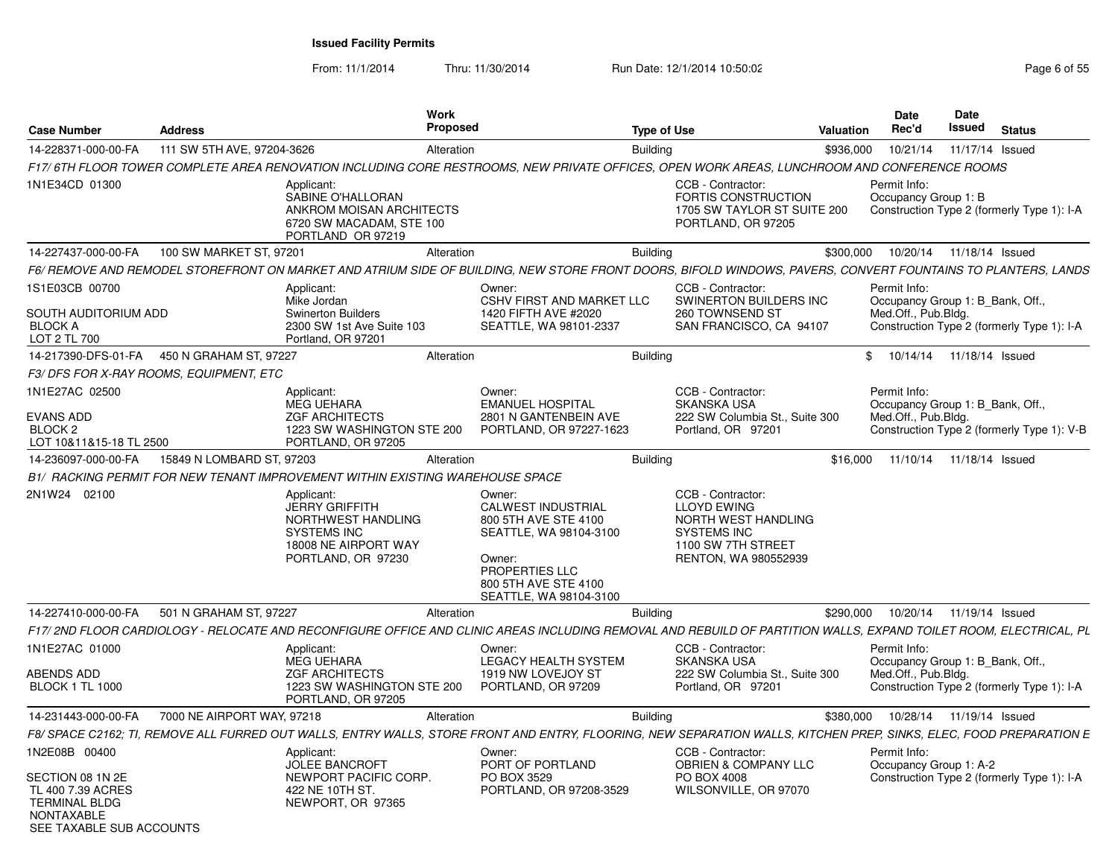| Case Number                                                                                | <b>Address</b>                         |                                                                                                                               | <b>Work</b><br>Proposed |                                                                                                                                                                     | <b>Type of Use</b> |                                                                                                                             | Valuation | <b>Date</b><br>Rec'd                                                    | Date<br>Issued             | <b>Status</b>                              |
|--------------------------------------------------------------------------------------------|----------------------------------------|-------------------------------------------------------------------------------------------------------------------------------|-------------------------|---------------------------------------------------------------------------------------------------------------------------------------------------------------------|--------------------|-----------------------------------------------------------------------------------------------------------------------------|-----------|-------------------------------------------------------------------------|----------------------------|--------------------------------------------|
| 14-228371-000-00-FA                                                                        | 111 SW 5TH AVE, 97204-3626             |                                                                                                                               | Alteration              |                                                                                                                                                                     | <b>Building</b>    |                                                                                                                             | \$936,000 | 10/21/14                                                                | 11/17/14 Issued            |                                            |
|                                                                                            |                                        |                                                                                                                               |                         | F17/6TH FLOOR TOWER COMPLETE AREA RENOVATION INCLUDING CORE RESTROOMS, NEW PRIVATE OFFICES, OPEN WORK AREAS, LUNCHROOM AND CONFERENCE ROOMS                         |                    |                                                                                                                             |           |                                                                         |                            |                                            |
| 1N1E34CD 01300                                                                             |                                        | Applicant:<br>SABINE O'HALLORAN<br>ANKROM MOISAN ARCHITECTS<br>6720 SW MACADAM, STE 100<br>PORTLAND OR 97219                  |                         |                                                                                                                                                                     |                    | CCB - Contractor:<br><b>FORTIS CONSTRUCTION</b><br>1705 SW TAYLOR ST SUITE 200<br>PORTLAND, OR 97205                        |           | Permit Info:<br>Occupancy Group 1: B                                    |                            | Construction Type 2 (formerly Type 1): I-A |
| 14-227437-000-00-FA                                                                        | 100 SW MARKET ST, 97201                |                                                                                                                               | Alteration              |                                                                                                                                                                     | <b>Building</b>    |                                                                                                                             | \$300,000 | 10/20/14  11/18/14  Issued                                              |                            |                                            |
|                                                                                            |                                        |                                                                                                                               |                         | F6/ REMOVE AND REMODEL STOREFRONT ON MARKET AND ATRIUM SIDE OF BUILDING. NEW STORE FRONT DOORS. BIFOLD WINDOWS. PAVERS. CONVERT FOUNTAINS TO PLANTERS. LANDS        |                    |                                                                                                                             |           |                                                                         |                            |                                            |
| 1S1E03CB 00700<br>SOUTH AUDITORIUM ADD<br><b>BLOCK A</b><br>LOT 2 TL 700                   |                                        | Applicant:<br>Mike Jordan<br><b>Swinerton Builders</b><br>2300 SW 1st Ave Suite 103<br>Portland, OR 97201                     |                         | Owner:<br><b>CSHV FIRST AND MARKET LLC</b><br>1420 FIFTH AVE #2020<br>SEATTLE, WA 98101-2337                                                                        |                    | CCB - Contractor:<br>SWINERTON BUILDERS INC<br>260 TOWNSEND ST<br>SAN FRANCISCO, CA 94107                                   |           | Permit Info:<br>Occupancy Group 1: B_Bank, Off.,<br>Med.Off., Pub.Bldg. |                            | Construction Type 2 (formerly Type 1): I-A |
| 14-217390-DFS-01-FA                                                                        | 450 N GRAHAM ST, 97227                 |                                                                                                                               | Alteration              |                                                                                                                                                                     | <b>Building</b>    |                                                                                                                             | \$        | 10/14/14                                                                | 11/18/14 Issued            |                                            |
|                                                                                            | F3/DFS FOR X-RAY ROOMS, EQUIPMENT, ETC |                                                                                                                               |                         |                                                                                                                                                                     |                    |                                                                                                                             |           |                                                                         |                            |                                            |
| 1N1E27AC 02500<br><b>EVANS ADD</b><br>BLOCK <sub>2</sub><br>LOT 10&11&15-18 TL 2500        |                                        | Applicant:<br><b>MEG UEHARA</b><br><b>ZGF ARCHITECTS</b><br>1223 SW WASHINGTON STE 200<br>PORTLAND, OR 97205                  |                         | Owner:<br><b>EMANUEL HOSPITAL</b><br>2801 N GANTENBEIN AVE<br>PORTLAND, OR 97227-1623                                                                               |                    | CCB - Contractor:<br><b>SKANSKA USA</b><br>222 SW Columbia St., Suite 300<br>Portland, OR 97201                             |           | Permit Info:<br>Occupancy Group 1: B Bank, Off.,<br>Med.Off., Pub.Bldg. |                            | Construction Type 2 (formerly Type 1): V-B |
| 14-236097-000-00-FA                                                                        | 15849 N LOMBARD ST, 97203              |                                                                                                                               | Alteration              |                                                                                                                                                                     | Building           |                                                                                                                             | \$16,000  | 11/10/14                                                                | 11/18/14 Issued            |                                            |
|                                                                                            |                                        | B1/ RACKING PERMIT FOR NEW TENANT IMPROVEMENT WITHIN EXISTING WAREHOUSE SPACE                                                 |                         |                                                                                                                                                                     |                    |                                                                                                                             |           |                                                                         |                            |                                            |
| 2N1W24 02100                                                                               |                                        | Applicant:<br><b>JERRY GRIFFITH</b><br>NORTHWEST HANDLING<br><b>SYSTEMS INC</b><br>18008 NE AIRPORT WAY<br>PORTLAND, OR 97230 |                         | Owner:<br><b>CALWEST INDUSTRIAL</b><br>800 5TH AVE STE 4100<br>SEATTLE, WA 98104-3100<br>Owner:<br>PROPERTIES LLC<br>800 5TH AVE STE 4100<br>SEATTLE, WA 98104-3100 |                    | CCB - Contractor:<br><b>LLOYD EWING</b><br>NORTH WEST HANDLING<br>SYSTEMS INC<br>1100 SW 7TH STREET<br>RENTON, WA 980552939 |           |                                                                         |                            |                                            |
| 14-227410-000-00-FA                                                                        | 501 N GRAHAM ST, 97227                 |                                                                                                                               | Alteration              |                                                                                                                                                                     | <b>Building</b>    |                                                                                                                             | \$290,000 | 10/20/14                                                                | 11/19/14 Issued            |                                            |
|                                                                                            |                                        |                                                                                                                               |                         | F17/ 2ND FLOOR CARDIOLOGY - RELOCATE AND RECONFIGURE OFFICE AND CLINIC AREAS INCLUDING REMOVAL AND REBUILD OF PARTITION WALLS. EXPAND TOILET ROOM. ELECTRICAL. PL   |                    |                                                                                                                             |           |                                                                         |                            |                                            |
| 1N1E27AC 01000<br><b>ABENDS ADD</b>                                                        |                                        | Applicant:<br><b>MEG UEHARA</b><br><b>ZGF ARCHITECTS</b>                                                                      |                         | Owner:<br><b>LEGACY HEALTH SYSTEM</b><br>1919 NW LOVEJOY ST                                                                                                         |                    | CCB - Contractor:<br><b>SKANSKA USA</b><br>222 SW Columbia St., Suite 300                                                   |           | Permit Info:<br>Occupancy Group 1: B_Bank, Off.,<br>Med.Off., Pub.Bldg. |                            |                                            |
| <b>BLOCK 1 TL 1000</b>                                                                     |                                        | 1223 SW WASHINGTON STE 200<br>PORTLAND, OR 97205                                                                              |                         | PORTLAND, OR 97209                                                                                                                                                  |                    | Portland, OR 97201                                                                                                          |           |                                                                         |                            | Construction Type 2 (formerly Type 1): I-A |
| 14-231443-000-00-FA                                                                        | 7000 NE AIRPORT WAY, 97218             |                                                                                                                               | Alteration              |                                                                                                                                                                     | <b>Building</b>    |                                                                                                                             | \$380,000 |                                                                         | 10/28/14  11/19/14  Issued |                                            |
|                                                                                            |                                        |                                                                                                                               |                         | F8/ SPACE C2162; TI, REMOVE ALL FURRED OUT WALLS, ENTRY WALLS, STORE FRONT AND ENTRY, FLOORING, NEW SEPARATION WALLS, KITCHEN PREP, SINKS, ELEC, FOOD PREPARATION E |                    |                                                                                                                             |           |                                                                         |                            |                                            |
| 1N2E08B 00400<br>SECTION 08 1N 2E                                                          |                                        | Applicant:<br><b>JOLEE BANCROFT</b><br>NEWPORT PACIFIC CORP.                                                                  |                         | Owner:<br>PORT OF PORTLAND<br>PO BOX 3529                                                                                                                           |                    | CCB - Contractor:<br><b>OBRIEN &amp; COMPANY LLC</b><br>PO BOX 4008                                                         |           | Permit Info:<br>Occupancy Group 1: A-2                                  |                            | Construction Type 2 (formerly Type 1): I-A |
| TL 400 7.39 ACRES<br><b>TERMINAL BLDG</b><br><b>NONTAXABLE</b><br>SEE TAXABLE SUB ACCOUNTS |                                        | 422 NE 10TH ST.<br>NEWPORT, OR 97365                                                                                          |                         | PORTLAND, OR 97208-3529                                                                                                                                             |                    | WILSONVILLE, OR 97070                                                                                                       |           |                                                                         |                            |                                            |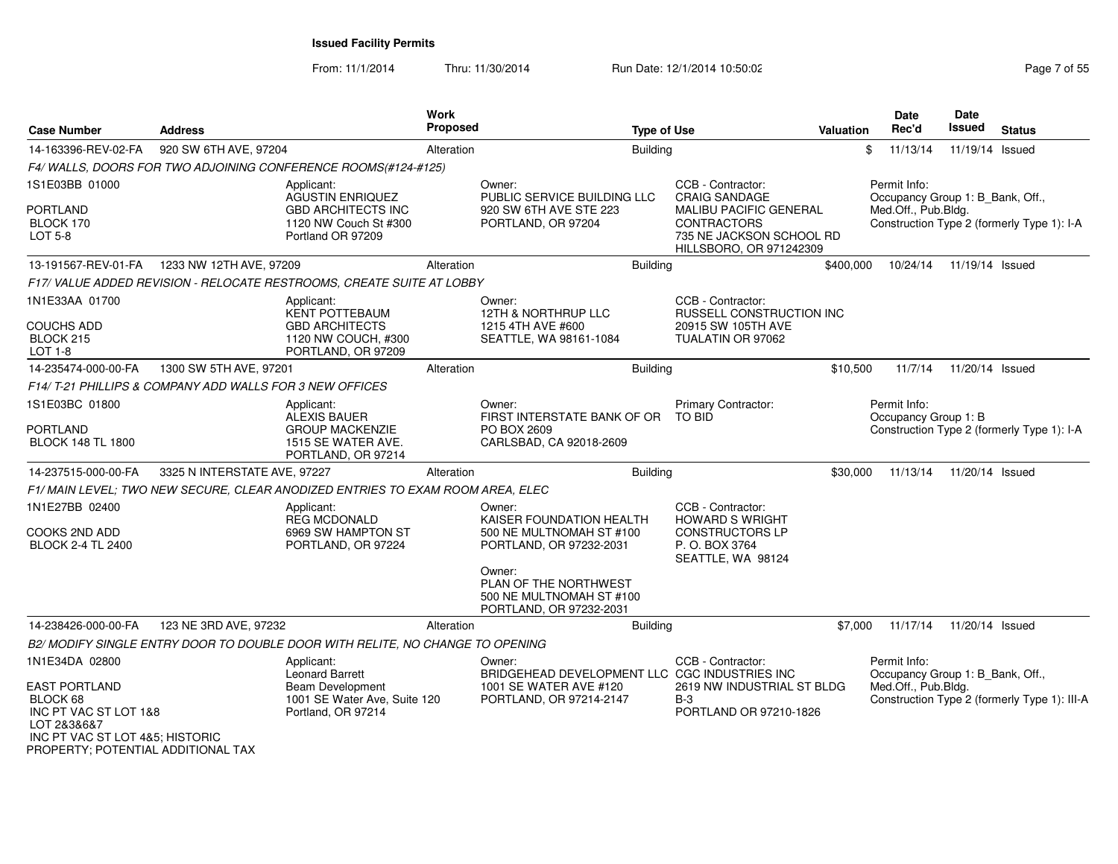| <b>Case Number</b>                                                                                                                                | <b>Address</b>                                          |                                                                                                           | Work<br>Proposed |                                                                                        | <b>Type of Use</b> |                                                                                                            | <b>Valuation</b> | <b>Date</b><br>Rec'd |          | <b>Date</b><br><b>Issued</b>     | <b>Status</b>                                |
|---------------------------------------------------------------------------------------------------------------------------------------------------|---------------------------------------------------------|-----------------------------------------------------------------------------------------------------------|------------------|----------------------------------------------------------------------------------------|--------------------|------------------------------------------------------------------------------------------------------------|------------------|----------------------|----------|----------------------------------|----------------------------------------------|
| 14-163396-REV-02-FA                                                                                                                               | 920 SW 6TH AVE, 97204                                   |                                                                                                           | Alteration       |                                                                                        | <b>Building</b>    |                                                                                                            |                  | \$                   | 11/13/14 | 11/19/14 Issued                  |                                              |
|                                                                                                                                                   |                                                         | F4/WALLS, DOORS FOR TWO ADJOINING CONFERENCE ROOMS(#124-#125)                                             |                  |                                                                                        |                    |                                                                                                            |                  |                      |          |                                  |                                              |
| 1S1E03BB 01000                                                                                                                                    |                                                         | Applicant:<br><b>AGUSTIN ENRIQUEZ</b>                                                                     |                  | Owner:<br>PUBLIC SERVICE BUILDING LLC                                                  |                    | CCB - Contractor:<br><b>CRAIG SANDAGE</b>                                                                  |                  | Permit Info:         |          | Occupancy Group 1: B_Bank, Off., |                                              |
| PORTLAND<br>BLOCK 170<br>LOT 5-8                                                                                                                  |                                                         | <b>GBD ARCHITECTS INC</b><br>1120 NW Couch St #300<br>Portland OR 97209                                   |                  | 920 SW 6TH AVE STE 223<br>PORTLAND, OR 97204                                           |                    | <b>MALIBU PACIFIC GENERAL</b><br><b>CONTRACTORS</b><br>735 NE JACKSON SCHOOL RD<br>HILLSBORO, OR 971242309 |                  | Med.Off., Pub.Bldg.  |          |                                  | Construction Type 2 (formerly Type 1): I-A   |
| 13-191567-REV-01-FA   1233 NW 12TH AVE, 97209                                                                                                     |                                                         |                                                                                                           | Alteration       |                                                                                        | <b>Building</b>    |                                                                                                            | \$400,000        |                      | 10/24/14 | 11/19/14 Issued                  |                                              |
|                                                                                                                                                   |                                                         | F17/VALUE ADDED REVISION - RELOCATE RESTROOMS, CREATE SUITE AT LOBBY                                      |                  |                                                                                        |                    |                                                                                                            |                  |                      |          |                                  |                                              |
| 1N1E33AA 01700<br><b>COUCHS ADD</b><br>BLOCK 215<br><b>LOT 1-8</b>                                                                                |                                                         | Applicant:<br><b>KENT POTTEBAUM</b><br><b>GBD ARCHITECTS</b><br>1120 NW COUCH, #300<br>PORTLAND, OR 97209 |                  | Owner:<br>12TH & NORTHRUP LLC<br>1215 4TH AVE #600<br>SEATTLE, WA 98161-1084           |                    | CCB - Contractor:<br>RUSSELL CONSTRUCTION INC<br>20915 SW 105TH AVE<br>TUALATIN OR 97062                   |                  |                      |          |                                  |                                              |
| 14-235474-000-00-FA                                                                                                                               | 1300 SW 5TH AVE, 97201                                  |                                                                                                           | Alteration       |                                                                                        | <b>Building</b>    |                                                                                                            | \$10,500         |                      | 11/7/14  | 11/20/14 Issued                  |                                              |
|                                                                                                                                                   | F14/T-21 PHILLIPS & COMPANY ADD WALLS FOR 3 NEW OFFICES |                                                                                                           |                  |                                                                                        |                    |                                                                                                            |                  |                      |          |                                  |                                              |
| 1S1E03BC 01800                                                                                                                                    |                                                         | Applicant:<br><b>ALEXIS BAUER</b>                                                                         |                  | Owner:<br>FIRST INTERSTATE BANK OF OR                                                  |                    | Primary Contractor:<br><b>TO BID</b>                                                                       |                  | Permit Info:         |          | Occupancy Group 1: B             |                                              |
| <b>PORTLAND</b><br><b>BLOCK 148 TL 1800</b>                                                                                                       |                                                         | <b>GROUP MACKENZIE</b><br>1515 SE WATER AVE.<br>PORTLAND, OR 97214                                        |                  | PO BOX 2609<br>CARLSBAD, CA 92018-2609                                                 |                    |                                                                                                            |                  |                      |          |                                  | Construction Type 2 (formerly Type 1): I-A   |
| 14-237515-000-00-FA                                                                                                                               | 3325 N INTERSTATE AVE, 97227                            |                                                                                                           | Alteration       |                                                                                        | <b>Building</b>    |                                                                                                            | \$30,000         |                      | 11/13/14 | 11/20/14 Issued                  |                                              |
|                                                                                                                                                   |                                                         | F1/ MAIN LEVEL: TWO NEW SECURE, CLEAR ANODIZED ENTRIES TO EXAM ROOM AREA, ELEC                            |                  |                                                                                        |                    |                                                                                                            |                  |                      |          |                                  |                                              |
| 1N1E27BB 02400                                                                                                                                    |                                                         | Applicant:<br><b>REG MCDONALD</b>                                                                         |                  | Owner:<br>KAISER FOUNDATION HEALTH                                                     |                    | CCB - Contractor:<br><b>HOWARD S WRIGHT</b>                                                                |                  |                      |          |                                  |                                              |
| COOKS 2ND ADD<br><b>BLOCK 2-4 TL 2400</b>                                                                                                         |                                                         | 6969 SW HAMPTON ST<br>PORTLAND, OR 97224                                                                  |                  | 500 NE MULTNOMAH ST #100<br>PORTLAND, OR 97232-2031                                    |                    | <b>CONSTRUCTORS LP</b><br>P.O. BOX 3764<br>SEATTLE, WA 98124                                               |                  |                      |          |                                  |                                              |
|                                                                                                                                                   |                                                         |                                                                                                           |                  | Owner:<br>PLAN OF THE NORTHWEST<br>500 NE MULTNOMAH ST #100<br>PORTLAND, OR 97232-2031 |                    |                                                                                                            |                  |                      |          |                                  |                                              |
| 14-238426-000-00-FA                                                                                                                               | 123 NE 3RD AVE, 97232                                   |                                                                                                           | Alteration       |                                                                                        | Building           |                                                                                                            | \$7,000          |                      | 11/17/14 | 11/20/14 Issued                  |                                              |
|                                                                                                                                                   |                                                         | B2/ MODIFY SINGLE ENTRY DOOR TO DOUBLE DOOR WITH RELITE, NO CHANGE TO OPENING                             |                  |                                                                                        |                    |                                                                                                            |                  |                      |          |                                  |                                              |
| 1N1E34DA 02800                                                                                                                                    |                                                         | Applicant:<br>Leonard Barrett                                                                             |                  | Owner:<br>BRIDGEHEAD DEVELOPMENT LLC CGC INDUSTRIES INC                                |                    | CCB - Contractor:                                                                                          |                  | Permit Info:         |          | Occupancy Group 1: B_Bank, Off., |                                              |
| <b>EAST PORTLAND</b><br>BLOCK 68<br>INC PT VAC ST LOT 1&8<br>LOT 2&3&6&7<br>INC PT VAC ST LOT 4&5; HISTORIC<br>PROPERTY; POTENTIAL ADDITIONAL TAX |                                                         | Beam Development<br>1001 SE Water Ave, Suite 120<br>Portland, OR 97214                                    |                  | 1001 SE WATER AVE #120<br>PORTLAND, OR 97214-2147                                      |                    | 2619 NW INDUSTRIAL ST BLDG<br>$B-3$<br>PORTLAND OR 97210-1826                                              |                  | Med.Off., Pub.Bldg.  |          |                                  | Construction Type 2 (formerly Type 1): III-A |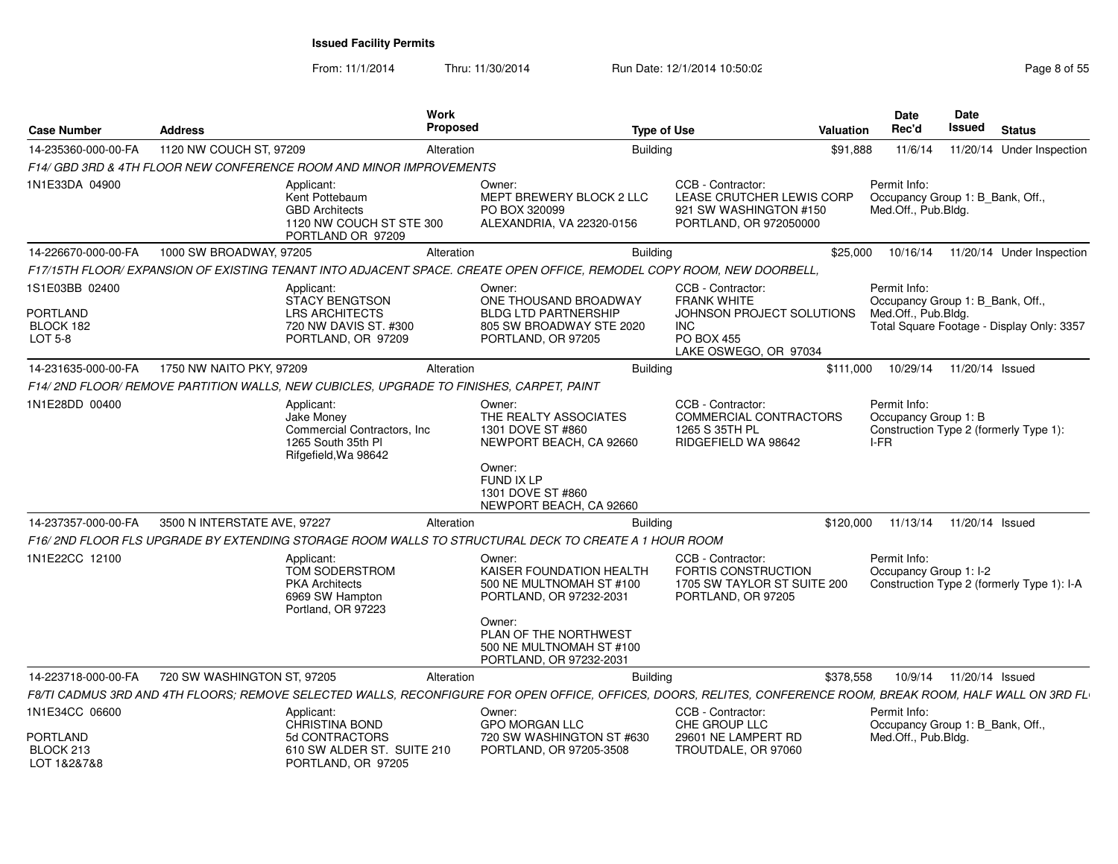| <b>Case Number</b>                                 | <b>Address</b>               |                                                                                                                                                                | Work<br>Proposed                                                                                                                                                                    | <b>Type of Use</b> |                                                                                                                           | <b>Valuation</b> | <b>Date</b><br>Rec'd                         | <b>Date</b><br><b>Issued</b> | <b>Status</b>                                                                 |
|----------------------------------------------------|------------------------------|----------------------------------------------------------------------------------------------------------------------------------------------------------------|-------------------------------------------------------------------------------------------------------------------------------------------------------------------------------------|--------------------|---------------------------------------------------------------------------------------------------------------------------|------------------|----------------------------------------------|------------------------------|-------------------------------------------------------------------------------|
| 14-235360-000-00-FA                                | 1120 NW COUCH ST, 97209      |                                                                                                                                                                | Alteration                                                                                                                                                                          | <b>Building</b>    |                                                                                                                           | \$91,888         | 11/6/14                                      |                              | 11/20/14 Under Inspection                                                     |
|                                                    |                              | F14/ GBD 3RD & 4TH FLOOR NEW CONFERENCE ROOM AND MINOR IMPROVEMENTS                                                                                            |                                                                                                                                                                                     |                    |                                                                                                                           |                  |                                              |                              |                                                                               |
| 1N1E33DA 04900                                     |                              | Applicant:<br>Kent Pottebaum<br><b>GBD Architects</b><br>1120 NW COUCH ST STE 300<br>PORTLAND OR 97209                                                         | Owner:<br>MEPT BREWERY BLOCK 2 LLC<br>PO BOX 320099<br>ALEXANDRIA, VA 22320-0156                                                                                                    |                    | CCB - Contractor:<br>LEASE CRUTCHER LEWIS CORP<br>921 SW WASHINGTON #150<br>PORTLAND, OR 972050000                        |                  | Permit Info:<br>Med.Off., Pub.Bldg.          |                              | Occupancy Group 1: B_Bank, Off.,                                              |
| 14-226670-000-00-FA                                | 1000 SW BROADWAY, 97205      |                                                                                                                                                                | Alteration                                                                                                                                                                          | Building           |                                                                                                                           | \$25,000         | 10/16/14                                     |                              | 11/20/14 Under Inspection                                                     |
|                                                    |                              | F17/15TH FLOOR/ EXPANSION OF EXISTING TENANT INTO ADJACENT SPACE. CREATE OPEN OFFICE, REMODEL COPY ROOM, NEW DOORBELL,                                         |                                                                                                                                                                                     |                    |                                                                                                                           |                  |                                              |                              |                                                                               |
| 1S1E03BB 02400<br>PORTLAND<br>BLOCK 182<br>LOT 5-8 |                              | Applicant:<br>STACY BENGTSON<br><b>LRS ARCHITECTS</b><br>720 NW DAVIS ST. #300<br>PORTLAND, OR 97209                                                           | Owner:<br>ONE THOUSAND BROADWAY<br><b>BLDG LTD PARTNERSHIP</b><br>805 SW BROADWAY STE 2020<br>PORTLAND, OR 97205                                                                    |                    | CCB - Contractor:<br><b>FRANK WHITE</b><br>JOHNSON PROJECT SOLUTIONS<br>INC<br><b>PO BOX 455</b><br>LAKE OSWEGO, OR 97034 |                  | Permit Info:<br>Med.Off., Pub.Bldg.          |                              | Occupancy Group 1: B_Bank, Off.,<br>Total Square Footage - Display Only: 3357 |
| 14-231635-000-00-FA                                | 1750 NW NAITO PKY, 97209     |                                                                                                                                                                | Alteration                                                                                                                                                                          | <b>Building</b>    |                                                                                                                           | \$111.000        |                                              |                              | 10/29/14  11/20/14  Issued                                                    |
|                                                    |                              | F14/2ND FLOOR/ REMOVE PARTITION WALLS, NEW CUBICLES, UPGRADE TO FINISHES, CARPET, PAINT                                                                        |                                                                                                                                                                                     |                    |                                                                                                                           |                  |                                              |                              |                                                                               |
| 1N1E28DD 00400                                     |                              | Applicant:<br>Jake Money<br>Commercial Contractors, Inc.<br>1265 South 35th PI<br>Rifgefield, Wa 98642                                                         | Owner:<br>THE REALTY ASSOCIATES<br>1301 DOVE ST #860<br>NEWPORT BEACH, CA 92660<br>Owner:<br>FUND IX LP<br>1301 DOVE ST #860<br>NEWPORT BEACH, CA 92660                             |                    | CCB - Contractor:<br>COMMERCIAL CONTRACTORS<br>1265 S 35TH PL<br>RIDGEFIELD WA 98642                                      |                  | Permit Info:<br>Occupancy Group 1: B<br>I-FR |                              | Construction Type 2 (formerly Type 1):                                        |
| 14-237357-000-00-FA                                | 3500 N INTERSTATE AVE, 97227 |                                                                                                                                                                | Alteration                                                                                                                                                                          | <b>Building</b>    |                                                                                                                           | \$120,000        |                                              |                              | 11/13/14  11/20/14  Issued                                                    |
|                                                    |                              | F16/2ND FLOOR FLS UPGRADE BY EXTENDING STORAGE ROOM WALLS TO STRUCTURAL DECK TO CREATE A 1 HOUR ROOM                                                           |                                                                                                                                                                                     |                    |                                                                                                                           |                  |                                              |                              |                                                                               |
| 1N1E22CC 12100                                     |                              | Applicant:<br>TOM SODERSTROM<br><b>PKA Architects</b><br>6969 SW Hampton<br>Portland, OR 97223                                                                 | Owner:<br>KAISER FOUNDATION HEALTH<br>500 NE MULTNOMAH ST #100<br>PORTLAND, OR 97232-2031<br>Owner:<br>PLAN OF THE NORTHWEST<br>500 NE MULTNOMAH ST #100<br>PORTLAND, OR 97232-2031 |                    | CCB - Contractor:<br><b>FORTIS CONSTRUCTION</b><br>1705 SW TAYLOR ST SUITE 200<br>PORTLAND, OR 97205                      |                  | Permit Info:<br>Occupancy Group 1: I-2       |                              | Construction Type 2 (formerly Type 1): I-A                                    |
| 14-223718-000-00-FA                                | 720 SW WASHINGTON ST, 97205  |                                                                                                                                                                | Alteration                                                                                                                                                                          | <b>Building</b>    |                                                                                                                           | \$378,558        |                                              |                              | 10/9/14  11/20/14  Issued                                                     |
|                                                    |                              | F8/TI CADMUS 3RD AND 4TH FLOORS; REMOVE SELECTED WALLS, RECONFIGURE FOR OPEN OFFICE, OFFICES, DOORS, RELITES, CONFERENCE ROOM, BREAK ROOM, HALF WALL ON 3RD FL |                                                                                                                                                                                     |                    |                                                                                                                           |                  |                                              |                              |                                                                               |
| 1N1E34CC 06600<br><b>PORTLAND</b>                  |                              | Applicant:<br><b>CHRISTINA BOND</b><br>5d CONTRACTORS                                                                                                          | Owner:<br><b>GPO MORGAN LLC</b><br>720 SW WASHINGTON ST #630                                                                                                                        |                    | CCB - Contractor:<br>CHE GROUP LLC<br>29601 NE LAMPERT RD                                                                 |                  | Permit Info:<br>Med.Off., Pub.Bldg.          |                              | Occupancy Group 1: B_Bank, Off.,                                              |
| BLOCK 213<br>LOT 1&2&7&8                           |                              | 610 SW ALDER ST. SUITE 210<br>PORTLAND, OR 97205                                                                                                               | PORTLAND, OR 97205-3508                                                                                                                                                             |                    | TROUTDALE, OR 97060                                                                                                       |                  |                                              |                              |                                                                               |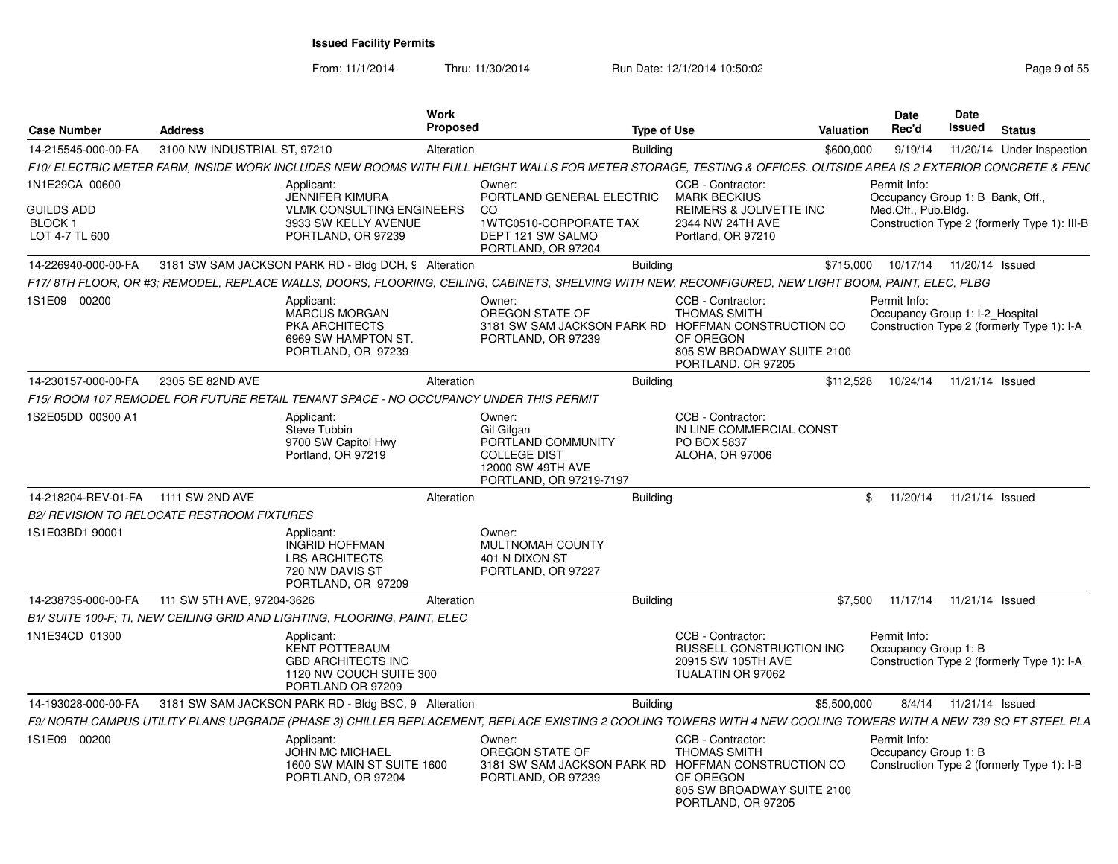From: 11/1/2014

Thru: 11/30/2014 Run Date: 12/1/2014 10:50:02 Rege 9 of 55

| <b>Case Number</b>                             | <b>Address</b>                                                                        | Work<br><b>Proposed</b>                                                                            |                                                                                                                                                                  | Type of Use                                                                                               | <b>Valuation</b> | <b>Date</b><br>Rec'd                             | Date<br>Issued           | <b>Status</b>                                |
|------------------------------------------------|---------------------------------------------------------------------------------------|----------------------------------------------------------------------------------------------------|------------------------------------------------------------------------------------------------------------------------------------------------------------------|-----------------------------------------------------------------------------------------------------------|------------------|--------------------------------------------------|--------------------------|----------------------------------------------|
| 14-215545-000-00-FA                            | 3100 NW INDUSTRIAL ST, 97210                                                          | Alteration                                                                                         | <b>Building</b>                                                                                                                                                  |                                                                                                           | \$600,000        | 9/19/14                                          |                          | 11/20/14 Under Inspection                    |
|                                                |                                                                                       |                                                                                                    | F10/ ELECTRIC METER FARM, INSIDE WORK INCLUDES NEW ROOMS WITH FULL HEIGHT WALLS FOR METER STORAGE, TESTING & OFFICES. OUTSIDE AREA IS 2 EXTERIOR CONCRETE & FENC |                                                                                                           |                  |                                                  |                          |                                              |
| 1N1E29CA 00600                                 | Applicant:                                                                            | <b>JENNIFER KIMURA</b>                                                                             | Owner:<br>PORTLAND GENERAL ELECTRIC                                                                                                                              | CCB - Contractor:<br><b>MARK BECKIUS</b>                                                                  |                  | Permit Info:<br>Occupancy Group 1: B_Bank, Off., |                          |                                              |
| <b>GUILDS ADD</b><br>BLOCK 1<br>LOT 4-7 TL 600 |                                                                                       | <b>VLMK CONSULTING ENGINEERS</b><br>3933 SW KELLY AVENUE<br>PORTLAND, OR 97239                     | CO.<br>1WTC0510-CORPORATE TAX<br>DEPT 121 SW SALMO<br>PORTLAND, OR 97204                                                                                         | REIMERS & JOLIVETTE INC<br>2344 NW 24TH AVE<br>Portland, OR 97210                                         |                  | Med.Off., Pub.Bldg.                              |                          | Construction Type 2 (formerly Type 1): III-B |
| 14-226940-000-00-FA                            | 3181 SW SAM JACKSON PARK RD - Bldg DCH, 9 Alteration                                  |                                                                                                    | <b>Building</b>                                                                                                                                                  |                                                                                                           | \$715,000        | 10/17/14  11/20/14  Issued                       |                          |                                              |
|                                                |                                                                                       |                                                                                                    | F17/8TH FLOOR, OR #3; REMODEL, REPLACE WALLS, DOORS, FLOORING, CEILING, CABINETS, SHELVING WITH NEW, RECONFIGURED, NEW LIGHT BOOM, PAINT, ELEC, PLBG             |                                                                                                           |                  |                                                  |                          |                                              |
| 1S1E09 00200                                   | Applicant:                                                                            | MARCUS MORGAN<br>PKA ARCHITECTS<br>6969 SW HAMPTON ST.<br>PORTLAND, OR 97239                       | Owner:<br>OREGON STATE OF<br>3181 SW SAM JACKSON PARK RD HOFFMAN CONSTRUCTION CO<br>PORTLAND, OR 97239                                                           | CCB - Contractor:<br><b>THOMAS SMITH</b><br>OF OREGON<br>805 SW BROADWAY SUITE 2100<br>PORTLAND, OR 97205 |                  | Permit Info:<br>Occupancy Group 1: I-2 Hospital  |                          | Construction Type 2 (formerly Type 1): I-A   |
| 14-230157-000-00-FA                            | 2305 SE 82ND AVE                                                                      | Alteration                                                                                         | <b>Building</b>                                                                                                                                                  |                                                                                                           | \$112,528        | 10/24/14                                         | 11/21/14 Issued          |                                              |
|                                                | F15/ ROOM 107 REMODEL FOR FUTURE RETAIL TENANT SPACE - NO OCCUPANCY UNDER THIS PERMIT |                                                                                                    |                                                                                                                                                                  |                                                                                                           |                  |                                                  |                          |                                              |
| 1S2E05DD 00300 A1                              | Applicant:<br>Steve Tubbin                                                            | 9700 SW Capitol Hwy<br>Portland, OR 97219                                                          | Owner:<br>Gil Gilgan<br>PORTLAND COMMUNITY<br><b>COLLEGE DIST</b><br>12000 SW 49TH AVE<br>PORTLAND, OR 97219-7197                                                | CCB - Contractor:<br>IN LINE COMMERCIAL CONST<br>PO BOX 5837<br>ALOHA, OR 97006                           |                  |                                                  |                          |                                              |
| 14-218204-REV-01-FA 1111 SW 2ND AVE            |                                                                                       | Alteration                                                                                         | <b>Building</b>                                                                                                                                                  |                                                                                                           |                  | \$11/20/14                                       | 11/21/14 Issued          |                                              |
|                                                | <b>B2/ REVISION TO RELOCATE RESTROOM FIXTURES</b>                                     |                                                                                                    |                                                                                                                                                                  |                                                                                                           |                  |                                                  |                          |                                              |
| 1S1E03BD1 90001                                | Applicant:                                                                            | <b>INGRID HOFFMAN</b><br><b>LRS ARCHITECTS</b><br>720 NW DAVIS ST<br>PORTLAND, OR 97209            | Owner:<br>MULTNOMAH COUNTY<br>401 N DIXON ST<br>PORTLAND, OR 97227                                                                                               |                                                                                                           |                  |                                                  |                          |                                              |
| 14-238735-000-00-FA                            | 111 SW 5TH AVE, 97204-3626                                                            | Alteration                                                                                         | <b>Building</b>                                                                                                                                                  |                                                                                                           | \$7.500          | 11/17/14  11/21/14  Issued                       |                          |                                              |
|                                                | B1/ SUITE 100-F: TI, NEW CEILING GRID AND LIGHTING, FLOORING, PAINT, ELEC             |                                                                                                    |                                                                                                                                                                  |                                                                                                           |                  |                                                  |                          |                                              |
| 1N1E34CD 01300                                 | Applicant:                                                                            | <b>KENT POTTEBAUM</b><br><b>GBD ARCHITECTS INC</b><br>1120 NW COUCH SUITE 300<br>PORTLAND OR 97209 |                                                                                                                                                                  | CCB - Contractor:<br>RUSSELL CONSTRUCTION INC<br>20915 SW 105TH AVE<br>TUALATIN OR 97062                  |                  | Permit Info:<br>Occupancy Group 1: B             |                          | Construction Type 2 (formerly Type 1): I-A   |
| 14-193028-000-00-FA                            | 3181 SW SAM JACKSON PARK RD - Bldg BSC, 9 Alteration                                  |                                                                                                    | <b>Building</b>                                                                                                                                                  |                                                                                                           | \$5,500,000      |                                                  | 8/4/14  11/21/14  Issued |                                              |
|                                                |                                                                                       |                                                                                                    | F9/ NORTH CAMPUS UTILITY PLANS UPGRADE (PHASE 3) CHILLER REPLACEMENT, REPLACE EXISTING 2 COOLING TOWERS WITH 4 NEW COOLING TOWERS WITH A NEW 739 SQ FT STEEL PLA |                                                                                                           |                  |                                                  |                          |                                              |
| 1S1E09 00200                                   | Applicant:                                                                            | <b>JOHN MC MICHAEL</b><br>1600 SW MAIN ST SUITE 1600<br>PORTLAND, OR 97204                         | Owner:<br>OREGON STATE OF<br>3181 SW SAM JACKSON PARK RD HOFFMAN CONSTRUCTION CO<br>PORTLAND, OR 97239                                                           | CCB - Contractor:<br><b>THOMAS SMITH</b><br>OF OREGON<br>805 SW BROADWAY SUITE 2100<br>PORTLAND, OR 97205 |                  | Permit Info:<br>Occupancy Group 1: B             |                          | Construction Type 2 (formerly Type 1): I-B   |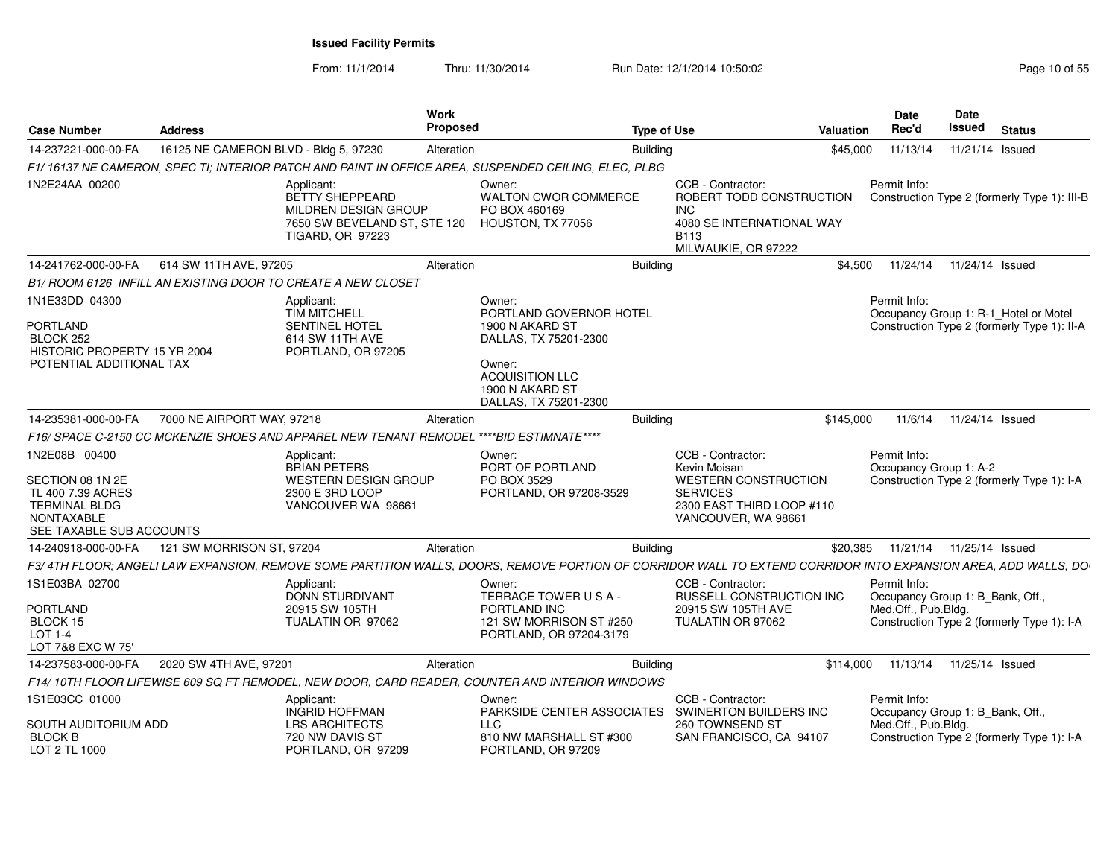| <b>Case Number</b>                                                                                                       | Address                               |                                                                                                                         | Work<br>Proposed |                                                                                                                                                               | <b>Type of Use</b> |                                                                                                                                         | Valuation | Date<br>Rec'd                                                           | Date<br>Issued  | <b>Status</b>                                                                        |
|--------------------------------------------------------------------------------------------------------------------------|---------------------------------------|-------------------------------------------------------------------------------------------------------------------------|------------------|---------------------------------------------------------------------------------------------------------------------------------------------------------------|--------------------|-----------------------------------------------------------------------------------------------------------------------------------------|-----------|-------------------------------------------------------------------------|-----------------|--------------------------------------------------------------------------------------|
| 14-237221-000-00-FA                                                                                                      | 16125 NE CAMERON BLVD - Bldg 5, 97230 |                                                                                                                         | Alteration       |                                                                                                                                                               | <b>Building</b>    |                                                                                                                                         | \$45,000  | 11/13/14                                                                | 11/21/14 Issued |                                                                                      |
|                                                                                                                          |                                       |                                                                                                                         |                  | F1/ 16137 NE CAMERON. SPEC TI: INTERIOR PATCH AND PAINT IN OFFICE AREA. SUSPENDED CEILING. ELEC. PLBG                                                         |                    |                                                                                                                                         |           |                                                                         |                 |                                                                                      |
| 1N2E24AA 00200                                                                                                           |                                       | Applicant:<br><b>BETTY SHEPPEARD</b><br>MILDREN DESIGN GROUP<br>7650 SW BEVELAND ST, STE 120<br><b>TIGARD, OR 97223</b> |                  | Owner:<br><b>WALTON CWOR COMMERCE</b><br>PO BOX 460169<br>HOUSTON, TX 77056                                                                                   |                    | CCB - Contractor:<br>ROBERT TODD CONSTRUCTION<br>INC.<br>4080 SE INTERNATIONAL WAY<br><b>B113</b><br>MILWAUKIE, OR 97222                |           | Permit Info:                                                            |                 | Construction Type 2 (formerly Type 1): III-B                                         |
| 14-241762-000-00-FA                                                                                                      | 614 SW 11TH AVE, 97205                |                                                                                                                         | Alteration       |                                                                                                                                                               | Building           |                                                                                                                                         | \$4,500   | 11/24/14                                                                | 11/24/14 Issued |                                                                                      |
|                                                                                                                          |                                       | B1/ ROOM 6126  INFILL AN EXISTING DOOR TO CREATE A NEW CLOSET                                                           |                  |                                                                                                                                                               |                    |                                                                                                                                         |           |                                                                         |                 |                                                                                      |
| 1N1E33DD 04300<br><b>PORTLAND</b><br>BLOCK 252<br>HISTORIC PROPERTY 15 YR 2004<br>POTENTIAL ADDITIONAL TAX               |                                       | Applicant:<br><b>TIM MITCHELL</b><br>SENTINEL HOTEL<br>614 SW 11TH AVE<br>PORTLAND, OR 97205                            |                  | Owner:<br>PORTLAND GOVERNOR HOTEL<br>1900 N AKARD ST<br>DALLAS, TX 75201-2300<br>Owner:<br><b>ACQUISITION LLC</b><br>1900 N AKARD ST<br>DALLAS, TX 75201-2300 |                    |                                                                                                                                         |           | Permit Info:                                                            |                 | Occupancy Group 1: R-1_Hotel or Motel<br>Construction Type 2 (formerly Type 1): II-A |
| 14-235381-000-00-FA                                                                                                      | 7000 NE AIRPORT WAY, 97218            |                                                                                                                         | Alteration       |                                                                                                                                                               | Building           |                                                                                                                                         | \$145,000 | 11/6/14                                                                 | 11/24/14 Issued |                                                                                      |
|                                                                                                                          |                                       | F16/ SPACE C-2150 CC MCKENZIE SHOES AND APPAREL NEW TENANT REMODEL ****BID ESTIMNATE****                                |                  |                                                                                                                                                               |                    |                                                                                                                                         |           |                                                                         |                 |                                                                                      |
| 1N2E08B 00400<br>SECTION 08 1N 2E<br>TL 400 7.39 ACRES<br><b>TERMINAL BLDG</b><br>NONTAXABLE<br>SEE TAXABLE SUB ACCOUNTS |                                       | Applicant:<br><b>BRIAN PETERS</b><br><b>WESTERN DESIGN GROUP</b><br>2300 E 3RD LOOP<br>VANCOUVER WA 98661               |                  | Owner:<br>PORT OF PORTLAND<br>PO BOX 3529<br>PORTLAND, OR 97208-3529                                                                                          |                    | CCB - Contractor:<br>Kevin Moisan<br><b>WESTERN CONSTRUCTION</b><br><b>SERVICES</b><br>2300 EAST THIRD LOOP #110<br>VANCOUVER, WA 98661 |           | Permit Info:<br>Occupancy Group 1: A-2                                  |                 | Construction Type 2 (formerly Type 1): I-A                                           |
| 14-240918-000-00-FA                                                                                                      | 121 SW MORRISON ST, 97204             |                                                                                                                         | Alteration       |                                                                                                                                                               | <b>Building</b>    |                                                                                                                                         | \$20,385  | 11/21/14                                                                | 11/25/14 Issued |                                                                                      |
|                                                                                                                          |                                       |                                                                                                                         |                  | F3/4TH FLOOR; ANGELI LAW EXPANSION, REMOVE SOME PARTITION WALLS, DOORS, REMOVE PORTION OF CORRIDOR WALL TO EXTEND CORRIDOR INTO EXPANSION AREA, ADD WALLS, DO |                    |                                                                                                                                         |           |                                                                         |                 |                                                                                      |
| 1S1E03BA 02700<br>PORTLAND<br>BLOCK 15<br><b>LOT 1-4</b><br>LOT 7&8 EXC W 75'                                            |                                       | Applicant:<br><b>DONN STURDIVANT</b><br>20915 SW 105TH<br>TUALATIN OR 97062                                             |                  | Owner:<br>TERRACE TOWER USA-<br>PORTLAND INC<br>121 SW MORRISON ST #250<br>PORTLAND, OR 97204-3179                                                            |                    | CCB - Contractor:<br>RUSSELL CONSTRUCTION INC<br>20915 SW 105TH AVE<br>TUALATIN OR 97062                                                |           | Permit Info:<br>Occupancy Group 1: B_Bank, Off.,<br>Med.Off., Pub.Bldg. |                 | Construction Type 2 (formerly Type 1): I-A                                           |
| 14-237583-000-00-FA                                                                                                      | 2020 SW 4TH AVE, 97201                |                                                                                                                         | Alteration       |                                                                                                                                                               | Building           |                                                                                                                                         | \$114,000 | 11/13/14                                                                | 11/25/14 Issued |                                                                                      |
|                                                                                                                          |                                       |                                                                                                                         |                  | F14/10TH FLOOR LIFEWISE 609 SQ FT REMODEL, NEW DOOR, CARD READER, COUNTER AND INTERIOR WINDOWS                                                                |                    |                                                                                                                                         |           |                                                                         |                 |                                                                                      |
| 1S1E03CC 01000<br>SOUTH AUDITORIUM ADD<br><b>BLOCK B</b><br>LOT 2 TL 1000                                                |                                       | Applicant:<br><b>INGRID HOFFMAN</b><br><b>LRS ARCHITECTS</b><br>720 NW DAVIS ST<br>PORTLAND, OR 97209                   |                  | Owner:<br>PARKSIDE CENTER ASSOCIATES<br><b>LLC</b><br>810 NW MARSHALL ST #300<br>PORTLAND, OR 97209                                                           |                    | CCB - Contractor:<br>SWINERTON BUILDERS INC<br>260 TOWNSEND ST<br>SAN FRANCISCO, CA 94107                                               |           | Permit Info:<br>Occupancy Group 1: B_Bank, Off.,<br>Med.Off., Pub.Bldg. |                 | Construction Type 2 (formerly Type 1): I-A                                           |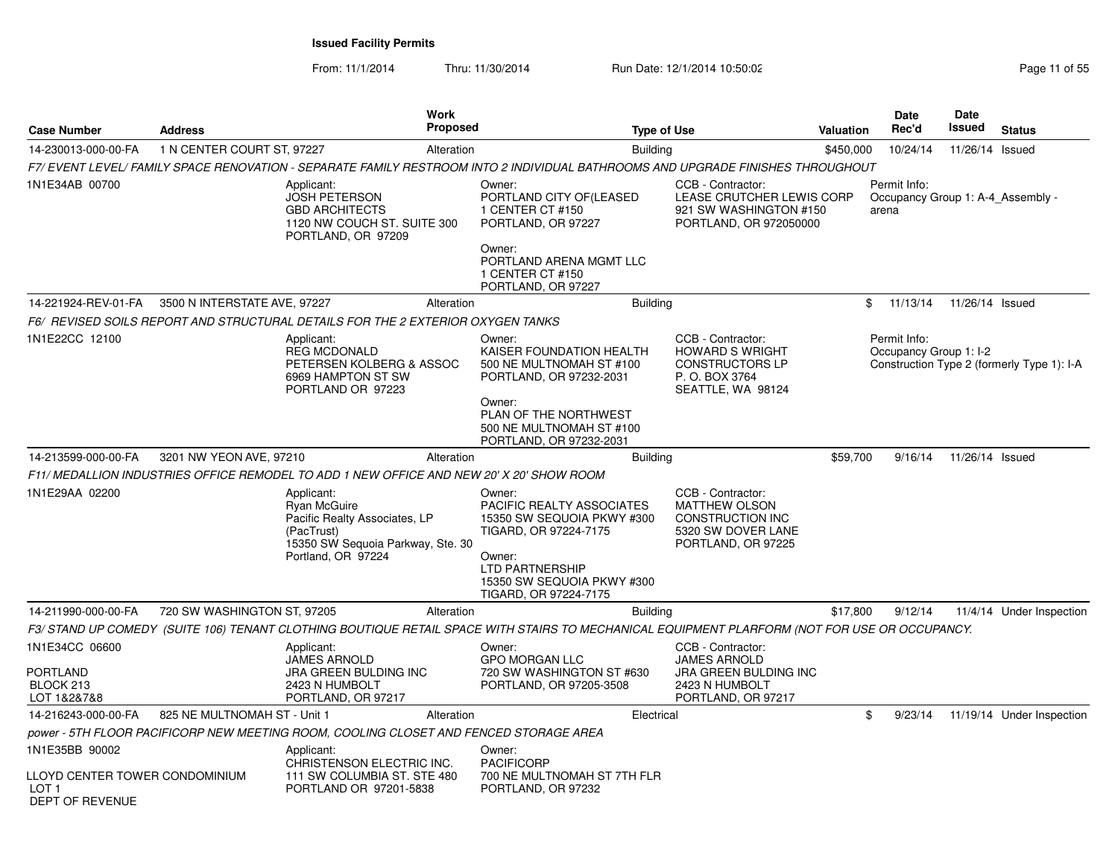From: 11/1/2014

Thru: 11/30/2014 Run Date: 12/1/2014 10:50:02 Rege 11 of 55

| Case Number                                                                  | <b>Address</b>               | Work<br><b>Proposed</b>                                                                                                                        |                                                                                                                                                                                              | <b>Type of Use</b>                                                                                           | Valuation | Date<br>Rec'd                                              | Date<br><b>Issued</b> | <b>Status</b>                              |
|------------------------------------------------------------------------------|------------------------------|------------------------------------------------------------------------------------------------------------------------------------------------|----------------------------------------------------------------------------------------------------------------------------------------------------------------------------------------------|--------------------------------------------------------------------------------------------------------------|-----------|------------------------------------------------------------|-----------------------|--------------------------------------------|
| 14-230013-000-00-FA                                                          | 1 N CENTER COURT ST, 97227   | Alteration                                                                                                                                     | <b>Building</b>                                                                                                                                                                              |                                                                                                              | \$450,000 | 10/24/14                                                   | 11/26/14 Issued       |                                            |
|                                                                              |                              | F7/ EVENT LEVEL/ FAMILY SPACE RENOVATION - SEPARATE FAMILY RESTROOM INTO 2 INDIVIDUAL BATHROOMS AND UPGRADE FINISHES THROUGHOUT                |                                                                                                                                                                                              |                                                                                                              |           |                                                            |                       |                                            |
| 1N1E34AB 00700                                                               |                              | Applicant:<br><b>JOSH PETERSON</b><br><b>GBD ARCHITECTS</b><br>1120 NW COUCH ST. SUITE 300<br>PORTLAND, OR 97209                               | Owner:<br>PORTLAND CITY OF(LEASED<br>1 CENTER CT #150<br>PORTLAND, OR 97227<br>Owner:<br>PORTLAND ARENA MGMT LLC                                                                             | CCB - Contractor:<br>LEASE CRUTCHER LEWIS CORP<br>921 SW WASHINGTON #150<br>PORTLAND, OR 972050000           |           | Permit Info:<br>Occupancy Group 1: A-4 Assembly -<br>arena |                       |                                            |
|                                                                              |                              |                                                                                                                                                | 1 CENTER CT #150<br>PORTLAND, OR 97227                                                                                                                                                       |                                                                                                              |           |                                                            |                       |                                            |
| 14-221924-REV-01-FA                                                          | 3500 N INTERSTATE AVE, 97227 | Alteration                                                                                                                                     | <b>Building</b>                                                                                                                                                                              |                                                                                                              |           | \$<br>11/13/14                                             | 11/26/14 Issued       |                                            |
|                                                                              |                              | F6/ REVISED SOILS REPORT AND STRUCTURAL DETAILS FOR THE 2 EXTERIOR OXYGEN TANKS                                                                |                                                                                                                                                                                              |                                                                                                              |           |                                                            |                       |                                            |
| 1N1E22CC 12100                                                               |                              | Applicant:<br><b>REG MCDONALD</b><br>PETERSEN KOLBERG & ASSOC<br>6969 HAMPTON ST SW<br>PORTLAND OR 97223                                       | Owner:<br>KAISER FOUNDATION HEALTH<br>500 NE MULTNOMAH ST #100<br>PORTLAND, OR 97232-2031<br>Owner:<br>PLAN OF THE NORTHWEST<br>500 NE MULTNOMAH ST #100<br>PORTLAND, OR 97232-2031          | CCB - Contractor:<br><b>HOWARD S WRIGHT</b><br><b>CONSTRUCTORS LP</b><br>P. O. BOX 3764<br>SEATTLE, WA 98124 |           | Permit Info:<br>Occupancy Group 1: I-2                     |                       | Construction Type 2 (formerly Type 1): I-A |
| 14-213599-000-00-FA                                                          | 3201 NW YEON AVE, 97210      | Alteration                                                                                                                                     | <b>Building</b>                                                                                                                                                                              |                                                                                                              | \$59,700  | 9/16/14                                                    | 11/26/14 Issued       |                                            |
|                                                                              |                              | F11/ MEDALLION INDUSTRIES OFFICE REMODEL TO ADD 1 NEW OFFICE AND NEW 20' X 20' SHOW ROOM                                                       |                                                                                                                                                                                              |                                                                                                              |           |                                                            |                       |                                            |
| 1N1E29AA 02200                                                               |                              | Applicant:<br><b>Ryan McGuire</b><br>Pacific Realty Associates, LP<br>(PacTrust)<br>15350 SW Sequoia Parkway, Ste. 30<br>Portland, OR 97224    | Owner:<br><b>PACIFIC REALTY ASSOCIATES</b><br>15350 SW SEQUOIA PKWY #300<br>TIGARD, OR 97224-7175<br>Owner:<br><b>LTD PARTNERSHIP</b><br>15350 SW SEQUOIA PKWY #300<br>TIGARD, OR 97224-7175 | CCB - Contractor:<br><b>MATTHEW OLSON</b><br>CONSTRUCTION INC<br>5320 SW DOVER LANE<br>PORTLAND, OR 97225    |           |                                                            |                       |                                            |
| 14-211990-000-00-FA                                                          | 720 SW WASHINGTON ST, 97205  | Alteration                                                                                                                                     | <b>Building</b>                                                                                                                                                                              |                                                                                                              | \$17,800  | 9/12/14                                                    |                       | 11/4/14 Under Inspection                   |
|                                                                              |                              | F3/ STAND UP COMEDY  (SUITE 106) TENANT CLOTHING BOUTIQUE RETAIL SPACE WITH STAIRS TO MECHANICAL EQUIPMENT PLARFORM (NOT FOR USE OR OCCUPANCY. |                                                                                                                                                                                              |                                                                                                              |           |                                                            |                       |                                            |
| 1N1E34CC 06600<br><b>PORTLAND</b><br>BLOCK 213<br>LOT 1&2&7&8                |                              | Applicant:<br><b>JAMES ARNOLD</b><br><b>JRA GREEN BULDING INC</b><br>2423 N HUMBOLT<br>PORTLAND, OR 97217                                      | Owner:<br><b>GPO MORGAN LLC</b><br>720 SW WASHINGTON ST #630<br>PORTLAND, OR 97205-3508                                                                                                      | CCB - Contractor:<br><b>JAMES ARNOLD</b><br>JRA GREEN BULDING INC<br>2423 N HUMBOLT<br>PORTLAND, OR 97217    |           |                                                            |                       |                                            |
| 14-216243-000-00-FA                                                          | 825 NE MULTNOMAH ST - Unit 1 | Alteration                                                                                                                                     | Electrical                                                                                                                                                                                   |                                                                                                              |           | \$<br>9/23/14                                              |                       | 11/19/14 Under Inspection                  |
|                                                                              |                              | power - 5TH FLOOR PACIFICORP NEW MEETING ROOM, COOLING CLOSET AND FENCED STORAGE AREA                                                          |                                                                                                                                                                                              |                                                                                                              |           |                                                            |                       |                                            |
| 1N1E35BB 90002<br>LLOYD CENTER TOWER CONDOMINIUM<br>LOT 1<br>DEPT OF REVENUE |                              | Applicant:<br>CHRISTENSON ELECTRIC INC.<br>111 SW COLUMBIA ST. STE 480<br>PORTLAND OR 97201-5838                                               | Owner:<br><b>PACIFICORP</b><br>700 NE MULTNOMAH ST 7TH FLR<br>PORTLAND, OR 97232                                                                                                             |                                                                                                              |           |                                                            |                       |                                            |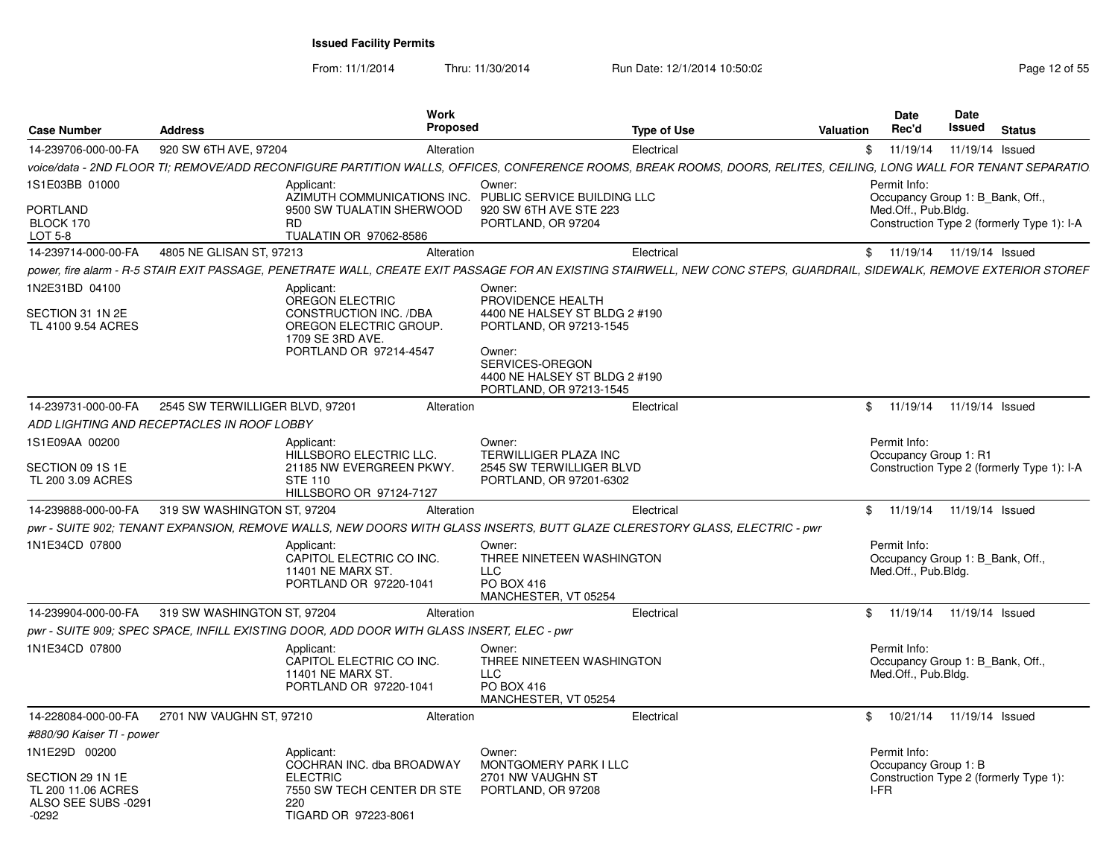From: 11/1/2014

Thru: 11/30/2014 Run Date: 12/1/2014 10:50:02 Research 2015 55

| <b>Case Number</b>                                                       | <b>Address</b>                             | Work<br><b>Proposed</b>                                                                                                                                                |                                                                                                                                                                                  | <b>Type of Use</b> | Valuation    | Date<br>Rec'd                                                           | Date<br>Issued  | <b>Status</b>                              |
|--------------------------------------------------------------------------|--------------------------------------------|------------------------------------------------------------------------------------------------------------------------------------------------------------------------|----------------------------------------------------------------------------------------------------------------------------------------------------------------------------------|--------------------|--------------|-------------------------------------------------------------------------|-----------------|--------------------------------------------|
| 14-239706-000-00-FA                                                      | 920 SW 6TH AVE, 97204                      | Alteration                                                                                                                                                             |                                                                                                                                                                                  | Electrical         | $\mathbb{S}$ | 11/19/14                                                                | 11/19/14 Issued |                                            |
|                                                                          |                                            | voice/data - 2ND FLOOR TI; REMOVE/ADD RECONFIGURE PARTITION WALLS, OFFICES, CONFERENCE ROOMS, BREAK ROOMS, DOORS, RELITES, CEILING, LONG WALL FOR TENANT SEPARATIO     |                                                                                                                                                                                  |                    |              |                                                                         |                 |                                            |
| 1S1E03BB 01000                                                           |                                            | Applicant:<br>AZIMUTH COMMUNICATIONS INC.                                                                                                                              | Owner:<br>PUBLIC SERVICE BUILDING LLC                                                                                                                                            |                    |              | Permit Info:<br>Occupancy Group 1: B_Bank, Off.,                        |                 |                                            |
| <b>PORTLAND</b><br>BLOCK 170<br>LOT 5-8                                  |                                            | 9500 SW TUALATIN SHERWOOD<br>RD.<br>TUALATIN OR 97062-8586                                                                                                             | 920 SW 6TH AVE STE 223<br>PORTLAND, OR 97204                                                                                                                                     |                    |              | Med.Off., Pub.Bldg.                                                     |                 | Construction Type 2 (formerly Type 1): I-A |
| 14-239714-000-00-FA                                                      | 4805 NE GLISAN ST, 97213                   | Alteration                                                                                                                                                             |                                                                                                                                                                                  | Electrical         |              | \$ 11/19/14 11/19/14 Issued                                             |                 |                                            |
|                                                                          |                                            | power, fire alarm - R-5 STAIR EXIT PASSAGE, PENETRATE WALL, CREATE EXIT PASSAGE FOR AN EXISTING STAIRWELL, NEW CONC STEPS, GUARDRAIL, SIDEWALK, REMOVE EXTERIOR STOREF |                                                                                                                                                                                  |                    |              |                                                                         |                 |                                            |
| 1N2E31BD 04100<br>SECTION 31 1N 2E<br>TL 4100 9.54 ACRES                 |                                            | Applicant:<br><b>OREGON ELECTRIC</b><br>CONSTRUCTION INC. /DBA<br>OREGON ELECTRIC GROUP.<br>1709 SE 3RD AVE.<br>PORTLAND OR 97214-4547                                 | Owner:<br>PROVIDENCE HEALTH<br>4400 NE HALSEY ST BLDG 2 #190<br>PORTLAND, OR 97213-1545<br>Owner:<br>SERVICES-OREGON<br>4400 NE HALSEY ST BLDG 2 #190<br>PORTLAND, OR 97213-1545 |                    |              |                                                                         |                 |                                            |
| 14-239731-000-00-FA                                                      | 2545 SW TERWILLIGER BLVD, 97201            | Alteration                                                                                                                                                             |                                                                                                                                                                                  | Electrical         |              | \$ 11/19/14 11/19/14 Issued                                             |                 |                                            |
|                                                                          | ADD LIGHTING AND RECEPTACLES IN ROOF LOBBY |                                                                                                                                                                        |                                                                                                                                                                                  |                    |              |                                                                         |                 |                                            |
| 1S1E09AA 00200                                                           |                                            | Applicant:<br>HILLSBORO ELECTRIC LLC.                                                                                                                                  | Owner:<br><b>TERWILLIGER PLAZA INC</b>                                                                                                                                           |                    |              | Permit Info:<br>Occupancy Group 1: R1                                   |                 |                                            |
| SECTION 09 1S 1E<br>TL 200 3.09 ACRES                                    |                                            | 21185 NW EVERGREEN PKWY.<br><b>STE 110</b><br>HILLSBORO OR 97124-7127                                                                                                  | 2545 SW TERWILLIGER BLVD<br>PORTLAND, OR 97201-6302                                                                                                                              |                    |              |                                                                         |                 | Construction Type 2 (formerly Type 1): I-A |
| 14-239888-000-00-FA                                                      | 319 SW WASHINGTON ST, 97204                | Alteration                                                                                                                                                             |                                                                                                                                                                                  | Electrical         |              | \$ 11/19/14 11/19/14 Issued                                             |                 |                                            |
|                                                                          |                                            | pwr - SUITE 902; TENANT EXPANSION, REMOVE WALLS, NEW DOORS WITH GLASS INSERTS, BUTT GLAZE CLERESTORY GLASS, ELECTRIC - pwr                                             |                                                                                                                                                                                  |                    |              |                                                                         |                 |                                            |
| 1N1E34CD 07800                                                           |                                            | Applicant:<br>CAPITOL ELECTRIC CO INC.<br>11401 NE MARX ST.<br>PORTLAND OR 97220-1041                                                                                  | Owner:<br>THREE NINETEEN WASHINGTON<br>LLC.<br>PO BOX 416<br>MANCHESTER, VT 05254                                                                                                |                    |              | Permit Info:<br>Occupancy Group 1: B_Bank, Off.,<br>Med.Off., Pub.Bldg. |                 |                                            |
| 14-239904-000-00-FA                                                      | 319 SW WASHINGTON ST, 97204                | Alteration                                                                                                                                                             |                                                                                                                                                                                  | Electrical         |              | \$ 11/19/14 11/19/14 Issued                                             |                 |                                            |
|                                                                          |                                            | pwr - SUITE 909; SPEC SPACE, INFILL EXISTING DOOR, ADD DOOR WITH GLASS INSERT, ELEC - pwr                                                                              |                                                                                                                                                                                  |                    |              |                                                                         |                 |                                            |
| 1N1E34CD 07800                                                           |                                            | Applicant:<br>CAPITOL ELECTRIC CO INC.<br><b>11401 NE MARX ST.</b><br>PORTLAND OR 97220-1041                                                                           | Owner:<br>THREE NINETEEN WASHINGTON<br>LLC<br>PO BOX 416<br>MANCHESTER, VT 05254                                                                                                 |                    |              | Permit Info:<br>Occupancy Group 1: B_Bank, Off.,<br>Med.Off., Pub.Bldg. |                 |                                            |
| 14-228084-000-00-FA                                                      | 2701 NW VAUGHN ST, 97210                   | Alteration                                                                                                                                                             |                                                                                                                                                                                  | Electrical         |              | \$ 10/21/14 11/19/14 Issued                                             |                 |                                            |
| #880/90 Kaiser TI - power                                                |                                            |                                                                                                                                                                        |                                                                                                                                                                                  |                    |              |                                                                         |                 |                                            |
| 1N1E29D 00200                                                            |                                            | Applicant:                                                                                                                                                             | Owner:                                                                                                                                                                           |                    |              | Permit Info:                                                            |                 |                                            |
| SECTION 29 1N 1E<br>TL 200 11.06 ACRES<br>ALSO SEE SUBS -0291<br>$-0292$ |                                            | COCHRAN INC. dba BROADWAY<br><b>ELECTRIC</b><br>7550 SW TECH CENTER DR STE<br>220<br>TIGARD OR 97223-8061                                                              | MONTGOMERY PARK I LLC<br>2701 NW VAUGHN ST<br>PORTLAND, OR 97208                                                                                                                 |                    |              | Occupancy Group 1: B<br>I-FR                                            |                 | Construction Type 2 (formerly Type 1):     |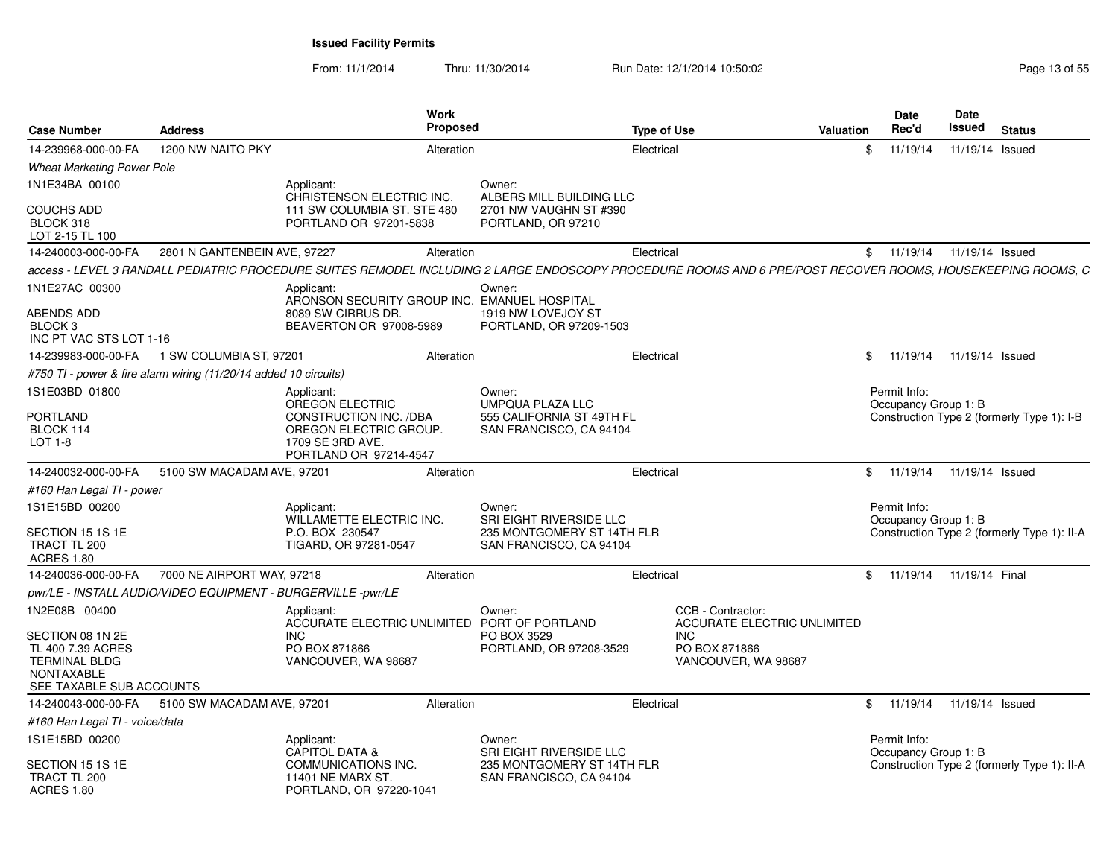From: 11/1/2014Thru: 11/30/2014 Run Date: 12/1/2014 10:50:02 Run Date: 12/1/2014 10:50:02

| <b>Case Number</b>                                                                 | <b>Address</b>                                                   | <b>Work</b><br>Proposed                                                                                                                                     |                                                       | <b>Type of Use</b>                                      | Valuation | <b>Date</b><br>Rec'd                 | Date<br><b>Issued</b> | <b>Status</b>                               |
|------------------------------------------------------------------------------------|------------------------------------------------------------------|-------------------------------------------------------------------------------------------------------------------------------------------------------------|-------------------------------------------------------|---------------------------------------------------------|-----------|--------------------------------------|-----------------------|---------------------------------------------|
| 14-239968-000-00-FA                                                                | 1200 NW NAITO PKY                                                | Alteration                                                                                                                                                  |                                                       | Electrical                                              | \$        | 11/19/14                             | 11/19/14 Issued       |                                             |
| <b>Wheat Marketing Power Pole</b>                                                  |                                                                  |                                                                                                                                                             |                                                       |                                                         |           |                                      |                       |                                             |
| 1N1E34BA 00100                                                                     |                                                                  | Applicant:<br>CHRISTENSON ELECTRIC INC.                                                                                                                     | Owner:<br>ALBERS MILL BUILDING LLC                    |                                                         |           |                                      |                       |                                             |
| <b>COUCHS ADD</b><br>BLOCK 318<br>LOT 2-15 TL 100                                  |                                                                  | 111 SW COLUMBIA ST. STE 480<br>PORTLAND OR 97201-5838                                                                                                       | 2701 NW VAUGHN ST #390<br>PORTLAND, OR 97210          |                                                         |           |                                      |                       |                                             |
| 14-240003-000-00-FA                                                                | 2801 N GANTENBEIN AVE, 97227                                     | Alteration                                                                                                                                                  |                                                       | Electrical                                              |           | \$11/19/14                           | 11/19/14 Issued       |                                             |
|                                                                                    |                                                                  | access - LEVEL 3 RANDALL PEDIATRIC PROCEDURE SUITES REMODEL INCLUDING 2 LARGE ENDOSCOPY PROCEDURE ROOMS AND 6 PRE/POST RECOVER ROOMS. HOUSEKEEPING ROOMS. C |                                                       |                                                         |           |                                      |                       |                                             |
| 1N1E27AC 00300<br>ABENDS ADD                                                       |                                                                  | Applicant:<br>ARONSON SECURITY GROUP INC. EMANUEL HOSPITAL<br>8089 SW CIRRUS DR.                                                                            | Owner:<br>1919 NW LOVEJOY ST                          |                                                         |           |                                      |                       |                                             |
| BLOCK <sub>3</sub><br>INC PT VAC STS LOT 1-16                                      |                                                                  | BEAVERTON OR 97008-5989                                                                                                                                     | PORTLAND, OR 97209-1503                               |                                                         |           |                                      |                       |                                             |
| 14-239983-000-00-FA                                                                | 1 SW COLUMBIA ST, 97201                                          | Alteration                                                                                                                                                  |                                                       | Electrical                                              |           | \$11/19/14                           | 11/19/14 Issued       |                                             |
|                                                                                    | #750 TI - power & fire alarm wiring (11/20/14 added 10 circuits) |                                                                                                                                                             |                                                       |                                                         |           |                                      |                       |                                             |
| 1S1E03BD 01800                                                                     |                                                                  | Applicant:<br><b>OREGON ELECTRIC</b>                                                                                                                        | Owner:<br><b>UMPQUA PLAZA LLC</b>                     |                                                         |           | Permit Info:<br>Occupancy Group 1: B |                       |                                             |
| PORTLAND<br>BLOCK 114                                                              |                                                                  | CONSTRUCTION INC. /DBA<br>OREGON ELECTRIC GROUP.                                                                                                            | 555 CALIFORNIA ST 49TH FL<br>SAN FRANCISCO, CA 94104  |                                                         |           |                                      |                       | Construction Type 2 (formerly Type 1): I-B  |
| LOT 1-8                                                                            |                                                                  | 1709 SE 3RD AVE.<br>PORTLAND OR 97214-4547                                                                                                                  |                                                       |                                                         |           |                                      |                       |                                             |
| 14-240032-000-00-FA                                                                | 5100 SW MACADAM AVE, 97201                                       | Alteration                                                                                                                                                  |                                                       | Electrical                                              |           | \$11/19/14                           | 11/19/14 Issued       |                                             |
| #160 Han Legal TI - power                                                          |                                                                  |                                                                                                                                                             |                                                       |                                                         |           |                                      |                       |                                             |
| 1S1E15BD 00200                                                                     |                                                                  | Applicant:<br>WILLAMETTE ELECTRIC INC.                                                                                                                      | Owner:<br><b>SRI EIGHT RIVERSIDE LLC</b>              |                                                         |           | Permit Info:<br>Occupancy Group 1: B |                       |                                             |
| SECTION 15 1S 1E<br>TRACT TL 200<br>ACRES 1.80                                     |                                                                  | P.O. BOX 230547<br>TIGARD, OR 97281-0547                                                                                                                    | 235 MONTGOMERY ST 14TH FLR<br>SAN FRANCISCO, CA 94104 |                                                         |           |                                      |                       | Construction Type 2 (formerly Type 1): II-A |
| 14-240036-000-00-FA                                                                | 7000 NE AIRPORT WAY, 97218                                       | Alteration                                                                                                                                                  |                                                       | Electrical                                              |           | \$11/19/14                           | 11/19/14 Final        |                                             |
| pwr/LE - INSTALL AUDIO/VIDEO EQUIPMENT - BURGERVILLE -pwr/LE                       |                                                                  |                                                                                                                                                             |                                                       |                                                         |           |                                      |                       |                                             |
| 1N2E08B 00400                                                                      |                                                                  | Applicant:<br>ACCURATE ELECTRIC UNLIMITED PORT OF PORTLAND                                                                                                  | Owner:                                                | CCB - Contractor:<br><b>ACCURATE ELECTRIC UNLIMITED</b> |           |                                      |                       |                                             |
| SECTION 08 1N 2E<br>TL 400 7.39 ACRES<br><b>TERMINAL BLDG</b><br><b>NONTAXABLE</b> |                                                                  | <b>INC</b><br>PO BOX 871866<br>VANCOUVER, WA 98687                                                                                                          | PO BOX 3529<br>PORTLAND, OR 97208-3529                | <b>INC</b><br>PO BOX 871866<br>VANCOUVER, WA 98687      |           |                                      |                       |                                             |
| SEE TAXABLE SUB ACCOUNTS<br>14-240043-000-00-FA                                    | 5100 SW MACADAM AVE, 97201                                       | Alteration                                                                                                                                                  |                                                       | Electrical                                              |           | \$11/19/14                           | 11/19/14 Issued       |                                             |
| #160 Han Legal TI - voice/data                                                     |                                                                  |                                                                                                                                                             |                                                       |                                                         |           |                                      |                       |                                             |
| 1S1E15BD 00200                                                                     |                                                                  | Applicant:                                                                                                                                                  | Owner:                                                |                                                         |           | Permit Info:                         |                       |                                             |
| SECTION 15 1S 1E                                                                   |                                                                  | <b>CAPITOL DATA &amp;</b><br>COMMUNICATIONS INC.                                                                                                            | SRI EIGHT RIVERSIDE LLC<br>235 MONTGOMERY ST 14TH FLR |                                                         |           | Occupancy Group 1: B                 |                       | Construction Type 2 (formerly Type 1): II-A |
| TRACT TL 200<br><b>ACRES 1.80</b>                                                  |                                                                  | 11401 NE MARX ST.<br>PORTLAND, OR 97220-1041                                                                                                                | SAN FRANCISCO, CA 94104                               |                                                         |           |                                      |                       |                                             |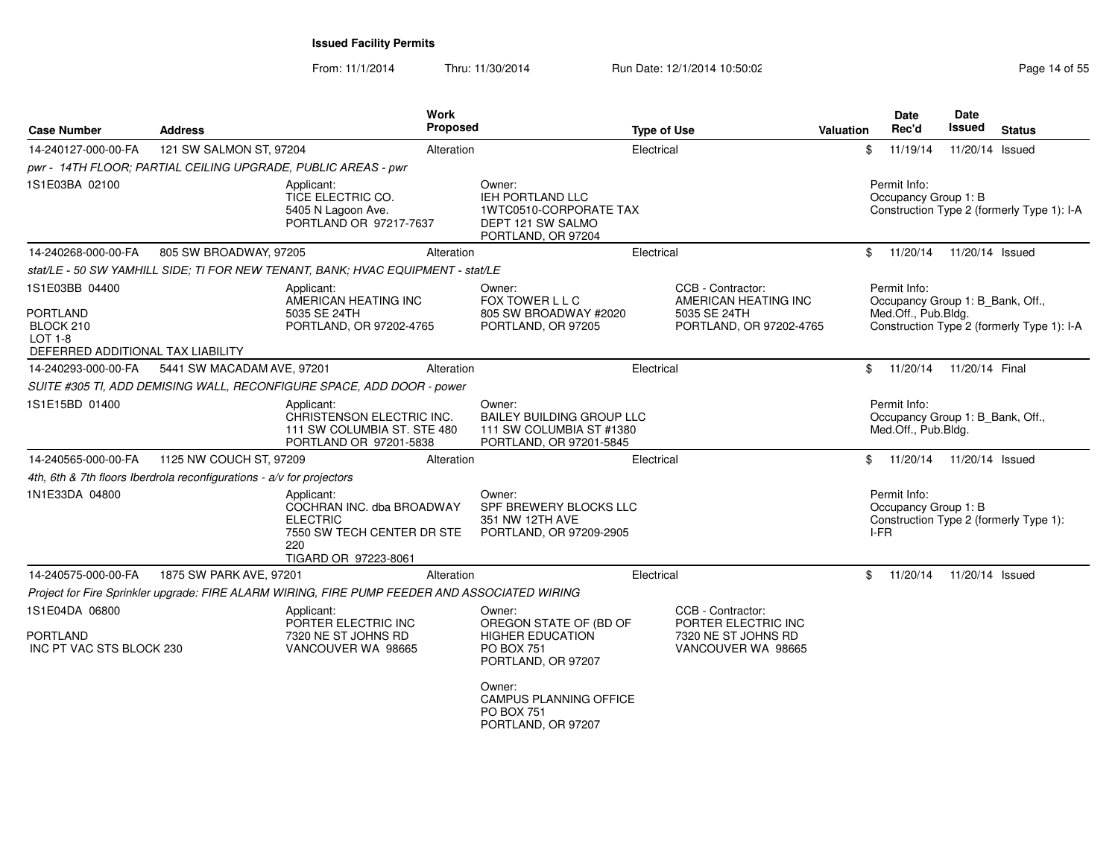From: 11/1/2014Thru: 11/30/2014 Run Date: 12/1/2014 10:50:02 Run Date: 12/1/2014 10:50:02

| <b>Case Number</b>                             | <b>Address</b>                                                          |                                                                                                                         | <b>Work</b><br>Proposed |                                                                                                        | <b>Type of Use</b> |                                           | <b>Valuation</b> | Date<br>Rec'd                                                           | <b>Date</b><br><b>Issued</b> | <b>Status</b>                              |
|------------------------------------------------|-------------------------------------------------------------------------|-------------------------------------------------------------------------------------------------------------------------|-------------------------|--------------------------------------------------------------------------------------------------------|--------------------|-------------------------------------------|------------------|-------------------------------------------------------------------------|------------------------------|--------------------------------------------|
| 14-240127-000-00-FA                            | 121 SW SALMON ST, 97204                                                 |                                                                                                                         | Alteration              |                                                                                                        | Electrical         |                                           |                  | 11/19/14<br>\$                                                          | 11/20/14 Issued              |                                            |
|                                                |                                                                         | pwr - 14TH FLOOR; PARTIAL CEILING UPGRADE, PUBLIC AREAS - pwr                                                           |                         |                                                                                                        |                    |                                           |                  |                                                                         |                              |                                            |
| 1S1E03BA 02100                                 |                                                                         | Applicant:<br>TICE ELECTRIC CO.<br>5405 N Lagoon Ave.<br>PORTLAND OR 97217-7637                                         |                         | Owner:<br><b>IEH PORTLAND LLC</b><br>1WTC0510-CORPORATE TAX<br>DEPT 121 SW SALMO<br>PORTLAND, OR 97204 |                    |                                           |                  | Permit Info:<br>Occupancy Group 1: B                                    |                              | Construction Type 2 (formerly Type 1): I-A |
| 14-240268-000-00-FA                            | 805 SW BROADWAY, 97205                                                  |                                                                                                                         | Alteration              |                                                                                                        | Electrical         |                                           |                  | \$<br>11/20/14                                                          | 11/20/14 Issued              |                                            |
|                                                |                                                                         | stat/LE - 50 SW YAMHILL SIDE; TI FOR NEW TENANT, BANK; HVAC EQUIPMENT - stat/LE                                         |                         |                                                                                                        |                    |                                           |                  |                                                                         |                              |                                            |
| 1S1E03BB 04400                                 |                                                                         | Applicant:<br>AMERICAN HEATING INC                                                                                      |                         | Owner:<br>FOX TOWER L L C                                                                              |                    | CCB - Contractor:<br>AMERICAN HEATING INC |                  | Permit Info:<br>Occupancy Group 1: B_Bank, Off.,                        |                              |                                            |
| <b>PORTLAND</b><br>BLOCK 210<br><b>LOT 1-8</b> |                                                                         | 5035 SE 24TH<br>PORTLAND, OR 97202-4765                                                                                 |                         | 805 SW BROADWAY #2020<br>PORTLAND, OR 97205                                                            |                    | 5035 SE 24TH<br>PORTLAND, OR 97202-4765   |                  | Med.Off., Pub.Bldg.                                                     |                              | Construction Type 2 (formerly Type 1): I-A |
| DEFERRED ADDITIONAL TAX LIABILITY              |                                                                         |                                                                                                                         |                         |                                                                                                        |                    |                                           |                  |                                                                         |                              |                                            |
| 14-240293-000-00-FA                            | 5441 SW MACADAM AVE, 97201                                              |                                                                                                                         | Alteration              |                                                                                                        | Electrical         |                                           |                  | \$<br>11/20/14                                                          | 11/20/14 Final               |                                            |
|                                                |                                                                         | SUITE #305 TI, ADD DEMISING WALL, RECONFIGURE SPACE, ADD DOOR - power                                                   |                         |                                                                                                        |                    |                                           |                  |                                                                         |                              |                                            |
| 1S1E15BD 01400                                 |                                                                         | Applicant:<br>CHRISTENSON ELECTRIC INC.<br>111 SW COLUMBIA ST. STE 480<br>PORTLAND OR 97201-5838                        |                         | Owner:<br><b>BAILEY BUILDING GROUP LLC</b><br>111 SW COLUMBIA ST #1380<br>PORTLAND, OR 97201-5845      |                    |                                           |                  | Permit Info:<br>Occupancy Group 1: B_Bank, Off.,<br>Med.Off., Pub.Bldg. |                              |                                            |
| 14-240565-000-00-FA                            | 1125 NW COUCH ST, 97209                                                 |                                                                                                                         | Alteration              |                                                                                                        | Electrical         |                                           |                  | \$<br>11/20/14                                                          | 11/20/14 Issued              |                                            |
|                                                | 4th, 6th & 7th floors Iberdrola reconfigurations - $a/v$ for projectors |                                                                                                                         |                         |                                                                                                        |                    |                                           |                  |                                                                         |                              |                                            |
| 1N1E33DA 04800                                 |                                                                         | Applicant:<br>COCHRAN INC. dba BROADWAY<br><b>ELECTRIC</b><br>7550 SW TECH CENTER DR STE<br>220<br>TIGARD OR 97223-8061 |                         | Owner:<br>SPF BREWERY BLOCKS LLC<br>351 NW 12TH AVE<br>PORTLAND, OR 97209-2905                         |                    |                                           |                  | Permit Info:<br>Occupancy Group 1: B<br>I-FR                            |                              | Construction Type 2 (formerly Type 1):     |
| 14-240575-000-00-FA                            | 1875 SW PARK AVE, 97201                                                 |                                                                                                                         | Alteration              |                                                                                                        | Electrical         |                                           |                  | \$<br>11/20/14                                                          | 11/20/14 Issued              |                                            |
|                                                |                                                                         | Project for Fire Sprinkler upgrade: FIRE ALARM WIRING, FIRE PUMP FEEDER AND ASSOCIATED WIRING                           |                         |                                                                                                        |                    |                                           |                  |                                                                         |                              |                                            |
| 1S1E04DA 06800                                 |                                                                         | Applicant:<br>PORTER ELECTRIC INC                                                                                       |                         | Owner:<br>OREGON STATE OF (BD OF                                                                       |                    | CCB - Contractor:<br>PORTER ELECTRIC INC  |                  |                                                                         |                              |                                            |
| PORTLAND<br>INC PT VAC STS BLOCK 230           |                                                                         | 7320 NE ST JOHNS RD<br>VANCOUVER WA 98665                                                                               |                         | <b>HIGHER EDUCATION</b><br><b>PO BOX 751</b><br>PORTLAND, OR 97207                                     |                    | 7320 NE ST JOHNS RD<br>VANCOUVER WA 98665 |                  |                                                                         |                              |                                            |
|                                                |                                                                         |                                                                                                                         |                         | Owner:<br><b>CAMPUS PLANNING OFFICE</b><br><b>PO BOX 751</b><br>PORTLAND, OR 97207                     |                    |                                           |                  |                                                                         |                              |                                            |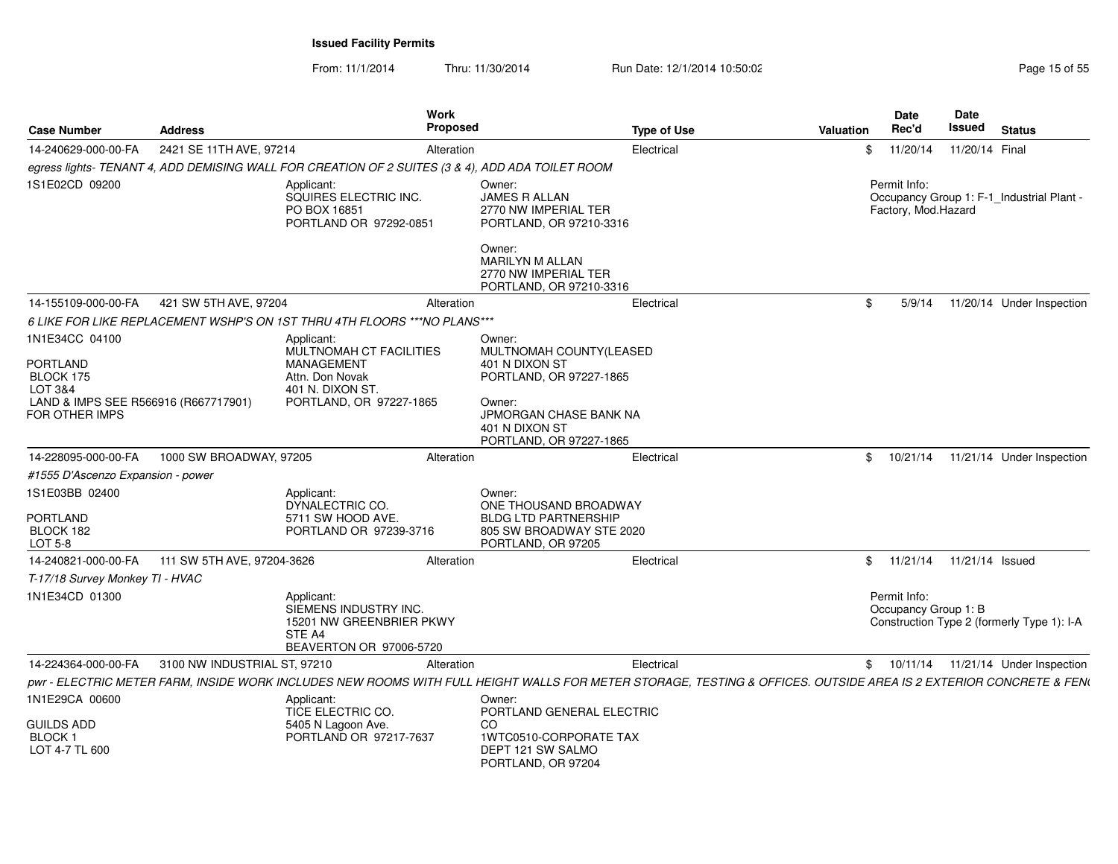|                                                                   |                              | Work                                                                                                 | <b>Proposed</b>                          |                                                                                                                                                                   |           | <b>Date</b><br>Rec'd                 | <b>Date</b><br>Issued |                                            |
|-------------------------------------------------------------------|------------------------------|------------------------------------------------------------------------------------------------------|------------------------------------------|-------------------------------------------------------------------------------------------------------------------------------------------------------------------|-----------|--------------------------------------|-----------------------|--------------------------------------------|
| <b>Case Number</b>                                                | <b>Address</b>               |                                                                                                      |                                          | <b>Type of Use</b>                                                                                                                                                | Valuation |                                      |                       | <b>Status</b>                              |
| 14-240629-000-00-FA                                               | 2421 SE 11TH AVE, 97214      |                                                                                                      | Alteration                               | Electrical                                                                                                                                                        |           | \$11/20/14                           | 11/20/14 Final        |                                            |
|                                                                   |                              | egress lights- TENANT 4, ADD DEMISING WALL FOR CREATION OF 2 SUITES (3 & 4), ADD ADA TOILET ROOM     |                                          |                                                                                                                                                                   |           |                                      |                       |                                            |
| 1S1E02CD 09200                                                    |                              | Applicant:<br>SQUIRES ELECTRIC INC.<br>PO BOX 16851<br>PORTLAND OR 97292-0851                        | Owner:<br><b>JAMES R ALLAN</b><br>Owner: | 2770 NW IMPERIAL TER<br>PORTLAND, OR 97210-3316                                                                                                                   |           | Permit Info:<br>Factory, Mod.Hazard  |                       | Occupancy Group 1: F-1_Industrial Plant -  |
|                                                                   |                              |                                                                                                      | <b>MARILYN M ALLAN</b>                   | 2770 NW IMPERIAL TER<br>PORTLAND, OR 97210-3316                                                                                                                   |           |                                      |                       |                                            |
| 14-155109-000-00-FA                                               | 421 SW 5TH AVE, 97204        |                                                                                                      | Alteration                               | Electrical                                                                                                                                                        | \$.       | 5/9/14                               |                       | 11/20/14 Under Inspection                  |
|                                                                   |                              | 6 LIKE FOR LIKE REPLACEMENT WSHP'S ON 1ST THRU 4TH FLOORS *** NO PLANS ***                           |                                          |                                                                                                                                                                   |           |                                      |                       |                                            |
| 1N1E34CC 04100<br><b>PORTLAND</b><br>BLOCK 175                    |                              | Applicant:<br><b>MULTNOMAH CT FACILITIES</b><br>MANAGEMENT<br>Attn. Don Novak                        | Owner:<br>401 N DIXON ST                 | MULTNOMAH COUNTY(LEASED<br>PORTLAND, OR 97227-1865                                                                                                                |           |                                      |                       |                                            |
| LOT 3&4<br>LAND & IMPS SEE R566916 (R667717901)<br>FOR OTHER IMPS |                              | 401 N. DIXON ST<br>PORTLAND, OR 97227-1865                                                           | Owner:<br>401 N DIXON ST                 | JPMORGAN CHASE BANK NA<br>PORTLAND, OR 97227-1865                                                                                                                 |           |                                      |                       |                                            |
| 14-228095-000-00-FA                                               | 1000 SW BROADWAY, 97205      |                                                                                                      | Alteration                               | Electrical                                                                                                                                                        |           | \$10/21/14                           |                       | 11/21/14 Under Inspection                  |
| #1555 D'Ascenzo Expansion - power                                 |                              |                                                                                                      |                                          |                                                                                                                                                                   |           |                                      |                       |                                            |
| 1S1E03BB 02400<br><b>PORTLAND</b><br>BLOCK 182<br>LOT 5-8         |                              | Applicant:<br>DYNALECTRIC CO.<br>5711 SW HOOD AVE.<br>PORTLAND OR 97239-3716                         | Owner:                                   | ONE THOUSAND BROADWAY<br><b>BLDG LTD PARTNERSHIP</b><br>805 SW BROADWAY STE 2020<br>PORTLAND, OR 97205                                                            |           |                                      |                       |                                            |
| 14-240821-000-00-FA                                               | 111 SW 5TH AVE, 97204-3626   |                                                                                                      | Alteration                               | Electrical                                                                                                                                                        |           | \$ 11/21/14 11/21/14 Issued          |                       |                                            |
| T-17/18 Survey Monkey TI - HVAC                                   |                              |                                                                                                      |                                          |                                                                                                                                                                   |           |                                      |                       |                                            |
| 1N1E34CD 01300                                                    |                              | Applicant:<br>SIEMENS INDUSTRY INC.<br>15201 NW GREENBRIER PKWY<br>STE A4<br>BEAVERTON OR 97006-5720 |                                          |                                                                                                                                                                   |           | Permit Info:<br>Occupancy Group 1: B |                       | Construction Type 2 (formerly Type 1): I-A |
| 14-224364-000-00-FA                                               | 3100 NW INDUSTRIAL ST, 97210 |                                                                                                      | Alteration                               | Electrical                                                                                                                                                        |           |                                      |                       | \$ 10/11/14 11/21/14 Under Inspection      |
|                                                                   |                              |                                                                                                      |                                          | pwr - ELECTRIC METER FARM, INSIDE WORK INCLUDES NEW ROOMS WITH FULL HEIGHT WALLS FOR METER STORAGE, TESTING & OFFICES. OUTSIDE AREA IS 2 EXTERIOR CONCRETE & FEN\ |           |                                      |                       |                                            |
| 1N1E29CA 00600                                                    |                              | Applicant:<br>TICE ELECTRIC CO.                                                                      | Owner:                                   | PORTLAND GENERAL ELECTRIC                                                                                                                                         |           |                                      |                       |                                            |
| <b>GUILDS ADD</b><br><b>BLOCK1</b><br>LOT 4-7 TL 600              |                              | 5405 N Lagoon Ave.<br>PORTLAND OR 97217-7637                                                         | CO.                                      | 1WTC0510-CORPORATE TAX<br>DEPT 121 SW SALMO<br>PORTLAND, OR 97204                                                                                                 |           |                                      |                       |                                            |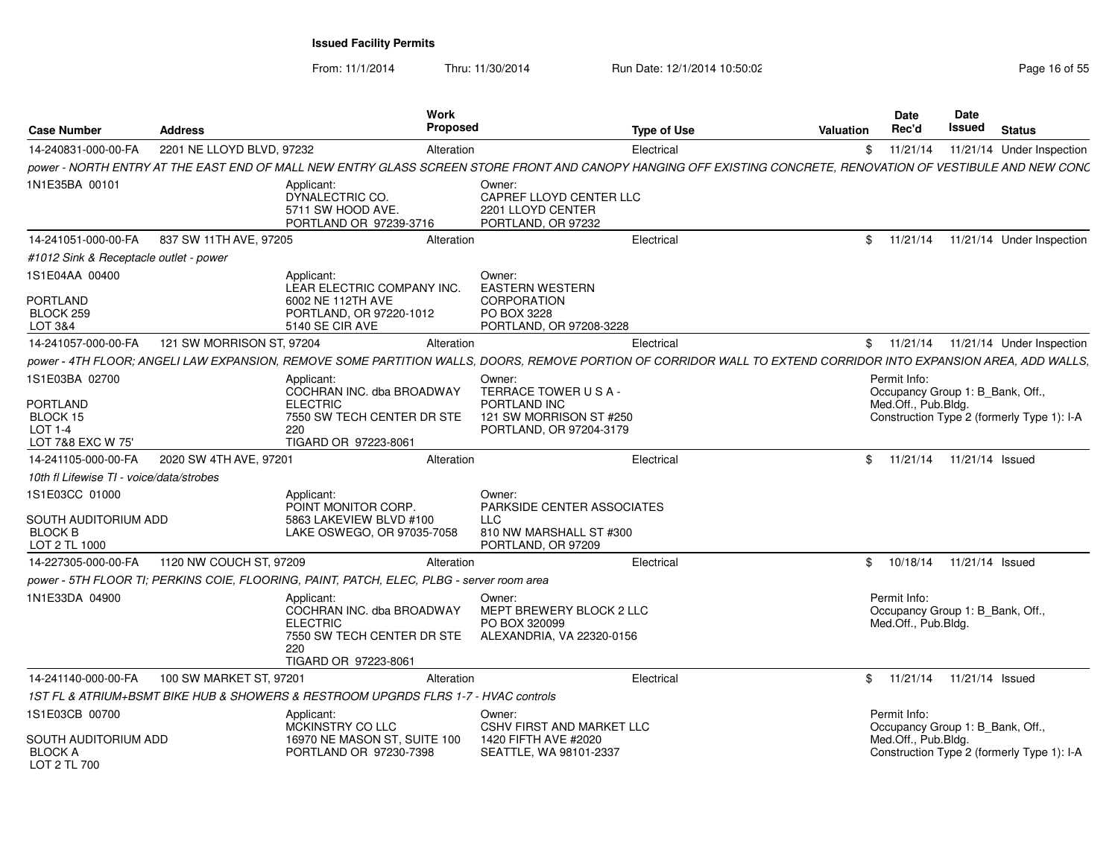| <b>Case Number</b>                                                        | <b>Address</b>            | Work<br>Proposed                                                                                                                                                |                                                                                                     | <b>Type of Use</b> | Valuation | <b>Date</b><br>Rec'd                                                    | Date<br>Issued  | <b>Status</b>                              |
|---------------------------------------------------------------------------|---------------------------|-----------------------------------------------------------------------------------------------------------------------------------------------------------------|-----------------------------------------------------------------------------------------------------|--------------------|-----------|-------------------------------------------------------------------------|-----------------|--------------------------------------------|
| 14-240831-000-00-FA                                                       | 2201 NE LLOYD BLVD, 97232 | Alteration                                                                                                                                                      |                                                                                                     | Electrical         | \$        | 11/21/14                                                                |                 | 11/21/14 Under Inspection                  |
|                                                                           |                           | power - NORTH ENTRY AT THE EAST END OF MALL NEW ENTRY GLASS SCREEN STORE FRONT AND CANOPY HANGING OFF EXISTING CONCRETE, RENOVATION OF VESTIBULE AND NEW CONC   |                                                                                                     |                    |           |                                                                         |                 |                                            |
| 1N1E35BA 00101                                                            |                           | Applicant:<br>DYNALECTRIC CO.<br>5711 SW HOOD AVE.<br>PORTLAND OR 97239-3716                                                                                    | Owner:<br>CAPREF LLOYD CENTER LLC<br>2201 LLOYD CENTER<br>PORTLAND, OR 97232                        |                    |           |                                                                         |                 |                                            |
| 14-241051-000-00-FA                                                       | 837 SW 11TH AVE, 97205    | Alteration                                                                                                                                                      |                                                                                                     | Electrical         | \$        | 11/21/14                                                                |                 | 11/21/14 Under Inspection                  |
| #1012 Sink & Receptacle outlet - power                                    |                           |                                                                                                                                                                 |                                                                                                     |                    |           |                                                                         |                 |                                            |
| 1S1E04AA 00400<br>PORTLAND<br>BLOCK 259<br>LOT 3&4                        |                           | Applicant:<br>LEAR ELECTRIC COMPANY INC.<br>6002 NE 112TH AVE<br>PORTLAND, OR 97220-1012<br>5140 SE CIR AVE                                                     | Owner:<br><b>EASTERN WESTERN</b><br><b>CORPORATION</b><br>PO BOX 3228<br>PORTLAND, OR 97208-3228    |                    |           |                                                                         |                 |                                            |
| 14-241057-000-00-FA                                                       | 121 SW MORRISON ST, 97204 | Alteration                                                                                                                                                      |                                                                                                     | Electrical         | \$        | 11/21/14                                                                |                 | 11/21/14 Under Inspection                  |
|                                                                           |                           | power - 4TH FLOOR; ANGELI LAW EXPANSION, REMOVE SOME PARTITION WALLS, DOORS, REMOVE PORTION OF CORRIDOR WALL TO EXTEND CORRIDOR INTO EXPANSION AREA, ADD WALLS, |                                                                                                     |                    |           |                                                                         |                 |                                            |
| 1S1E03BA 02700                                                            |                           | Applicant:<br>COCHRAN INC. dba BROADWAY                                                                                                                         | Owner:<br>TERRACE TOWER USA-                                                                        |                    |           | Permit Info:<br>Occupancy Group 1: B_Bank, Off.,                        |                 |                                            |
| <b>PORTLAND</b><br>BLOCK 15<br><b>LOT 1-4</b><br>LOT 7&8 EXC W 75'        |                           | <b>ELECTRIC</b><br>7550 SW TECH CENTER DR STE<br>220<br>TIGARD OR 97223-8061                                                                                    | PORTLAND INC<br>121 SW MORRISON ST #250<br>PORTLAND, OR 97204-3179                                  |                    |           | Med.Off., Pub.Bldg.                                                     |                 | Construction Type 2 (formerly Type 1): I-A |
| 14-241105-000-00-FA                                                       | 2020 SW 4TH AVE, 97201    | Alteration                                                                                                                                                      |                                                                                                     | Electrical         | \$        | 11/21/14                                                                | 11/21/14 Issued |                                            |
| 10th fl Lifewise TI - voice/data/strobes                                  |                           |                                                                                                                                                                 |                                                                                                     |                    |           |                                                                         |                 |                                            |
| 1S1E03CC 01000<br>SOUTH AUDITORIUM ADD<br><b>BLOCK B</b><br>LOT 2 TL 1000 |                           | Applicant:<br>POINT MONITOR CORP.<br>5863 LAKEVIEW BLVD #100<br>LAKE OSWEGO, OR 97035-7058                                                                      | Owner:<br>PARKSIDE CENTER ASSOCIATES<br><b>LLC</b><br>810 NW MARSHALL ST #300<br>PORTLAND, OR 97209 |                    |           |                                                                         |                 |                                            |
| 14-227305-000-00-FA                                                       | 1120 NW COUCH ST, 97209   | Alteration                                                                                                                                                      |                                                                                                     | Electrical         | \$        | 10/18/14                                                                | 11/21/14 Issued |                                            |
|                                                                           |                           | power - 5TH FLOOR TI: PERKINS COIE. FLOORING. PAINT. PATCH. ELEC. PLBG - server room area                                                                       |                                                                                                     |                    |           |                                                                         |                 |                                            |
| 1N1E33DA 04900                                                            |                           | Applicant:<br>COCHRAN INC. dba BROADWAY<br><b>ELECTRIC</b><br>7550 SW TECH CENTER DR STE<br>220<br>TIGARD OR 97223-8061                                         | Owner:<br>MEPT BREWERY BLOCK 2 LLC<br>PO BOX 320099<br>ALEXANDRIA, VA 22320-0156                    |                    |           | Permit Info:<br>Occupancy Group 1: B_Bank, Off.,<br>Med.Off., Pub.Bldg. |                 |                                            |
| 14-241140-000-00-FA                                                       | 100 SW MARKET ST, 97201   | Alteration                                                                                                                                                      |                                                                                                     | Electrical         | \$        | 11/21/14                                                                | 11/21/14 Issued |                                            |
|                                                                           |                           | 1ST FL & ATRIUM+BSMT BIKE HUB & SHOWERS & RESTROOM UPGRDS FLRS 1-7 - HVAC controls                                                                              |                                                                                                     |                    |           |                                                                         |                 |                                            |
| 1S1E03CB 00700<br>SOUTH AUDITORIUM ADD<br><b>BLOCK A</b><br>LOT 2 TL 700  |                           | Applicant:<br>MCKINSTRY CO LLC<br>16970 NE MASON ST, SUITE 100<br>PORTLAND OR 97230-7398                                                                        | Owner:<br><b>CSHV FIRST AND MARKET LLC</b><br>1420 FIFTH AVE #2020<br>SEATTLE, WA 98101-2337        |                    |           | Permit Info:<br>Occupancy Group 1: B_Bank, Off.,<br>Med.Off., Pub.Bldg. |                 | Construction Type 2 (formerly Type 1): I-A |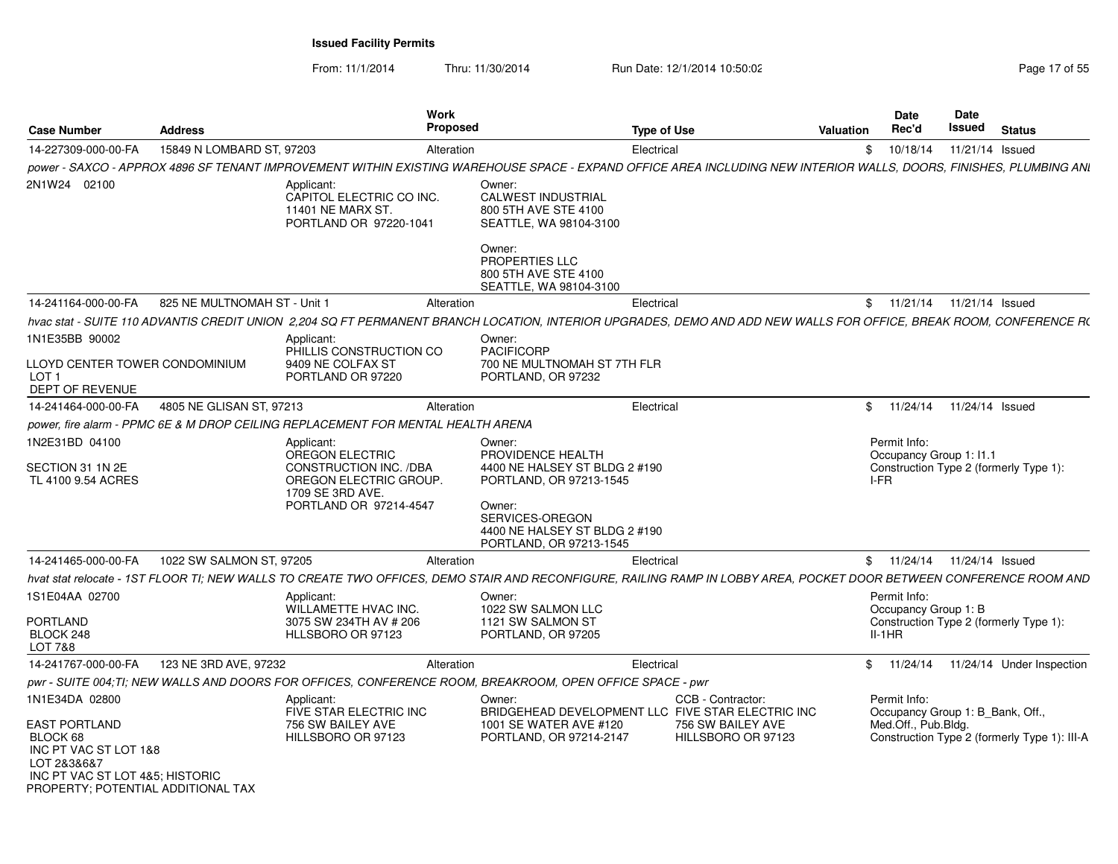| <b>Case Number</b>                                                                                                                         | <b>Address</b>               |                                                                                                                                                                     | Work<br>Proposed            |                                                                                                        | <b>Type of Use</b>                      | <b>Valuation</b> | <b>Date</b><br>Rec'd                             | Date<br>Issued  | <b>Status</b>                                |
|--------------------------------------------------------------------------------------------------------------------------------------------|------------------------------|---------------------------------------------------------------------------------------------------------------------------------------------------------------------|-----------------------------|--------------------------------------------------------------------------------------------------------|-----------------------------------------|------------------|--------------------------------------------------|-----------------|----------------------------------------------|
| 14-227309-000-00-FA                                                                                                                        | 15849 N LOMBARD ST, 97203    |                                                                                                                                                                     | Alteration                  |                                                                                                        | Electrical                              | \$               | 10/18/14                                         | 11/21/14 Issued |                                              |
|                                                                                                                                            |                              | power - SAXCO - APPROX 4896 SF TENANT IMPROVEMENT WITHIN EXISTING WAREHOUSE SPACE - EXPAND OFFICE AREA INCLUDING NEW INTERIOR WALLS, DOORS, FINISHES, PLUMBING ANI  |                             |                                                                                                        |                                         |                  |                                                  |                 |                                              |
| 2N1W24 02100                                                                                                                               |                              | Applicant:<br>CAPITOL ELECTRIC CO INC.<br>11401 NE MARX ST.<br>PORTLAND OR 97220-1041                                                                               | Owner:<br>Owner:            | <b>CALWEST INDUSTRIAL</b><br>800 5TH AVE STE 4100<br>SEATTLE, WA 98104-3100                            |                                         |                  |                                                  |                 |                                              |
|                                                                                                                                            |                              |                                                                                                                                                                     |                             | PROPERTIES LLC<br>800 5TH AVE STE 4100<br>SEATTLE, WA 98104-3100                                       |                                         |                  |                                                  |                 |                                              |
| 14-241164-000-00-FA                                                                                                                        | 825 NE MULTNOMAH ST - Unit 1 |                                                                                                                                                                     | Alteration                  | Electrical                                                                                             |                                         |                  | \$ 11/21/14 11/21/14 Issued                      |                 |                                              |
|                                                                                                                                            |                              | hvac stat - SUITE 110 ADVANTIS CREDIT UNION 2.204 SQ FT PERMANENT BRANCH LOCATION, INTERIOR UPGRADES, DEMO AND ADD NEW WALLS FOR OFFICE, BREAK ROOM, CONFERENCE R(  |                             |                                                                                                        |                                         |                  |                                                  |                 |                                              |
| 1N1E35BB 90002                                                                                                                             |                              | Applicant:                                                                                                                                                          | Owner:<br><b>PACIFICORP</b> |                                                                                                        |                                         |                  |                                                  |                 |                                              |
| LLOYD CENTER TOWER CONDOMINIUM<br>LOT <sub>1</sub><br><b>DEPT OF REVENUE</b>                                                               |                              | PHILLIS CONSTRUCTION CO<br>9409 NE COLFAX ST<br>PORTLAND OR 97220                                                                                                   |                             | 700 NE MULTNOMAH ST 7TH FLR<br>PORTLAND, OR 97232                                                      |                                         |                  |                                                  |                 |                                              |
| 14-241464-000-00-FA                                                                                                                        | 4805 NE GLISAN ST, 97213     |                                                                                                                                                                     | Alteration                  |                                                                                                        | Electrical                              | \$               | 11/24/14                                         | 11/24/14 Issued |                                              |
|                                                                                                                                            |                              | power, fire alarm - PPMC 6E & M DROP CEILING REPLACEMENT FOR MENTAL HEALTH ARENA                                                                                    |                             |                                                                                                        |                                         |                  |                                                  |                 |                                              |
| 1N2E31BD 04100<br>SECTION 31 1N 2E                                                                                                         |                              | Applicant:<br>OREGON ELECTRIC<br>CONSTRUCTION INC. /DBA                                                                                                             | Owner:                      | PROVIDENCE HEALTH<br>4400 NE HALSEY ST BLDG 2 #190                                                     |                                         |                  | Permit Info:<br>Occupancy Group 1: 11.1          |                 | Construction Type 2 (formerly Type 1):       |
| TL 4100 9.54 ACRES                                                                                                                         |                              | OREGON ELECTRIC GROUP.<br>1709 SE 3RD AVE.<br>PORTLAND OR 97214-4547                                                                                                | Owner:                      | PORTLAND, OR 97213-1545<br>SERVICES-OREGON<br>4400 NE HALSEY ST BLDG 2 #190<br>PORTLAND, OR 97213-1545 |                                         | I-FR             |                                                  |                 |                                              |
| 14-241465-000-00-FA                                                                                                                        | 1022 SW SALMON ST, 97205     |                                                                                                                                                                     | Alteration                  |                                                                                                        | Electrical                              |                  | \$ 11/24/14 11/24/14 Issued                      |                 |                                              |
|                                                                                                                                            |                              | hvat stat relocate - 1ST FLOOR TI; NEW WALLS TO CREATE TWO OFFICES, DEMO STAIR AND RECONFIGURE, RAILING RAMP IN LOBBY AREA, POCKET DOOR BETWEEN CONFERENCE ROOM AND |                             |                                                                                                        |                                         |                  |                                                  |                 |                                              |
| 1S1E04AA 02700                                                                                                                             |                              | Applicant:<br>WILLAMETTE HVAC INC.                                                                                                                                  | Owner:                      | 1022 SW SALMON LLC                                                                                     |                                         |                  | Permit Info:<br>Occupancy Group 1: B             |                 |                                              |
| <b>PORTLAND</b><br>BLOCK 248<br><b>LOT 7&amp;8</b>                                                                                         |                              | 3075 SW 234TH AV # 206<br>HLLSBORO OR 97123                                                                                                                         |                             | 1121 SW SALMON ST<br>PORTLAND, OR 97205                                                                |                                         |                  | $II-1HR$                                         |                 | Construction Type 2 (formerly Type 1):       |
| 14-241767-000-00-FA                                                                                                                        | 123 NE 3RD AVE, 97232        |                                                                                                                                                                     | Alteration                  |                                                                                                        | Electrical                              | \$               | 11/24/14                                         |                 | 11/24/14 Under Inspection                    |
|                                                                                                                                            |                              | pwr - SUITE 004;TI; NEW WALLS AND DOORS FOR OFFICES, CONFERENCE ROOM, BREAKROOM, OPEN OFFICE SPACE - pwr                                                            |                             |                                                                                                        |                                         |                  |                                                  |                 |                                              |
| 1N1E34DA 02800                                                                                                                             |                              | Applicant:<br>FIVE STAR ELECTRIC INC                                                                                                                                | Owner:                      | BRIDGEHEAD DEVELOPMENT LLC FIVE STAR ELECTRIC INC                                                      | CCB - Contractor:                       |                  | Permit Info:<br>Occupancy Group 1: B Bank, Off., |                 |                                              |
| EAST PORTLAND<br>BLOCK 68<br>INC PT VAC ST LOT 1&8<br>LOT 2&3&6&7<br>INC PT VAC ST LOT 4&5; HISTORIC<br>PROPERTY: POTENTIAL ADDITIONAL TAX |                              | 756 SW BAILEY AVE<br>HILLSBORO OR 97123                                                                                                                             |                             | 1001 SE WATER AVE #120<br>PORTLAND, OR 97214-2147                                                      | 756 SW BAILEY AVE<br>HILLSBORO OR 97123 |                  | Med.Off., Pub.Bldg.                              |                 | Construction Type 2 (formerly Type 1): III-A |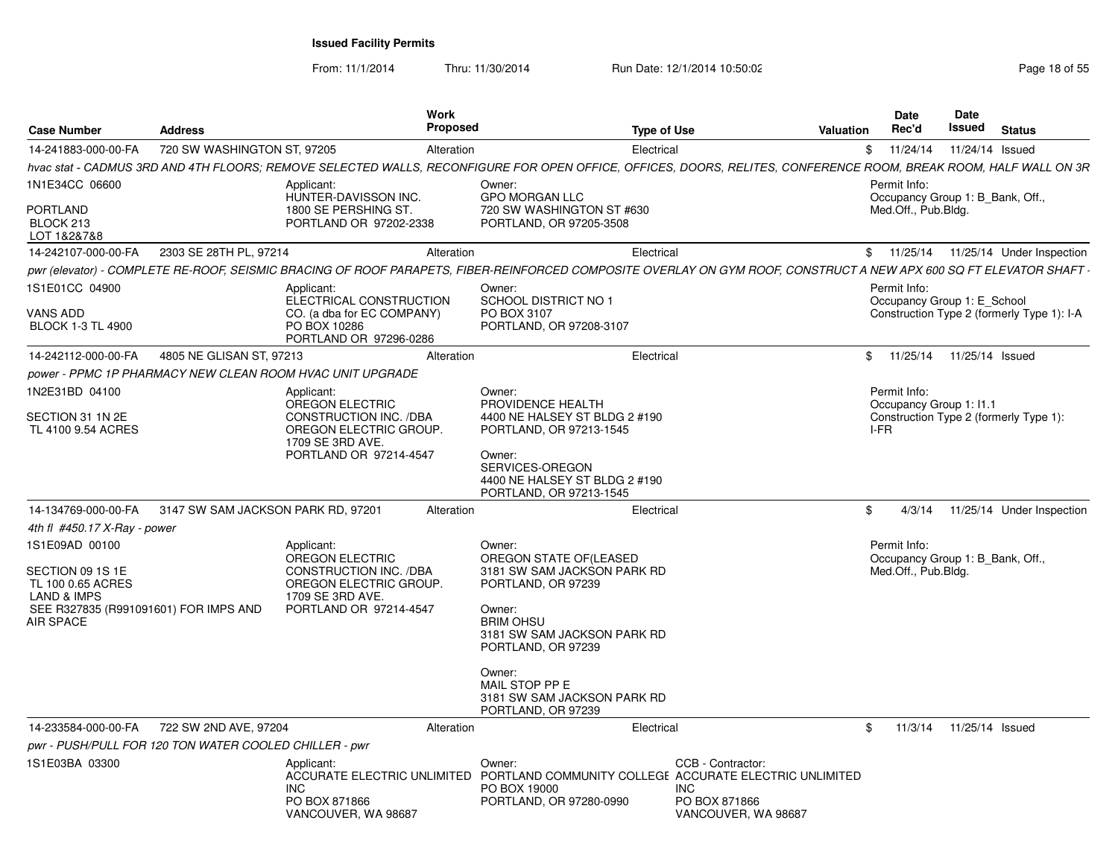|                                                                                                                              |                                                        | Work                                                                                                                            |                                                                                                                                                                                                      |                                      | Date                                                                    | Date                      |                                            |
|------------------------------------------------------------------------------------------------------------------------------|--------------------------------------------------------|---------------------------------------------------------------------------------------------------------------------------------|------------------------------------------------------------------------------------------------------------------------------------------------------------------------------------------------------|--------------------------------------|-------------------------------------------------------------------------|---------------------------|--------------------------------------------|
| <b>Case Number</b>                                                                                                           | <b>Address</b>                                         | Proposed                                                                                                                        |                                                                                                                                                                                                      | <b>Type of Use</b><br>Valuation      | <b>Rec'd</b>                                                            | Issued                    | Status                                     |
| 14-241883-000-00-FA                                                                                                          | 720 SW WASHINGTON ST, 97205                            | Alteration                                                                                                                      | Electrical                                                                                                                                                                                           |                                      | \$11/24/14                                                              |                           | 11/24/14 Issued                            |
|                                                                                                                              |                                                        |                                                                                                                                 | hvac stat - CADMUS 3RD AND 4TH FLOORS: REMOVE SELECTED WALLS. RECONFIGURE FOR OPEN OFFICE. OFFICES. DOORS. RELITES. CONFERENCE ROOM. BREAK ROOM. HALF WALL ON 3R                                     |                                      |                                                                         |                           |                                            |
| 1N1E34CC 06600<br>PORTLAND<br>BLOCK 213<br>LOT 1&2&7&8                                                                       |                                                        | Applicant:<br>HUNTER-DAVISSON INC.<br>1800 SE PERSHING ST.<br>PORTLAND OR 97202-2338                                            | Owner:<br><b>GPO MORGAN LLC</b><br>720 SW WASHINGTON ST #630<br>PORTLAND, OR 97205-3508                                                                                                              |                                      | Permit Info:<br>Occupancy Group 1: B_Bank, Off.,<br>Med.Off., Pub.Bldg. |                           |                                            |
| 14-242107-000-00-FA                                                                                                          | 2303 SE 28TH PL, 97214                                 | Alteration                                                                                                                      | Electrical                                                                                                                                                                                           |                                      |                                                                         |                           | \$ 11/25/14 11/25/14 Under Inspection      |
|                                                                                                                              |                                                        |                                                                                                                                 | pwr (elevator) - COMPLETE RE-ROOF, SEISMIC BRACING OF ROOF PARAPETS, FIBER-REINFORCED COMPOSITE OVERLAY ON GYM ROOF, CONSTRUCT A NEW APX 600 SQ FT ELEVATOR SHAFT                                    |                                      |                                                                         |                           |                                            |
| 1S1E01CC 04900                                                                                                               |                                                        | Applicant:<br>ELECTRICAL CONSTRUCTION                                                                                           | Owner:<br>SCHOOL DISTRICT NO 1                                                                                                                                                                       |                                      | Permit Info:<br>Occupancy Group 1: E_School                             |                           |                                            |
| VANS ADD<br><b>BLOCK 1-3 TL 4900</b>                                                                                         |                                                        | CO. (a dba for EC COMPANY)<br>PO BOX 10286<br>PORTLAND OR 97296-0286                                                            | PO BOX 3107<br>PORTLAND, OR 97208-3107                                                                                                                                                               |                                      |                                                                         |                           | Construction Type 2 (formerly Type 1): I-A |
| 14-242112-000-00-FA                                                                                                          | 4805 NE GLISAN ST, 97213                               | Alteration                                                                                                                      | Electrical                                                                                                                                                                                           |                                      | \$ 11/25/14 11/25/14 Issued                                             |                           |                                            |
|                                                                                                                              |                                                        | power - PPMC 1P PHARMACY NEW CLEAN ROOM HVAC UNIT UPGRADE                                                                       |                                                                                                                                                                                                      |                                      |                                                                         |                           |                                            |
| 1N2E31BD 04100<br>SECTION 31 1N 2E<br>TL 4100 9.54 ACRES                                                                     |                                                        | Applicant:<br>OREGON ELECTRIC<br>CONSTRUCTION INC. /DBA<br>OREGON ELECTRIC GROUP.                                               | Owner:<br>PROVIDENCE HEALTH<br>4400 NE HALSEY ST BLDG 2 #190<br>PORTLAND, OR 97213-1545                                                                                                              |                                      | Permit Info:<br>Occupancy Group 1: I1.1<br>I-FR                         |                           | Construction Type 2 (formerly Type 1):     |
|                                                                                                                              |                                                        | 1709 SE 3RD AVE.<br>PORTLAND OR 97214-4547                                                                                      | Owner:<br>SERVICES-OREGON<br>4400 NE HALSEY ST BLDG 2 #190<br>PORTLAND, OR 97213-1545                                                                                                                |                                      |                                                                         |                           |                                            |
| 14-134769-000-00-FA                                                                                                          | 3147 SW SAM JACKSON PARK RD, 97201                     | Alteration                                                                                                                      | Electrical                                                                                                                                                                                           |                                      | 4/3/14<br>\$                                                            |                           | 11/25/14 Under Inspection                  |
| 4th fl #450.17 X-Ray - power                                                                                                 |                                                        |                                                                                                                                 |                                                                                                                                                                                                      |                                      |                                                                         |                           |                                            |
| 1S1E09AD 00100<br>SECTION 09 1S 1E<br>TL 100 0.65 ACRES<br>LAND & IMPS<br>SEE R327835 (R991091601) FOR IMPS AND<br>AIR SPACE |                                                        | Applicant:<br>OREGON ELECTRIC<br>CONSTRUCTION INC. /DBA<br>OREGON ELECTRIC GROUP.<br>1709 SE 3RD AVE.<br>PORTLAND OR 97214-4547 | Owner:<br>OREGON STATE OF(LEASED<br>3181 SW SAM JACKSON PARK RD<br>PORTLAND, OR 97239<br>Owner:<br><b>BRIM OHSU</b><br>3181 SW SAM JACKSON PARK RD<br>PORTLAND, OR 97239<br>Owner:<br>MAIL STOP PP E |                                      | Permit Info:<br>Occupancy Group 1: B_Bank, Off.,<br>Med.Off., Pub.Bldg. |                           |                                            |
|                                                                                                                              |                                                        |                                                                                                                                 | 3181 SW SAM JACKSON PARK RD<br>PORTLAND, OR 97239                                                                                                                                                    |                                      |                                                                         |                           |                                            |
| 14-233584-000-00-FA                                                                                                          | 722 SW 2ND AVE, 97204                                  | Alteration                                                                                                                      | Electrical                                                                                                                                                                                           |                                      | \$                                                                      | 11/3/14  11/25/14  Issued |                                            |
|                                                                                                                              | pwr - PUSH/PULL FOR 120 TON WATER COOLED CHILLER - pwr |                                                                                                                                 |                                                                                                                                                                                                      |                                      |                                                                         |                           |                                            |
| 1S1E03BA 03300                                                                                                               |                                                        | Applicant:<br><b>INC</b>                                                                                                        | Owner:<br>ACCURATE ELECTRIC UNLIMITED PORTLAND COMMUNITY COLLEGE ACCURATE ELECTRIC UNLIMITED<br>PO BOX 19000                                                                                         | CCB - Contractor:<br>INC             |                                                                         |                           |                                            |
|                                                                                                                              |                                                        | PO BOX 871866<br>VANCOUVER, WA 98687                                                                                            | PORTLAND, OR 97280-0990                                                                                                                                                                              | PO BOX 871866<br>VANCOUVER, WA 98687 |                                                                         |                           |                                            |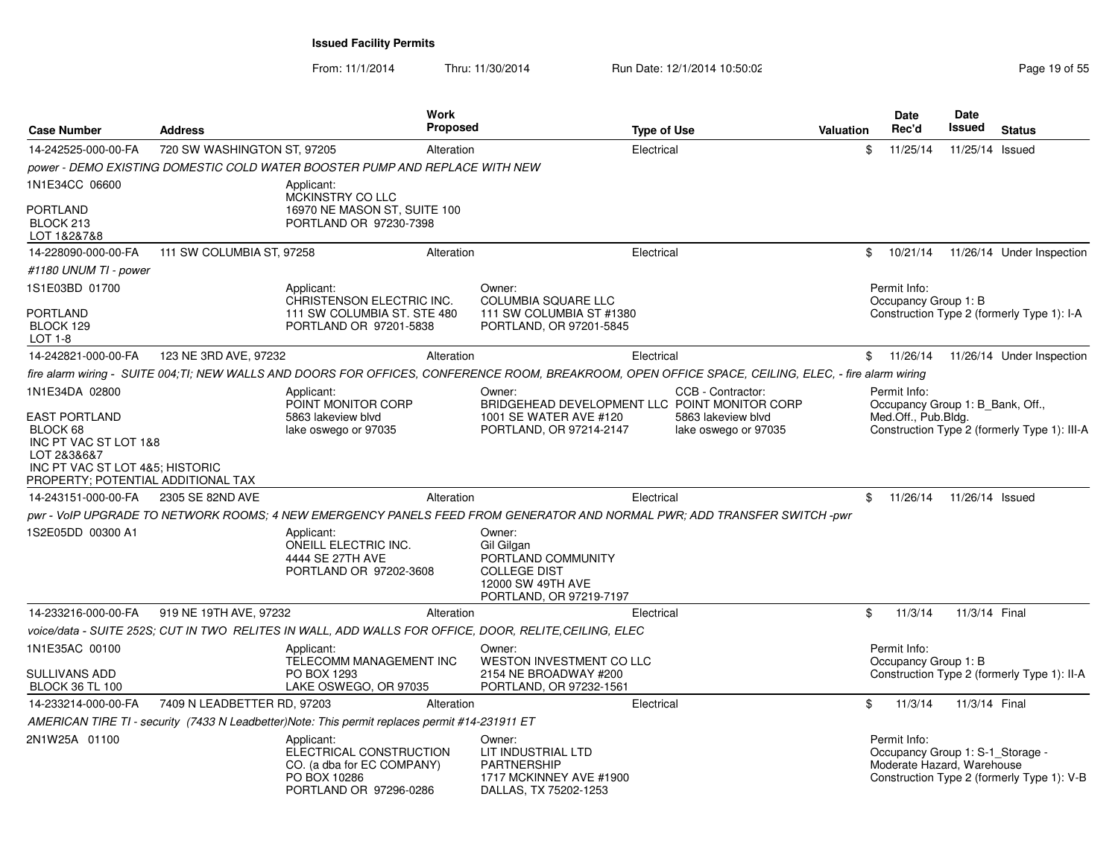From: 11/1/2014Thru: 11/30/2014 Run Date: 12/1/2014 10:50:02 Research 2010 19:05 Page 19 of 55

| <b>Case Number</b>                                                                                                                         | <b>Address</b>              |                                                                                                               | <b>Work</b><br><b>Proposed</b> |                                                                                                                   | <b>Type of Use</b>                                                                                                                                   | <b>Valuation</b> |     | <b>Date</b><br>Rec'd | <b>Date</b><br>Issued                                          | <b>Status</b>                                |
|--------------------------------------------------------------------------------------------------------------------------------------------|-----------------------------|---------------------------------------------------------------------------------------------------------------|--------------------------------|-------------------------------------------------------------------------------------------------------------------|------------------------------------------------------------------------------------------------------------------------------------------------------|------------------|-----|----------------------|----------------------------------------------------------------|----------------------------------------------|
| 14-242525-000-00-FA                                                                                                                        | 720 SW WASHINGTON ST, 97205 |                                                                                                               | Alteration                     |                                                                                                                   | Electrical                                                                                                                                           |                  | \$. | 11/25/14             | 11/25/14 Issued                                                |                                              |
|                                                                                                                                            |                             | power - DEMO EXISTING DOMESTIC COLD WATER BOOSTER PUMP AND REPLACE WITH NEW                                   |                                |                                                                                                                   |                                                                                                                                                      |                  |     |                      |                                                                |                                              |
| 1N1E34CC 06600                                                                                                                             |                             | Applicant:                                                                                                    |                                |                                                                                                                   |                                                                                                                                                      |                  |     |                      |                                                                |                                              |
| PORTLAND<br>BLOCK 213<br>LOT 1&2&7&8                                                                                                       |                             | MCKINSTRY CO LLC<br>16970 NE MASON ST, SUITE 100<br>PORTLAND OR 97230-7398                                    |                                |                                                                                                                   |                                                                                                                                                      |                  |     |                      |                                                                |                                              |
| 14-228090-000-00-FA                                                                                                                        | 111 SW COLUMBIA ST, 97258   |                                                                                                               | Alteration                     |                                                                                                                   | Electrical                                                                                                                                           |                  | \$  | 10/21/14             |                                                                | 11/26/14 Under Inspection                    |
| #1180 UNUM TI - power                                                                                                                      |                             |                                                                                                               |                                |                                                                                                                   |                                                                                                                                                      |                  |     |                      |                                                                |                                              |
| 1S1E03BD 01700                                                                                                                             |                             | Applicant:                                                                                                    |                                | Owner:                                                                                                            |                                                                                                                                                      |                  |     | Permit Info:         |                                                                |                                              |
| PORTLAND<br>BLOCK 129<br><b>LOT 1-8</b>                                                                                                    |                             | CHRISTENSON ELECTRIC INC.<br>111 SW COLUMBIA ST. STE 480<br>PORTLAND OR 97201-5838                            |                                | <b>COLUMBIA SQUARE LLC</b><br>111 SW COLUMBIA ST #1380<br>PORTLAND, OR 97201-5845                                 |                                                                                                                                                      |                  |     | Occupancy Group 1: B |                                                                | Construction Type 2 (formerly Type 1): I-A   |
| 14-242821-000-00-FA                                                                                                                        | 123 NE 3RD AVE, 97232       |                                                                                                               | Alteration                     |                                                                                                                   | Electrical                                                                                                                                           |                  |     | \$11/26/14           |                                                                | 11/26/14 Under Inspection                    |
|                                                                                                                                            |                             |                                                                                                               |                                |                                                                                                                   | fire alarm wiring - SUITE 004;TI; NEW WALLS AND DOORS FOR OFFICES, CONFERENCE ROOM, BREAKROOM, OPEN OFFICE SPACE, CEILING, ELEC, - fire alarm wiring |                  |     |                      |                                                                |                                              |
| 1N1E34DA 02800                                                                                                                             |                             | Applicant:                                                                                                    |                                | Owner:                                                                                                            | CCB - Contractor:                                                                                                                                    |                  |     | Permit Info:         |                                                                |                                              |
| EAST PORTLAND<br>BLOCK 68<br>INC PT VAC ST LOT 1&8<br>LOT 2&3&6&7<br>INC PT VAC ST LOT 4&5; HISTORIC<br>PROPERTY; POTENTIAL ADDITIONAL TAX |                             | POINT MONITOR CORP<br>5863 lakeview blyd<br>lake oswego or 97035                                              |                                | 1001 SE WATER AVE #120<br>PORTLAND, OR 97214-2147                                                                 | BRIDGEHEAD DEVELOPMENT LLC POINT MONITOR CORP<br>5863 lakeview blyd<br>lake oswego or 97035                                                          |                  |     | Med.Off., Pub.Bldg.  | Occupancy Group 1: B_Bank, Off.,                               | Construction Type 2 (formerly Type 1): III-A |
| 14-243151-000-00-FA                                                                                                                        | 2305 SE 82ND AVE            |                                                                                                               | Alteration                     |                                                                                                                   | Electrical                                                                                                                                           |                  | \$  | 11/26/14             | 11/26/14 Issued                                                |                                              |
|                                                                                                                                            |                             |                                                                                                               |                                |                                                                                                                   | pwr - VoIP UPGRADE TO NETWORK ROOMS; 4 NEW EMERGENCY PANELS FEED FROM GENERATOR AND NORMAL PWR; ADD TRANSFER SWITCH -pwr                             |                  |     |                      |                                                                |                                              |
| 1S2E05DD 00300 A1                                                                                                                          |                             | Applicant:<br><b>ONEILL ELECTRIC INC.</b><br>4444 SE 27TH AVE<br>PORTLAND OR 97202-3608                       |                                | Owner:<br>Gil Gilgan<br>PORTLAND COMMUNITY<br><b>COLLEGE DIST</b><br>12000 SW 49TH AVE<br>PORTLAND, OR 97219-7197 |                                                                                                                                                      |                  |     |                      |                                                                |                                              |
| 14-233216-000-00-FA                                                                                                                        | 919 NE 19TH AVE, 97232      |                                                                                                               | Alteration                     |                                                                                                                   | Electrical                                                                                                                                           |                  | \$  | 11/3/14              | 11/3/14 Final                                                  |                                              |
|                                                                                                                                            |                             | voice/data - SUITE 252S; CUT IN TWO RELITES IN WALL, ADD WALLS FOR OFFICE, DOOR, RELITE, CEILING, ELEC        |                                |                                                                                                                   |                                                                                                                                                      |                  |     |                      |                                                                |                                              |
| 1N1E35AC 00100                                                                                                                             |                             | Applicant:                                                                                                    |                                | Owner:                                                                                                            |                                                                                                                                                      |                  |     | Permit Info:         |                                                                |                                              |
| SULLIVANS ADD<br><b>BLOCK 36 TL 100</b>                                                                                                    |                             | TELECOMM MANAGEMENT INC<br>PO BOX 1293<br>LAKE OSWEGO, OR 97035                                               |                                | <b>WESTON INVESTMENT CO LLC</b><br>2154 NE BROADWAY #200<br>PORTLAND, OR 97232-1561                               |                                                                                                                                                      |                  |     | Occupancy Group 1: B |                                                                | Construction Type 2 (formerly Type 1): II-A  |
| 14-233214-000-00-FA                                                                                                                        | 7409 N LEADBETTER RD, 97203 |                                                                                                               | Alteration                     |                                                                                                                   | Electrical                                                                                                                                           |                  | \$  | 11/3/14              | 11/3/14 Final                                                  |                                              |
|                                                                                                                                            |                             | AMERICAN TIRE TI - security (7433 N Leadbetter)Note: This permit replaces permit #14-231911 ET                |                                |                                                                                                                   |                                                                                                                                                      |                  |     |                      |                                                                |                                              |
| 2N1W25A 01100                                                                                                                              |                             | Applicant:<br>ELECTRICAL CONSTRUCTION<br>CO. (a dba for EC COMPANY)<br>PO BOX 10286<br>PORTLAND OR 97296-0286 |                                | Owner:<br>LIT INDUSTRIAL LTD<br><b>PARTNERSHIP</b><br>1717 MCKINNEY AVE #1900<br>DALLAS, TX 75202-1253            |                                                                                                                                                      |                  |     | Permit Info:         | Occupancy Group 1: S-1_Storage -<br>Moderate Hazard, Warehouse | Construction Type 2 (formerly Type 1): V-B   |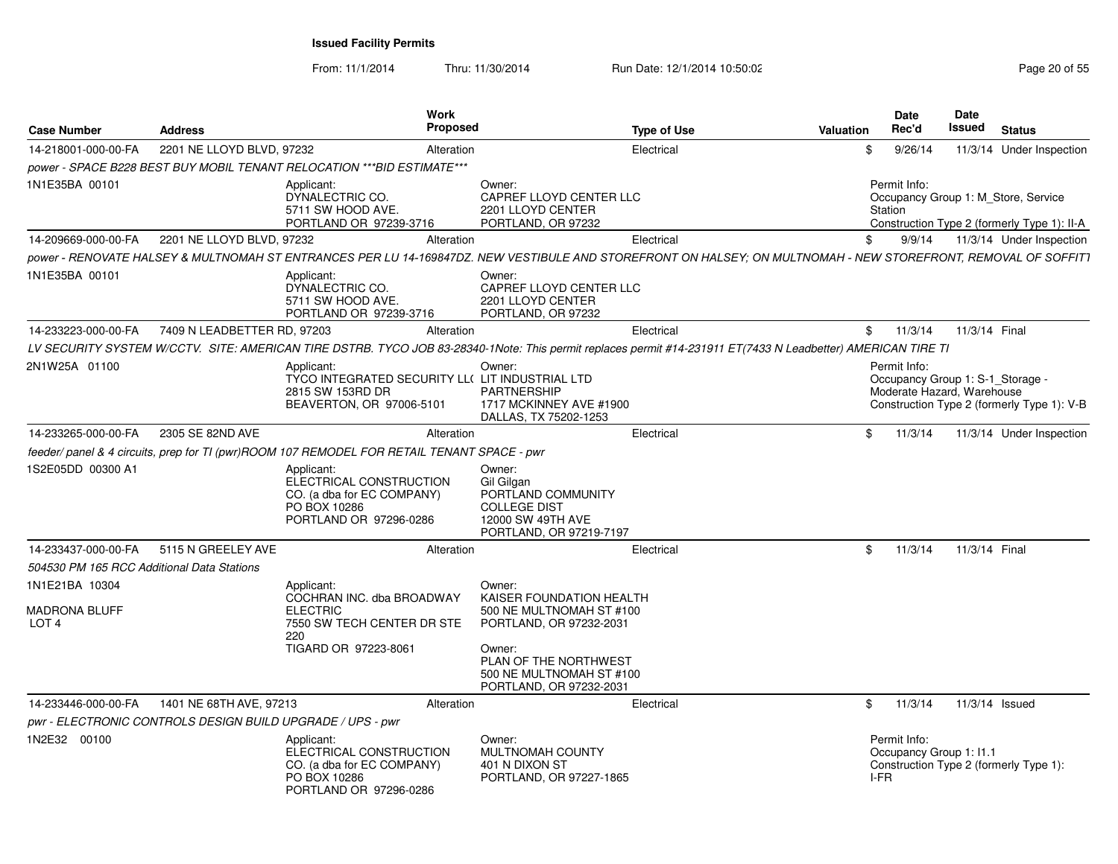| <b>Case Number</b>                                         | <b>Address</b>                                             |                                                                                                                         | Work<br><b>Proposed</b> |                                                                                                                                                                                     | <b>Type of Use</b>                                                                                                                                             | <b>Valuation</b> | <b>Date</b><br>Rec'd    |         | <b>Date</b><br>Issued                                          | <b>Status</b> |                                                                                    |
|------------------------------------------------------------|------------------------------------------------------------|-------------------------------------------------------------------------------------------------------------------------|-------------------------|-------------------------------------------------------------------------------------------------------------------------------------------------------------------------------------|----------------------------------------------------------------------------------------------------------------------------------------------------------------|------------------|-------------------------|---------|----------------------------------------------------------------|---------------|------------------------------------------------------------------------------------|
| 14-218001-000-00-FA                                        | 2201 NE LLOYD BLVD, 97232                                  |                                                                                                                         | Alteration              |                                                                                                                                                                                     | Electrical                                                                                                                                                     | \$               |                         | 9/26/14 |                                                                |               | 11/3/14 Under Inspection                                                           |
|                                                            |                                                            | power - SPACE B228 BEST BUY MOBIL TENANT RELOCATION *** BID ESTIMATE***                                                 |                         |                                                                                                                                                                                     |                                                                                                                                                                |                  |                         |         |                                                                |               |                                                                                    |
| 1N1E35BA 00101                                             |                                                            | Applicant:<br>DYNALECTRIC CO.<br>5711 SW HOOD AVE.<br>PORTLAND OR 97239-3716                                            |                         | Owner:<br>CAPREF LLOYD CENTER LLC<br>2201 LLOYD CENTER<br>PORTLAND, OR 97232                                                                                                        |                                                                                                                                                                |                  | Permit Info:<br>Station |         |                                                                |               | Occupancy Group 1: M Store, Service<br>Construction Type 2 (formerly Type 1): II-A |
| 14-209669-000-00-FA                                        | 2201 NE LLOYD BLVD, 97232                                  |                                                                                                                         | Alteration              |                                                                                                                                                                                     | Electrical                                                                                                                                                     | \$               |                         | 9/9/14  |                                                                |               | 11/3/14 Under Inspection                                                           |
|                                                            |                                                            |                                                                                                                         |                         |                                                                                                                                                                                     | power - RENOVATE HALSEY & MULTNOMAH ST ENTRANCES PER LU 14-169847DZ. NEW VESTIBULE AND STOREFRONT ON HALSEY: ON MULTNOMAH - NEW STOREFRONT, REMOVAL OF SOFFIT1 |                  |                         |         |                                                                |               |                                                                                    |
| 1N1E35BA 00101                                             |                                                            | Applicant:<br>DYNALECTRIC CO.<br>5711 SW HOOD AVE.<br>PORTLAND OR 97239-3716                                            |                         | Owner:<br>CAPREF LLOYD CENTER LLC<br>2201 LLOYD CENTER<br>PORTLAND, OR 97232                                                                                                        |                                                                                                                                                                |                  |                         |         |                                                                |               |                                                                                    |
| 14-233223-000-00-FA                                        | 7409 N LEADBETTER RD, 97203                                |                                                                                                                         | Alteration              |                                                                                                                                                                                     | Electrical                                                                                                                                                     |                  | \$11/3/14               |         | 11/3/14 Final                                                  |               |                                                                                    |
|                                                            |                                                            |                                                                                                                         |                         |                                                                                                                                                                                     | LV SECURITY SYSTEM W/CCTV. SITE: AMERICAN TIRE DSTRB. TYCO JOB 83-28340-1Note: This permit replaces permit #14-231911 ET(7433 N Leadbetter) AMERICAN TIRE TI   |                  |                         |         |                                                                |               |                                                                                    |
| 2N1W25A 01100                                              |                                                            | Applicant:<br>TYCO INTEGRATED SECURITY LL( LIT INDUSTRIAL LTD<br>2815 SW 153RD DR<br>BEAVERTON, OR 97006-5101           |                         | Owner:<br><b>PARTNERSHIP</b><br>1717 MCKINNEY AVE #1900<br>DALLAS, TX 75202-1253                                                                                                    |                                                                                                                                                                |                  | Permit Info:            |         | Occupancy Group 1: S-1 Storage -<br>Moderate Hazard, Warehouse |               | Construction Type 2 (formerly Type 1): V-B                                         |
| 14-233265-000-00-FA                                        | 2305 SE 82ND AVE                                           |                                                                                                                         | Alteration              |                                                                                                                                                                                     | Electrical                                                                                                                                                     | \$               |                         | 11/3/14 |                                                                |               | 11/3/14 Under Inspection                                                           |
|                                                            |                                                            | feeder/ panel & 4 circuits, prep for TI (pwr)ROOM 107 REMODEL FOR RETAIL TENANT SPACE - pwr                             |                         |                                                                                                                                                                                     |                                                                                                                                                                |                  |                         |         |                                                                |               |                                                                                    |
| 1S2E05DD 00300 A1                                          |                                                            | Applicant:<br>ELECTRICAL CONSTRUCTION<br>CO. (a dba for EC COMPANY)<br>PO BOX 10286<br>PORTLAND OR 97296-0286           |                         | Owner:<br>Gil Gilgan<br>PORTLAND COMMUNITY<br><b>COLLEGE DIST</b><br>12000 SW 49TH AVE<br>PORTLAND, OR 97219-7197                                                                   |                                                                                                                                                                |                  |                         |         |                                                                |               |                                                                                    |
| 14-233437-000-00-FA                                        | 5115 N GREELEY AVE                                         |                                                                                                                         | Alteration              |                                                                                                                                                                                     | Electrical                                                                                                                                                     | \$               |                         | 11/3/14 | 11/3/14 Final                                                  |               |                                                                                    |
| 504530 PM 165 RCC Additional Data Stations                 |                                                            |                                                                                                                         |                         |                                                                                                                                                                                     |                                                                                                                                                                |                  |                         |         |                                                                |               |                                                                                    |
| 1N1E21BA 10304<br><b>MADRONA BLUFF</b><br>LOT <sub>4</sub> |                                                            | Applicant:<br>COCHRAN INC. dba BROADWAY<br><b>ELECTRIC</b><br>7550 SW TECH CENTER DR STE<br>220<br>TIGARD OR 97223-8061 |                         | Owner:<br>KAISER FOUNDATION HEALTH<br>500 NE MULTNOMAH ST #100<br>PORTLAND, OR 97232-2031<br>Owner:<br>PLAN OF THE NORTHWEST<br>500 NE MULTNOMAH ST #100<br>PORTLAND, OR 97232-2031 |                                                                                                                                                                |                  |                         |         |                                                                |               |                                                                                    |
| 14-233446-000-00-FA                                        | 1401 NE 68TH AVE, 97213                                    |                                                                                                                         | Alteration              |                                                                                                                                                                                     | Electrical                                                                                                                                                     | \$               |                         | 11/3/14 | 11/3/14 Issued                                                 |               |                                                                                    |
|                                                            | pwr - ELECTRONIC CONTROLS DESIGN BUILD UPGRADE / UPS - pwr |                                                                                                                         |                         |                                                                                                                                                                                     |                                                                                                                                                                |                  |                         |         |                                                                |               |                                                                                    |
| 1N2E32 00100                                               |                                                            | Applicant:<br>ELECTRICAL CONSTRUCTION<br>CO. (a dba for EC COMPANY)<br>PO BOX 10286<br>PORTLAND OR 97296-0286           |                         | Owner:<br>MULTNOMAH COUNTY<br>401 N DIXON ST<br>PORTLAND, OR 97227-1865                                                                                                             |                                                                                                                                                                |                  | Permit Info:<br>I-FR    |         | Occupancy Group 1: 11.1                                        |               | Construction Type 2 (formerly Type 1):                                             |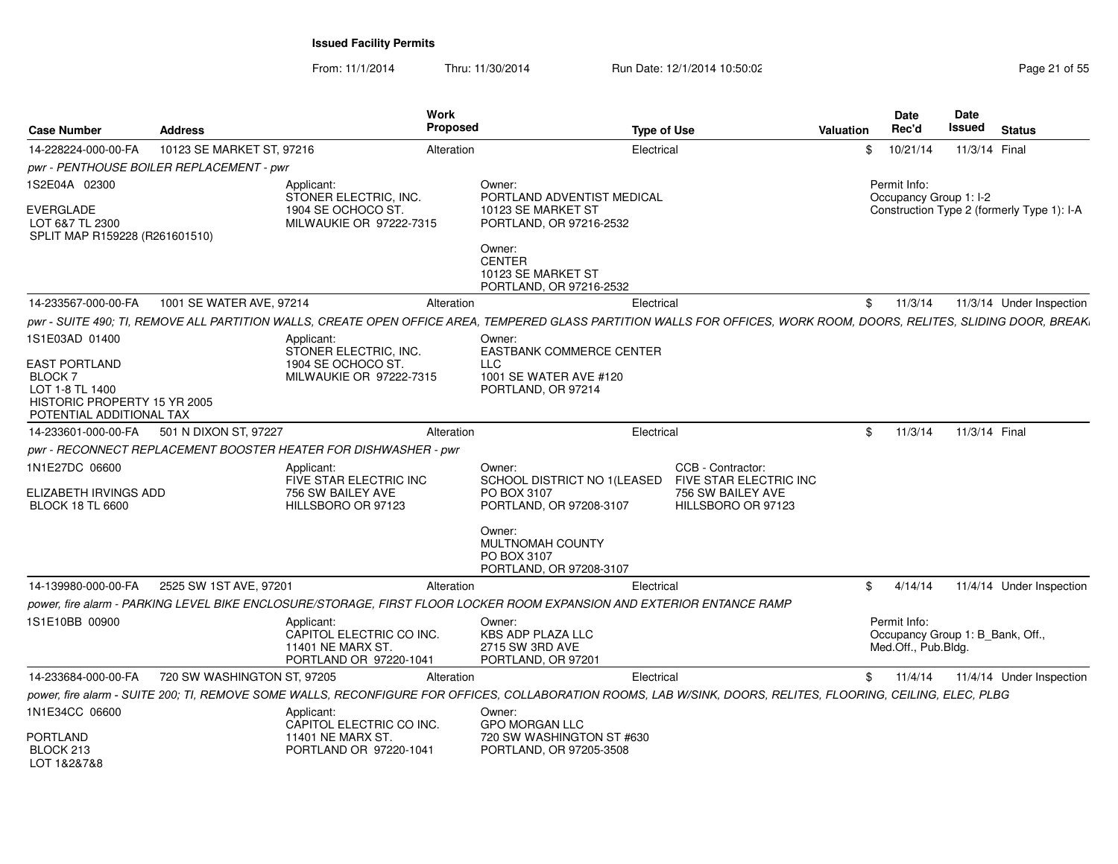From: 11/1/2014Thru: 11/30/2014 Run Date: 12/1/2014 10:50:02 Research 2010 12:00 Page 21 of 55

| <b>Case Number</b>                                                                                                                     | <b>Address</b>                           | <b>Work</b><br><b>Proposed</b>                                                                                                                                        |                                                                                                  | <b>Type of Use</b>                                                                     | Valuation | <b>Date</b><br>Rec'd                                                    | Date<br>Issued | <b>Status</b>                              |
|----------------------------------------------------------------------------------------------------------------------------------------|------------------------------------------|-----------------------------------------------------------------------------------------------------------------------------------------------------------------------|--------------------------------------------------------------------------------------------------|----------------------------------------------------------------------------------------|-----------|-------------------------------------------------------------------------|----------------|--------------------------------------------|
| 14-228224-000-00-FA                                                                                                                    | 10123 SE MARKET ST, 97216                | Alteration                                                                                                                                                            |                                                                                                  | Electrical                                                                             | \$        | 10/21/14                                                                | 11/3/14 Final  |                                            |
|                                                                                                                                        | pwr - PENTHOUSE BOILER REPLACEMENT - pwr |                                                                                                                                                                       |                                                                                                  |                                                                                        |           |                                                                         |                |                                            |
| 1S2E04A 02300                                                                                                                          |                                          | Applicant:<br>STONER ELECTRIC, INC.                                                                                                                                   | Owner:<br>PORTLAND ADVENTIST MEDICAL                                                             |                                                                                        |           | Permit Info:<br>Occupancy Group 1: I-2                                  |                |                                            |
| <b>EVERGLADE</b><br>LOT 6&7 TL 2300<br>SPLIT MAP R159228 (R261601510)                                                                  |                                          | 1904 SE OCHOCO ST.<br>MILWAUKIE OR 97222-7315                                                                                                                         | 10123 SE MARKET ST<br>PORTLAND, OR 97216-2532                                                    |                                                                                        |           |                                                                         |                | Construction Type 2 (formerly Type 1): I-A |
|                                                                                                                                        |                                          |                                                                                                                                                                       | Owner:<br><b>CENTER</b><br>10123 SE MARKET ST<br>PORTLAND, OR 97216-2532                         |                                                                                        |           |                                                                         |                |                                            |
| 14-233567-000-00-FA                                                                                                                    | 1001 SE WATER AVE, 97214                 | Alteration                                                                                                                                                            |                                                                                                  | Electrical                                                                             | \$        | 11/3/14                                                                 |                | 11/3/14 Under Inspection                   |
|                                                                                                                                        |                                          | pwr - SUITE 490; TI, REMOVE ALL PARTITION WALLS, CREATE OPEN OFFICE AREA, TEMPERED GLASS PARTITION WALLS FOR OFFICES, WORK ROOM, DOORS, RELITES, SLIDING DOOR, BREAK, |                                                                                                  |                                                                                        |           |                                                                         |                |                                            |
| 1S1E03AD 01400<br><b>EAST PORTLAND</b><br><b>BLOCK7</b><br>LOT 1-8 TL 1400<br>HISTORIC PROPERTY 15 YR 2005<br>POTENTIAL ADDITIONAL TAX |                                          | Applicant:<br>STONER ELECTRIC, INC.<br>1904 SE OCHOCO ST.<br>MILWAUKIE OR 97222-7315                                                                                  | Owner:<br>EASTBANK COMMERCE CENTER<br><b>LLC</b><br>1001 SE WATER AVE #120<br>PORTLAND, OR 97214 |                                                                                        |           |                                                                         |                |                                            |
| 14-233601-000-00-FA                                                                                                                    | 501 N DIXON ST, 97227                    | Alteration                                                                                                                                                            |                                                                                                  | Electrical                                                                             | \$        | 11/3/14                                                                 | 11/3/14 Final  |                                            |
|                                                                                                                                        |                                          | pwr - RECONNECT REPLACEMENT BOOSTER HEATER FOR DISHWASHER - pwr                                                                                                       |                                                                                                  |                                                                                        |           |                                                                         |                |                                            |
| 1N1E27DC 06600<br><b>ELIZABETH IRVINGS ADD</b><br><b>BLOCK 18 TL 6600</b>                                                              |                                          | Applicant:<br>FIVE STAR ELECTRIC INC<br>756 SW BAILEY AVE<br>HILLSBORO OR 97123                                                                                       | Owner:<br>SCHOOL DISTRICT NO 1(LEASED<br>PO BOX 3107<br>PORTLAND, OR 97208-3107                  | CCB - Contractor:<br>FIVE STAR ELECTRIC INC<br>756 SW BAILEY AVE<br>HILLSBORO OR 97123 |           |                                                                         |                |                                            |
|                                                                                                                                        |                                          |                                                                                                                                                                       | Owner:<br><b>MULTNOMAH COUNTY</b><br>PO BOX 3107<br>PORTLAND, OR 97208-3107                      |                                                                                        |           |                                                                         |                |                                            |
| 14-139980-000-00-FA                                                                                                                    | 2525 SW 1ST AVE, 97201                   | Alteration                                                                                                                                                            |                                                                                                  | Electrical                                                                             | \$        | 4/14/14                                                                 |                | 11/4/14 Under Inspection                   |
|                                                                                                                                        |                                          | power, fire alarm - PARKING LEVEL BIKE ENCLOSURE/STORAGE, FIRST FLOOR LOCKER ROOM EXPANSION AND EXTERIOR ENTANCE RAMP                                                 |                                                                                                  |                                                                                        |           |                                                                         |                |                                            |
| 1S1E10BB 00900                                                                                                                         |                                          | Applicant:<br>CAPITOL ELECTRIC CO INC.<br>11401 NE MARX ST.<br>PORTLAND OR 97220-1041                                                                                 | Owner:<br><b>KBS ADP PLAZA LLC</b><br>2715 SW 3RD AVE<br>PORTLAND, OR 97201                      |                                                                                        |           | Permit Info:<br>Occupancy Group 1: B Bank, Off.,<br>Med.Off., Pub.Bldg. |                |                                            |
| 14-233684-000-00-FA                                                                                                                    | 720 SW WASHINGTON ST, 97205              | Alteration                                                                                                                                                            |                                                                                                  | Electrical                                                                             | \$        | 11/4/14                                                                 |                | 11/4/14 Under Inspection                   |
|                                                                                                                                        |                                          | power, fire alarm - SUITE 200; TI, REMOVE SOME WALLS, RECONFIGURE FOR OFFICES, COLLABORATION ROOMS, LAB W/SINK, DOORS, RELITES, FLOORING, CEILING, ELEC, PLBG         |                                                                                                  |                                                                                        |           |                                                                         |                |                                            |
| 1N1E34CC 06600                                                                                                                         |                                          | Applicant:<br>CAPITOL ELECTRIC CO INC.                                                                                                                                | Owner:<br><b>GPO MORGAN LLC</b>                                                                  |                                                                                        |           |                                                                         |                |                                            |
| <b>PORTLAND</b><br>BLOCK 213<br>LOT 1&2&7&8                                                                                            |                                          | <b>11401 NE MARX ST.</b><br>PORTLAND OR 97220-1041                                                                                                                    | 720 SW WASHINGTON ST #630<br>PORTLAND, OR 97205-3508                                             |                                                                                        |           |                                                                         |                |                                            |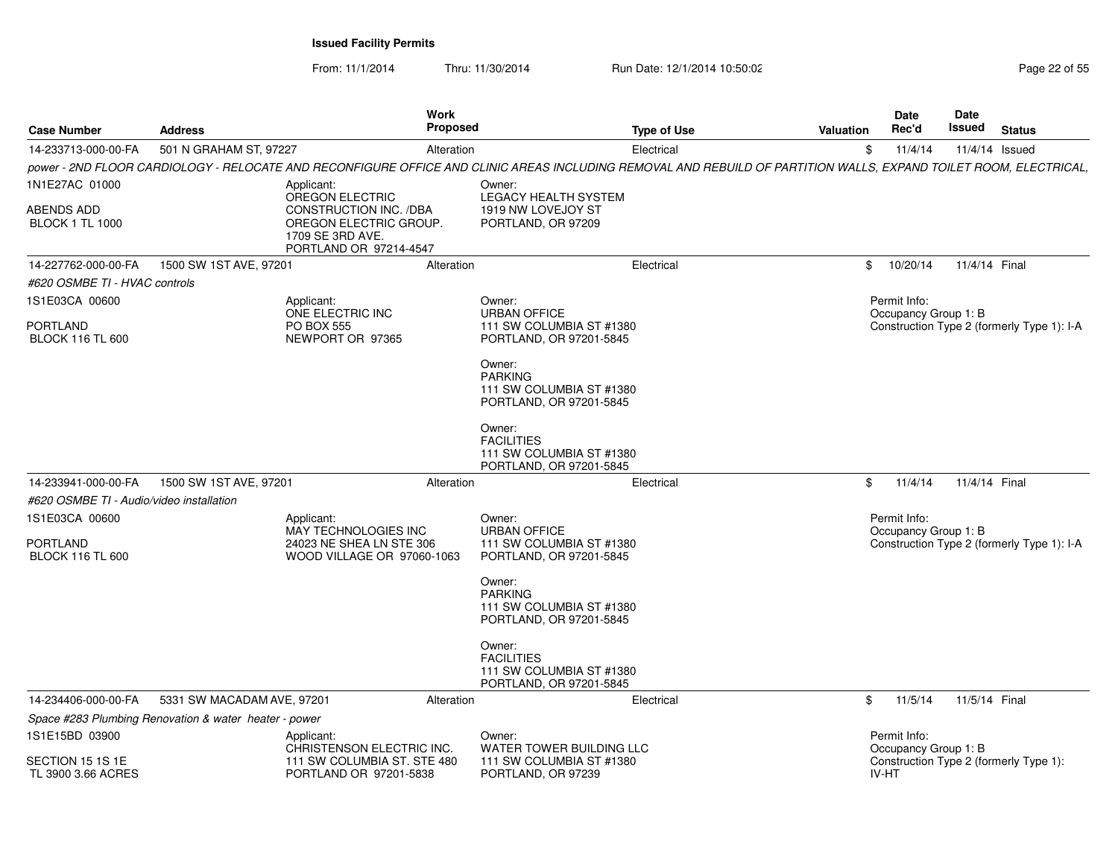From: 11/1/2014

Thru: 11/30/2014 Run Date: 12/1/2014 10:50:02 Research 2010 Page 22 of 55

| <b>Case Number</b>                          | <b>Address</b>                                        | <b>Work</b><br>Proposed                                                                                                                                           |                                                                                    | <b>Type of Use</b> | <b>Valuation</b> | <b>Date</b><br>Rec'd                 | Date<br>Issued | <b>Status</b>                              |
|---------------------------------------------|-------------------------------------------------------|-------------------------------------------------------------------------------------------------------------------------------------------------------------------|------------------------------------------------------------------------------------|--------------------|------------------|--------------------------------------|----------------|--------------------------------------------|
| 14-233713-000-00-FA                         | 501 N GRAHAM ST, 97227                                | Alteration                                                                                                                                                        |                                                                                    | Electrical         | \$               | 11/4/14                              | 11/4/14 Issued |                                            |
|                                             |                                                       | power - 2ND FLOOR CARDIOLOGY - RELOCATE AND RECONFIGURE OFFICE AND CLINIC AREAS INCLUDING REMOVAL AND REBUILD OF PARTITION WALLS, EXPAND TOILET ROOM, ELECTRICAL, |                                                                                    |                    |                  |                                      |                |                                            |
| 1N1E27AC 01000                              |                                                       | Applicant:<br>OREGON ELECTRIC                                                                                                                                     | Owner:<br><b>LEGACY HEALTH SYSTEM</b>                                              |                    |                  |                                      |                |                                            |
| <b>ABENDS ADD</b><br><b>BLOCK 1 TL 1000</b> |                                                       | CONSTRUCTION INC. /DBA<br>OREGON ELECTRIC GROUP.<br>1709 SE 3RD AVE.<br>PORTLAND OR 97214-4547                                                                    | 1919 NW LOVEJOY ST<br>PORTLAND, OR 97209                                           |                    |                  |                                      |                |                                            |
| 14-227762-000-00-FA                         | 1500 SW 1ST AVE, 97201                                | Alteration                                                                                                                                                        |                                                                                    | Electrical         | \$               | 10/20/14                             | 11/4/14 Final  |                                            |
| #620 OSMBE TI - HVAC controls               |                                                       |                                                                                                                                                                   |                                                                                    |                    |                  |                                      |                |                                            |
| 1S1E03CA 00600                              |                                                       | Applicant:<br>ONE ELECTRIC INC                                                                                                                                    | Owner:<br><b>URBAN OFFICE</b>                                                      |                    |                  | Permit Info:<br>Occupancy Group 1: B |                |                                            |
| <b>PORTLAND</b>                             |                                                       | <b>PO BOX 555</b>                                                                                                                                                 | 111 SW COLUMBIA ST #1380                                                           |                    |                  |                                      |                | Construction Type 2 (formerly Type 1): I-A |
| <b>BLOCK 116 TL 600</b>                     |                                                       | NEWPORT OR 97365                                                                                                                                                  | PORTLAND, OR 97201-5845                                                            |                    |                  |                                      |                |                                            |
|                                             |                                                       |                                                                                                                                                                   | Owner:<br><b>PARKING</b><br>111 SW COLUMBIA ST #1380<br>PORTLAND, OR 97201-5845    |                    |                  |                                      |                |                                            |
|                                             |                                                       |                                                                                                                                                                   | Owner:<br><b>FACILITIES</b><br>111 SW COLUMBIA ST #1380<br>PORTLAND, OR 97201-5845 |                    |                  |                                      |                |                                            |
| 14-233941-000-00-FA                         | 1500 SW 1ST AVE, 97201                                | Alteration                                                                                                                                                        |                                                                                    | Electrical         | \$               | 11/4/14                              | 11/4/14 Final  |                                            |
| #620 OSMBE TI - Audio/video installation    |                                                       |                                                                                                                                                                   |                                                                                    |                    |                  |                                      |                |                                            |
| 1S1E03CA 00600                              |                                                       | Applicant:                                                                                                                                                        | Owner:                                                                             |                    |                  | Permit Info:                         |                |                                            |
| <b>PORTLAND</b><br><b>BLOCK 116 TL 600</b>  |                                                       | MAY TECHNOLOGIES INC<br>24023 NE SHEA LN STE 306<br>WOOD VILLAGE OR 97060-1063                                                                                    | <b>URBAN OFFICE</b><br>111 SW COLUMBIA ST #1380<br>PORTLAND, OR 97201-5845         |                    |                  | Occupancy Group 1: B                 |                | Construction Type 2 (formerly Type 1): I-A |
|                                             |                                                       |                                                                                                                                                                   | Owner:<br><b>PARKING</b><br>111 SW COLUMBIA ST #1380<br>PORTLAND, OR 97201-5845    |                    |                  |                                      |                |                                            |
|                                             |                                                       |                                                                                                                                                                   | Owner:<br><b>FACILITIES</b><br>111 SW COLUMBIA ST #1380<br>PORTLAND, OR 97201-5845 |                    |                  |                                      |                |                                            |
| 14-234406-000-00-FA                         | 5331 SW MACADAM AVE, 97201                            | Alteration                                                                                                                                                        |                                                                                    | Electrical         | \$               | 11/5/14                              | 11/5/14 Final  |                                            |
|                                             | Space #283 Plumbing Renovation & water heater - power |                                                                                                                                                                   |                                                                                    |                    |                  |                                      |                |                                            |
| 1S1E15BD 03900                              |                                                       | Applicant:<br>CHRISTENSON ELECTRIC INC.                                                                                                                           | Owner:<br>WATER TOWER BUILDING LLC                                                 |                    |                  | Permit Info:<br>Occupancy Group 1: B |                |                                            |
| SECTION 15 1S 1E<br>TL 3900 3.66 ACRES      |                                                       | 111 SW COLUMBIA ST. STE 480<br>PORTLAND OR 97201-5838                                                                                                             | 111 SW COLUMBIA ST #1380<br>PORTLAND, OR 97239                                     |                    |                  | <b>IV-HT</b>                         |                | Construction Type 2 (formerly Type 1):     |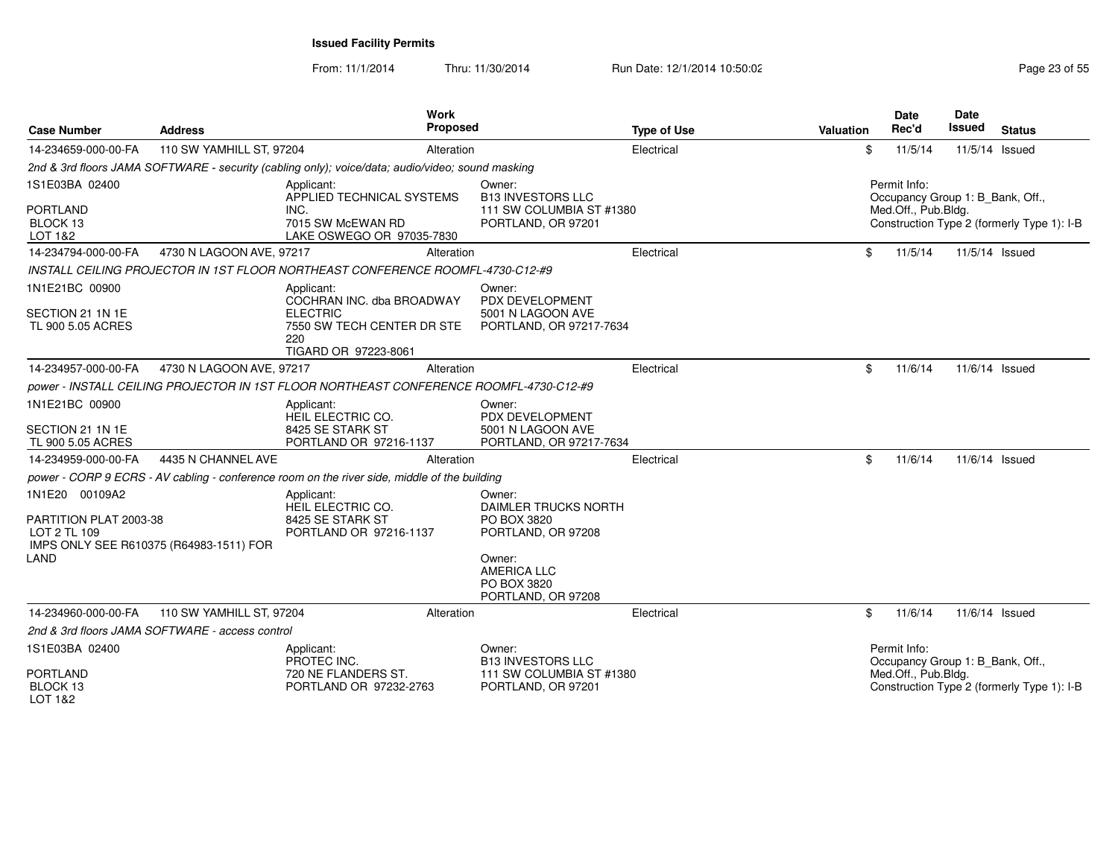| <b>Case Number</b>                                               | <b>Address</b>                                  | <b>Work</b><br><b>Proposed</b>                                                                                          |                                                                                                                                          | <b>Type of Use</b> | Valuation | <b>Date</b><br>Rec'd                | <b>Date</b><br><b>Issued</b><br><b>Status</b>                                  |
|------------------------------------------------------------------|-------------------------------------------------|-------------------------------------------------------------------------------------------------------------------------|------------------------------------------------------------------------------------------------------------------------------------------|--------------------|-----------|-------------------------------------|--------------------------------------------------------------------------------|
| 14-234659-000-00-FA                                              | 110 SW YAMHILL ST, 97204                        | Alteration                                                                                                              |                                                                                                                                          | Electrical         | \$        | 11/5/14                             | 11/5/14 Issued                                                                 |
|                                                                  |                                                 | 2nd & 3rd floors JAMA SOFTWARE - security (cabling only); voice/data; audio/video; sound masking                        |                                                                                                                                          |                    |           |                                     |                                                                                |
| 1S1E03BA 02400<br><b>PORTLAND</b><br>BLOCK 13<br>LOT 1&2         |                                                 | Applicant:<br>APPLIED TECHNICAL SYSTEMS<br>INC.<br>7015 SW McEWAN RD<br>LAKE OSWEGO OR 97035-7830                       | Owner:<br><b>B13 INVESTORS LLC</b><br>111 SW COLUMBIA ST #1380<br>PORTLAND, OR 97201                                                     |                    |           | Permit Info:<br>Med.Off., Pub.Bldg. | Occupancy Group 1: B_Bank, Off.,<br>Construction Type 2 (formerly Type 1): I-B |
| 14-234794-000-00-FA                                              | 4730 N LAGOON AVE, 97217                        | Alteration                                                                                                              |                                                                                                                                          | Electrical         | \$        | 11/5/14                             | 11/5/14 Issued                                                                 |
|                                                                  |                                                 | INSTALL CEILING PROJECTOR IN 1ST FLOOR NORTHEAST CONFERENCE ROOMFL-4730-C12-#9                                          |                                                                                                                                          |                    |           |                                     |                                                                                |
| 1N1E21BC 00900<br>SECTION 21 1N 1E<br>TL 900 5.05 ACRES          |                                                 | Applicant:<br>COCHRAN INC. dba BROADWAY<br><b>ELECTRIC</b><br>7550 SW TECH CENTER DR STE<br>220<br>TIGARD OR 97223-8061 | Owner:<br>PDX DEVELOPMENT<br>5001 N LAGOON AVE<br>PORTLAND, OR 97217-7634                                                                |                    |           |                                     |                                                                                |
| 14-234957-000-00-FA                                              | 4730 N LAGOON AVE, 97217                        | Alteration                                                                                                              |                                                                                                                                          | Electrical         | \$        | 11/6/14                             | 11/6/14 Issued                                                                 |
|                                                                  |                                                 | power - INSTALL CEILING PROJECTOR IN 1ST FLOOR NORTHEAST CONFERENCE ROOMFL-4730-C12-#9                                  |                                                                                                                                          |                    |           |                                     |                                                                                |
| 1N1E21BC 00900<br>SECTION 21 1N 1E<br>TL 900 5.05 ACRES          |                                                 | Applicant:<br>HEIL ELECTRIC CO.<br>8425 SE STARK ST<br>PORTLAND OR 97216-1137                                           | Owner:<br>PDX DEVELOPMENT<br>5001 N LAGOON AVE<br>PORTLAND, OR 97217-7634                                                                |                    |           |                                     |                                                                                |
| 14-234959-000-00-FA                                              | 4435 N CHANNEL AVE                              | Alteration                                                                                                              |                                                                                                                                          | Electrical         | \$        | 11/6/14                             | 11/6/14 Issued                                                                 |
|                                                                  |                                                 | power - CORP 9 ECRS - AV cabling - conference room on the river side, middle of the building                            |                                                                                                                                          |                    |           |                                     |                                                                                |
| 1N1E20 00109A2<br>PARTITION PLAT 2003-38<br>LOT 2 TL 109<br>LAND | IMPS ONLY SEE R610375 (R64983-1511) FOR         | Applicant:<br>HEIL ELECTRIC CO.<br>8425 SE STARK ST<br>PORTLAND OR 97216-1137                                           | Owner:<br>DAIMLER TRUCKS NORTH<br>PO BOX 3820<br>PORTLAND, OR 97208<br>Owner:<br><b>AMERICA LLC</b><br>PO BOX 3820<br>PORTLAND, OR 97208 |                    |           |                                     |                                                                                |
| 14-234960-000-00-FA                                              | 110 SW YAMHILL ST, 97204                        | Alteration                                                                                                              |                                                                                                                                          | Electrical         | \$        | 11/6/14                             | 11/6/14 Issued                                                                 |
|                                                                  | 2nd & 3rd floors JAMA SOFTWARE - access control |                                                                                                                         |                                                                                                                                          |                    |           |                                     |                                                                                |
| 1S1E03BA 02400                                                   |                                                 | Applicant:<br>PROTEC INC.                                                                                               | Owner:<br><b>B13 INVESTORS LLC</b>                                                                                                       |                    |           | Permit Info:                        | Occupancy Group 1: B_Bank, Off.,                                               |
| <b>PORTLAND</b><br>BLOCK <sub>13</sub><br>LOT 1&2                |                                                 | 720 NE FLANDERS ST.<br>PORTLAND OR 97232-2763                                                                           | 111 SW COLUMBIA ST #1380<br>PORTLAND, OR 97201                                                                                           |                    |           | Med.Off., Pub.Bldg.                 | Construction Type 2 (formerly Type 1): I-B                                     |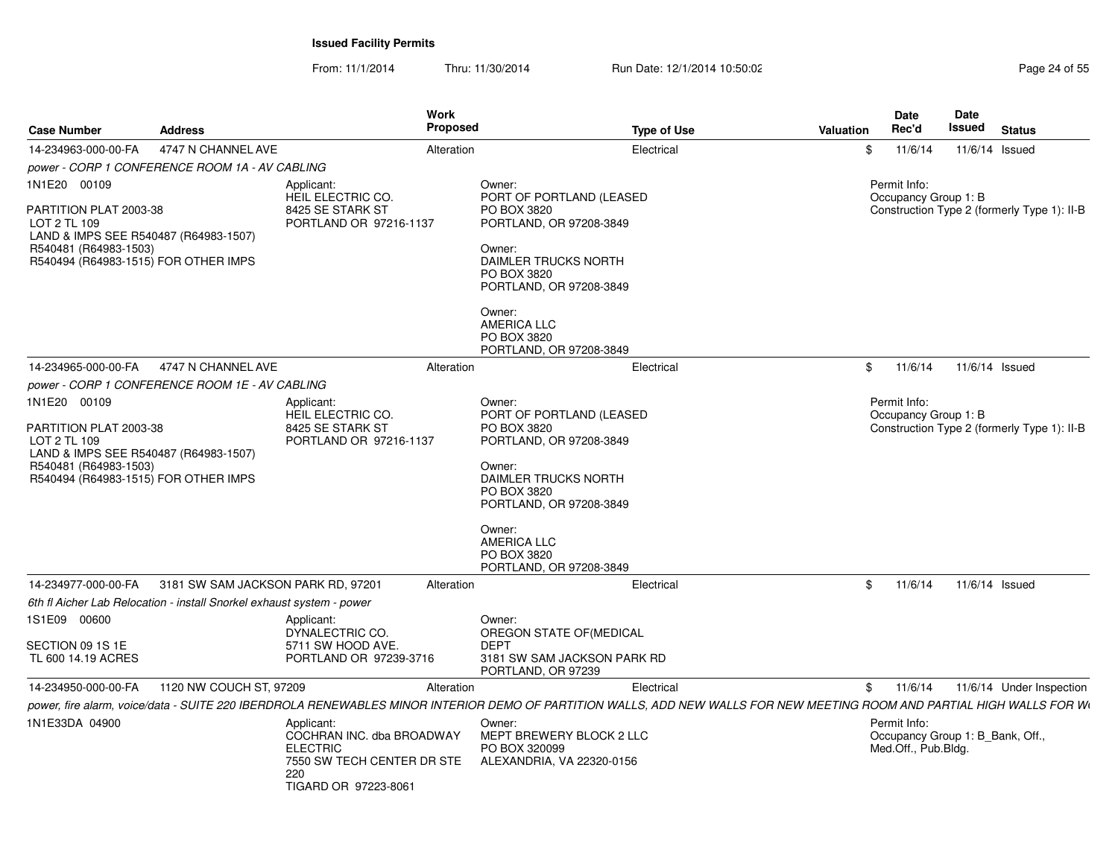| <b>Case Number</b>                                                                                                                                               | <b>Address</b>                                 | Work<br>Proposed                                                                                                                                                       |                                                                                                                                                                                                                             | <b>Type of Use</b> | <b>Valuation</b> | <b>Date</b><br>Rec'd                                                    | Date<br>Issued | <b>Status</b>                               |
|------------------------------------------------------------------------------------------------------------------------------------------------------------------|------------------------------------------------|------------------------------------------------------------------------------------------------------------------------------------------------------------------------|-----------------------------------------------------------------------------------------------------------------------------------------------------------------------------------------------------------------------------|--------------------|------------------|-------------------------------------------------------------------------|----------------|---------------------------------------------|
| 14-234963-000-00-FA                                                                                                                                              | 4747 N CHANNEL AVE                             | Alteration                                                                                                                                                             |                                                                                                                                                                                                                             | Electrical         | \$               | 11/6/14                                                                 | 11/6/14 Issued |                                             |
|                                                                                                                                                                  | power - CORP 1 CONFERENCE ROOM 1A - AV CABLING |                                                                                                                                                                        |                                                                                                                                                                                                                             |                    |                  |                                                                         |                |                                             |
| 1N1E20 00109                                                                                                                                                     |                                                | Applicant:<br>HEIL ELECTRIC CO.                                                                                                                                        | Owner:<br>PORT OF PORTLAND (LEASED                                                                                                                                                                                          |                    |                  | Permit Info:<br>Occupancy Group 1: B                                    |                |                                             |
| PARTITION PLAT 2003-38<br>LOT 2 TL 109<br>LAND & IMPS SEE R540487 (R64983-1507)<br>R540481 (R64983-1503)<br>R540494 (R64983-1515) FOR OTHER IMPS                 |                                                | 8425 SE STARK ST<br>PORTLAND OR 97216-1137                                                                                                                             | PO BOX 3820<br>PORTLAND, OR 97208-3849<br>Owner:<br>DAIMLER TRUCKS NORTH<br>PO BOX 3820<br>PORTLAND, OR 97208-3849<br>Owner:<br>AMERICA LLC<br>PO BOX 3820                                                                  |                    |                  |                                                                         |                | Construction Type 2 (formerly Type 1): II-B |
|                                                                                                                                                                  |                                                |                                                                                                                                                                        | PORTLAND, OR 97208-3849                                                                                                                                                                                                     |                    |                  |                                                                         |                |                                             |
| 14-234965-000-00-FA                                                                                                                                              | 4747 N CHANNEL AVE                             | Alteration                                                                                                                                                             |                                                                                                                                                                                                                             | Electrical         | \$               | 11/6/14                                                                 | 11/6/14 Issued |                                             |
|                                                                                                                                                                  | power - CORP 1 CONFERENCE ROOM 1E - AV CABLING |                                                                                                                                                                        |                                                                                                                                                                                                                             |                    |                  |                                                                         |                |                                             |
| 1N1E20 00109<br>PARTITION PLAT 2003-38<br>LOT 2 TL 109<br>LAND & IMPS SEE R540487 (R64983-1507)<br>R540481 (R64983-1503)<br>R540494 (R64983-1515) FOR OTHER IMPS |                                                | Applicant:<br>HEIL ELECTRIC CO.<br>8425 SE STARK ST<br>PORTLAND OR 97216-1137                                                                                          | Owner:<br>PORT OF PORTLAND (LEASED<br>PO BOX 3820<br>PORTLAND, OR 97208-3849<br>Owner:<br>DAIMLER TRUCKS NORTH<br>PO BOX 3820<br>PORTLAND, OR 97208-3849<br>Owner:<br>AMERICA LLC<br>PO BOX 3820<br>PORTLAND, OR 97208-3849 |                    |                  | Permit Info:<br>Occupancy Group 1: B                                    |                | Construction Type 2 (formerly Type 1): II-B |
| 14-234977-000-00-FA                                                                                                                                              | 3181 SW SAM JACKSON PARK RD, 97201             | Alteration                                                                                                                                                             |                                                                                                                                                                                                                             | Electrical         | \$               | 11/6/14                                                                 | 11/6/14 Issued |                                             |
| 6th fl Aicher Lab Relocation - install Snorkel exhaust system - power                                                                                            |                                                |                                                                                                                                                                        |                                                                                                                                                                                                                             |                    |                  |                                                                         |                |                                             |
| 1S1E09 00600<br>SECTION 09 1S 1E<br>TL 600 14.19 ACRES                                                                                                           |                                                | Applicant:<br>DYNALECTRIC CO.<br>5711 SW HOOD AVE.<br>PORTLAND OR 97239-3716                                                                                           | Owner:<br>OREGON STATE OF (MEDICAL<br><b>DEPT</b><br>3181 SW SAM JACKSON PARK RD<br>PORTLAND, OR 97239                                                                                                                      |                    |                  |                                                                         |                |                                             |
| 14-234950-000-00-FA                                                                                                                                              | 1120 NW COUCH ST, 97209                        | Alteration                                                                                                                                                             |                                                                                                                                                                                                                             | Electrical         | \$               | 11/6/14                                                                 |                | 11/6/14 Under Inspection                    |
|                                                                                                                                                                  |                                                | power, fire alarm, voice/data - SUITE 220 IBERDROLA RENEWABLES MINOR INTERIOR DEMO OF PARTITION WALLS, ADD NEW WALLS FOR NEW MEETING ROOM AND PARTIAL HIGH WALLS FOR W |                                                                                                                                                                                                                             |                    |                  |                                                                         |                |                                             |
| 1N1E33DA 04900                                                                                                                                                   |                                                | Applicant:<br>COCHRAN INC. dba BROADWAY<br><b>ELECTRIC</b><br>7550 SW TECH CENTER DR STE<br>220<br>TIGARD OR 97223-8061                                                | Owner:<br>MEPT BREWERY BLOCK 2 LLC<br>PO BOX 320099<br>ALEXANDRIA, VA 22320-0156                                                                                                                                            |                    |                  | Permit Info:<br>Occupancy Group 1: B_Bank, Off.,<br>Med.Off., Pub.Bldg. |                |                                             |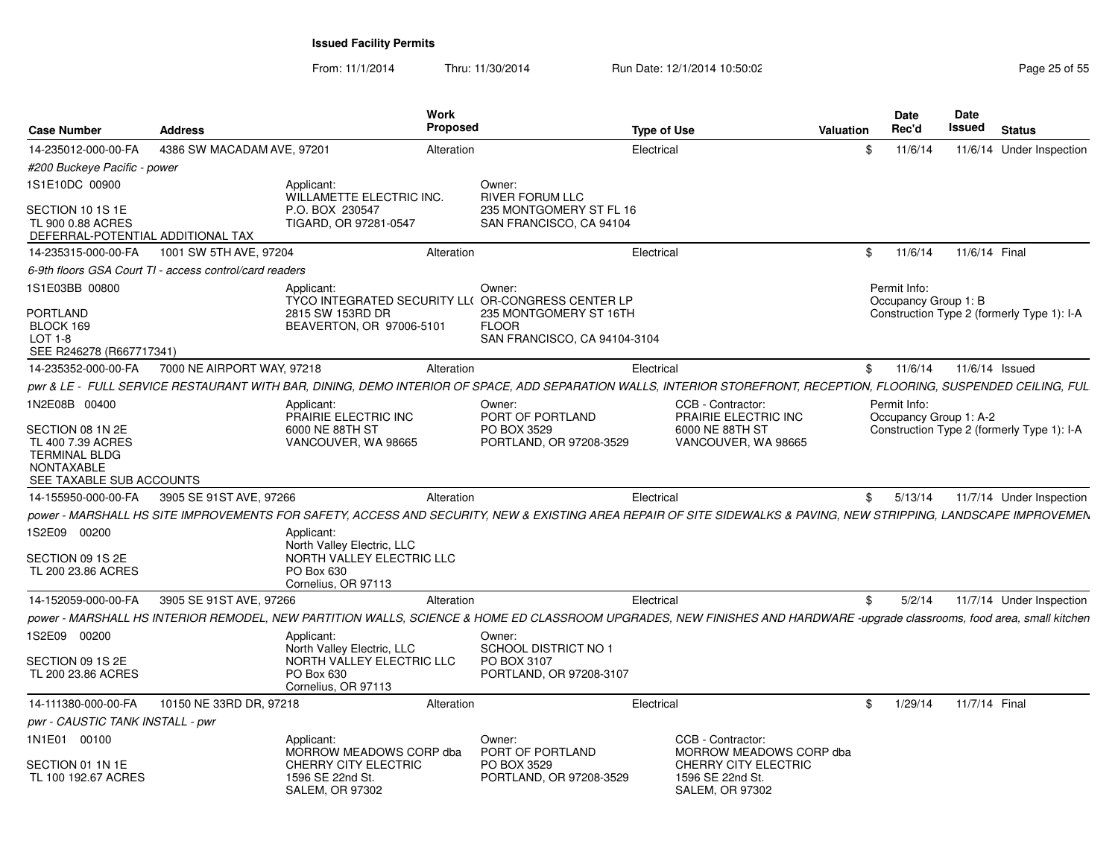| <b>Case Number</b>                                                                                      | <b>Address</b>                                          |                                                                    | Work<br><b>Proposed</b> |                                                                                                                                                                          | <b>Type of Use</b> |                                                                    | Valuation | Date<br>Rec'd                          | Date<br>Issued | <b>Status</b>                              |  |
|---------------------------------------------------------------------------------------------------------|---------------------------------------------------------|--------------------------------------------------------------------|-------------------------|--------------------------------------------------------------------------------------------------------------------------------------------------------------------------|--------------------|--------------------------------------------------------------------|-----------|----------------------------------------|----------------|--------------------------------------------|--|
| 14-235012-000-00-FA                                                                                     | 4386 SW MACADAM AVE, 97201                              |                                                                    | Alteration              |                                                                                                                                                                          | Electrical         |                                                                    | \$        | 11/6/14                                |                | 11/6/14 Under Inspection                   |  |
| #200 Buckeye Pacific - power                                                                            |                                                         |                                                                    |                         |                                                                                                                                                                          |                    |                                                                    |           |                                        |                |                                            |  |
| 1S1E10DC 00900                                                                                          |                                                         | Applicant:<br>WILLAMETTE ELECTRIC INC.                             |                         | Owner:<br>RIVER FORUM LLC                                                                                                                                                |                    |                                                                    |           |                                        |                |                                            |  |
| SECTION 10 1S 1E<br>TL 900 0.88 ACRES<br>DEFERRAL-POTENTIAL ADDITIONAL TAX                              |                                                         | P.O. BOX 230547<br>TIGARD, OR 97281-0547                           |                         | 235 MONTGOMERY ST FL 16<br>SAN FRANCISCO, CA 94104                                                                                                                       |                    |                                                                    |           |                                        |                |                                            |  |
| 14-235315-000-00-FA                                                                                     | 1001 SW 5TH AVE, 97204                                  |                                                                    | Alteration              |                                                                                                                                                                          | Electrical         |                                                                    | \$        | 11/6/14                                | 11/6/14 Final  |                                            |  |
|                                                                                                         | 6-9th floors GSA Court TI - access control/card readers |                                                                    |                         |                                                                                                                                                                          |                    |                                                                    |           |                                        |                |                                            |  |
| 1S1E03BB 00800                                                                                          |                                                         | Applicant:                                                         |                         | Owner:<br>TYCO INTEGRATED SECURITY LL( OR-CONGRESS CENTER LP                                                                                                             |                    |                                                                    |           | Permit Info:<br>Occupancy Group 1: B   |                |                                            |  |
| PORTLAND<br>BLOCK 169<br>$LOT 1-8$<br>SEE R246278 (R667717341)                                          |                                                         | 2815 SW 153RD DR<br>BEAVERTON, OR 97006-5101                       |                         | 235 MONTGOMERY ST 16TH<br><b>FLOOR</b><br>SAN FRANCISCO, CA 94104-3104                                                                                                   |                    |                                                                    |           |                                        |                | Construction Type 2 (formerly Type 1): I-A |  |
| 14-235352-000-00-FA                                                                                     | 7000 NE AIRPORT WAY, 97218                              |                                                                    | Alteration              |                                                                                                                                                                          | Electrical         |                                                                    | \$        | 11/6/14                                |                | 11/6/14 Issued                             |  |
|                                                                                                         |                                                         |                                                                    |                         | pwr & LE - FULL SERVICE RESTAURANT WITH BAR, DINING, DEMO INTERIOR OF SPACE, ADD SEPARATION WALLS, INTERIOR STOREFRONT, RECEPTION, FLOORING, SUSPENDED CEILING, FUL      |                    |                                                                    |           |                                        |                |                                            |  |
| 1N2E08B 00400                                                                                           |                                                         | Applicant:<br>PRAIRIE ELECTRIC INC                                 |                         | Owner:<br>PORT OF PORTLAND                                                                                                                                               |                    | CCB - Contractor:<br>PRAIRIE ELECTRIC INC                          |           | Permit Info:<br>Occupancy Group 1: A-2 |                |                                            |  |
| SECTION 08 1N 2E<br>TL 400 7.39 ACRES<br><b>TERMINAL BLDG</b><br>NONTAXABLE<br>SEE TAXABLE SUB ACCOUNTS |                                                         | 6000 NE 88TH ST<br>VANCOUVER, WA 98665                             |                         | PO BOX 3529<br>PORTLAND, OR 97208-3529                                                                                                                                   |                    | 6000 NE 88TH ST<br>VANCOUVER, WA 98665                             |           |                                        |                | Construction Type 2 (formerly Type 1): I-A |  |
| 14-155950-000-00-FA                                                                                     | 3905 SE 91ST AVE, 97266                                 |                                                                    | Alteration              |                                                                                                                                                                          | Electrical         |                                                                    | \$        | 5/13/14                                |                | 11/7/14 Under Inspection                   |  |
|                                                                                                         |                                                         |                                                                    |                         | power - MARSHALL HS SITE IMPROVEMENTS FOR SAFETY, ACCESS AND SECURITY, NEW & EXISTING AREA REPAIR OF SITE SIDEWALKS & PAVING, NEW STRIPPING, LANDSCAPE IMPROVEMEN        |                    |                                                                    |           |                                        |                |                                            |  |
| 1S2E09 00200                                                                                            |                                                         | Applicant:<br>North Valley Electric, LLC                           |                         |                                                                                                                                                                          |                    |                                                                    |           |                                        |                |                                            |  |
| SECTION 09 1S 2E<br>TL 200 23.86 ACRES                                                                  |                                                         | NORTH VALLEY ELECTRIC LLC<br>PO Box 630<br>Cornelius, OR 97113     |                         |                                                                                                                                                                          |                    |                                                                    |           |                                        |                |                                            |  |
| 14-152059-000-00-FA                                                                                     | 3905 SE 91ST AVE, 97266                                 |                                                                    | Alteration              |                                                                                                                                                                          | Electrical         |                                                                    | \$        | 5/2/14                                 |                | 11/7/14 Under Inspection                   |  |
|                                                                                                         |                                                         |                                                                    |                         | power - MARSHALL HS INTERIOR REMODEL, NEW PARTITION WALLS, SCIENCE & HOME ED CLASSROOM UPGRADES, NEW FINISHES AND HARDWARE -upgrade classrooms, food area, small kitchen |                    |                                                                    |           |                                        |                |                                            |  |
| 1S2E09 00200                                                                                            |                                                         | Applicant:<br>North Valley Electric, LLC                           |                         | Owner:<br>SCHOOL DISTRICT NO 1                                                                                                                                           |                    |                                                                    |           |                                        |                |                                            |  |
| SECTION 09 1S 2E<br>TL 200 23.86 ACRES                                                                  |                                                         | NORTH VALLEY ELECTRIC LLC<br>PO Box 630<br>Cornelius, OR 97113     |                         | PO BOX 3107<br>PORTLAND, OR 97208-3107                                                                                                                                   |                    |                                                                    |           |                                        |                |                                            |  |
| 14-111380-000-00-FA                                                                                     | 10150 NE 33RD DR, 97218                                 |                                                                    | Alteration              |                                                                                                                                                                          | Electrical         |                                                                    | \$        | 1/29/14                                | 11/7/14 Final  |                                            |  |
| pwr - CAUSTIC TANK INSTALL - pwr                                                                        |                                                         |                                                                    |                         |                                                                                                                                                                          |                    |                                                                    |           |                                        |                |                                            |  |
| 1N1E01 00100                                                                                            |                                                         | Applicant:<br>MORROW MEADOWS CORP dba                              |                         | Owner:<br>PORT OF PORTLAND                                                                                                                                               |                    | CCB - Contractor:<br>MORROW MEADOWS CORP dba                       |           |                                        |                |                                            |  |
| SECTION 01 1N 1E<br>TL 100 192.67 ACRES                                                                 |                                                         | CHERRY CITY ELECTRIC<br>1596 SE 22nd St.<br><b>SALEM, OR 97302</b> |                         | PO BOX 3529<br>PORTLAND, OR 97208-3529                                                                                                                                   |                    | CHERRY CITY ELECTRIC<br>1596 SE 22nd St.<br><b>SALEM, OR 97302</b> |           |                                        |                |                                            |  |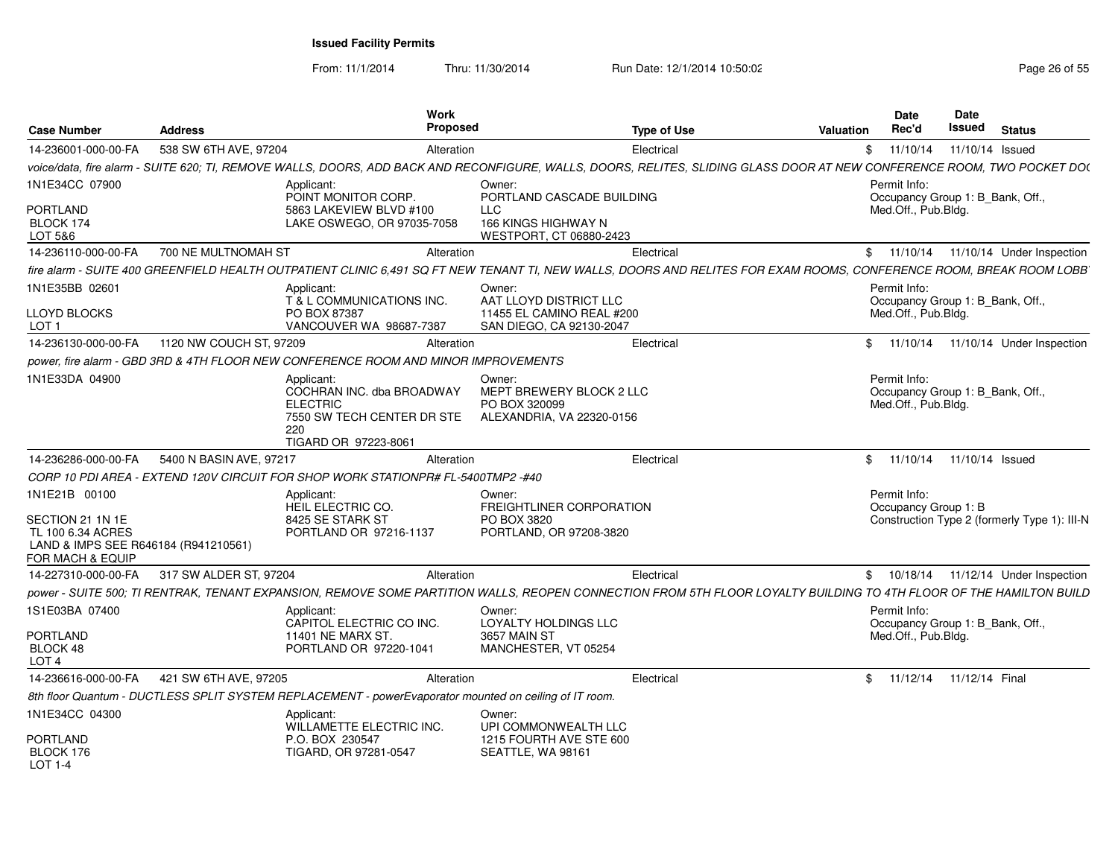From: 11/1/2014

Thru: 11/30/2014 Run Date: 12/1/2014 10:50:02 Research 2010 Rage 26 of 55

| <b>Case Number</b>                                       | <b>Address</b>          | Work<br><b>Proposed</b>                                                                                                                                                 |                                                                                  | <b>Type of Use</b> | Valuation | <b>Date</b><br>Rec'd                                                    | Date<br><b>Issued</b> | <b>Status</b>                                |
|----------------------------------------------------------|-------------------------|-------------------------------------------------------------------------------------------------------------------------------------------------------------------------|----------------------------------------------------------------------------------|--------------------|-----------|-------------------------------------------------------------------------|-----------------------|----------------------------------------------|
| 14-236001-000-00-FA                                      | 538 SW 6TH AVE, 97204   | Alteration                                                                                                                                                              |                                                                                  | Electrical         |           | \$11/10/14                                                              | 11/10/14 Issued       |                                              |
|                                                          |                         | voice/data, fire alarm - SUITE 620; TI, REMOVE WALLS, DOORS, ADD BACK AND RECONFIGURE, WALLS, DOORS, RELITES, SLIDING GLASS DOOR AT NEW CONFERENCE ROOM, TWO POCKET DO( |                                                                                  |                    |           |                                                                         |                       |                                              |
| 1N1E34CC 07900                                           |                         | Applicant:<br>POINT MONITOR CORP.                                                                                                                                       | Owner:<br>PORTLAND CASCADE BUILDING                                              |                    |           | Permit Info:<br>Occupancy Group 1: B Bank, Off.,                        |                       |                                              |
| PORTLAND<br>BLOCK 174<br>LOT 5&6                         |                         | 5863 LAKEVIEW BLVD #100<br>LAKE OSWEGO, OR 97035-7058                                                                                                                   | <b>LLC</b><br>166 KINGS HIGHWAY N<br>WESTPORT, CT 06880-2423                     |                    |           | Med.Off., Pub.Bldg.                                                     |                       |                                              |
| 14-236110-000-00-FA                                      | 700 NE MULTNOMAH ST     | Alteration                                                                                                                                                              |                                                                                  | Electrical         |           |                                                                         |                       | \$ 11/10/14 11/10/14 Under Inspection        |
|                                                          |                         | fire alarm - SUITE 400 GREENFIELD HEALTH OUTPATIENT CLINIC 6,491 SQ FT NEW TENANT TI, NEW WALLS, DOORS AND RELITES FOR EXAM ROOMS, CONFERENCE ROOM, BREAK ROOM LOBB     |                                                                                  |                    |           |                                                                         |                       |                                              |
| 1N1E35BB 02601                                           |                         | Applicant:<br>T & L COMMUNICATIONS INC.                                                                                                                                 | Owner:<br>AAT LLOYD DISTRICT LLC                                                 |                    |           | Permit Info:<br>Occupancy Group 1: B_Bank, Off.,                        |                       |                                              |
| LLOYD BLOCKS<br>LOT <sub>1</sub>                         |                         | PO BOX 87387<br>VANCOUVER WA 98687-7387                                                                                                                                 | 11455 EL CAMINO REAL #200<br>SAN DIEGO, CA 92130-2047                            |                    |           | Med.Off., Pub.Bldg.                                                     |                       |                                              |
| 14-236130-000-00-FA                                      | 1120 NW COUCH ST, 97209 | Alteration                                                                                                                                                              |                                                                                  | Electrical         |           | \$11/10/14                                                              |                       | 11/10/14 Under Inspection                    |
|                                                          |                         | power, fire alarm - GBD 3RD & 4TH FLOOR NEW CONFERENCE ROOM AND MINOR IMPROVEMENTS                                                                                      |                                                                                  |                    |           |                                                                         |                       |                                              |
| 1N1E33DA 04900                                           |                         | Applicant:<br>COCHRAN INC. dba BROADWAY<br><b>ELECTRIC</b><br>7550 SW TECH CENTER DR STE<br>220<br>TIGARD OR 97223-8061                                                 | Owner:<br>MEPT BREWERY BLOCK 2 LLC<br>PO BOX 320099<br>ALEXANDRIA. VA 22320-0156 |                    |           | Permit Info:<br>Occupancy Group 1: B_Bank, Off.,<br>Med.Off., Pub.Bldg. |                       |                                              |
| 14-236286-000-00-FA                                      | 5400 N BASIN AVE, 97217 | Alteration                                                                                                                                                              |                                                                                  | Electrical         |           | \$ 11/10/14 11/10/14 Issued                                             |                       |                                              |
|                                                          |                         | CORP 10 PDI AREA - EXTEND 120V CIRCUIT FOR SHOP WORK STATIONPR# FL-5400TMP2 -#40                                                                                        |                                                                                  |                    |           |                                                                         |                       |                                              |
| 1N1E21B 00100<br>SECTION 21 1N 1E<br>TL 100 6.34 ACRES   |                         | Applicant:<br>HEIL ELECTRIC CO.<br>8425 SE STARK ST<br>PORTLAND OR 97216-1137                                                                                           | Owner:<br>FREIGHTLINER CORPORATION<br>PO BOX 3820<br>PORTLAND, OR 97208-3820     |                    |           | Permit Info:<br>Occupancy Group 1: B                                    |                       | Construction Type 2 (formerly Type 1): III-N |
| LAND & IMPS SEE R646184 (R941210561)<br>FOR MACH & EQUIP |                         |                                                                                                                                                                         |                                                                                  |                    |           |                                                                         |                       |                                              |
| 14-227310-000-00-FA                                      | 317 SW ALDER ST, 97204  | Alteration                                                                                                                                                              |                                                                                  | Electrical         |           |                                                                         |                       | \$ 10/18/14 11/12/14 Under Inspection        |
|                                                          |                         | power - SUITE 500; TI RENTRAK, TENANT EXPANSION, REMOVE SOME PARTITION WALLS, REOPEN CONNECTION FROM 5TH FLOOR LOYALTY BUILDING TO 4TH FLOOR OF THE HAMILTON BUILD      |                                                                                  |                    |           |                                                                         |                       |                                              |
| 1S1E03BA 07400                                           |                         | Applicant:<br>CAPITOL ELECTRIC CO INC.                                                                                                                                  | Owner:<br>LOYALTY HOLDINGS LLC                                                   |                    |           | Permit Info:<br>Occupancy Group 1: B_Bank, Off.,                        |                       |                                              |
| <b>PORTLAND</b><br>BLOCK 48                              |                         | 11401 NE MARX ST<br>PORTLAND OR 97220-1041                                                                                                                              | 3657 MAIN ST<br>MANCHESTER, VT 05254                                             |                    |           | Med.Off., Pub.Bldg.                                                     |                       |                                              |
| LOT <sub>4</sub>                                         |                         |                                                                                                                                                                         |                                                                                  |                    |           |                                                                         |                       |                                              |
| 14-236616-000-00-FA                                      | 421 SW 6TH AVE, 97205   | Alteration                                                                                                                                                              |                                                                                  | Electrical         |           | \$ 11/12/14 11/12/14 Final                                              |                       |                                              |
|                                                          |                         | 8th floor Quantum - DUCTLESS SPLIT SYSTEM REPLACEMENT - powerEvaporator mounted on ceiling of IT room.                                                                  |                                                                                  |                    |           |                                                                         |                       |                                              |
| 1N1E34CC 04300                                           |                         | Applicant:<br>WILLAMETTE ELECTRIC INC.                                                                                                                                  | Owner:<br>UPI COMMONWEALTH LLC                                                   |                    |           |                                                                         |                       |                                              |
| <b>PORTLAND</b><br>BLOCK 176<br>LOT 1-4                  |                         | P.O. BOX 230547<br>TIGARD, OR 97281-0547                                                                                                                                | 1215 FOURTH AVE STE 600<br>SEATTLE, WA 98161                                     |                    |           |                                                                         |                       |                                              |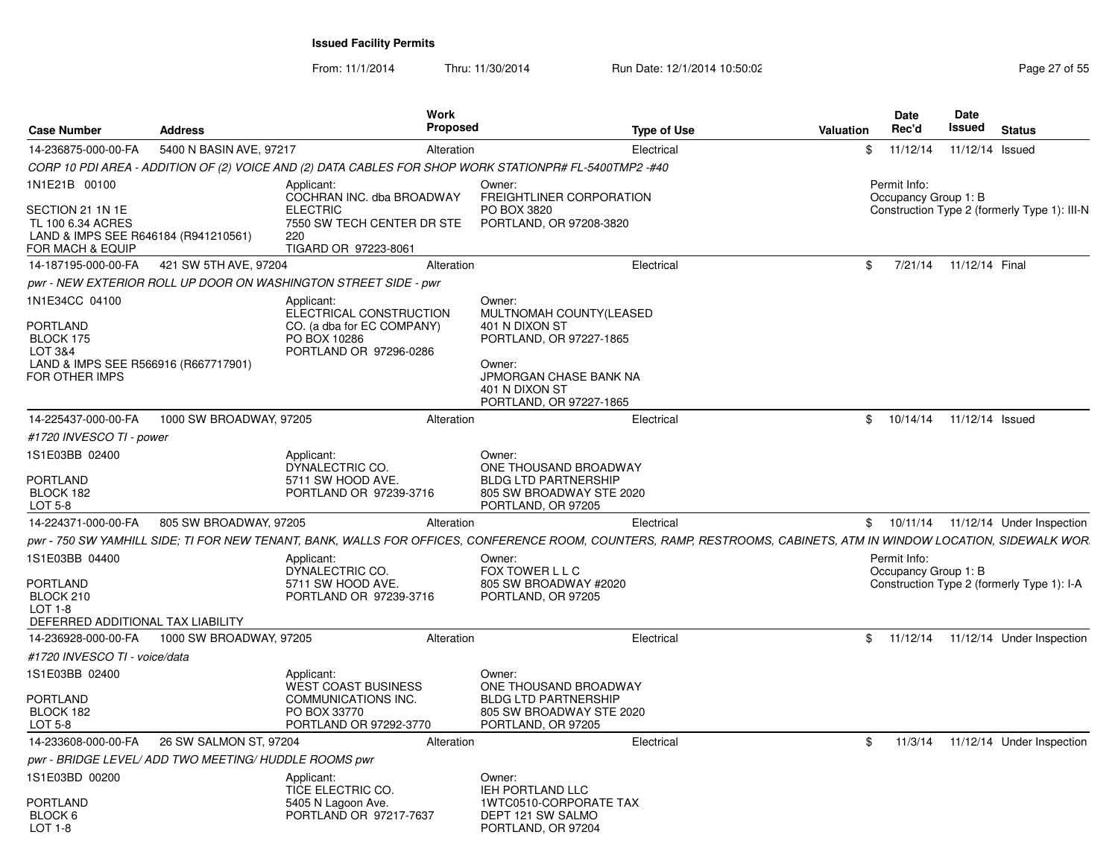| <b>Case Number</b>                                                                                           | <b>Address</b>                                        | <b>Work</b><br><b>Proposed</b>                                                                                | <b>Type of Use</b>                                                                                                                                                | Valuation |                            | Date<br>Rec'd                        | <b>Date</b><br>Issued | <b>Status</b>                                |
|--------------------------------------------------------------------------------------------------------------|-------------------------------------------------------|---------------------------------------------------------------------------------------------------------------|-------------------------------------------------------------------------------------------------------------------------------------------------------------------|-----------|----------------------------|--------------------------------------|-----------------------|----------------------------------------------|
| 14-236875-000-00-FA                                                                                          | 5400 N BASIN AVE, 97217                               | Alteration                                                                                                    | Electrical                                                                                                                                                        |           | \$                         | 11/12/14                             | 11/12/14 Issued       |                                              |
|                                                                                                              |                                                       | CORP 10 PDI AREA - ADDITION OF (2) VOICE AND (2) DATA CABLES FOR SHOP WORK STATIONPR# FL-5400TMP2 -#40        |                                                                                                                                                                   |           |                            |                                      |                       |                                              |
| 1N1E21B 00100                                                                                                |                                                       | Applicant:<br>COCHRAN INC. dba BROADWAY                                                                       | Owner:<br>FREIGHTLINER CORPORATION                                                                                                                                |           |                            | Permit Info:<br>Occupancy Group 1: B |                       |                                              |
| SECTION 21 1N 1E<br>TL 100 6.34 ACRES<br>LAND & IMPS SEE R646184 (R941210561)<br>FOR MACH & EQUIP            |                                                       | <b>ELECTRIC</b><br>7550 SW TECH CENTER DR STE<br>220<br>TIGARD OR 97223-8061                                  | PO BOX 3820<br>PORTLAND, OR 97208-3820                                                                                                                            |           |                            |                                      |                       | Construction Type 2 (formerly Type 1): III-N |
| 14-187195-000-00-FA                                                                                          | 421 SW 5TH AVE, 97204                                 | Alteration                                                                                                    | Electrical                                                                                                                                                        |           | \$                         | 7/21/14                              | 11/12/14 Final        |                                              |
|                                                                                                              |                                                       | pwr - NEW EXTERIOR ROLL UP DOOR ON WASHINGTON STREET SIDE - pwr                                               |                                                                                                                                                                   |           |                            |                                      |                       |                                              |
| 1N1E34CC 04100<br>PORTLAND<br>BLOCK 175<br>LOT 3&4<br>LAND & IMPS SEE R566916 (R667717901)<br>FOR OTHER IMPS |                                                       | Applicant:<br>ELECTRICAL CONSTRUCTION<br>CO. (a dba for EC COMPANY)<br>PO BOX 10286<br>PORTLAND OR 97296-0286 | Owner:<br>MULTNOMAH COUNTY(LEASED<br>401 N DIXON ST<br>PORTLAND, OR 97227-1865<br>Owner:<br>JPMORGAN CHASE BANK NA<br>401 N DIXON ST<br>PORTLAND, OR 97227-1865   |           |                            |                                      |                       |                                              |
| 14-225437-000-00-FA                                                                                          | 1000 SW BROADWAY, 97205                               | Alteration                                                                                                    | Electrical                                                                                                                                                        |           | $\textcircled{\texttt{S}}$ | 10/14/14                             | 11/12/14 Issued       |                                              |
| #1720 INVESCO TI - power                                                                                     |                                                       |                                                                                                               |                                                                                                                                                                   |           |                            |                                      |                       |                                              |
| 1S1E03BB 02400<br>PORTLAND<br>BLOCK 182<br>LOT 5-8                                                           |                                                       | Applicant:<br>DYNALECTRIC CO.<br>5711 SW HOOD AVE.<br>PORTLAND OR 97239-3716                                  | Owner:<br>ONE THOUSAND BROADWAY<br><b>BLDG LTD PARTNERSHIP</b><br>805 SW BROADWAY STE 2020<br>PORTLAND, OR 97205                                                  |           |                            |                                      |                       |                                              |
| 14-224371-000-00-FA                                                                                          | 805 SW BROADWAY, 97205                                | Alteration                                                                                                    | Electrical                                                                                                                                                        |           |                            | \$10/11/14                           |                       | 11/12/14 Under Inspection                    |
|                                                                                                              |                                                       |                                                                                                               | pwr - 750 SW YAMHILL SIDE; TI FOR NEW TENANT, BANK, WALLS FOR OFFICES, CONFERENCE ROOM, COUNTERS, RAMP, RESTROOMS, CABINETS, ATM IN WINDOW LOCATION, SIDEWALK WOR |           |                            |                                      |                       |                                              |
| 1S1E03BB 04400<br><b>PORTLAND</b><br>BLOCK 210<br>$LOT 1-8$<br>DEFERRED ADDITIONAL TAX LIABILITY             |                                                       | Applicant:<br>DYNALECTRIC CO.<br>5711 SW HOOD AVE.<br>PORTLAND OR 97239-3716                                  | Owner:<br>FOX TOWER L L C<br>805 SW BROADWAY #2020<br>PORTLAND, OR 97205                                                                                          |           |                            | Permit Info:<br>Occupancy Group 1: B |                       | Construction Type 2 (formerly Type 1): I-A   |
| 14-236928-000-00-FA                                                                                          | 1000 SW BROADWAY, 97205                               | Alteration                                                                                                    | Electrical                                                                                                                                                        |           | \$                         | 11/12/14                             |                       | 11/12/14 Under Inspection                    |
| #1720 INVESCO TI - voice/data                                                                                |                                                       |                                                                                                               |                                                                                                                                                                   |           |                            |                                      |                       |                                              |
| 1S1E03BB 02400                                                                                               |                                                       | Applicant:<br><b>WEST COAST BUSINESS</b>                                                                      | Owner:<br>ONE THOUSAND BROADWAY                                                                                                                                   |           |                            |                                      |                       |                                              |
| <b>PORTLAND</b>                                                                                              |                                                       | COMMUNICATIONS INC.                                                                                           | <b>BLDG LTD PARTNERSHIP</b>                                                                                                                                       |           |                            |                                      |                       |                                              |
| BLOCK 182                                                                                                    |                                                       | PO BOX 33770                                                                                                  | 805 SW BROADWAY STE 2020                                                                                                                                          |           |                            |                                      |                       |                                              |
| LOT 5-8                                                                                                      |                                                       | PORTLAND OR 97292-3770                                                                                        | PORTLAND, OR 97205                                                                                                                                                |           |                            |                                      |                       |                                              |
| 14-233608-000-00-FA                                                                                          | 26 SW SALMON ST, 97204                                | Alteration                                                                                                    | Electrical                                                                                                                                                        |           | \$                         | 11/3/14                              |                       | 11/12/14 Under Inspection                    |
| 1S1E03BD 00200                                                                                               | pwr - BRIDGE LEVEL/ ADD TWO MEETING/ HUDDLE ROOMS pwr |                                                                                                               |                                                                                                                                                                   |           |                            |                                      |                       |                                              |
| PORTLAND<br>BLOCK 6<br>LOT 1-8                                                                               |                                                       | Applicant:<br>TICE ELECTRIC CO.<br>5405 N Lagoon Ave.<br>PORTLAND OR 97217-7637                               | Owner:<br><b>IEH PORTLAND LLC</b><br>1WTC0510-CORPORATE TAX<br>DEPT 121 SW SALMO<br>PORTLAND, OR 97204                                                            |           |                            |                                      |                       |                                              |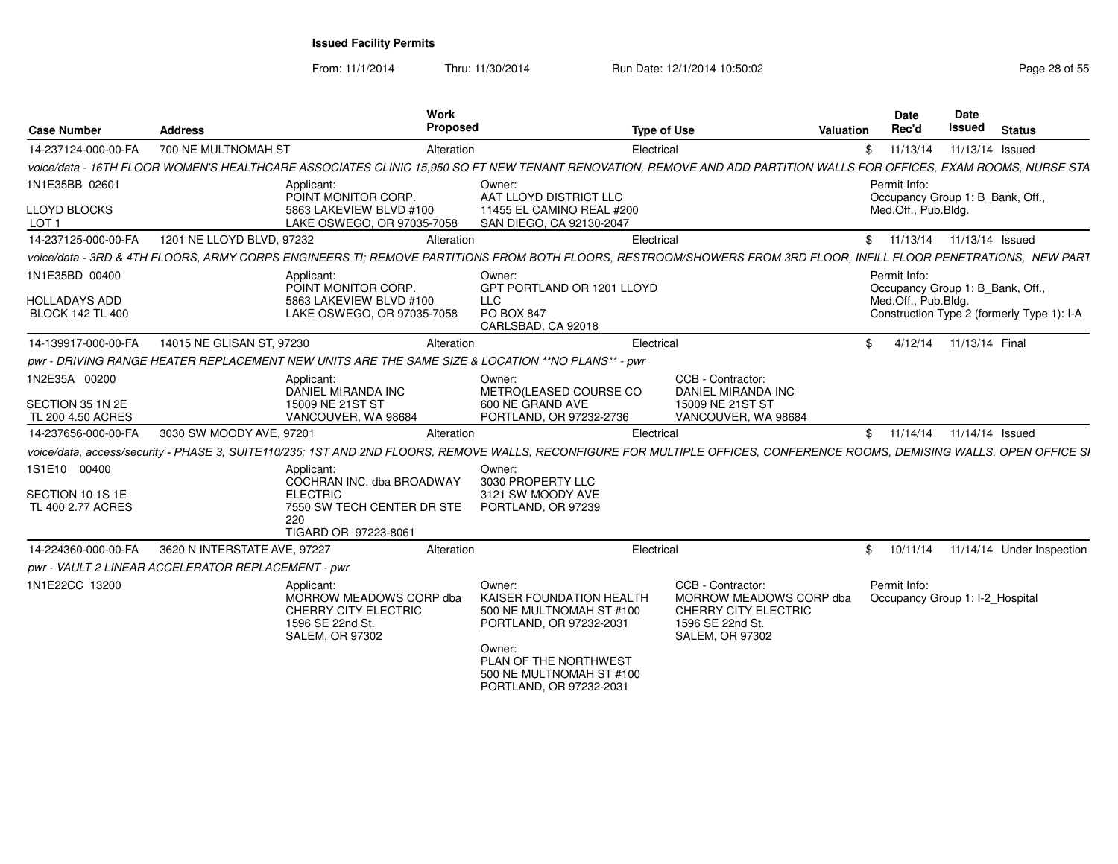From: 11/1/2014

Thru: 11/30/2014 Run Date: 12/1/2014 10:50:02 Research 2010 Page 28 of 55

| <b>Case Number</b>                                 | <b>Address</b>               | Work<br>Proposed                                                                                                   |                                                                                                                                                          | <b>Type of Use</b><br>Valuation                                                                                                                                           | <b>Date</b><br>Rec'd | <b>Date</b><br>Issued<br><b>Status</b>     |  |
|----------------------------------------------------|------------------------------|--------------------------------------------------------------------------------------------------------------------|----------------------------------------------------------------------------------------------------------------------------------------------------------|---------------------------------------------------------------------------------------------------------------------------------------------------------------------------|----------------------|--------------------------------------------|--|
|                                                    |                              |                                                                                                                    |                                                                                                                                                          |                                                                                                                                                                           |                      |                                            |  |
| 14-237124-000-00-FA                                | 700 NE MULTNOMAH ST          | Alteration                                                                                                         |                                                                                                                                                          | Electrical                                                                                                                                                                | \$11/13/14           | 11/13/14 Issued                            |  |
|                                                    |                              |                                                                                                                    |                                                                                                                                                          | voice/data - 16TH FLOOR WOMEN'S HEALTHCARE ASSOCIATES CLINIC 15,950 SQ FT NEW TENANT RENOVATION, REMOVE AND ADD PARTITION WALLS FOR OFFICES, EXAM ROOMS, NURSE STA        |                      |                                            |  |
| 1N1E35BB 0260                                      |                              | Applicant:<br>POINT MONITOR CORP.                                                                                  | Owner:<br>AAT LLOYD DISTRICT LLC                                                                                                                         |                                                                                                                                                                           | Permit Info:         | Occupancy Group 1: B_Bank, Off.            |  |
| <b>LLOYD BLOCKS</b><br>LOT <sub>1</sub>            |                              | 5863 LAKEVIEW BLVD #100<br>LAKE OSWEGO, OR 97035-7058                                                              | 11455 EL CAMINO REAL #200<br>SAN DIEGO, CA 92130-2047                                                                                                    |                                                                                                                                                                           | Med.Off., Pub.Bldg.  |                                            |  |
| 14-237125-000-00-FA                                | 1201 NE LLOYD BLVD, 97232    | Alteration                                                                                                         |                                                                                                                                                          | Electrical                                                                                                                                                                |                      | \$ 11/13/14 11/13/14 Issued                |  |
|                                                    |                              |                                                                                                                    |                                                                                                                                                          | voice/data - 3RD & 4TH FLOORS, ARMY CORPS ENGINEERS TI; REMOVE PARTITIONS FROM BOTH FLOORS, RESTROOM/SHOWERS FROM 3RD FLOOR, INFILL FLOOR PENETRATIONS, NEW PART          |                      |                                            |  |
| 1N1E35BD 00400                                     |                              | Applicant:<br>POINT MONITOR CORP.                                                                                  | Owner:<br>GPT PORTLAND OR 1201 LLOYD                                                                                                                     |                                                                                                                                                                           | Permit Info:         | Occupancy Group 1: B_Bank, Off.,           |  |
| <b>HOLLADAYS ADD</b><br><b>BLOCK 142 TL 400</b>    |                              | 5863 LAKEVIEW BLVD #100<br>LAKE OSWEGO, OR 97035-7058                                                              | <b>LLC</b><br>PO BOX 847<br>CARLSBAD, CA 92018                                                                                                           |                                                                                                                                                                           | Med.Off., Pub.Bldg.  | Construction Type 2 (formerly Type 1): I-A |  |
| 14-139917-000-00-FA                                | 14015 NE GLISAN ST, 97230    | Alteration                                                                                                         |                                                                                                                                                          | Electrical                                                                                                                                                                |                      | \$ 4/12/14 11/13/14 Final                  |  |
|                                                    |                              | pwr - DRIVING RANGE HEATER REPLACEMENT NEW UNITS ARE THE SAME SIZE & LOCATION ** NO PLANS** - pwr                  |                                                                                                                                                          |                                                                                                                                                                           |                      |                                            |  |
| 1N2E35A 00200                                      |                              | Applicant:<br>DANIEL MIRANDA INC                                                                                   | Owner:                                                                                                                                                   | CCB - Contractor:                                                                                                                                                         |                      |                                            |  |
| SECTION 35 1N 2E<br>TL 200 4.50 ACRES              |                              | 15009 NE 21ST ST<br>VANCOUVER, WA 98684                                                                            | METRO(LEASED COURSE CO<br>600 NE GRAND AVE<br>PORTLAND, OR 97232-2736                                                                                    | DANIEL MIRANDA INC<br>15009 NE 21ST ST<br>VANCOUVER, WA 98684                                                                                                             |                      |                                            |  |
| 14-237656-000-00-FA                                | 3030 SW MOODY AVE, 97201     | Alteration                                                                                                         |                                                                                                                                                          | Electrical                                                                                                                                                                |                      | \$ 11/14/14 11/14/14 Issued                |  |
|                                                    |                              |                                                                                                                    |                                                                                                                                                          | voice/data, access/security - PHASE 3, SUITE110/235; 1ST AND 2ND FLOORS, REMOVE WALLS, RECONFIGURE FOR MULTIPLE OFFICES, CONFERENCE ROOMS, DEMISING WALLS, OPEN OFFICE SI |                      |                                            |  |
| 1S1E10 00400                                       |                              | Applicant:                                                                                                         | Owner:                                                                                                                                                   |                                                                                                                                                                           |                      |                                            |  |
| SECTION 10 1S 1E                                   |                              | COCHRAN INC. dba BROADWAY<br><b>ELECTRIC</b>                                                                       | 3030 PROPERTY LLC<br>3121 SW MOODY AVE                                                                                                                   |                                                                                                                                                                           |                      |                                            |  |
| TL 400 2.77 ACRES                                  |                              | 7550 SW TECH CENTER DR STE<br>220                                                                                  | PORTLAND, OR 97239                                                                                                                                       |                                                                                                                                                                           |                      |                                            |  |
|                                                    |                              | TIGARD OR 97223-8061                                                                                               |                                                                                                                                                          |                                                                                                                                                                           |                      |                                            |  |
| 14-224360-000-00-FA                                | 3620 N INTERSTATE AVE, 97227 | Alteration                                                                                                         |                                                                                                                                                          | Electrical                                                                                                                                                                | \$10/11/14           | 11/14/14 Under Inspection                  |  |
| pwr - VAULT 2 LINEAR ACCELERATOR REPLACEMENT - pwr |                              |                                                                                                                    |                                                                                                                                                          |                                                                                                                                                                           |                      |                                            |  |
| 1N1E22CC 13200                                     |                              | Applicant:<br>MORROW MEADOWS CORP dba<br><b>CHERRY CITY ELECTRIC</b><br>1596 SE 22nd St.<br><b>SALEM, OR 97302</b> | Owner:<br>KAISER FOUNDATION HEALTH<br>500 NE MULTNOMAH ST #100<br>PORTLAND, OR 97232-2031<br>Owner:<br>PLAN OF THE NORTHWEST<br>500 NE MULTNOMAH ST #100 | CCB - Contractor:<br>MORROW MEADOWS CORP dba<br>CHERRY CITY ELECTRIC<br>1596 SE 22nd St.<br><b>SALEM, OR 97302</b>                                                        | Permit Info:         | Occupancy Group 1: I-2_Hospital            |  |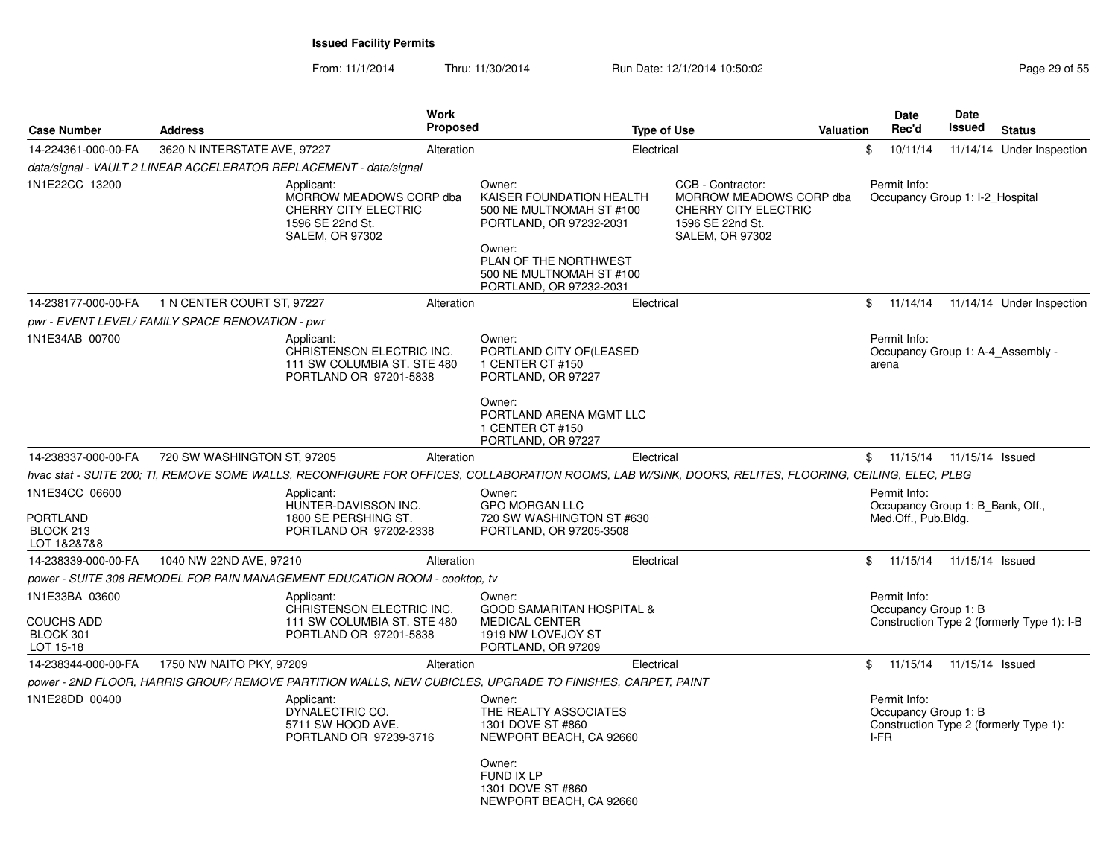| <b>Case Number</b>                                            | <b>Address</b>                                   | <b>Work</b><br><b>Proposed</b>                                                                                                                        | <b>Type of Use</b>                                                                                                                                                                  |                                                                                                                           | Valuation |      | <b>Date</b><br>Rec'd                                                    | <b>Date</b><br>Issued | <b>Status</b>                              |
|---------------------------------------------------------------|--------------------------------------------------|-------------------------------------------------------------------------------------------------------------------------------------------------------|-------------------------------------------------------------------------------------------------------------------------------------------------------------------------------------|---------------------------------------------------------------------------------------------------------------------------|-----------|------|-------------------------------------------------------------------------|-----------------------|--------------------------------------------|
| 14-224361-000-00-FA                                           | 3620 N INTERSTATE AVE, 97227                     | Alteration                                                                                                                                            | Electrical                                                                                                                                                                          |                                                                                                                           |           | \$   | 10/11/14                                                                |                       | 11/14/14 Under Inspection                  |
|                                                               |                                                  | data/signal - VAULT 2 LINEAR ACCELERATOR REPLACEMENT - data/signal                                                                                    |                                                                                                                                                                                     |                                                                                                                           |           |      |                                                                         |                       |                                            |
| 1N1E22CC 13200                                                |                                                  | Applicant:<br>MORROW MEADOWS CORP dba<br><b>CHERRY CITY ELECTRIC</b><br>1596 SE 22nd St.<br><b>SALEM, OR 97302</b>                                    | Owner:<br>KAISER FOUNDATION HEALTH<br>500 NE MULTNOMAH ST #100<br>PORTLAND, OR 97232-2031<br>Owner:<br>PLAN OF THE NORTHWEST<br>500 NE MULTNOMAH ST #100<br>PORTLAND, OR 97232-2031 | CCB - Contractor:<br>MORROW MEADOWS CORP dba<br><b>CHERRY CITY ELECTRIC</b><br>1596 SE 22nd St.<br><b>SALEM, OR 97302</b> |           |      | Permit Info:<br>Occupancy Group 1: I-2 Hospital                         |                       |                                            |
| 14-238177-000-00-FA                                           | 1 N CENTER COURT ST, 97227                       | Alteration                                                                                                                                            | Electrical                                                                                                                                                                          |                                                                                                                           |           | \$   | 11/14/14                                                                |                       | 11/14/14 Under Inspection                  |
|                                                               | pwr - EVENT LEVEL/ FAMILY SPACE RENOVATION - pwr |                                                                                                                                                       |                                                                                                                                                                                     |                                                                                                                           |           |      |                                                                         |                       |                                            |
| 1N1E34AB 00700                                                |                                                  | Applicant:<br>CHRISTENSON ELECTRIC INC.<br>111 SW COLUMBIA ST. STE 480<br>PORTLAND OR 97201-5838                                                      | Owner:<br>PORTLAND CITY OF(LEASED<br>1 CENTER CT #150<br>PORTLAND, OR 97227<br>Owner:<br>PORTLAND ARENA MGMT LLC                                                                    |                                                                                                                           |           |      | Permit Info:<br>arena                                                   |                       | Occupancy Group 1: A-4 Assembly -          |
|                                                               |                                                  |                                                                                                                                                       | 1 CENTER CT #150<br>PORTLAND, OR 97227                                                                                                                                              |                                                                                                                           |           |      |                                                                         |                       |                                            |
| 14-238337-000-00-FA                                           | 720 SW WASHINGTON ST, 97205                      | Alteration                                                                                                                                            | Electrical                                                                                                                                                                          |                                                                                                                           |           |      | \$11/15/14                                                              | 11/15/14 Issued       |                                            |
|                                                               |                                                  | hvac stat - SUITE 200; TI, REMOVE SOME WALLS, RECONFIGURE FOR OFFICES, COLLABORATION ROOMS, LAB W/SINK, DOORS, RELITES, FLOORING, CEILING, ELEC, PLBG |                                                                                                                                                                                     |                                                                                                                           |           |      |                                                                         |                       |                                            |
| 1N1E34CC 06600<br>PORTLAND<br>BLOCK 213<br>LOT 1&2&7&8        |                                                  | Applicant:<br>HUNTER-DAVISSON INC.<br>1800 SE PERSHING ST.<br>PORTLAND OR 97202-2338                                                                  | Owner:<br><b>GPO MORGAN LLC</b><br>720 SW WASHINGTON ST #630<br>PORTLAND, OR 97205-3508                                                                                             |                                                                                                                           |           |      | Permit Info:<br>Occupancy Group 1: B Bank, Off.,<br>Med.Off., Pub.Bldg. |                       |                                            |
| 14-238339-000-00-FA                                           | 1040 NW 22ND AVE, 97210                          | Alteration                                                                                                                                            | Electrical                                                                                                                                                                          |                                                                                                                           |           | \$   | 11/15/14                                                                | 11/15/14 Issued       |                                            |
|                                                               |                                                  | power - SUITE 308 REMODEL FOR PAIN MANAGEMENT EDUCATION ROOM - cooktop, tv                                                                            |                                                                                                                                                                                     |                                                                                                                           |           |      |                                                                         |                       |                                            |
| 1N1E33BA 03600<br><b>COUCHS ADD</b><br>BLOCK 301<br>LOT 15-18 |                                                  | Applicant:<br>CHRISTENSON ELECTRIC INC.<br>111 SW COLUMBIA ST. STE 480<br>PORTLAND OR 97201-5838                                                      | Owner:<br><b>GOOD SAMARITAN HOSPITAL &amp;</b><br><b>MEDICAL CENTER</b><br>1919 NW LOVEJOY ST<br>PORTLAND, OR 97209                                                                 |                                                                                                                           |           |      | Permit Info:<br>Occupancy Group 1: B                                    |                       | Construction Type 2 (formerly Type 1): I-B |
| 14-238344-000-00-FA                                           | 1750 NW NAITO PKY, 97209                         | Alteration                                                                                                                                            | Electrical                                                                                                                                                                          |                                                                                                                           |           | \$   | 11/15/14                                                                | 11/15/14 Issued       |                                            |
|                                                               |                                                  | power - 2ND FLOOR, HARRIS GROUP/ REMOVE PARTITION WALLS, NEW CUBICLES, UPGRADE TO FINISHES, CARPET, PAINT                                             |                                                                                                                                                                                     |                                                                                                                           |           |      |                                                                         |                       |                                            |
| 1N1E28DD 00400                                                |                                                  | Applicant:<br>DYNALECTRIC CO.<br>5711 SW HOOD AVE.<br>PORTLAND OR 97239-3716                                                                          | Owner:<br>THE REALTY ASSOCIATES<br>1301 DOVE ST #860<br>NEWPORT BEACH, CA 92660                                                                                                     |                                                                                                                           |           | I-FR | Permit Info:<br>Occupancy Group 1: B                                    |                       | Construction Type 2 (formerly Type 1):     |
|                                                               |                                                  |                                                                                                                                                       | Owner:<br><b>FUND IX LP</b><br>1301 DOVE ST #860<br>NEWPORT BEACH, CA 92660                                                                                                         |                                                                                                                           |           |      |                                                                         |                       |                                            |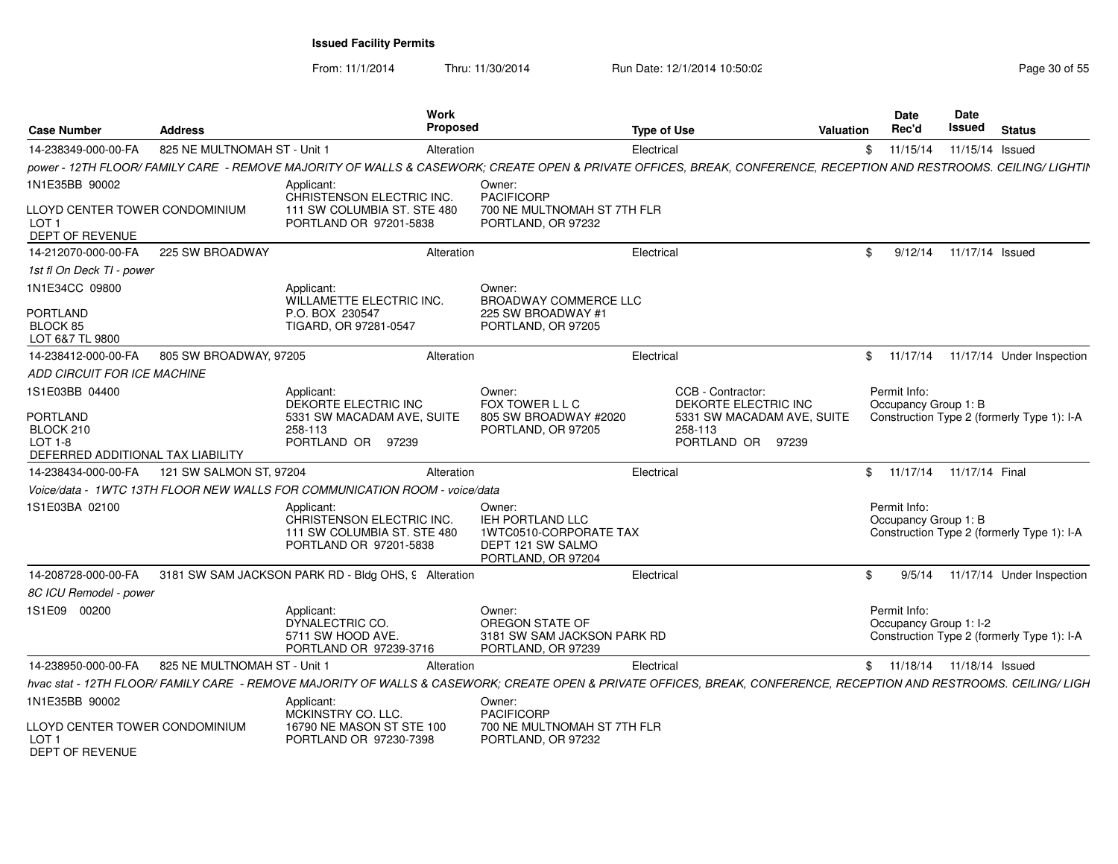| <b>Case Number</b>                                                             | <b>Address</b>               | Work<br>Proposed                                                                                                                                                    |                                                                                                 | <b>Type of Use</b>                                         | <b>Valuation</b> | Date<br>Rec'd                          | Date<br>Issued  | <b>Status</b>                              |
|--------------------------------------------------------------------------------|------------------------------|---------------------------------------------------------------------------------------------------------------------------------------------------------------------|-------------------------------------------------------------------------------------------------|------------------------------------------------------------|------------------|----------------------------------------|-----------------|--------------------------------------------|
| 14-238349-000-00-FA                                                            | 825 NE MULTNOMAH ST - Unit 1 | Alteration                                                                                                                                                          |                                                                                                 | Electrical                                                 | \$               | 11/15/14                               | 11/15/14 Issued |                                            |
|                                                                                |                              | power - 12TH FLOOR/ FAMILY CARE - REMOVE MAJORITY OF WALLS & CASEWORK; CREATE OPEN & PRIVATE OFFICES, BREAK, CONFERENCE, RECEPTION AND RESTROOMS. CEILING/ LIGHTIN  |                                                                                                 |                                                            |                  |                                        |                 |                                            |
| 1N1E35BB 90002                                                                 |                              | Applicant<br>CHRISTENSON ELECTRIC INC.                                                                                                                              | Owner:<br><b>PACIFICORP</b>                                                                     |                                                            |                  |                                        |                 |                                            |
| LLOYD CENTER TOWER CONDOMINIUM<br>LOT <sub>1</sub><br>DEPT OF REVENUE          |                              | 111 SW COLUMBIA ST. STE 480<br>PORTLAND OR 97201-5838                                                                                                               | 700 NE MULTNOMAH ST 7TH FLR<br>PORTLAND, OR 97232                                               |                                                            |                  |                                        |                 |                                            |
| 14-212070-000-00-FA                                                            | 225 SW BROADWAY              | Alteration                                                                                                                                                          |                                                                                                 | Electrical                                                 | \$.              | 9/12/14                                | 11/17/14 Issued |                                            |
| 1st fl On Deck TI - power                                                      |                              |                                                                                                                                                                     |                                                                                                 |                                                            |                  |                                        |                 |                                            |
| 1N1E34CC 09800                                                                 |                              | Applicant:<br>WILLAMETTE ELECTRIC INC.                                                                                                                              | Owner:<br><b>BROADWAY COMMERCE LLC</b>                                                          |                                                            |                  |                                        |                 |                                            |
| <b>PORTLAND</b><br>BLOCK 85<br>LOT 6&7 TL 9800                                 |                              | P.O. BOX 230547<br>TIGARD, OR 97281-0547                                                                                                                            | 225 SW BROADWAY #1<br>PORTLAND, OR 97205                                                        |                                                            |                  |                                        |                 |                                            |
| 14-238412-000-00-FA                                                            | 805 SW BROADWAY, 97205       | Alteration                                                                                                                                                          |                                                                                                 | Electrical                                                 |                  | \$11/17/14                             |                 | 11/17/14 Under Inspection                  |
| ADD CIRCUIT FOR ICE MACHINE                                                    |                              |                                                                                                                                                                     |                                                                                                 |                                                            |                  |                                        |                 |                                            |
| 1S1E03BB 04400                                                                 |                              | Applicant:<br>DEKORTE ELECTRIC INC                                                                                                                                  | Owner:<br>FOX TOWER L L C                                                                       | CCB - Contractor:<br>DEKORTE ELECTRIC INC                  |                  | Permit Info:<br>Occupancy Group 1: B   |                 |                                            |
| <b>PORTLAND</b><br>BLOCK 210<br>$LOT 1-8$<br>DEFERRED ADDITIONAL TAX LIABILITY |                              | 5331 SW MACADAM AVE, SUITE<br>258-113<br>PORTLAND OR 97239                                                                                                          | 805 SW BROADWAY #2020<br>PORTLAND, OR 97205                                                     | 5331 SW MACADAM AVE, SUITE<br>258-113<br>PORTLAND OR 97239 |                  |                                        |                 | Construction Type 2 (formerly Type 1): I-A |
| 14-238434-000-00-FA                                                            | 121 SW SALMON ST, 97204      | Alteration                                                                                                                                                          |                                                                                                 | Electrical                                                 |                  | \$ 11/17/14 11/17/14 Final             |                 |                                            |
|                                                                                |                              | Voice/data - 1WTC 13TH FLOOR NEW WALLS FOR COMMUNICATION ROOM - voice/data                                                                                          |                                                                                                 |                                                            |                  |                                        |                 |                                            |
| 1S1E03BA 02100                                                                 |                              | Applicant:<br>CHRISTENSON ELECTRIC INC.<br>111 SW COLUMBIA ST. STE 480<br>PORTLAND OR 97201-5838                                                                    | Owner:<br>IEH PORTLAND LLC<br>1WTC0510-CORPORATE TAX<br>DEPT 121 SW SALMO<br>PORTLAND, OR 97204 |                                                            |                  | Permit Info:<br>Occupancy Group 1: B   |                 | Construction Type 2 (formerly Type 1): I-A |
| 14-208728-000-00-FA                                                            |                              | 3181 SW SAM JACKSON PARK RD - Bldg OHS, 9 Alteration                                                                                                                |                                                                                                 | Electrical                                                 | \$               | 9/5/14                                 |                 | 11/17/14 Under Inspection                  |
| 8C ICU Remodel - power                                                         |                              |                                                                                                                                                                     |                                                                                                 |                                                            |                  |                                        |                 |                                            |
| 1S1E09 00200                                                                   |                              | Applicant:<br>DYNALECTRIC CO.<br>5711 SW HOOD AVE.<br>PORTLAND OR 97239-3716                                                                                        | Owner:<br>OREGON STATE OF<br>3181 SW SAM JACKSON PARK RD<br>PORTLAND, OR 97239                  |                                                            |                  | Permit Info:<br>Occupancy Group 1: I-2 |                 | Construction Type 2 (formerly Type 1): I-A |
| 14-238950-000-00-FA                                                            | 825 NE MULTNOMAH ST - Unit 1 | Alteration                                                                                                                                                          |                                                                                                 | Electrical                                                 |                  | \$ 11/18/14 11/18/14 Issued            |                 |                                            |
|                                                                                |                              | hvac stat - 12TH FLOOR/ FAMILY CARE - REMOVE MAJORITY OF WALLS & CASEWORK: CREATE OPEN & PRIVATE OFFICES, BREAK, CONFERENCE, RECEPTION AND RESTROOMS. CEILING/ LIGH |                                                                                                 |                                                            |                  |                                        |                 |                                            |
| 1N1E35BB 90002                                                                 |                              | Applicant:<br>MCKINSTRY CO. LLC.                                                                                                                                    | Owner:<br><b>PACIFICORP</b>                                                                     |                                                            |                  |                                        |                 |                                            |
| LLOYD CENTER TOWER CONDOMINIUM<br>LOT <sub>1</sub><br>DEPT OF REVENUE          |                              | 16790 NE MASON ST STE 100<br>PORTLAND OR 97230-7398                                                                                                                 | 700 NE MULTNOMAH ST 7TH FLR<br>PORTLAND, OR 97232                                               |                                                            |                  |                                        |                 |                                            |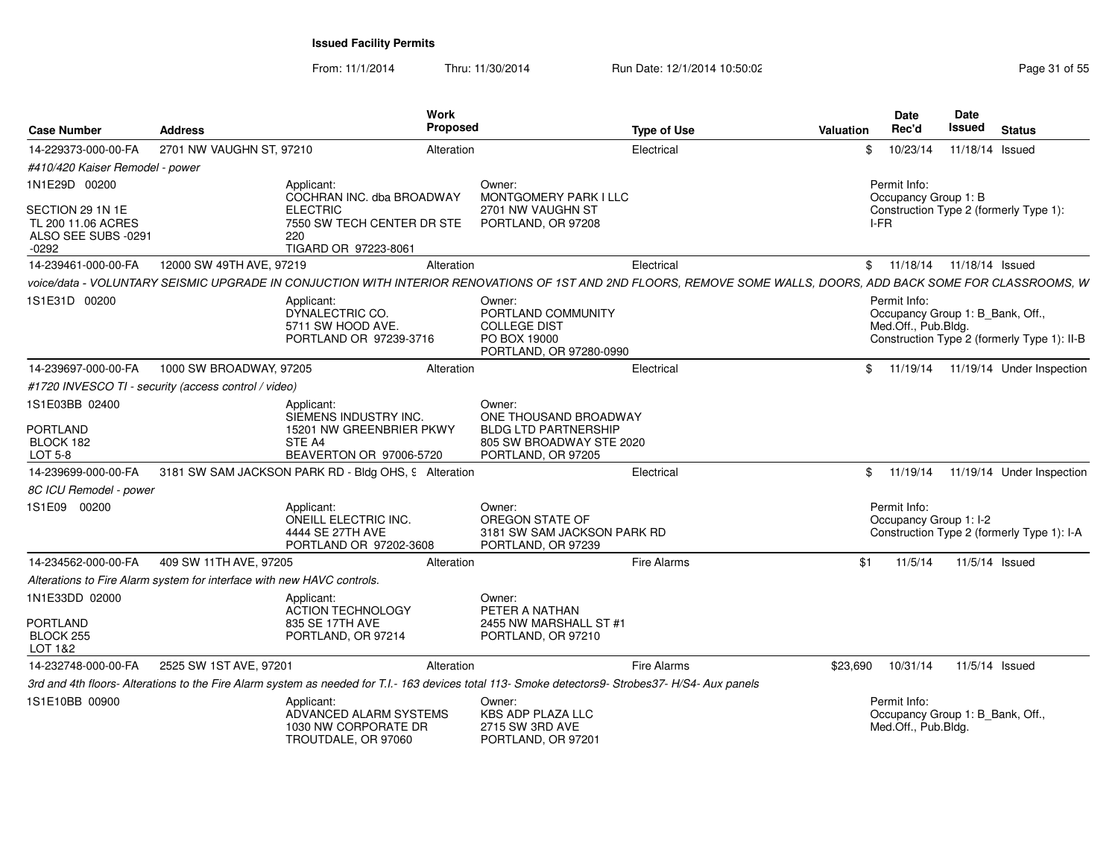From: 11/1/2014Thru: 11/30/2014 Run Date: 12/1/2014 10:50:02 Research 2010 12:00 Page 31 of 55

| <b>Case Number</b>                                                                      | <b>Address</b>                                                         | <b>Work</b><br>Proposed                                                                                                                                         |                                                                                                | <b>Type of Use</b> | <b>Valuation</b> | Date<br>Rec'd                                                           | Date<br>Issued  | <b>Status</b>                               |
|-----------------------------------------------------------------------------------------|------------------------------------------------------------------------|-----------------------------------------------------------------------------------------------------------------------------------------------------------------|------------------------------------------------------------------------------------------------|--------------------|------------------|-------------------------------------------------------------------------|-----------------|---------------------------------------------|
| 14-229373-000-00-FA                                                                     | 2701 NW VAUGHN ST, 97210                                               | Alteration                                                                                                                                                      |                                                                                                | Electrical         | \$               | 10/23/14                                                                | 11/18/14 Issued |                                             |
| #410/420 Kaiser Remodel - power                                                         |                                                                        |                                                                                                                                                                 |                                                                                                |                    |                  |                                                                         |                 |                                             |
| 1N1E29D 00200<br>SECTION 29 1N 1E<br>TL 200 11.06 ACRES<br>ALSO SEE SUBS -0291<br>-0292 |                                                                        | Applicant:<br>COCHRAN INC. dba BROADWAY<br><b>ELECTRIC</b><br>7550 SW TECH CENTER DR STE<br>220<br>TIGARD OR 97223-8061                                         | Owner:<br>MONTGOMERY PARK I LLC<br>2701 NW VAUGHN ST<br>PORTLAND, OR 97208                     |                    |                  | Permit Info:<br>Occupancy Group 1: B<br>I-FR                            |                 | Construction Type 2 (formerly Type 1):      |
| 14-239461-000-00-FA                                                                     | 12000 SW 49TH AVE, 97219                                               | Alteration                                                                                                                                                      |                                                                                                | Electrical         |                  | \$ 11/18/14 11/18/14 Issued                                             |                 |                                             |
|                                                                                         |                                                                        | voice/data - VOLUNTARY SEISMIC UPGRADE IN CONJUCTION WITH INTERIOR RENOVATIONS OF 1ST AND 2ND FLOORS, REMOVE SOME WALLS, DOORS, ADD BACK SOME FOR CLASSROOMS, W |                                                                                                |                    |                  |                                                                         |                 |                                             |
| 1S1E31D 00200                                                                           |                                                                        | Applicant:<br>DYNALECTRIC CO.<br>5711 SW HOOD AVE.<br>PORTLAND OR 97239-3716                                                                                    | Owner:<br>PORTLAND COMMUNITY<br><b>COLLEGE DIST</b><br>PO BOX 19000<br>PORTLAND, OR 97280-0990 |                    |                  | Permit Info:<br>Occupancy Group 1: B_Bank, Off.,<br>Med.Off., Pub.Bldg. |                 | Construction Type 2 (formerly Type 1): II-B |
| 14-239697-000-00-FA                                                                     | 1000 SW BROADWAY, 97205                                                | Alteration                                                                                                                                                      |                                                                                                | Electrical         |                  |                                                                         |                 | \$ 11/19/14 11/19/14 Under Inspection       |
|                                                                                         | #1720 INVESCO TI - security (access control / video)                   |                                                                                                                                                                 |                                                                                                |                    |                  |                                                                         |                 |                                             |
| 1S1E03BB 02400<br><b>PORTLAND</b>                                                       |                                                                        | Applicant:<br>SIEMENS INDUSTRY INC.<br>15201 NW GREENBRIER PKWY                                                                                                 | Owner:<br>ONE THOUSAND BROADWAY<br><b>BLDG LTD PARTNERSHIP</b>                                 |                    |                  |                                                                         |                 |                                             |
| BLOCK 182<br><b>LOT 5-8</b>                                                             |                                                                        | STE A4<br>BEAVERTON OR 97006-5720                                                                                                                               | 805 SW BROADWAY STE 2020<br>PORTLAND, OR 97205                                                 |                    |                  |                                                                         |                 |                                             |
| 14-239699-000-00-FA                                                                     |                                                                        | 3181 SW SAM JACKSON PARK RD - Bldg OHS, 9 Alteration                                                                                                            |                                                                                                | Electrical         |                  |                                                                         |                 | \$ 11/19/14 11/19/14 Under Inspection       |
| 8C ICU Remodel - power                                                                  |                                                                        |                                                                                                                                                                 |                                                                                                |                    |                  |                                                                         |                 |                                             |
| 1S1E09 00200                                                                            |                                                                        | Applicant:<br><b>ONEILL ELECTRIC INC.</b><br>4444 SE 27TH AVE<br>PORTLAND OR 97202-3608                                                                         | Owner:<br>OREGON STATE OF<br>3181 SW SAM JACKSON PARK RD<br>PORTLAND, OR 97239                 |                    |                  | Permit Info:<br>Occupancy Group 1: I-2                                  |                 | Construction Type 2 (formerly Type 1): I-A  |
| 14-234562-000-00-FA                                                                     | 409 SW 11TH AVE, 97205                                                 | Alteration                                                                                                                                                      |                                                                                                | Fire Alarms        | \$1              | 11/5/14                                                                 | 11/5/14 Issued  |                                             |
|                                                                                         | Alterations to Fire Alarm system for interface with new HAVC controls. |                                                                                                                                                                 |                                                                                                |                    |                  |                                                                         |                 |                                             |
| 1N1E33DD 02000<br><b>PORTLAND</b><br>BLOCK 255<br>LOT 1&2                               |                                                                        | Applicant:<br><b>ACTION TECHNOLOGY</b><br>835 SE 17TH AVE<br>PORTLAND, OR 97214                                                                                 | Owner:<br>PETER A NATHAN<br>2455 NW MARSHALL ST #1<br>PORTLAND, OR 97210                       |                    |                  |                                                                         |                 |                                             |
| 14-232748-000-00-FA                                                                     | 2525 SW 1ST AVE, 97201                                                 | Alteration                                                                                                                                                      |                                                                                                | <b>Fire Alarms</b> | \$23,690         | 10/31/14                                                                |                 | 11/5/14 Issued                              |
|                                                                                         |                                                                        | 3rd and 4th floors- Alterations to the Fire Alarm system as needed for T.I.- 163 devices total 113- Smoke detectors9- Strobes37- H/S4- Aux panels               |                                                                                                |                    |                  |                                                                         |                 |                                             |
| 1S1E10BB 00900                                                                          |                                                                        | Applicant:<br>ADVANCED ALARM SYSTEMS<br>1030 NW CORPORATE DR<br>TROUTDALE, OR 97060                                                                             | Owner:<br><b>KBS ADP PLAZA LLC</b><br>2715 SW 3RD AVE<br>PORTLAND, OR 97201                    |                    |                  | Permit Info:<br>Occupancy Group 1: B_Bank, Off.,<br>Med.Off., Pub.Bldg. |                 |                                             |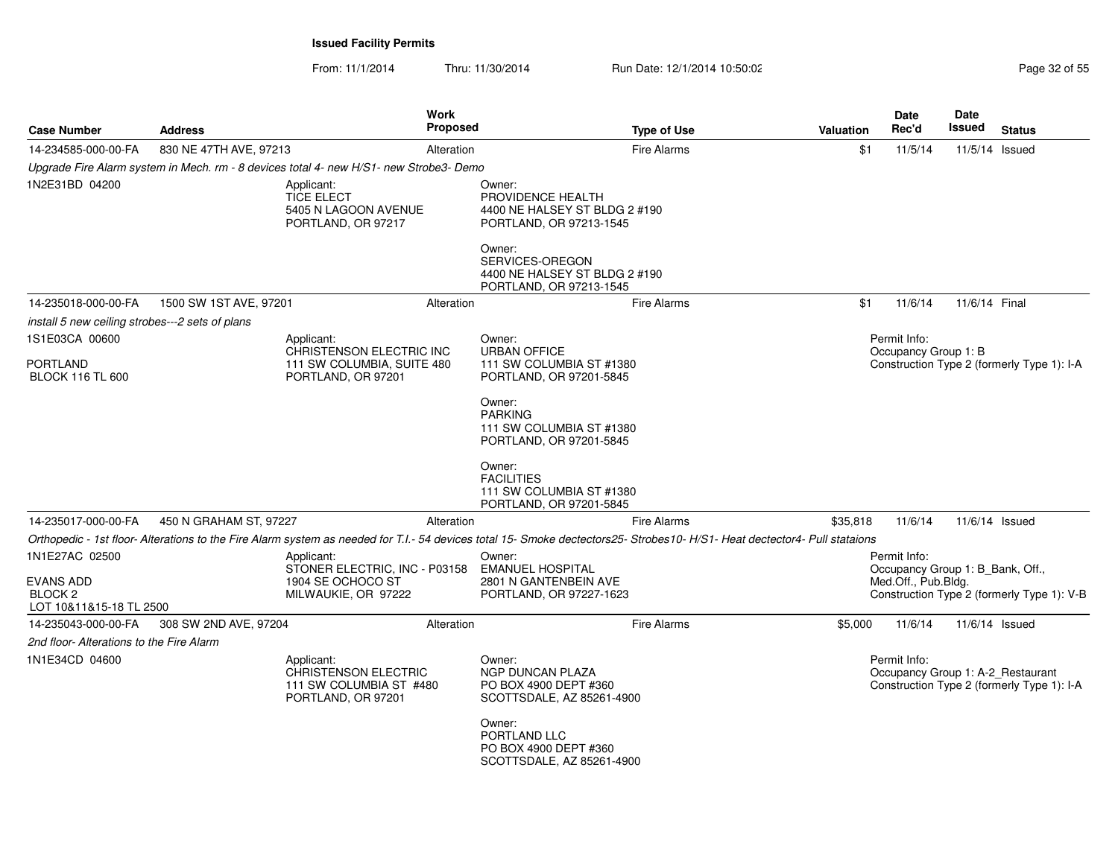| <b>Case Number</b>                                       | <b>Address</b>         |                                                                                            | <b>Work</b><br><b>Proposed</b> | <b>Type of Use</b>                                                                                                                                                        | Valuation | Date<br>Rec'd                                                           | <b>Date</b><br><b>Issued</b> | <b>Status</b>                              |
|----------------------------------------------------------|------------------------|--------------------------------------------------------------------------------------------|--------------------------------|---------------------------------------------------------------------------------------------------------------------------------------------------------------------------|-----------|-------------------------------------------------------------------------|------------------------------|--------------------------------------------|
| 14-234585-000-00-FA                                      | 830 NE 47TH AVE, 97213 |                                                                                            | Alteration                     | <b>Fire Alarms</b>                                                                                                                                                        | \$1       | 11/5/14                                                                 | 11/5/14 Issued               |                                            |
|                                                          |                        | Upgrade Fire Alarm system in Mech. rm - 8 devices total 4- new H/S1- new Strobe3- Demo     |                                |                                                                                                                                                                           |           |                                                                         |                              |                                            |
| 1N2E31BD 04200                                           |                        | Applicant:<br><b>TICE ELECT</b><br>5405 N LAGOON AVENUE<br>PORTLAND, OR 97217              |                                | Owner:<br>PROVIDENCE HEALTH<br>4400 NE HALSEY ST BLDG 2 #190<br>PORTLAND, OR 97213-1545<br>Owner:                                                                         |           |                                                                         |                              |                                            |
|                                                          |                        |                                                                                            |                                | SERVICES-OREGON<br>4400 NE HALSEY ST BLDG 2 #190<br>PORTLAND, OR 97213-1545                                                                                               |           |                                                                         |                              |                                            |
| 14-235018-000-00-FA                                      | 1500 SW 1ST AVE, 97201 |                                                                                            | Alteration                     | Fire Alarms                                                                                                                                                               | \$1       | 11/6/14                                                                 | 11/6/14 Final                |                                            |
| install 5 new ceiling strobes---2 sets of plans          |                        |                                                                                            |                                |                                                                                                                                                                           |           |                                                                         |                              |                                            |
| 1S1E03CA 00600                                           |                        | Applicant:<br>CHRISTENSON ELECTRIC INC                                                     |                                | Owner:<br><b>URBAN OFFICE</b>                                                                                                                                             |           | Permit Info:<br>Occupancy Group 1: B                                    |                              |                                            |
| <b>PORTLAND</b><br><b>BLOCK 116 TL 600</b>               |                        | 111 SW COLUMBIA, SUITE 480<br>PORTLAND, OR 97201                                           |                                | 111 SW COLUMBIA ST #1380<br>PORTLAND, OR 97201-5845                                                                                                                       |           |                                                                         |                              | Construction Type 2 (formerly Type 1): I-A |
|                                                          |                        |                                                                                            |                                | Owner:<br><b>PARKING</b><br>111 SW COLUMBIA ST #1380<br>PORTLAND, OR 97201-5845                                                                                           |           |                                                                         |                              |                                            |
|                                                          |                        |                                                                                            |                                | Owner:<br><b>FACILITIES</b><br>111 SW COLUMBIA ST #1380<br>PORTLAND, OR 97201-5845                                                                                        |           |                                                                         |                              |                                            |
| 14-235017-000-00-FA                                      | 450 N GRAHAM ST, 97227 |                                                                                            | Alteration                     | <b>Fire Alarms</b>                                                                                                                                                        | \$35.818  | 11/6/14                                                                 | 11/6/14 Issued               |                                            |
|                                                          |                        |                                                                                            |                                | Orthopedic - 1st floor-Alterations to the Fire Alarm system as needed for T.I.- 54 devices total 15- Smoke dectectors25- Strobes10- H/S1- Heat dectector4- Pull stataions |           |                                                                         |                              |                                            |
| 1N1E27AC 02500<br><b>EVANS ADD</b><br>BLOCK <sub>2</sub> |                        | Applicant:<br>STONER ELECTRIC, INC - P03158<br>1904 SE OCHOCO ST<br>MILWAUKIE, OR 97222    |                                | Owner:<br><b>EMANUEL HOSPITAL</b><br>2801 N GANTENBEIN AVE<br>PORTLAND, OR 97227-1623                                                                                     |           | Permit Info:<br>Occupancy Group 1: B_Bank, Off.,<br>Med.Off., Pub.Bldg. |                              | Construction Type 2 (formerly Type 1): V-B |
| LOT 10&11&15-18 TL 2500                                  |                        |                                                                                            |                                |                                                                                                                                                                           |           |                                                                         |                              |                                            |
| 14-235043-000-00-FA                                      | 308 SW 2ND AVE, 97204  |                                                                                            | Alteration                     | <b>Fire Alarms</b>                                                                                                                                                        | \$5,000   | 11/6/14                                                                 | 11/6/14 Issued               |                                            |
| 2nd floor- Alterations to the Fire Alarm                 |                        |                                                                                            |                                |                                                                                                                                                                           |           |                                                                         |                              |                                            |
| 1N1E34CD 04600                                           |                        | Applicant:<br><b>CHRISTENSON ELECTRIC</b><br>111 SW COLUMBIA ST #480<br>PORTLAND, OR 97201 |                                | Owner:<br>NGP DUNCAN PLAZA<br>PO BOX 4900 DEPT #360<br>SCOTTSDALE, AZ 85261-4900                                                                                          |           | Permit Info:<br>Occupancy Group 1: A-2_Restaurant                       |                              | Construction Type 2 (formerly Type 1): I-A |
|                                                          |                        |                                                                                            |                                | Owner:<br>PORTLAND LLC<br>PO BOX 4900 DEPT #360<br>SCOTTSDALE, AZ 85261-4900                                                                                              |           |                                                                         |                              |                                            |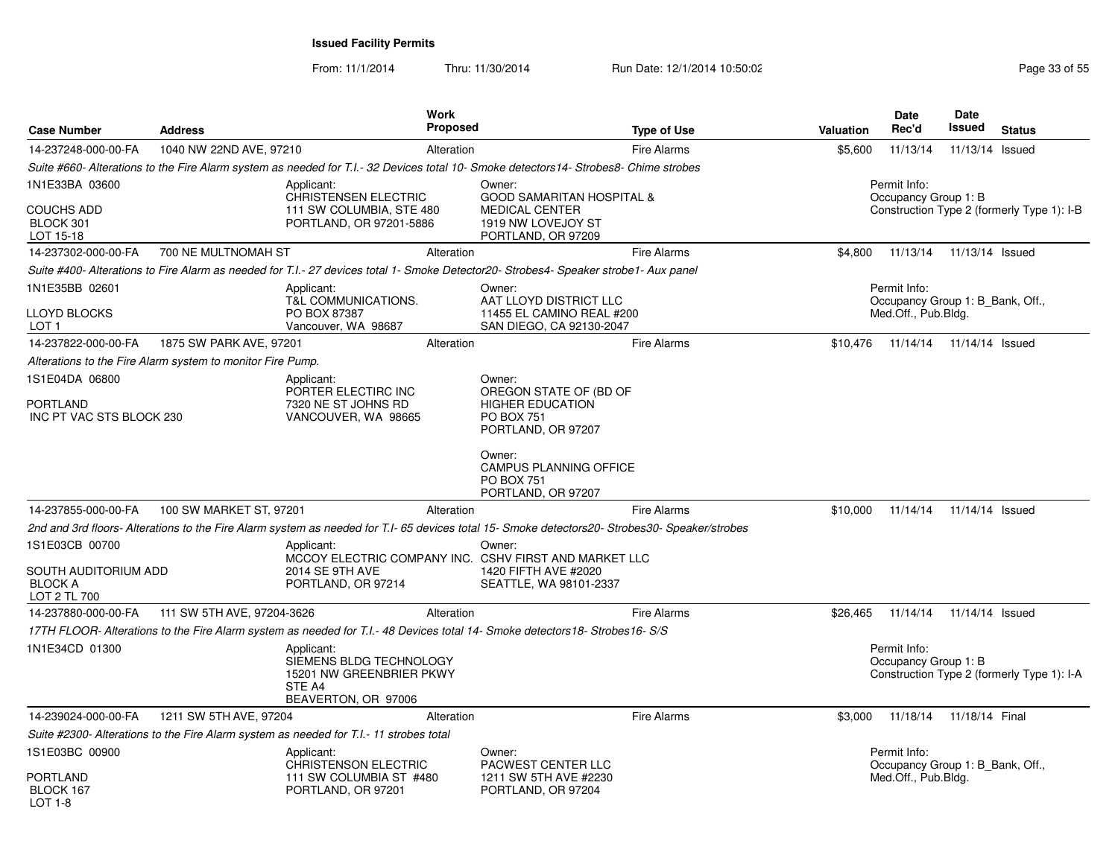| <b>Case Number</b>                                                       | <b>Address</b>                                             |                                                                                                    | <b>Work</b><br>Proposed |                                                                                                                                                   | <b>Type of Use</b> | Valuation | <b>Date</b><br>Rec'd                                                    | <b>Date</b><br>Issued | <b>Status</b>                              |
|--------------------------------------------------------------------------|------------------------------------------------------------|----------------------------------------------------------------------------------------------------|-------------------------|---------------------------------------------------------------------------------------------------------------------------------------------------|--------------------|-----------|-------------------------------------------------------------------------|-----------------------|--------------------------------------------|
| 14-237248-000-00-FA                                                      | 1040 NW 22ND AVE, 97210                                    |                                                                                                    | Alteration              |                                                                                                                                                   | <b>Fire Alarms</b> | \$5,600   | 11/13/14                                                                | 11/13/14              | Issued                                     |
|                                                                          |                                                            |                                                                                                    |                         | Suite #660- Alterations to the Fire Alarm system as needed for T.I.- 32 Devices total 10- Smoke detectors14- Strobes8- Chime strobes              |                    |           |                                                                         |                       |                                            |
| 1N1E33BA 03600<br><b>COUCHS ADD</b><br>BLOCK 301<br>LOT 15-18            |                                                            | Applicant:<br><b>CHRISTENSEN ELECTRIC</b><br>111 SW COLUMBIA, STE 480<br>PORTLAND, OR 97201-5886   |                         | Owner:<br><b>GOOD SAMARITAN HOSPITAL &amp;</b><br><b>MEDICAL CENTER</b><br>1919 NW LOVEJOY ST<br>PORTLAND, OR 97209                               |                    |           | Permit Info:<br>Occupancy Group 1: B                                    |                       | Construction Type 2 (formerly Type 1): I-B |
| 14-237302-000-00-FA                                                      | 700 NE MULTNOMAH ST                                        |                                                                                                    | Alteration              |                                                                                                                                                   | <b>Fire Alarms</b> | \$4,800   | 11/13/14                                                                | 11/13/14 Issued       |                                            |
|                                                                          |                                                            |                                                                                                    |                         | Suite #400- Alterations to Fire Alarm as needed for T.I.- 27 devices total 1- Smoke Detector20- Strobes4- Speaker strobe1- Aux panel              |                    |           |                                                                         |                       |                                            |
| 1N1E35BB 02601<br>LLOYD BLOCKS<br>LOT <sub>1</sub>                       |                                                            | Applicant:<br>T&L COMMUNICATIONS.<br>PO BOX 87387<br>Vancouver, WA 98687                           |                         | Owner:<br>AAT LLOYD DISTRICT LLC<br>11455 EL CAMINO REAL #200<br>SAN DIEGO, CA 92130-2047                                                         |                    |           | Permit Info:<br>Occupancy Group 1: B_Bank, Off.,<br>Med.Off., Pub.Bldg. |                       |                                            |
| 14-237822-000-00-FA                                                      | 1875 SW PARK AVE, 97201                                    |                                                                                                    | Alteration              |                                                                                                                                                   | <b>Fire Alarms</b> |           | \$10,476 11/14/14                                                       | 11/14/14 Issued       |                                            |
|                                                                          | Alterations to the Fire Alarm system to monitor Fire Pump. |                                                                                                    |                         |                                                                                                                                                   |                    |           |                                                                         |                       |                                            |
| 1S1E04DA 06800<br><b>PORTLAND</b><br>INC PT VAC STS BLOCK 230            |                                                            | Applicant:<br>PORTER ELECTIRC INC<br>7320 NE ST JOHNS RD<br>VANCOUVER, WA 98665                    |                         | Owner:<br>OREGON STATE OF (BD OF<br><b>HIGHER EDUCATION</b><br><b>PO BOX 751</b><br>PORTLAND, OR 97207<br>Owner:<br><b>CAMPUS PLANNING OFFICE</b> |                    |           |                                                                         |                       |                                            |
|                                                                          |                                                            |                                                                                                    |                         | <b>PO BOX 751</b><br>PORTLAND, OR 97207                                                                                                           |                    |           |                                                                         |                       |                                            |
| 14-237855-000-00-FA                                                      | 100 SW MARKET ST, 97201                                    |                                                                                                    | Alteration              |                                                                                                                                                   | <b>Fire Alarms</b> | \$10,000  | 11/14/14                                                                | 11/14/14 Issued       |                                            |
|                                                                          |                                                            |                                                                                                    |                         | 2nd and 3rd floors- Alterations to the Fire Alarm system as needed for T.I- 65 devices total 15- Smoke detectors20- Strobes30- Speaker/strobes    |                    |           |                                                                         |                       |                                            |
| 1S1E03CB 00700<br>SOUTH AUDITORIUM ADD<br><b>BLOCK A</b><br>LOT 2 TL 700 |                                                            | Applicant:<br>2014 SE 9TH AVE<br>PORTLAND, OR 97214                                                |                         | Owner:<br>MCCOY ELECTRIC COMPANY INC. CSHV FIRST AND MARKET LLC<br>1420 FIFTH AVE #2020<br>SEATTLE, WA 98101-2337                                 |                    |           |                                                                         |                       |                                            |
| 14-237880-000-00-FA                                                      | 111 SW 5TH AVE, 97204-3626                                 |                                                                                                    | Alteration              |                                                                                                                                                   | Fire Alarms        | \$26,465  | 11/14/14                                                                | 11/14/14 Issued       |                                            |
|                                                                          |                                                            |                                                                                                    |                         | 17TH FLOOR-Alterations to the Fire Alarm system as needed for T.I.-48 Devices total 14- Smoke detectors18- Strobes16- S/S                         |                    |           |                                                                         |                       |                                            |
| 1N1E34CD 01300                                                           |                                                            | Applicant:<br>SIEMENS BLDG TECHNOLOGY<br>15201 NW GREENBRIER PKWY<br>STE A4<br>BEAVERTON, OR 97006 |                         |                                                                                                                                                   |                    |           | Permit Info:<br>Occupancy Group 1: B                                    |                       | Construction Type 2 (formerly Type 1): I-A |
| 14-239024-000-00-FA                                                      | 1211 SW 5TH AVE, 97204                                     |                                                                                                    | Alteration              |                                                                                                                                                   | <b>Fire Alarms</b> | \$3,000   | 11/18/14                                                                | 11/18/14 Final        |                                            |
|                                                                          |                                                            | Suite #2300- Alterations to the Fire Alarm system as needed for T.I.- 11 strobes total             |                         |                                                                                                                                                   |                    |           |                                                                         |                       |                                            |
| 1S1E03BC 00900<br><b>PORTLAND</b><br>BLOCK 167                           |                                                            | Applicant:<br>CHRISTENSON ELECTRIC<br>111 SW COLUMBIA ST #480<br>PORTLAND, OR 97201                |                         | Owner:<br>PACWEST CENTER LLC<br>1211 SW 5TH AVE #2230<br>PORTLAND, OR 97204                                                                       |                    |           | Permit Info:<br>Occupancy Group 1: B Bank, Off.,<br>Med.Off., Pub.Bldg. |                       |                                            |
| LOT 1-8                                                                  |                                                            |                                                                                                    |                         |                                                                                                                                                   |                    |           |                                                                         |                       |                                            |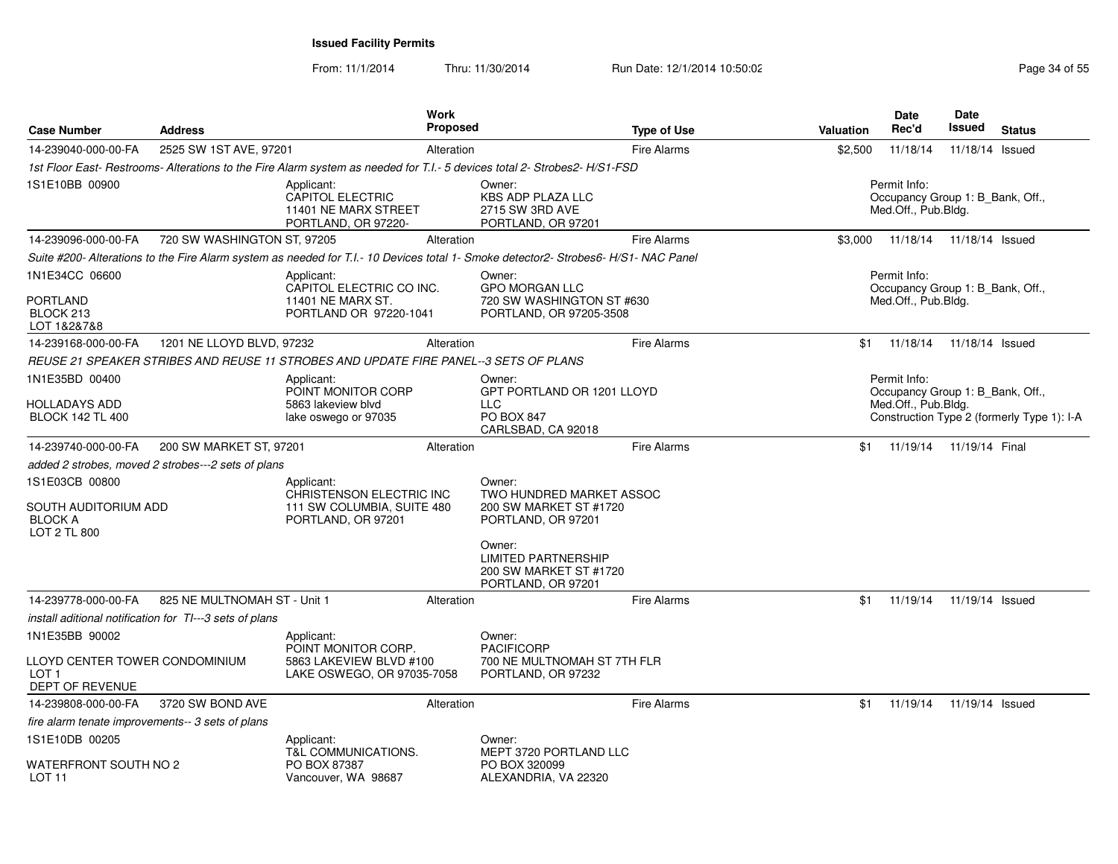| <b>Case Number</b>                                                       | <b>Address</b>                                          | <b>Work</b>                                                                                                                         | <b>Proposed</b> |                                                                                      | <b>Type of Use</b> | Valuation | <b>Date</b><br>Rec'd                                                    | <b>Date</b><br>Issued   | <b>Status</b>                              |
|--------------------------------------------------------------------------|---------------------------------------------------------|-------------------------------------------------------------------------------------------------------------------------------------|-----------------|--------------------------------------------------------------------------------------|--------------------|-----------|-------------------------------------------------------------------------|-------------------------|--------------------------------------------|
| 14-239040-000-00-FA                                                      | 2525 SW 1ST AVE, 97201                                  |                                                                                                                                     | Alteration      |                                                                                      | <b>Fire Alarms</b> | \$2,500   | 11/18/14                                                                | 11/18/14 Issued         |                                            |
|                                                                          |                                                         | 1st Floor East- Restrooms- Alterations to the Fire Alarm system as needed for T.I.- 5 devices total 2- Strobes2-H/S1-FSD            |                 |                                                                                      |                    |           |                                                                         |                         |                                            |
| 1S1E10BB 00900                                                           |                                                         | Applicant:<br><b>CAPITOL ELECTRIC</b><br>11401 NE MARX STREET<br>PORTLAND, OR 97220-                                                |                 | Owner:<br><b>KBS ADP PLAZA LLC</b><br>2715 SW 3RD AVE<br>PORTLAND, OR 97201          |                    |           | Permit Info:<br>Occupancy Group 1: B_Bank, Off.,<br>Med.Off., Pub.Bldg. |                         |                                            |
| 14-239096-000-00-FA                                                      | 720 SW WASHINGTON ST, 97205                             |                                                                                                                                     | Alteration      |                                                                                      | <b>Fire Alarms</b> | \$3,000   | 11/18/14                                                                | 11/18/14 Issued         |                                            |
|                                                                          |                                                         | Suite #200- Alterations to the Fire Alarm system as needed for T.I.- 10 Devices total 1- Smoke detector2- Strobes6- H/S1- NAC Panel |                 |                                                                                      |                    |           |                                                                         |                         |                                            |
| 1N1E34CC 06600                                                           |                                                         | Applicant:<br>CAPITOL ELECTRIC CO INC.                                                                                              |                 | Owner:<br><b>GPO MORGAN LLC</b>                                                      |                    |           | Permit Info:<br>Occupancy Group 1: B_Bank, Off.,                        |                         |                                            |
| PORTLAND<br>BLOCK 213<br>LOT 1&2&7&8                                     |                                                         | 11401 NE MARX ST.<br>PORTLAND OR 97220-1041                                                                                         |                 | 720 SW WASHINGTON ST #630<br>PORTLAND, OR 97205-3508                                 |                    |           | Med.Off., Pub.Bldg.                                                     |                         |                                            |
| 14-239168-000-00-FA                                                      | 1201 NE LLOYD BLVD, 97232                               |                                                                                                                                     | Alteration      |                                                                                      | <b>Fire Alarms</b> | \$1       | 11/18/14                                                                | 11/18/14 Issued         |                                            |
|                                                                          |                                                         | REUSE 21 SPEAKER STRIBES AND REUSE 11 STROBES AND UPDATE FIRE PANEL--3 SETS OF PLANS                                                |                 |                                                                                      |                    |           |                                                                         |                         |                                            |
| 1N1E35BD 00400                                                           |                                                         | Applicant:<br>POINT MONITOR CORP                                                                                                    |                 | Owner:<br>GPT PORTLAND OR 1201 LLOYD                                                 |                    |           | Permit Info:<br>Occupancy Group 1: B_Bank, Off.,                        |                         |                                            |
| <b>HOLLADAYS ADD</b><br><b>BLOCK 142 TL 400</b>                          |                                                         | 5863 lakeview blyd<br>lake oswego or 97035                                                                                          |                 | LLC<br>PO BOX 847<br>CARLSBAD, CA 92018                                              |                    |           | Med.Off., Pub.Bldg.                                                     |                         | Construction Type 2 (formerly Type 1): I-A |
| 14-239740-000-00-FA                                                      | 200 SW MARKET ST, 97201                                 |                                                                                                                                     | Alteration      |                                                                                      | <b>Fire Alarms</b> | \$1       |                                                                         | 11/19/14 11/19/14 Final |                                            |
|                                                                          | added 2 strobes, moved 2 strobes---2 sets of plans      |                                                                                                                                     |                 |                                                                                      |                    |           |                                                                         |                         |                                            |
| 1S1E03CB 00800<br>SOUTH AUDITORIUM ADD<br><b>BLOCK A</b><br>LOT 2 TL 800 |                                                         | Applicant:<br>CHRISTENSON ELECTRIC INC<br>111 SW COLUMBIA, SUITE 480<br>PORTLAND, OR 97201                                          |                 | Owner:<br>TWO HUNDRED MARKET ASSOC<br>200 SW MARKET ST #1720<br>PORTLAND, OR 97201   |                    |           |                                                                         |                         |                                            |
|                                                                          |                                                         |                                                                                                                                     |                 | Owner:<br><b>LIMITED PARTNERSHIP</b><br>200 SW MARKET ST #1720<br>PORTLAND, OR 97201 |                    |           |                                                                         |                         |                                            |
| 14-239778-000-00-FA                                                      | 825 NE MULTNOMAH ST - Unit 1                            |                                                                                                                                     | Alteration      |                                                                                      | <b>Fire Alarms</b> | \$1       | 11/19/14                                                                | 11/19/14 Issued         |                                            |
|                                                                          | install aditional notification for TI---3 sets of plans |                                                                                                                                     |                 |                                                                                      |                    |           |                                                                         |                         |                                            |
| 1N1E35BB 90002                                                           |                                                         | Applicant:<br>POINT MONITOR CORP.                                                                                                   |                 | Owner:<br><b>PACIFICORP</b>                                                          |                    |           |                                                                         |                         |                                            |
| LLOYD CENTER TOWER CONDOMINIUM<br>LOT <sub>1</sub><br>DEPT OF REVENUE    |                                                         | 5863 LAKEVIEW BLVD #100<br>LAKE OSWEGO, OR 97035-7058                                                                               |                 | 700 NE MULTNOMAH ST 7TH FLR<br>PORTLAND, OR 97232                                    |                    |           |                                                                         |                         |                                            |
| 14-239808-000-00-FA                                                      | 3720 SW BOND AVE                                        |                                                                                                                                     | Alteration      |                                                                                      | <b>Fire Alarms</b> | \$1       | 11/19/14                                                                | 11/19/14 Issued         |                                            |
| fire alarm tenate improvements-- 3 sets of plans                         |                                                         |                                                                                                                                     |                 |                                                                                      |                    |           |                                                                         |                         |                                            |
| 1S1E10DB 00205<br>WATERFRONT SOUTH NO 2                                  |                                                         | Applicant:<br>T&L COMMUNICATIONS.<br>PO BOX 87387                                                                                   |                 | Owner:<br>MEPT 3720 PORTLAND LLC<br>PO BOX 320099                                    |                    |           |                                                                         |                         |                                            |
| LOT 11                                                                   |                                                         | Vancouver, WA 98687                                                                                                                 |                 | ALEXANDRIA, VA 22320                                                                 |                    |           |                                                                         |                         |                                            |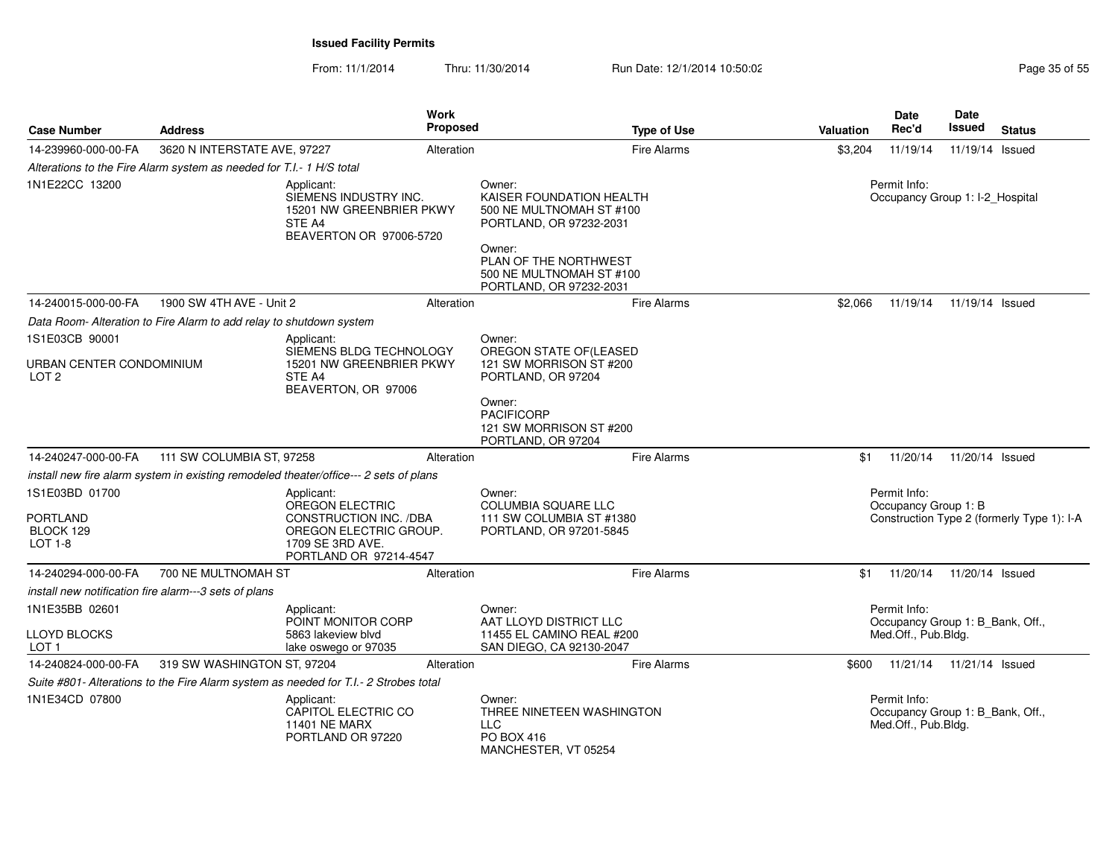|                                              |                                                                      |                                                                                                                   | <b>Work</b>     |                                                                                                                                                                                     |           | Date                                                                    | Date                       |                                            |
|----------------------------------------------|----------------------------------------------------------------------|-------------------------------------------------------------------------------------------------------------------|-----------------|-------------------------------------------------------------------------------------------------------------------------------------------------------------------------------------|-----------|-------------------------------------------------------------------------|----------------------------|--------------------------------------------|
| <b>Case Number</b>                           | <b>Address</b>                                                       |                                                                                                                   | <b>Proposed</b> | <b>Type of Use</b>                                                                                                                                                                  | Valuation | Rec'd                                                                   | Issued                     | <b>Status</b>                              |
| 14-239960-000-00-FA                          | 3620 N INTERSTATE AVE, 97227                                         |                                                                                                                   | Alteration      | Fire Alarms                                                                                                                                                                         | \$3,204   | 11/19/14                                                                | 11/19/14 Issued            |                                            |
|                                              | Alterations to the Fire Alarm system as needed for T.I.- 1 H/S total |                                                                                                                   |                 |                                                                                                                                                                                     |           |                                                                         |                            |                                            |
| 1N1E22CC 13200                               |                                                                      | Applicant:<br>SIEMENS INDUSTRY INC.<br>15201 NW GREENBRIER PKWY<br>STE A4<br>BEAVERTON OR 97006-5720              |                 | Owner:<br>KAISER FOUNDATION HEALTH<br>500 NE MULTNOMAH ST #100<br>PORTLAND, OR 97232-2031<br>Owner:<br>PLAN OF THE NORTHWEST<br>500 NE MULTNOMAH ST #100<br>PORTLAND, OR 97232-2031 |           | Permit Info:<br>Occupancy Group 1: I-2_Hospital                         |                            |                                            |
| 14-240015-000-00-FA                          | 1900 SW 4TH AVE - Unit 2                                             |                                                                                                                   | Alteration      | Fire Alarms                                                                                                                                                                         | \$2,066   | 11/19/14                                                                | 11/19/14 Issued            |                                            |
|                                              | Data Room- Alteration to Fire Alarm to add relay to shutdown system  |                                                                                                                   |                 |                                                                                                                                                                                     |           |                                                                         |                            |                                            |
| 1S1E03CB 90001                               |                                                                      | Applicant:                                                                                                        |                 | Owner:                                                                                                                                                                              |           |                                                                         |                            |                                            |
| URBAN CENTER CONDOMINIUM<br>LOT <sub>2</sub> |                                                                      | SIEMENS BLDG TECHNOLOGY<br>15201 NW GREENBRIER PKWY<br>STE A4<br>BEAVERTON, OR 97006                              |                 | OREGON STATE OF(LEASED<br>121 SW MORRISON ST #200<br>PORTLAND, OR 97204                                                                                                             |           |                                                                         |                            |                                            |
|                                              |                                                                      |                                                                                                                   |                 | Owner:<br><b>PACIFICORP</b><br>121 SW MORRISON ST #200<br>PORTLAND, OR 97204                                                                                                        |           |                                                                         |                            |                                            |
| 14-240247-000-00-FA                          | 111 SW COLUMBIA ST, 97258                                            |                                                                                                                   | Alteration      | Fire Alarms                                                                                                                                                                         | \$1       | 11/20/14                                                                | 11/20/14 Issued            |                                            |
|                                              |                                                                      | install new fire alarm system in existing remodeled theater/office--- 2 sets of plans                             |                 |                                                                                                                                                                                     |           |                                                                         |                            |                                            |
| 1S1E03BD 01700                               |                                                                      | Applicant:                                                                                                        |                 | Owner:                                                                                                                                                                              |           | Permit Info:                                                            |                            |                                            |
| PORTLAND<br>BLOCK 129<br><b>LOT 1-8</b>      |                                                                      | OREGON ELECTRIC<br>CONSTRUCTION INC. /DBA<br>OREGON ELECTRIC GROUP.<br>1709 SE 3RD AVE.<br>PORTLAND OR 97214-4547 |                 | COLUMBIA SQUARE LLC<br>111 SW COLUMBIA ST #1380<br>PORTLAND, OR 97201-5845                                                                                                          |           | Occupancy Group 1: B                                                    |                            | Construction Type 2 (formerly Type 1): I-A |
| 14-240294-000-00-FA                          | 700 NE MULTNOMAH ST                                                  |                                                                                                                   | Alteration      | <b>Fire Alarms</b>                                                                                                                                                                  | \$1       | 11/20/14                                                                | 11/20/14 Issued            |                                            |
|                                              | install new notification fire alarm---3 sets of plans                |                                                                                                                   |                 |                                                                                                                                                                                     |           |                                                                         |                            |                                            |
| 1N1E35BB 02601                               |                                                                      | Applicant:                                                                                                        |                 | Owner:                                                                                                                                                                              |           | Permit Info:                                                            |                            |                                            |
| <b>LLOYD BLOCKS</b><br>LOT <sub>1</sub>      |                                                                      | POINT MONITOR CORP<br>5863 lakeview blvd<br>lake oswego or 97035                                                  |                 | AAT LLOYD DISTRICT LLC<br>11455 EL CAMINO REAL #200<br>SAN DIEGO, CA 92130-2047                                                                                                     |           | Occupancy Group 1: B_Bank, Off.,<br>Med.Off., Pub.Bldg.                 |                            |                                            |
| 14-240824-000-00-FA                          | 319 SW WASHINGTON ST, 97204                                          |                                                                                                                   | Alteration      | Fire Alarms                                                                                                                                                                         | \$600     |                                                                         | 11/21/14  11/21/14  Issued |                                            |
|                                              |                                                                      | Suite #801- Alterations to the Fire Alarm system as needed for T.I.- 2 Strobes total                              |                 |                                                                                                                                                                                     |           |                                                                         |                            |                                            |
| 1N1E34CD 07800                               |                                                                      | Applicant:<br>CAPITOL ELECTRIC CO<br><b>11401 NE MARX</b><br>PORTLAND OR 97220                                    |                 | Owner:<br>THREE NINETEEN WASHINGTON<br><b>LLC</b><br>PO BOX 416<br>MANCHESTER, VT 05254                                                                                             |           | Permit Info:<br>Occupancy Group 1: B_Bank, Off.,<br>Med.Off., Pub.Bldg. |                            |                                            |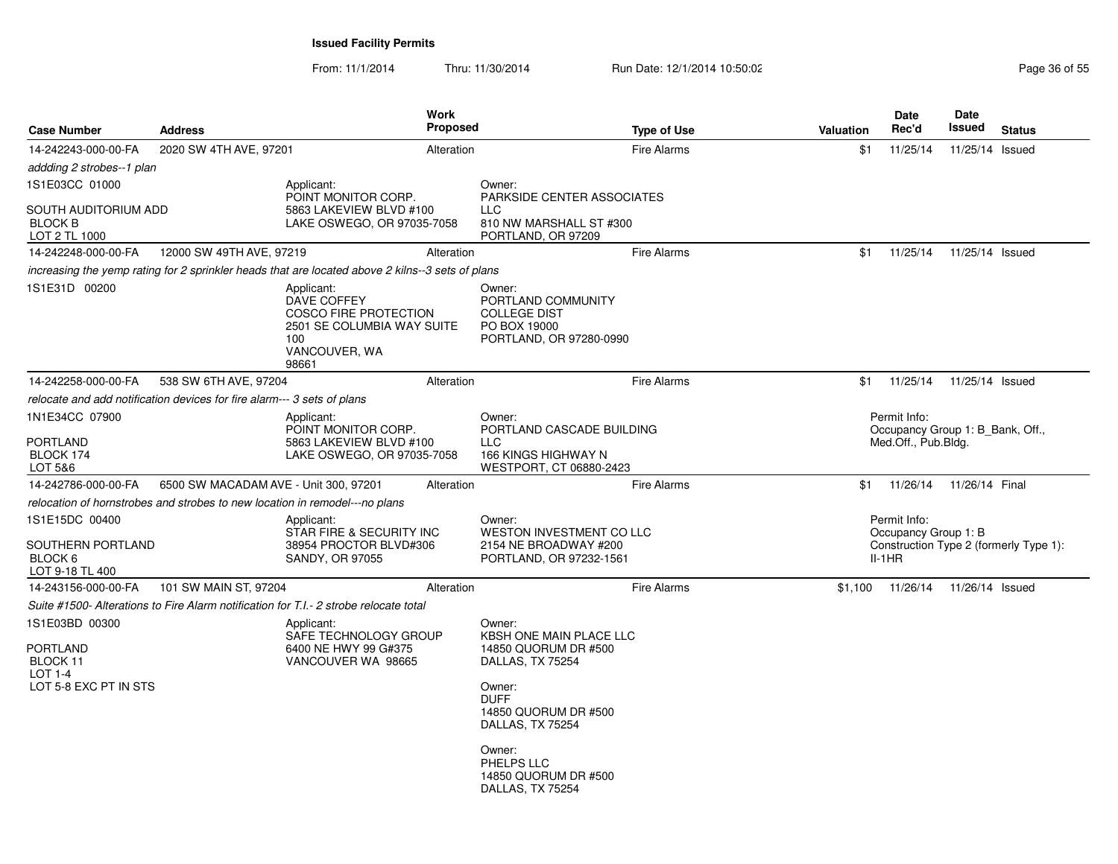| <b>Case Number</b>                                                                | <b>Address</b>                        | <b>Work</b><br><b>Proposed</b>                                                                                           |                                                                                                                                                                                                                        | <b>Type of Use</b> | <b>Valuation</b> | Date<br>Rec'd                                           | Date<br>Issued  | <b>Status</b>                          |
|-----------------------------------------------------------------------------------|---------------------------------------|--------------------------------------------------------------------------------------------------------------------------|------------------------------------------------------------------------------------------------------------------------------------------------------------------------------------------------------------------------|--------------------|------------------|---------------------------------------------------------|-----------------|----------------------------------------|
| 14-242243-000-00-FA                                                               | 2020 SW 4TH AVE, 97201                | Alteration                                                                                                               |                                                                                                                                                                                                                        | <b>Fire Alarms</b> | \$1              | 11/25/14                                                | 11/25/14 Issued |                                        |
| addding 2 strobes--1 plan                                                         |                                       |                                                                                                                          |                                                                                                                                                                                                                        |                    |                  |                                                         |                 |                                        |
| 1S1E03CC 01000                                                                    |                                       | Applicant:<br>POINT MONITOR CORP.                                                                                        | Owner:<br>PARKSIDE CENTER ASSOCIATES                                                                                                                                                                                   |                    |                  |                                                         |                 |                                        |
| SOUTH AUDITORIUM ADD<br><b>BLOCK B</b><br>LOT 2 TL 1000                           |                                       | 5863 LAKEVIEW BLVD #100<br>LAKE OSWEGO, OR 97035-7058                                                                    | <b>LLC</b><br>810 NW MARSHALL ST #300<br>PORTLAND, OR 97209                                                                                                                                                            |                    |                  |                                                         |                 |                                        |
| 14-242248-000-00-FA                                                               | 12000 SW 49TH AVE, 97219              | Alteration                                                                                                               |                                                                                                                                                                                                                        | <b>Fire Alarms</b> | \$1              | 11/25/14                                                | 11/25/14 Issued |                                        |
|                                                                                   |                                       | increasing the yemp rating for 2 sprinkler heads that are located above 2 kilns--3 sets of plans                         |                                                                                                                                                                                                                        |                    |                  |                                                         |                 |                                        |
| 1S1E31D 00200                                                                     |                                       | Applicant:<br>DAVE COFFEY<br><b>COSCO FIRE PROTECTION</b><br>2501 SE COLUMBIA WAY SUITE<br>100<br>VANCOUVER, WA<br>98661 | Owner:<br>PORTLAND COMMUNITY<br><b>COLLEGE DIST</b><br>PO BOX 19000<br>PORTLAND, OR 97280-0990                                                                                                                         |                    |                  |                                                         |                 |                                        |
| 14-242258-000-00-FA                                                               | 538 SW 6TH AVE, 97204                 | Alteration                                                                                                               |                                                                                                                                                                                                                        | <b>Fire Alarms</b> | \$1              | 11/25/14                                                | 11/25/14 Issued |                                        |
| relocate and add notification devices for fire alarm--- 3 sets of plans           |                                       |                                                                                                                          |                                                                                                                                                                                                                        |                    |                  |                                                         |                 |                                        |
| 1N1E34CC 07900                                                                    |                                       | Applicant:                                                                                                               | Owner:                                                                                                                                                                                                                 |                    |                  | Permit Info:                                            |                 |                                        |
| <b>PORTLAND</b><br>BLOCK 174<br>LOT 5&6                                           |                                       | POINT MONITOR CORP.<br>5863 LAKEVIEW BLVD #100<br>LAKE OSWEGO, OR 97035-7058                                             | PORTLAND CASCADE BUILDING<br><b>LLC</b><br>166 KINGS HIGHWAY N<br>WESTPORT, CT 06880-2423                                                                                                                              |                    |                  | Occupancy Group 1: B Bank, Off.,<br>Med.Off., Pub.Blda. |                 |                                        |
| 14-242786-000-00-FA                                                               | 6500 SW MACADAM AVE - Unit 300, 97201 | Alteration                                                                                                               |                                                                                                                                                                                                                        | <b>Fire Alarms</b> | \$1              | 11/26/14                                                | 11/26/14 Final  |                                        |
| relocation of hornstrobes and strobes to new location in remodel---no plans       |                                       |                                                                                                                          |                                                                                                                                                                                                                        |                    |                  |                                                         |                 |                                        |
| 1S1E15DC 00400                                                                    |                                       | Applicant:                                                                                                               | Owner:                                                                                                                                                                                                                 |                    |                  | Permit Info:                                            |                 |                                        |
| SOUTHERN PORTLAND<br>BLOCK 6<br>LOT 9-18 TL 400                                   |                                       | STAR FIRE & SECURITY INC<br>38954 PROCTOR BLVD#306<br>SANDY, OR 97055                                                    | <b>WESTON INVESTMENT CO LLC</b><br>2154 NE BROADWAY #200<br>PORTLAND, OR 97232-1561                                                                                                                                    |                    |                  | Occupancy Group 1: B<br>$II-1HR$                        |                 | Construction Type 2 (formerly Type 1): |
| 14-243156-000-00-FA                                                               | 101 SW MAIN ST, 97204                 | Alteration                                                                                                               |                                                                                                                                                                                                                        | <b>Fire Alarms</b> | \$1,100          | 11/26/14                                                | 11/26/14 Issued |                                        |
|                                                                                   |                                       | Suite #1500- Alterations to Fire Alarm notification for T.I.- 2 strobe relocate total                                    |                                                                                                                                                                                                                        |                    |                  |                                                         |                 |                                        |
| 1S1E03BD 00300<br><b>PORTLAND</b><br>BLOCK 11<br>LOT 1-4<br>LOT 5-8 EXC PT IN STS |                                       | Applicant:<br>SAFE TECHNOLOGY GROUP<br>6400 NE HWY 99 G#375<br>VANCOUVER WA 98665                                        | Owner:<br>KBSH ONE MAIN PLACE LLC<br>14850 QUORUM DR #500<br>DALLAS, TX 75254<br>Owner:<br><b>DUFF</b><br>14850 QUORUM DR #500<br>DALLAS, TX 75254<br>Owner:<br>PHELPS LLC<br>14850 QUORUM DR #500<br>DALLAS, TX 75254 |                    |                  |                                                         |                 |                                        |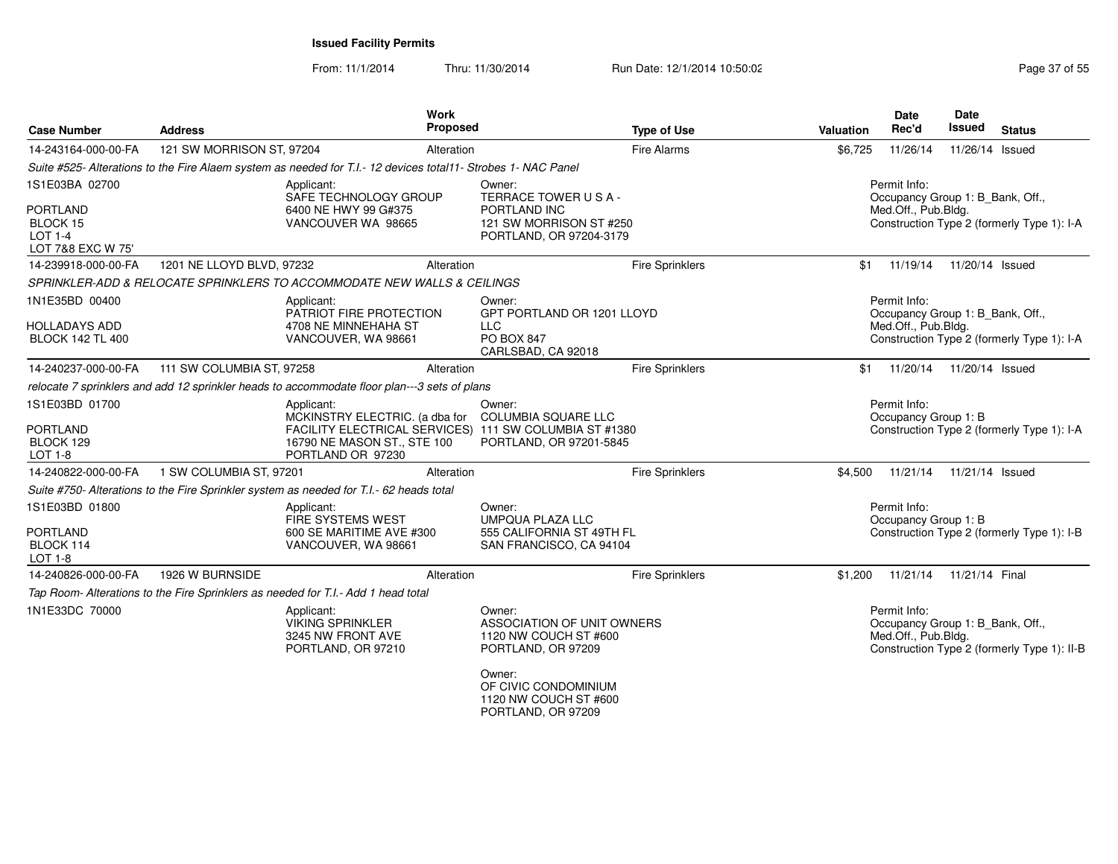From: 11/1/2014Thru: 11/30/2014 Run Date: 12/1/2014 10:50:02 Research 2010 Rage 37 of 55

| <b>Case Number</b>                                                                   | <b>Address</b>                                                                          | Work<br>Proposed                                                                                                                                           |                                                                                                                                                | <b>Type of Use</b>     | Valuation                                                                                                             | <b>Date</b><br>Rec'd                                                    | Date<br><b>Issued</b> | <b>Status</b>                               |
|--------------------------------------------------------------------------------------|-----------------------------------------------------------------------------------------|------------------------------------------------------------------------------------------------------------------------------------------------------------|------------------------------------------------------------------------------------------------------------------------------------------------|------------------------|-----------------------------------------------------------------------------------------------------------------------|-------------------------------------------------------------------------|-----------------------|---------------------------------------------|
| 14-243164-000-00-FA                                                                  | 121 SW MORRISON ST, 97204                                                               | Alteration                                                                                                                                                 |                                                                                                                                                | Fire Alarms            | \$6,725                                                                                                               | 11/26/14                                                                | 11/26/14 Issued       |                                             |
|                                                                                      |                                                                                         | Suite #525- Alterations to the Fire Alaem system as needed for T.I.- 12 devices total11- Strobes 1- NAC Panel                                              |                                                                                                                                                |                        |                                                                                                                       |                                                                         |                       |                                             |
| 1S1E03BA 02700<br><b>PORTLAND</b><br>BLOCK 15<br><b>LOT 1-4</b><br>LOT 7&8 EXC W 75' |                                                                                         | Applicant:<br>SAFE TECHNOLOGY GROUP<br>6400 NE HWY 99 G#375<br>VANCOUVER WA 98665                                                                          | Owner:<br>TERRACE TOWER USA-<br>PORTLAND INC<br>121 SW MORRISON ST #250<br>PORTLAND, OR 97204-3179                                             |                        | Permit Info:<br>Occupancy Group 1: B_Bank, Off.,<br>Med.Off., Pub.Bldg.<br>Construction Type 2 (formerly Type 1): I-A |                                                                         |                       |                                             |
| 14-239918-000-00-FA                                                                  | 1201 NE LLOYD BLVD, 97232                                                               | Alteration                                                                                                                                                 |                                                                                                                                                | Fire Sprinklers        | \$1                                                                                                                   | 11/19/14                                                                | 11/20/14 Issued       |                                             |
|                                                                                      |                                                                                         | SPRINKLER-ADD & RELOCATE SPRINKLERS TO ACCOMMODATE NEW WALLS & CEILINGS                                                                                    |                                                                                                                                                |                        |                                                                                                                       |                                                                         |                       |                                             |
| 1N1E35BD 00400<br><b>HOLLADAYS ADD</b><br><b>BLOCK 142 TL 400</b>                    |                                                                                         | Applicant:<br>PATRIOT FIRE PROTECTION<br>4708 NE MINNEHAHA ST<br>VANCOUVER, WA 98661                                                                       | Owner:<br>GPT PORTLAND OR 1201 LLOYD<br><b>LLC</b><br><b>PO BOX 847</b><br>CARLSBAD, CA 92018                                                  |                        |                                                                                                                       | Permit Info:<br>Occupancy Group 1: B_Bank, Off.,<br>Med.Off., Pub.Bldg. |                       | Construction Type 2 (formerly Type 1): I-A  |
| 14-240237-000-00-FA                                                                  | 111 SW COLUMBIA ST, 97258                                                               | Alteration                                                                                                                                                 |                                                                                                                                                | <b>Fire Sprinklers</b> | \$1                                                                                                                   | 11/20/14                                                                | 11/20/14 Issued       |                                             |
|                                                                                      |                                                                                         | relocate 7 sprinklers and add 12 sprinkler heads to accommodate floor plan---3 sets of plans                                                               |                                                                                                                                                |                        |                                                                                                                       |                                                                         |                       |                                             |
| 1S1E03BD 01700<br><b>PORTLAND</b><br>BLOCK 129<br><b>LOT 1-8</b>                     |                                                                                         | Applicant:<br>MCKINSTRY ELECTRIC. (a dba for<br>FACILITY ELECTRICAL SERVICES) 111 SW COLUMBIA ST #1380<br>16790 NE MASON ST., STE 100<br>PORTLAND OR 97230 | Owner:<br><b>COLUMBIA SQUARE LLC</b><br>PORTLAND, OR 97201-5845                                                                                |                        |                                                                                                                       | Permit Info:<br>Occupancy Group 1: B                                    |                       | Construction Type 2 (formerly Type 1): I-A  |
| 14-240822-000-00-FA                                                                  | 1 SW COLUMBIA ST. 97201                                                                 | Alteration                                                                                                                                                 |                                                                                                                                                | <b>Fire Sprinklers</b> | \$4.500                                                                                                               | 11/21/14                                                                | 11/21/14 Issued       |                                             |
|                                                                                      | Suite #750- Alterations to the Fire Sprinkler system as needed for T.I.- 62 heads total |                                                                                                                                                            |                                                                                                                                                |                        |                                                                                                                       |                                                                         |                       |                                             |
| 1S1E03BD 01800<br><b>PORTLAND</b><br>BLOCK 114<br><b>LOT 1-8</b>                     |                                                                                         | Applicant:<br>FIRE SYSTEMS WEST<br>600 SE MARITIME AVE #300<br>VANCOUVER, WA 98661                                                                         | Owner:<br><b>UMPQUA PLAZA LLC</b><br>555 CALIFORNIA ST 49TH FL<br>SAN FRANCISCO, CA 94104                                                      |                        |                                                                                                                       | Permit Info:<br>Occupancy Group 1: B                                    |                       | Construction Type 2 (formerly Type 1): I-B  |
| 14-240826-000-00-FA                                                                  | 1926 W BURNSIDE                                                                         | Alteration                                                                                                                                                 |                                                                                                                                                | Fire Sprinklers        | \$1,200                                                                                                               | 11/21/14                                                                | 11/21/14 Final        |                                             |
|                                                                                      | Tap Room- Alterations to the Fire Sprinklers as needed for T.I.- Add 1 head total       |                                                                                                                                                            |                                                                                                                                                |                        |                                                                                                                       |                                                                         |                       |                                             |
| 1N1E33DC 70000                                                                       |                                                                                         | Applicant:<br><b>VIKING SPRINKLER</b><br>3245 NW FRONT AVE<br>PORTLAND, OR 97210                                                                           | Owner:<br>ASSOCIATION OF UNIT OWNERS<br>1120 NW COUCH ST #600<br>PORTLAND, OR 97209<br>Owner:<br>OF CIVIC CONDOMINIUM<br>1120 NW COUCH ST #600 |                        |                                                                                                                       | Permit Info:<br>Occupancy Group 1: B_Bank, Off.,<br>Med.Off., Pub.Bldg. |                       | Construction Type 2 (formerly Type 1): II-B |

PORTLAND, OR 97209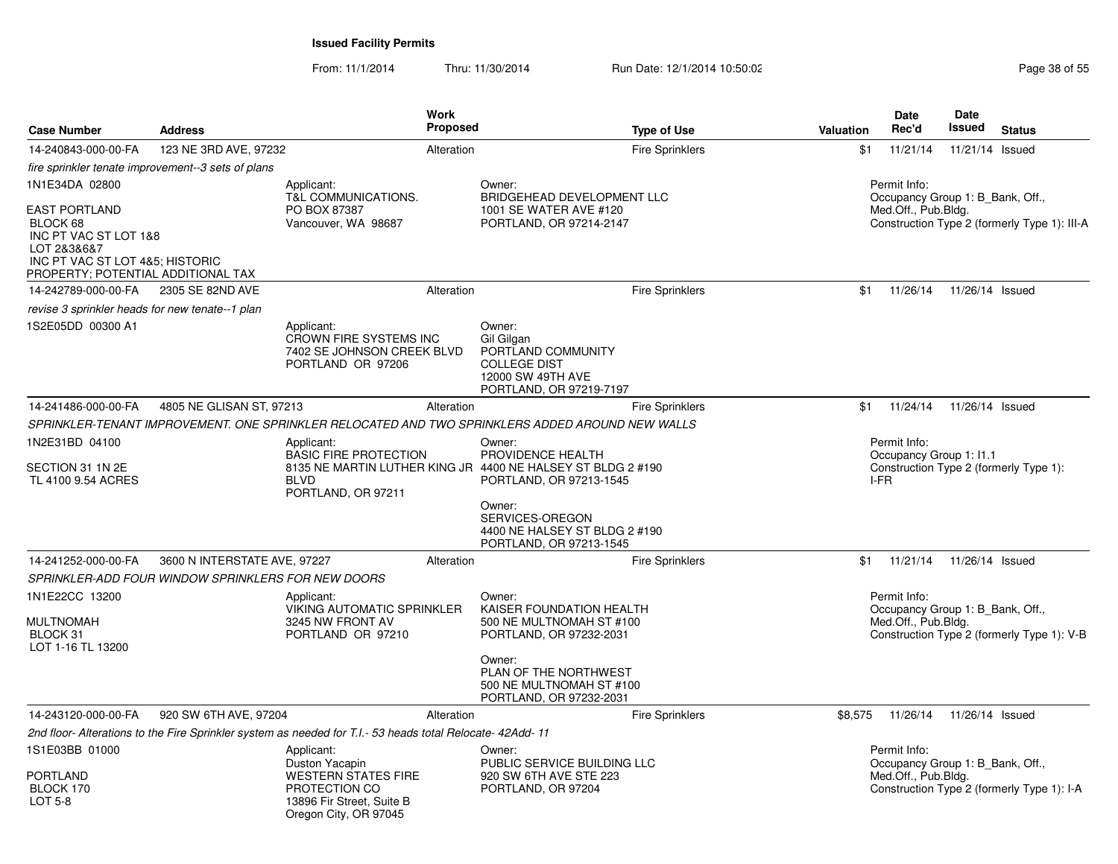| <b>Case Number</b>                                                                                                                                | <b>Address</b>                                     | Work<br>Proposed                                                                                                                 |                                                                                                                   | <b>Type of Use</b>     | <b>Valuation</b>                                                                                        | Date<br>Rec'd                                                           | Date<br>Issued  | <b>Status</b>                              |
|---------------------------------------------------------------------------------------------------------------------------------------------------|----------------------------------------------------|----------------------------------------------------------------------------------------------------------------------------------|-------------------------------------------------------------------------------------------------------------------|------------------------|---------------------------------------------------------------------------------------------------------|-------------------------------------------------------------------------|-----------------|--------------------------------------------|
| 14-240843-000-00-FA                                                                                                                               | 123 NE 3RD AVE, 97232                              | Alteration                                                                                                                       |                                                                                                                   | <b>Fire Sprinklers</b> | \$1                                                                                                     | 11/21/14                                                                | 11/21/14 Issued |                                            |
|                                                                                                                                                   | fire sprinkler tenate improvement--3 sets of plans |                                                                                                                                  |                                                                                                                   |                        |                                                                                                         |                                                                         |                 |                                            |
| 1N1E34DA 02800                                                                                                                                    |                                                    | Applicant:                                                                                                                       | Owner:                                                                                                            |                        |                                                                                                         | Permit Info:                                                            |                 |                                            |
| <b>EAST PORTLAND</b><br>BLOCK 68<br>INC PT VAC ST LOT 1&8<br>LOT 2&3&6&7<br>INC PT VAC ST LOT 4&5; HISTORIC<br>PROPERTY; POTENTIAL ADDITIONAL TAX |                                                    | <b>T&amp;L COMMUNICATIONS.</b><br>PO BOX 87387<br>Vancouver, WA 98687                                                            | BRIDGEHEAD DEVELOPMENT LLC<br>1001 SE WATER AVE #120<br>PORTLAND, OR 97214-2147                                   |                        | Occupancy Group 1: B Bank, Off.,<br>Med.Off., Pub.Bldg.<br>Construction Type 2 (formerly Type 1): III-A |                                                                         |                 |                                            |
| 14-242789-000-00-FA                                                                                                                               | 2305 SE 82ND AVE                                   | Alteration                                                                                                                       |                                                                                                                   | Fire Sprinklers        | \$1                                                                                                     | 11/26/14                                                                | 11/26/14 Issued |                                            |
| revise 3 sprinkler heads for new tenate--1 plan                                                                                                   |                                                    |                                                                                                                                  |                                                                                                                   |                        |                                                                                                         |                                                                         |                 |                                            |
| 1S2E05DD 00300 A1                                                                                                                                 |                                                    | Applicant:<br>CROWN FIRE SYSTEMS INC<br>7402 SE JOHNSON CREEK BLVD<br>PORTLAND OR 97206                                          | Owner:<br>Gil Gilgan<br>PORTLAND COMMUNITY<br><b>COLLEGE DIST</b><br>12000 SW 49TH AVE<br>PORTLAND, OR 97219-7197 |                        |                                                                                                         |                                                                         |                 |                                            |
| 14-241486-000-00-FA                                                                                                                               | 4805 NE GLISAN ST, 97213                           | Alteration                                                                                                                       |                                                                                                                   | <b>Fire Sprinklers</b> | \$1                                                                                                     | 11/24/14                                                                | 11/26/14 Issued |                                            |
|                                                                                                                                                   |                                                    | SPRINKLER-TENANT IMPROVEMENT. ONE SPRINKLER RELOCATED AND TWO SPRINKLERS ADDED AROUND NEW WALLS                                  |                                                                                                                   |                        |                                                                                                         |                                                                         |                 |                                            |
| 1N2E31BD 04100                                                                                                                                    | Applicant:                                         |                                                                                                                                  | Owner:<br>PROVIDENCE HEALTH                                                                                       |                        |                                                                                                         | Permit Info:                                                            |                 |                                            |
| SECTION 31 1N 2E<br>TL 4100 9.54 ACRES                                                                                                            |                                                    | <b>BASIC FIRE PROTECTION</b><br>8135 NE MARTIN LUTHER KING JR 4400 NE HALSEY ST BLDG 2 #190<br><b>BLVD</b><br>PORTLAND, OR 97211 | PORTLAND, OR 97213-1545                                                                                           |                        |                                                                                                         | Occupancy Group 1: I1.1<br>I-FR                                         |                 | Construction Type 2 (formerly Type 1):     |
|                                                                                                                                                   |                                                    |                                                                                                                                  | Owner:<br>SERVICES-OREGON<br>4400 NE HALSEY ST BLDG 2 #190<br>PORTLAND, OR 97213-1545                             |                        |                                                                                                         |                                                                         |                 |                                            |
| 14-241252-000-00-FA                                                                                                                               | 3600 N INTERSTATE AVE, 97227                       | Alteration                                                                                                                       |                                                                                                                   | <b>Fire Sprinklers</b> | \$1                                                                                                     | 11/21/14                                                                | 11/26/14 Issued |                                            |
|                                                                                                                                                   | SPRINKLER-ADD FOUR WINDOW SPRINKLERS FOR NEW DOORS |                                                                                                                                  |                                                                                                                   |                        |                                                                                                         |                                                                         |                 |                                            |
| 1N1E22CC 13200<br><b>MULTNOMAH</b><br>BLOCK 31<br>LOT 1-16 TL 13200                                                                               |                                                    | Applicant:<br><b>VIKING AUTOMATIC SPRINKLER</b><br>3245 NW FRONT AV<br>PORTLAND OR 97210                                         | Owner:<br>KAISER FOUNDATION HEALTH<br>500 NE MULTNOMAH ST #100<br>PORTLAND, OR 97232-2031                         |                        |                                                                                                         | Permit Info:<br>Occupancy Group 1: B Bank, Off.,<br>Med.Off., Pub.Bldg. |                 | Construction Type 2 (formerly Type 1): V-B |
|                                                                                                                                                   |                                                    |                                                                                                                                  | Owner:<br>PLAN OF THE NORTHWEST<br>500 NE MULTNOMAH ST #100<br>PORTLAND, OR 97232-2031                            |                        |                                                                                                         |                                                                         |                 |                                            |
| 14-243120-000-00-FA                                                                                                                               | 920 SW 6TH AVE, 97204                              | Alteration                                                                                                                       |                                                                                                                   | <b>Fire Sprinklers</b> | \$8,575                                                                                                 | 11/26/14                                                                | 11/26/14 Issued |                                            |
|                                                                                                                                                   |                                                    | 2nd floor-Alterations to the Fire Sprinkler system as needed for T.I.- 53 heads total Relocate- 42Add-11                         |                                                                                                                   |                        |                                                                                                         |                                                                         |                 |                                            |
| 1S1E03BB 01000                                                                                                                                    |                                                    | Applicant:                                                                                                                       | Owner:                                                                                                            |                        |                                                                                                         | Permit Info:                                                            |                 |                                            |
| PORTLAND<br>BLOCK 170<br><b>LOT 5-8</b>                                                                                                           |                                                    | Duston Yacapin<br><b>WESTERN STATES FIRE</b><br>PROTECTION CO<br>13896 Fir Street, Suite B<br>Oregon City, OR 97045              | PUBLIC SERVICE BUILDING LLC<br>920 SW 6TH AVE STE 223<br>PORTLAND, OR 97204                                       |                        |                                                                                                         | Occupancy Group 1: B_Bank, Off.,<br>Med.Off., Pub.Bldg.                 |                 | Construction Type 2 (formerly Type 1): I-A |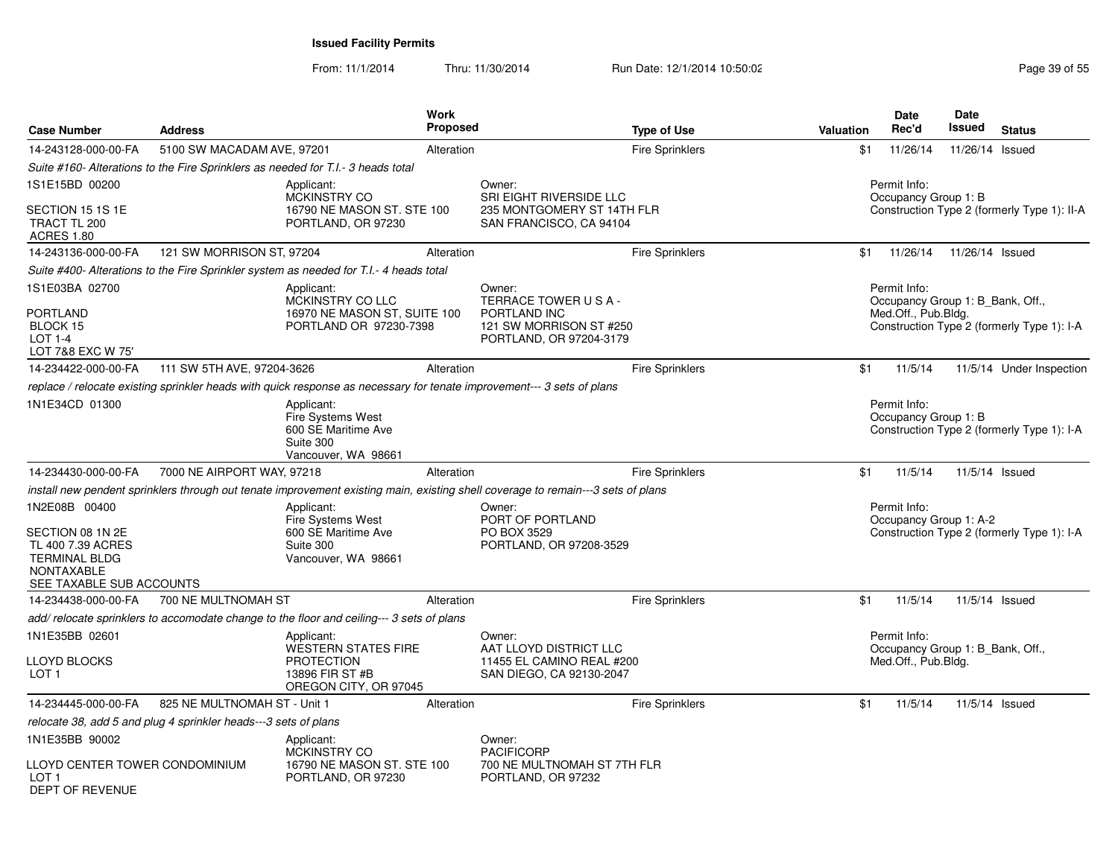| <b>Case Number</b>                                                                                                              | <b>Address</b>                                                  |                                                                                                                                                                                                                      | Work<br>Proposed |                                                                                                    | <b>Type of Use</b>     | Valuation | Date<br>Rec'd                                                           | Date<br>Issued | <b>Status</b>                               |
|---------------------------------------------------------------------------------------------------------------------------------|-----------------------------------------------------------------|----------------------------------------------------------------------------------------------------------------------------------------------------------------------------------------------------------------------|------------------|----------------------------------------------------------------------------------------------------|------------------------|-----------|-------------------------------------------------------------------------|----------------|---------------------------------------------|
| 14-243128-000-00-FA                                                                                                             | 5100 SW MACADAM AVE, 97201                                      |                                                                                                                                                                                                                      | Alteration       |                                                                                                    | <b>Fire Sprinklers</b> | \$1       | 11/26/14                                                                |                | 11/26/14 Issued                             |
|                                                                                                                                 |                                                                 | Suite #160- Alterations to the Fire Sprinklers as needed for T.I.- 3 heads total                                                                                                                                     |                  |                                                                                                    |                        |           |                                                                         |                |                                             |
| 1S1E15BD 00200<br>SECTION 15 1S 1E<br>TRACT TL 200                                                                              |                                                                 | Applicant:<br><b>MCKINSTRY CO</b><br>16790 NE MASON ST. STE 100<br>PORTLAND, OR 97230                                                                                                                                |                  | Owner:<br>SRI EIGHT RIVERSIDE LLC<br>235 MONTGOMERY ST 14TH FLR<br>SAN FRANCISCO, CA 94104         |                        |           | Permit Info:<br>Occupancy Group 1: B                                    |                | Construction Type 2 (formerly Type 1): II-A |
| <b>ACRES 1.80</b><br>14-243136-000-00-FA                                                                                        | 121 SW MORRISON ST, 97204                                       |                                                                                                                                                                                                                      | Alteration       |                                                                                                    | Fire Sprinklers        | \$1       | 11/26/14  11/26/14  Issued                                              |                |                                             |
|                                                                                                                                 |                                                                 | Suite #400- Alterations to the Fire Sprinkler system as needed for T.I.- 4 heads total                                                                                                                               |                  |                                                                                                    |                        |           |                                                                         |                |                                             |
| 1S1E03BA 02700<br><b>PORTLAND</b><br>BLOCK 15<br>$LOT 1-4$                                                                      |                                                                 | Applicant:<br>MCKINSTRY CO LLC<br>16970 NE MASON ST, SUITE 100<br>PORTLAND OR 97230-7398                                                                                                                             |                  | Owner:<br>TERRACE TOWER USA-<br>PORTLAND INC<br>121 SW MORRISON ST #250<br>PORTLAND, OR 97204-3179 |                        |           | Permit Info:<br>Occupancy Group 1: B_Bank, Off.,<br>Med.Off., Pub.Bldg. |                | Construction Type 2 (formerly Type 1): I-A  |
| LOT 7&8 EXC W 75'                                                                                                               |                                                                 |                                                                                                                                                                                                                      |                  |                                                                                                    |                        |           |                                                                         |                |                                             |
| 14-234422-000-00-FA                                                                                                             | 111 SW 5TH AVE, 97204-3626                                      |                                                                                                                                                                                                                      | Alteration       |                                                                                                    | <b>Fire Sprinklers</b> | \$1       | 11/5/14                                                                 |                | 11/5/14 Under Inspection                    |
| 1N1E34CD 01300                                                                                                                  |                                                                 | replace / relocate existing sprinkler heads with quick response as necessary for tenate improvement--- 3 sets of plans<br>Applicant:<br>Fire Systems West<br>600 SE Maritime Ave<br>Suite 300<br>Vancouver, WA 98661 |                  |                                                                                                    |                        |           | Permit Info:<br>Occupancy Group 1: B                                    |                | Construction Type 2 (formerly Type 1): I-A  |
| 14-234430-000-00-FA                                                                                                             | 7000 NE AIRPORT WAY, 97218                                      |                                                                                                                                                                                                                      | Alteration       |                                                                                                    | <b>Fire Sprinklers</b> | \$1       | 11/5/14                                                                 |                | 11/5/14 Issued                              |
|                                                                                                                                 |                                                                 | install new pendent sprinklers through out tenate improvement existing main, existing shell coverage to remain---3 sets of plans                                                                                     |                  |                                                                                                    |                        |           |                                                                         |                |                                             |
| 1N2E08B 00400<br>SECTION 08 1N 2E<br>TL 400 7.39 ACRES<br><b>TERMINAL BLDG</b><br><b>NONTAXABLE</b><br>SEE TAXABLE SUB ACCOUNTS |                                                                 | Applicant:<br>Fire Systems West<br>600 SE Maritime Ave<br>Suite 300<br>Vancouver, WA 98661                                                                                                                           |                  | Owner:<br>PORT OF PORTLAND<br>PO BOX 3529<br>PORTLAND, OR 97208-3529                               |                        |           | Permit Info:<br>Occupancy Group 1: A-2                                  |                | Construction Type 2 (formerly Type 1): I-A  |
| 14-234438-000-00-FA                                                                                                             | 700 NE MULTNOMAH ST                                             |                                                                                                                                                                                                                      | Alteration       |                                                                                                    | <b>Fire Sprinklers</b> | \$1       | 11/5/14                                                                 |                | 11/5/14 Issued                              |
|                                                                                                                                 |                                                                 | add/relocate sprinklers to accomodate change to the floor and ceiling--- 3 sets of plans                                                                                                                             |                  |                                                                                                    |                        |           |                                                                         |                |                                             |
| 1N1E35BB 02601<br>LLOYD BLOCKS<br>LOT <sub>1</sub>                                                                              |                                                                 | Applicant:<br><b>WESTERN STATES FIRE</b><br><b>PROTECTION</b><br>13896 FIR ST #B<br>OREGON CITY, OR 97045                                                                                                            |                  | Owner:<br>AAT LLOYD DISTRICT LLC<br>11455 EL CAMINO REAL #200<br>SAN DIEGO, CA 92130-2047          |                        |           | Permit Info:<br>Occupancy Group 1: B_Bank, Off.,<br>Med.Off., Pub.Bldg. |                |                                             |
| 14-234445-000-00-FA                                                                                                             | 825 NE MULTNOMAH ST - Unit 1                                    |                                                                                                                                                                                                                      | Alteration       |                                                                                                    | <b>Fire Sprinklers</b> | \$1       | 11/5/14                                                                 |                | 11/5/14 Issued                              |
|                                                                                                                                 | relocate 38, add 5 and plug 4 sprinkler heads---3 sets of plans |                                                                                                                                                                                                                      |                  |                                                                                                    |                        |           |                                                                         |                |                                             |
| 1N1E35BB 90002<br>LLOYD CENTER TOWER CONDOMINIUM<br>LOT <sub>1</sub><br>DEPT OF REVENUE                                         |                                                                 | Applicant:<br><b>MCKINSTRY CO</b><br>16790 NE MASON ST. STE 100<br>PORTLAND, OR 97230                                                                                                                                |                  | Owner:<br><b>PACIFICORP</b><br>700 NE MULTNOMAH ST 7TH FLR<br>PORTLAND, OR 97232                   |                        |           |                                                                         |                |                                             |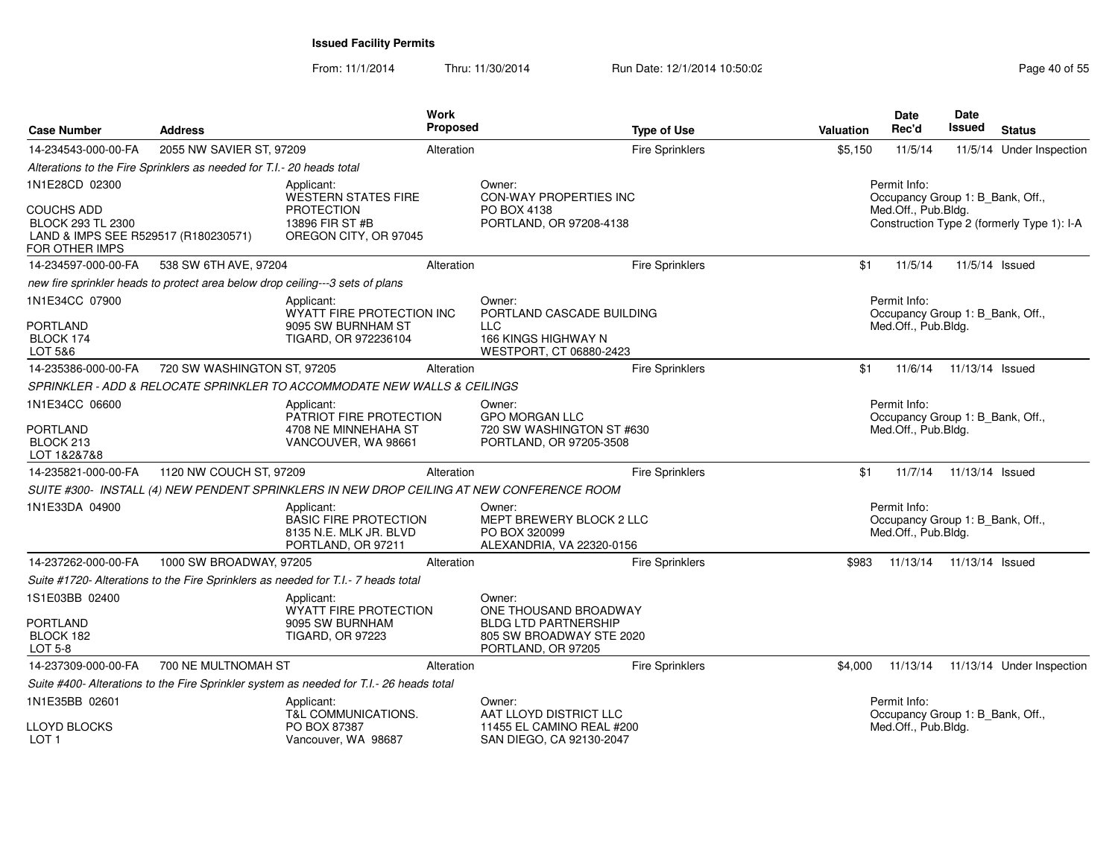| <b>Case Number</b>                                                                               | <b>Address</b>                                                        |                                                                                            | Work<br>Proposed                                              | <b>Type of Use</b>                                                               | Valuation | Date<br>Rec'd                                                           | <b>Date</b><br>Issued | <b>Status</b>                              |  |  |
|--------------------------------------------------------------------------------------------------|-----------------------------------------------------------------------|--------------------------------------------------------------------------------------------|---------------------------------------------------------------|----------------------------------------------------------------------------------|-----------|-------------------------------------------------------------------------|-----------------------|--------------------------------------------|--|--|
| 14-234543-000-00-FA                                                                              | 2055 NW SAVIER ST, 97209                                              |                                                                                            | Alteration                                                    | <b>Fire Sprinklers</b>                                                           | \$5,150   | 11/5/14                                                                 |                       | 11/5/14 Under Inspection                   |  |  |
|                                                                                                  | Alterations to the Fire Sprinklers as needed for T.I.- 20 heads total |                                                                                            |                                                               |                                                                                  |           |                                                                         |                       |                                            |  |  |
| 1N1E28CD 02300                                                                                   |                                                                       | Applicant:<br>WESTERN STATES FIRE                                                          |                                                               | Owner:<br><b>CON-WAY PROPERTIES INC</b>                                          |           | Permit Info:<br>Occupancy Group 1: B_Bank, Off.,                        |                       |                                            |  |  |
| <b>COUCHS ADD</b><br>BLOCK 293 TL 2300<br>LAND & IMPS SEE R529517 (R180230571)<br>FOR OTHER IMPS |                                                                       | <b>PROTECTION</b><br>13896 FIR ST #B<br>OREGON CITY, OR 97045                              | Med.Off., Pub.Bldg.<br>PO BOX 4138<br>PORTLAND, OR 97208-4138 |                                                                                  |           |                                                                         |                       | Construction Type 2 (formerly Type 1): I-A |  |  |
| 14-234597-000-00-FA                                                                              | 538 SW 6TH AVE, 97204                                                 |                                                                                            | Alteration                                                    | <b>Fire Sprinklers</b>                                                           | \$1       | 11/5/14                                                                 |                       | 11/5/14 Issued                             |  |  |
|                                                                                                  |                                                                       | new fire sprinkler heads to protect area below drop ceiling---3 sets of plans              |                                                               |                                                                                  |           |                                                                         |                       |                                            |  |  |
| 1N1E34CC 07900<br><b>PORTLAND</b>                                                                |                                                                       | Applicant:<br>WYATT FIRE PROTECTION INC<br>9095 SW BURNHAM ST                              |                                                               | Owner:<br>PORTLAND CASCADE BUILDING<br><b>LLC</b>                                |           | Permit Info:<br>Occupancy Group 1: B_Bank, Off.,<br>Med.Off., Pub.Bldg. |                       |                                            |  |  |
| BLOCK 174<br>LOT 5&6                                                                             |                                                                       | TIGARD, OR 972236104                                                                       |                                                               | 166 KINGS HIGHWAY N<br>WESTPORT, CT 06880-2423                                   |           |                                                                         |                       |                                            |  |  |
| 14-235386-000-00-FA                                                                              | 720 SW WASHINGTON ST, 97205                                           |                                                                                            | Alteration                                                    | <b>Fire Sprinklers</b>                                                           | \$1       | 11/6/14                                                                 | 11/13/14 Issued       |                                            |  |  |
|                                                                                                  |                                                                       | SPRINKLER - ADD & RELOCATE SPRINKLER TO ACCOMMODATE NEW WALLS & CEILINGS                   |                                                               |                                                                                  |           |                                                                         |                       |                                            |  |  |
| 1N1E34CC 06600                                                                                   |                                                                       | Applicant:<br>PATRIOT FIRE PROTECTION                                                      |                                                               | Owner:<br><b>GPO MORGAN LLC</b>                                                  |           | Permit Info:<br>Occupancy Group 1: B_Bank, Off.,                        |                       |                                            |  |  |
| <b>PORTLAND</b><br>BLOCK 213<br>LOT 1&2&7&8                                                      |                                                                       | 4708 NE MINNEHAHA ST<br>VANCOUVER, WA 98661                                                |                                                               | 720 SW WASHINGTON ST #630<br>PORTLAND, OR 97205-3508                             |           | Med.Off., Pub.Bldg.                                                     |                       |                                            |  |  |
| 14-235821-000-00-FA                                                                              | 1120 NW COUCH ST, 97209                                               |                                                                                            | Alteration                                                    | Fire Sprinklers                                                                  | \$1       | 11/7/14                                                                 | 11/13/14 Issued       |                                            |  |  |
|                                                                                                  |                                                                       | SUITE #300- INSTALL (4) NEW PENDENT SPRINKLERS IN NEW DROP CEILING AT NEW CONFERENCE ROOM  |                                                               |                                                                                  |           |                                                                         |                       |                                            |  |  |
| 1N1E33DA 04900                                                                                   |                                                                       | Applicant:<br><b>BASIC FIRE PROTECTION</b><br>8135 N.E. MLK JR. BLVD<br>PORTLAND, OR 97211 |                                                               | Owner:<br>MEPT BREWERY BLOCK 2 LLC<br>PO BOX 320099<br>ALEXANDRIA, VA 22320-0156 |           | Permit Info:<br>Occupancy Group 1: B_Bank, Off.,<br>Med.Off., Pub.Bldg. |                       |                                            |  |  |
| 14-237262-000-00-FA                                                                              | 1000 SW BROADWAY, 97205                                               |                                                                                            | Alteration                                                    | Fire Sprinklers                                                                  | \$983     | 11/13/14                                                                | 11/13/14 Issued       |                                            |  |  |
|                                                                                                  |                                                                       | Suite #1720- Alterations to the Fire Sprinklers as needed for T.I.- 7 heads total          |                                                               |                                                                                  |           |                                                                         |                       |                                            |  |  |
| 1S1E03BB 02400                                                                                   |                                                                       | Applicant:<br>WYATT FIRE PROTECTION                                                        |                                                               | Owner:<br>ONE THOUSAND BROADWAY                                                  |           |                                                                         |                       |                                            |  |  |
| <b>PORTLAND</b><br>BLOCK 182<br><b>LOT 5-8</b>                                                   |                                                                       | 9095 SW BURNHAM<br><b>TIGARD, OR 97223</b>                                                 |                                                               | <b>BLDG LTD PARTNERSHIP</b><br>805 SW BROADWAY STE 2020<br>PORTLAND, OR 97205    |           |                                                                         |                       |                                            |  |  |
| 14-237309-000-00-FA                                                                              | 700 NE MULTNOMAH ST                                                   |                                                                                            | Alteration                                                    | <b>Fire Sprinklers</b>                                                           |           | \$4,000 11/13/14                                                        |                       | 11/13/14 Under Inspection                  |  |  |
|                                                                                                  |                                                                       | Suite #400- Alterations to the Fire Sprinkler system as needed for T.I.- 26 heads total    |                                                               |                                                                                  |           |                                                                         |                       |                                            |  |  |
| 1N1E35BB 02601                                                                                   |                                                                       | Applicant:<br>T&L COMMUNICATIONS.                                                          |                                                               | Owner:<br>AAT LLOYD DISTRICT LLC                                                 |           | Permit Info:<br>Occupancy Group 1: B_Bank, Off.,                        |                       |                                            |  |  |
| LLOYD BLOCKS<br>LOT <sub>1</sub>                                                                 |                                                                       | PO BOX 87387<br>Vancouver, WA 98687                                                        |                                                               | 11455 EL CAMINO REAL #200<br>SAN DIEGO, CA 92130-2047                            |           | Med.Off., Pub.Bldg.                                                     |                       |                                            |  |  |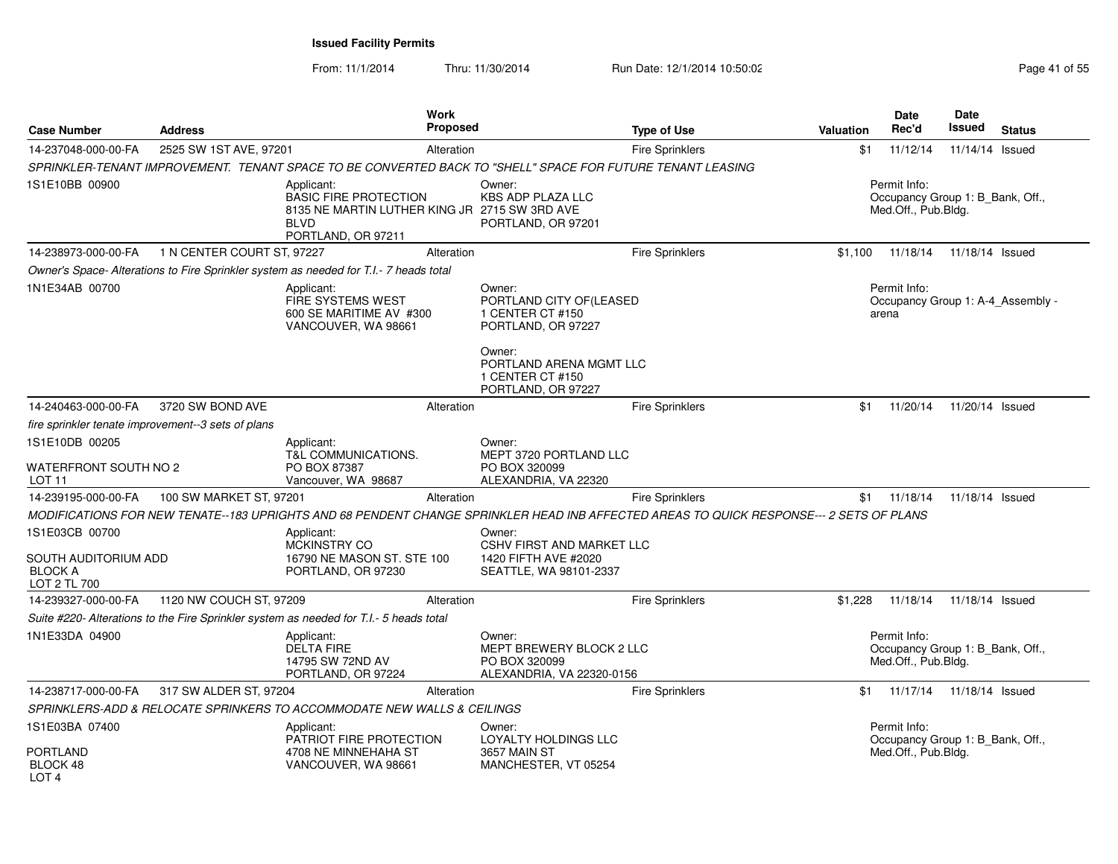| <b>Case Number</b>                                     | <b>Address</b>                                     | Work<br><b>Proposed</b>                                                                                                                 |                                                                                       | <b>Type of Use</b>     | <b>Valuation</b> | <b>Date</b><br>Rec'd                                                    | <b>Date</b><br><b>Issued</b> | <b>Status</b>                     |
|--------------------------------------------------------|----------------------------------------------------|-----------------------------------------------------------------------------------------------------------------------------------------|---------------------------------------------------------------------------------------|------------------------|------------------|-------------------------------------------------------------------------|------------------------------|-----------------------------------|
| 14-237048-000-00-FA                                    | 2525 SW 1ST AVE, 97201                             | Alteration                                                                                                                              |                                                                                       | <b>Fire Sprinklers</b> | \$1              | 11/12/14                                                                | 11/14/14 Issued              |                                   |
|                                                        |                                                    | SPRINKLER-TENANT IMPROVEMENT. TENANT SPACE TO BE CONVERTED BACK TO "SHELL" SPACE FOR FUTURE TENANT LEASING                              |                                                                                       |                        |                  |                                                                         |                              |                                   |
| 1S1E10BB 00900                                         |                                                    | Applicant:<br><b>BASIC FIRE PROTECTION</b><br>8135 NE MARTIN LUTHER KING JR 2715 SW 3RD AVE<br><b>BLVD</b><br>PORTLAND, OR 97211        | Owner:<br><b>KBS ADP PLAZA LLC</b><br>PORTLAND, OR 97201                              |                        |                  | Permit Info:<br>Occupancy Group 1: B Bank, Off.,<br>Med.Off., Pub.Bldg. |                              |                                   |
| 14-238973-000-00-FA                                    | 1 N CENTER COURT ST, 97227                         | Alteration                                                                                                                              |                                                                                       | Fire Sprinklers        | \$1,100          | 11/18/14                                                                | 11/18/14 Issued              |                                   |
|                                                        |                                                    | Owner's Space- Alterations to Fire Sprinkler system as needed for T.I.- 7 heads total                                                   |                                                                                       |                        |                  |                                                                         |                              |                                   |
| 1N1E34AB 00700                                         |                                                    | Applicant:<br><b>FIRE SYSTEMS WEST</b><br>600 SE MARITIME AV #300<br>VANCOUVER, WA 98661                                                | Owner:<br>PORTLAND CITY OF(LEASED<br>1 CENTER CT #150<br>PORTLAND, OR 97227<br>Owner: |                        |                  | Permit Info:<br>arena                                                   |                              | Occupancy Group 1: A-4 Assembly - |
|                                                        |                                                    |                                                                                                                                         | PORTLAND ARENA MGMT LLC<br>1 CENTER CT #150<br>PORTLAND, OR 97227                     |                        |                  |                                                                         |                              |                                   |
| 14-240463-000-00-FA                                    | 3720 SW BOND AVE                                   | Alteration                                                                                                                              |                                                                                       | <b>Fire Sprinklers</b> | \$1              | 11/20/14                                                                | 11/20/14 Issued              |                                   |
|                                                        | fire sprinkler tenate improvement--3 sets of plans |                                                                                                                                         |                                                                                       |                        |                  |                                                                         |                              |                                   |
| 1S1E10DB 00205<br>WATERFRONT SOUTH NO 2                |                                                    | Applicant:<br>T&L COMMUNICATIONS.<br>PO BOX 87387                                                                                       | Owner:<br>MEPT 3720 PORTLAND LLC<br>PO BOX 320099                                     |                        |                  |                                                                         |                              |                                   |
| LOT <sub>11</sub><br>14-239195-000-00-FA               | 100 SW MARKET ST, 97201                            | Vancouver, WA 98687<br>Alteration                                                                                                       | ALEXANDRIA, VA 22320                                                                  | <b>Fire Sprinklers</b> | \$1              | 11/18/14                                                                | 11/18/14 Issued              |                                   |
|                                                        |                                                    | MODIFICATIONS FOR NEW TENATE--183 UPRIGHTS AND 68 PENDENT CHANGE SPRINKLER HEAD INB AFFECTED AREAS TO QUICK RESPONSE--- 2 SETS OF PLANS |                                                                                       |                        |                  |                                                                         |                              |                                   |
| 1S1E03CB 00700                                         |                                                    | Applicant:                                                                                                                              | Owner:                                                                                |                        |                  |                                                                         |                              |                                   |
| SOUTH AUDITORIUM ADD<br><b>BLOCK A</b><br>LOT 2 TL 700 |                                                    | <b>MCKINSTRY CO</b><br>16790 NE MASON ST, STE 100<br>PORTLAND, OR 97230                                                                 | <b>CSHV FIRST AND MARKET LLC</b><br>1420 FIFTH AVE #2020<br>SEATTLE, WA 98101-2337    |                        |                  |                                                                         |                              |                                   |
| 14-239327-000-00-FA                                    | 1120 NW COUCH ST, 97209                            | Alteration                                                                                                                              |                                                                                       | <b>Fire Sprinklers</b> | \$1,228          | 11/18/14                                                                | 11/18/14 Issued              |                                   |
|                                                        |                                                    | Suite #220- Alterations to the Fire Sprinkler system as needed for T.I.- 5 heads total                                                  |                                                                                       |                        |                  |                                                                         |                              |                                   |
| 1N1E33DA 04900                                         |                                                    | Applicant:<br><b>DELTA FIRE</b><br>14795 SW 72ND AV<br>PORTLAND, OR 97224                                                               | Owner:<br>MEPT BREWERY BLOCK 2 LLC<br>PO BOX 320099<br>ALEXANDRIA, VA 22320-0156      |                        |                  | Permit Info:<br>Occupancy Group 1: B_Bank, Off.,<br>Med.Off., Pub.Bldg. |                              |                                   |
| 14-238717-000-00-FA                                    | 317 SW ALDER ST, 97204                             | Alteration                                                                                                                              |                                                                                       | <b>Fire Sprinklers</b> | \$1              | 11/17/14                                                                | 11/18/14 Issued              |                                   |
|                                                        |                                                    | SPRINKLERS-ADD & RELOCATE SPRINKERS TO ACCOMMODATE NEW WALLS & CEILINGS                                                                 |                                                                                       |                        |                  |                                                                         |                              |                                   |
| 1S1E03BA 07400                                         |                                                    | Applicant:<br>PATRIOT FIRE PROTECTION                                                                                                   | Owner:<br>LOYALTY HOLDINGS LLC                                                        |                        |                  | Permit Info:<br>Occupancy Group 1: B Bank, Off.,                        |                              |                                   |
| <b>PORTLAND</b><br>BLOCK 48<br>LOT <sub>4</sub>        |                                                    | 4708 NE MINNEHAHA ST<br>VANCOUVER, WA 98661                                                                                             | 3657 MAIN ST<br>MANCHESTER, VT 05254                                                  |                        |                  | Med.Off., Pub.Bldg.                                                     |                              |                                   |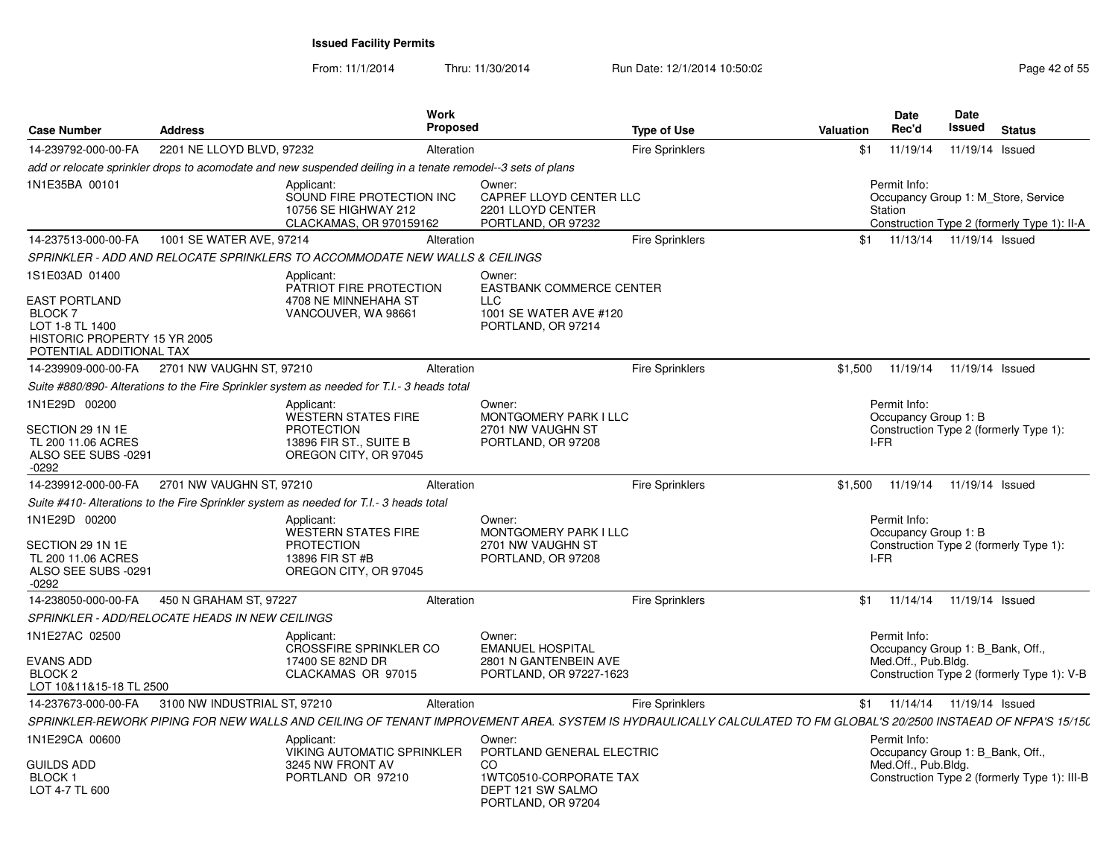| <b>Case Number</b>                                                                                                    | <b>Address</b>                                 |                                                                                                                                                                   | Work<br><b>Proposed</b> |                                                                                                                 | <b>Type of Use</b>     | <b>Valuation</b> | Date<br>Rec'd                                                           | Date<br><b>Issued</b> | <b>Status</b>                                                                      |
|-----------------------------------------------------------------------------------------------------------------------|------------------------------------------------|-------------------------------------------------------------------------------------------------------------------------------------------------------------------|-------------------------|-----------------------------------------------------------------------------------------------------------------|------------------------|------------------|-------------------------------------------------------------------------|-----------------------|------------------------------------------------------------------------------------|
| 14-239792-000-00-FA                                                                                                   | 2201 NE LLOYD BLVD, 97232                      |                                                                                                                                                                   | Alteration              |                                                                                                                 | <b>Fire Sprinklers</b> | \$1              | 11/19/14                                                                | 11/19/14 Issued       |                                                                                    |
|                                                                                                                       |                                                | add or relocate sprinkler drops to acomodate and new suspended deiling in a tenate remodel--3 sets of plans                                                       |                         |                                                                                                                 |                        |                  |                                                                         |                       |                                                                                    |
| 1N1E35BA 00101                                                                                                        |                                                | Applicant:<br>SOUND FIRE PROTECTION INC<br>10756 SE HIGHWAY 212<br>CLACKAMAS, OR 970159162                                                                        |                         | Owner:<br>CAPREF LLOYD CENTER LLC<br>2201 LLOYD CENTER<br>PORTLAND, OR 97232                                    |                        |                  | Permit Info:<br>Station                                                 |                       | Occupancy Group 1: M Store, Service<br>Construction Type 2 (formerly Type 1): II-A |
| 14-237513-000-00-FA                                                                                                   | 1001 SE WATER AVE, 97214                       |                                                                                                                                                                   | Alteration              |                                                                                                                 | <b>Fire Sprinklers</b> | \$1              | 11/13/14  11/19/14  Issued                                              |                       |                                                                                    |
|                                                                                                                       |                                                | SPRINKLER - ADD AND RELOCATE SPRINKLERS TO ACCOMMODATE NEW WALLS & CEILINGS                                                                                       |                         |                                                                                                                 |                        |                  |                                                                         |                       |                                                                                    |
| 1S1E03AD 01400                                                                                                        |                                                | Applicant:<br>PATRIOT FIRE PROTECTION                                                                                                                             |                         | Owner:<br><b>EASTBANK COMMERCE CENTER</b>                                                                       |                        |                  |                                                                         |                       |                                                                                    |
| <b>EAST PORTLAND</b><br><b>BLOCK 7</b><br>LOT 1-8 TL 1400<br>HISTORIC PROPERTY 15 YR 2005<br>POTENTIAL ADDITIONAL TAX |                                                | 4708 NE MINNEHAHA ST<br>VANCOUVER, WA 98661                                                                                                                       |                         | <b>LLC</b><br>1001 SE WATER AVE #120<br>PORTLAND, OR 97214                                                      |                        |                  |                                                                         |                       |                                                                                    |
| 14-239909-000-00-FA                                                                                                   | 2701 NW VAUGHN ST, 97210                       |                                                                                                                                                                   | Alteration              |                                                                                                                 | <b>Fire Sprinklers</b> | \$1,500          | 11/19/14                                                                | 11/19/14 Issued       |                                                                                    |
|                                                                                                                       |                                                | Suite #880/890- Alterations to the Fire Sprinkler system as needed for T.I.- 3 heads total                                                                        |                         |                                                                                                                 |                        |                  |                                                                         |                       |                                                                                    |
| 1N1E29D 00200                                                                                                         |                                                | Applicant:                                                                                                                                                        |                         | Owner:                                                                                                          |                        |                  | Permit Info:                                                            |                       |                                                                                    |
| SECTION 29 1N 1E<br>TL 200 11.06 ACRES<br>ALSO SEE SUBS -0291<br>$-0292$                                              |                                                | <b>WESTERN STATES FIRE</b><br><b>PROTECTION</b><br>13896 FIR ST., SUITE B<br>OREGON CITY, OR 97045                                                                |                         | <b>MONTGOMERY PARK I LLC</b><br>2701 NW VAUGHN ST<br>PORTLAND, OR 97208                                         |                        |                  | Occupancy Group 1: B<br>I-FR                                            |                       | Construction Type 2 (formerly Type 1):                                             |
| 14-239912-000-00-FA                                                                                                   | 2701 NW VAUGHN ST, 97210                       |                                                                                                                                                                   | Alteration              |                                                                                                                 | Fire Sprinklers        | \$1,500          | 11/19/14                                                                | 11/19/14 Issued       |                                                                                    |
|                                                                                                                       |                                                | Suite #410- Alterations to the Fire Sprinkler system as needed for T.I.- 3 heads total                                                                            |                         |                                                                                                                 |                        |                  |                                                                         |                       |                                                                                    |
| 1N1E29D 00200<br>SECTION 29 1N 1E<br>TL 200 11.06 ACRES<br>ALSO SEE SUBS -0291<br>$-0292$                             |                                                | Applicant:<br><b>WESTERN STATES FIRE</b><br><b>PROTECTION</b><br>13896 FIR ST #B<br>OREGON CITY, OR 97045                                                         |                         | Owner:<br>MONTGOMERY PARK I LLC<br>2701 NW VAUGHN ST<br>PORTLAND, OR 97208                                      |                        |                  | Permit Info:<br>Occupancy Group 1: B<br>I-FR                            |                       | Construction Type 2 (formerly Type 1):                                             |
| 14-238050-000-00-FA                                                                                                   | 450 N GRAHAM ST, 97227                         |                                                                                                                                                                   | Alteration              |                                                                                                                 | <b>Fire Sprinklers</b> | \$1              | 11/14/14                                                                | 11/19/14 Issued       |                                                                                    |
|                                                                                                                       | SPRINKLER - ADD/RELOCATE HEADS IN NEW CEILINGS |                                                                                                                                                                   |                         |                                                                                                                 |                        |                  |                                                                         |                       |                                                                                    |
| 1N1E27AC 02500                                                                                                        |                                                | Applicant:<br><b>CROSSFIRE SPRINKLER CO</b>                                                                                                                       |                         | Owner:<br><b>EMANUEL HOSPITAL</b>                                                                               |                        |                  | Permit Info:<br>Occupancy Group 1: B Bank, Off.,                        |                       |                                                                                    |
| EVANS ADD<br>BLOCK <sub>2</sub><br>LOT 10&11&15-18 TL 2500                                                            |                                                | 17400 SE 82ND DR<br>CLACKAMAS OR 97015                                                                                                                            |                         | 2801 N GANTENBEIN AVE<br>PORTLAND, OR 97227-1623                                                                |                        |                  | Med.Off., Pub.Bldg.                                                     |                       | Construction Type 2 (formerly Type 1): V-B                                         |
| 14-237673-000-00-FA                                                                                                   | 3100 NW INDUSTRIAL ST, 97210                   |                                                                                                                                                                   | Alteration              |                                                                                                                 | <b>Fire Sprinklers</b> | \$1              | 11/14/14  11/19/14  Issued                                              |                       |                                                                                    |
|                                                                                                                       |                                                | SPRINKLER-REWORK PIPING FOR NEW WALLS AND CEILING OF TENANT IMPROVEMENT AREA. SYSTEM IS HYDRAULICALLY CALCULATED TO FM GLOBAL'S 20/2500 INSTAEAD OF NFPA'S 15/15( |                         |                                                                                                                 |                        |                  |                                                                         |                       |                                                                                    |
| 1N1E29CA 00600<br>GUILDS ADD<br><b>BLOCK1</b><br>LOT 4-7 TL 600                                                       |                                                | Applicant:<br><b>VIKING AUTOMATIC SPRINKLER</b><br>3245 NW FRONT AV<br>PORTLAND OR 97210                                                                          |                         | Owner:<br>PORTLAND GENERAL ELECTRIC<br>CO.<br>1WTC0510-CORPORATE TAX<br>DEPT 121 SW SALMO<br>PORTLAND, OR 97204 |                        |                  | Permit Info:<br>Occupancy Group 1: B_Bank, Off.,<br>Med.Off., Pub.Bldg. |                       | Construction Type 2 (formerly Type 1): III-B                                       |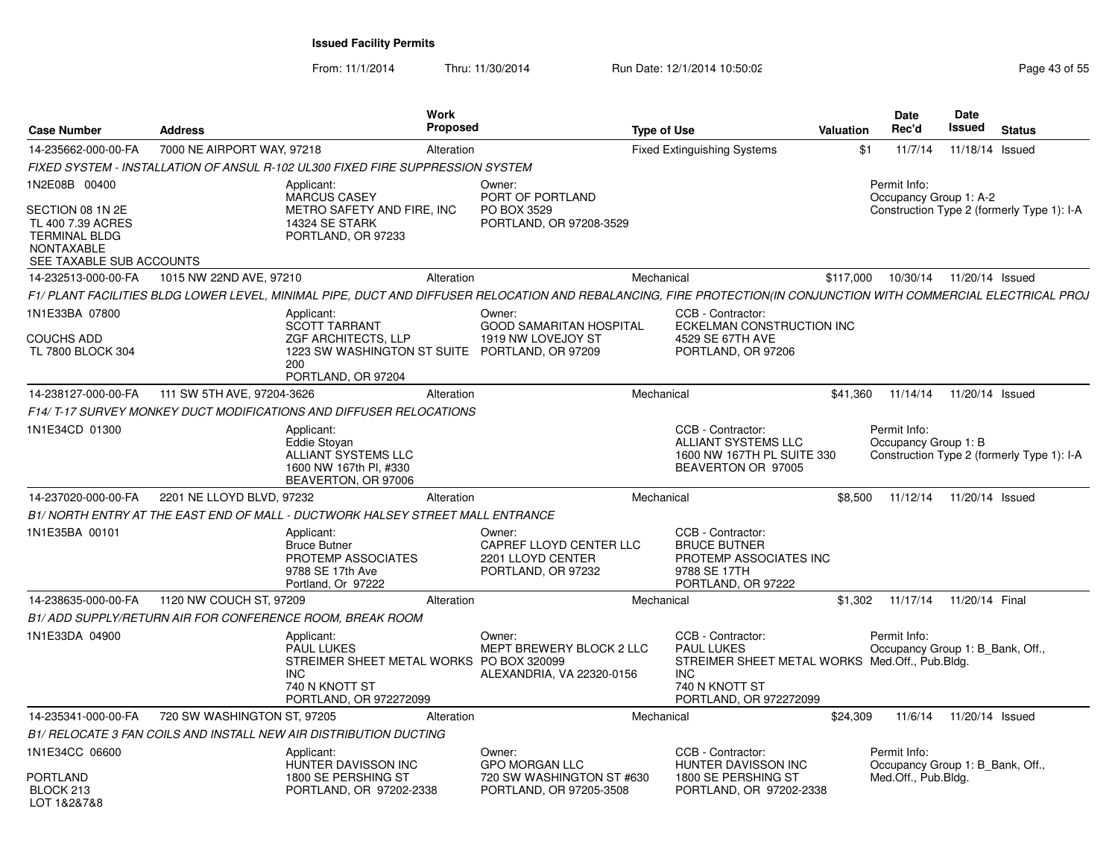From: 11/1/2014Thru: 11/30/2014 Run Date: 12/1/2014 10:50:02 Run Date: 12/1/2014 10:50:02

| <b>Case Number</b>                                                             | <b>Address</b>                                                                                                                                                    | <b>Work</b><br><b>Proposed</b>                                       | <b>Type of Use</b>                                                                                                                                        | <b>Date</b><br>Rec'd<br>Valuation                              | <b>Date</b><br>Issued<br><b>Status</b>                               |
|--------------------------------------------------------------------------------|-------------------------------------------------------------------------------------------------------------------------------------------------------------------|----------------------------------------------------------------------|-----------------------------------------------------------------------------------------------------------------------------------------------------------|----------------------------------------------------------------|----------------------------------------------------------------------|
| 14-235662-000-00-FA                                                            | 7000 NE AIRPORT WAY, 97218                                                                                                                                        | Alteration                                                           | <b>Fixed Extinguishing Systems</b>                                                                                                                        | \$1<br>11/7/14                                                 | 11/18/14 Issued                                                      |
|                                                                                | FIXED SYSTEM - INSTALLATION OF ANSUL R-102 UL300 FIXED FIRE SUPPRESSION SYSTEM                                                                                    |                                                                      |                                                                                                                                                           |                                                                |                                                                      |
| 1N2E08B 00400<br>SECTION 08 1N 2E<br>TL 400 7.39 ACRES<br><b>TERMINAL BLDG</b> | Applicant:<br><b>MARCUS CASEY</b><br>METRO SAFETY AND FIRE, INC<br><b>14324 SE STARK</b><br>PORTLAND, OR 97233                                                    | Owner:<br>PORT OF PORTLAND<br>PO BOX 3529<br>PORTLAND, OR 97208-3529 |                                                                                                                                                           | Permit Info:                                                   | Occupancy Group 1: A-2<br>Construction Type 2 (formerly Type 1): I-A |
| NONTAXABLE                                                                     |                                                                                                                                                                   |                                                                      |                                                                                                                                                           |                                                                |                                                                      |
| SEE TAXABLE SUB ACCOUNTS<br>14-232513-000-00-FA                                | 1015 NW 22ND AVE, 97210                                                                                                                                           | Alteration                                                           | Mechanical                                                                                                                                                | \$117.000<br>10/30/14                                          | 11/20/14 Issued                                                      |
|                                                                                | F1/ PLANT FACILITIES BLDG LOWER LEVEL, MINIMAL PIPE, DUCT AND DIFFUSER RELOCATION AND REBALANCING, FIRE PROTECTION(IN CONJUNCTION WITH COMMERCIAL ELECTRICAL PROJ |                                                                      |                                                                                                                                                           |                                                                |                                                                      |
| 1N1E33BA 07800                                                                 |                                                                                                                                                                   | Owner:                                                               | CCB - Contractor:                                                                                                                                         |                                                                |                                                                      |
| <b>COUCHS ADD</b><br>TL 7800 BLOCK 304                                         | Applicant:<br><b>SCOTT TARRANT</b><br>ZGF ARCHITECTS, LLP<br>200<br>PORTLAND, OR 97204                                                                            | 1919 NW LOVEJOY ST<br>1223 SW WASHINGTON ST SUITE PORTLAND, OR 97209 | <b>GOOD SAMARITAN HOSPITAL</b><br>4529 SE 67TH AVE<br>PORTLAND, OR 97206                                                                                  | <b>ECKELMAN CONSTRUCTION INC</b>                               |                                                                      |
| 14-238127-000-00-FA                                                            | 111 SW 5TH AVE, 97204-3626                                                                                                                                        | Alteration                                                           | Mechanical                                                                                                                                                | \$41,360<br>11/14/14                                           | 11/20/14 Issued                                                      |
|                                                                                | F14/ T-17 SURVEY MONKEY DUCT MODIFICATIONS AND DIFFUSER RELOCATIONS                                                                                               |                                                                      |                                                                                                                                                           |                                                                |                                                                      |
| 1N1E34CD 01300                                                                 | Applicant:<br>Eddie Stoyan<br>ALLIANT SYSTEMS LLC<br>1600 NW 167th Pl, #330<br>BEAVERTON, OR 97006                                                                |                                                                      | CCB - Contractor:<br>ALLIANT SYSTEMS LLC<br>1600 NW 167TH PL SUITE 330<br>BEAVERTON OR 97005                                                              | Permit Info:<br>Occupancy Group 1: B                           | Construction Type 2 (formerly Type 1): I-A                           |
| 14-237020-000-00-FA                                                            | 2201 NE LLOYD BLVD, 97232                                                                                                                                         | Alteration                                                           | Mechanical                                                                                                                                                | \$8,500                                                        | 11/12/14  11/20/14  Issued                                           |
|                                                                                | B1/ NORTH ENTRY AT THE EAST END OF MALL - DUCTWORK HALSEY STREET MALL ENTRANCE                                                                                    |                                                                      |                                                                                                                                                           |                                                                |                                                                      |
| 1N1E35BA 00101                                                                 | Applicant:<br><b>Bruce Butner</b><br>PROTEMP ASSOCIATES<br>9788 SE 17th Ave<br>Portland, Or 97222                                                                 | Owner:<br>2201 LLOYD CENTER<br>PORTLAND, OR 97232                    | CCB - Contractor:<br>CAPREF LLOYD CENTER LLC<br><b>BRUCE BUTNER</b><br>PROTEMP ASSOCIATES INC<br>9788 SE 17TH<br>PORTLAND, OR 97222                       |                                                                |                                                                      |
| 14-238635-000-00-FA                                                            | 1120 NW COUCH ST, 97209                                                                                                                                           | Alteration                                                           | Mechanical                                                                                                                                                |                                                                | \$1,302 11/17/14 11/20/14 Final                                      |
|                                                                                | B1/ ADD SUPPLY/RETURN AIR FOR CONFERENCE ROOM, BREAK ROOM                                                                                                         |                                                                      |                                                                                                                                                           |                                                                |                                                                      |
| 1N1E33DA 04900                                                                 | Applicant:<br><b>PAUL LUKES</b><br><b>INC</b><br>740 N KNOTT ST<br>PORTLAND, OR 972272099                                                                         | Owner:<br>STREIMER SHEET METAL WORKS PO BOX 320099                   | CCB - Contractor:<br>MEPT BREWERY BLOCK 2 LLC<br><b>PAUL LUKES</b><br>ALEXANDRIA, VA 22320-0156<br><b>INC</b><br>740 N KNOTT ST<br>PORTLAND, OR 972272099 | Permit Info:<br>STREIMER SHEET METAL WORKS Med.Off., Pub.Bldg. | Occupancy Group 1: B_Bank, Off.,                                     |
| 14-235341-000-00-FA                                                            | 720 SW WASHINGTON ST, 97205                                                                                                                                       | Alteration                                                           | Mechanical                                                                                                                                                | \$24,309<br>11/6/14                                            | 11/20/14 Issued                                                      |
|                                                                                | B1/ RELOCATE 3 FAN COILS AND INSTALL NEW AIR DISTRIBUTION DUCTING                                                                                                 |                                                                      |                                                                                                                                                           |                                                                |                                                                      |
| 1N1E34CC 06600<br><b>PORTLAND</b><br>BLOCK 213<br>LOT 1&2&7&8                  | Applicant:<br>HUNTER DAVISSON INC<br>1800 SE PERSHING ST<br>PORTLAND, OR 97202-2338                                                                               | Owner:<br><b>GPO MORGAN LLC</b><br>PORTLAND, OR 97205-3508           | CCB - Contractor:<br>HUNTER DAVISSON INC<br>720 SW WASHINGTON ST #630<br>1800 SE PERSHING ST<br>PORTLAND, OR 97202-2338                                   | Permit Info:<br>Med.Off., Pub.Bldg.                            | Occupancy Group 1: B_Bank, Off.,                                     |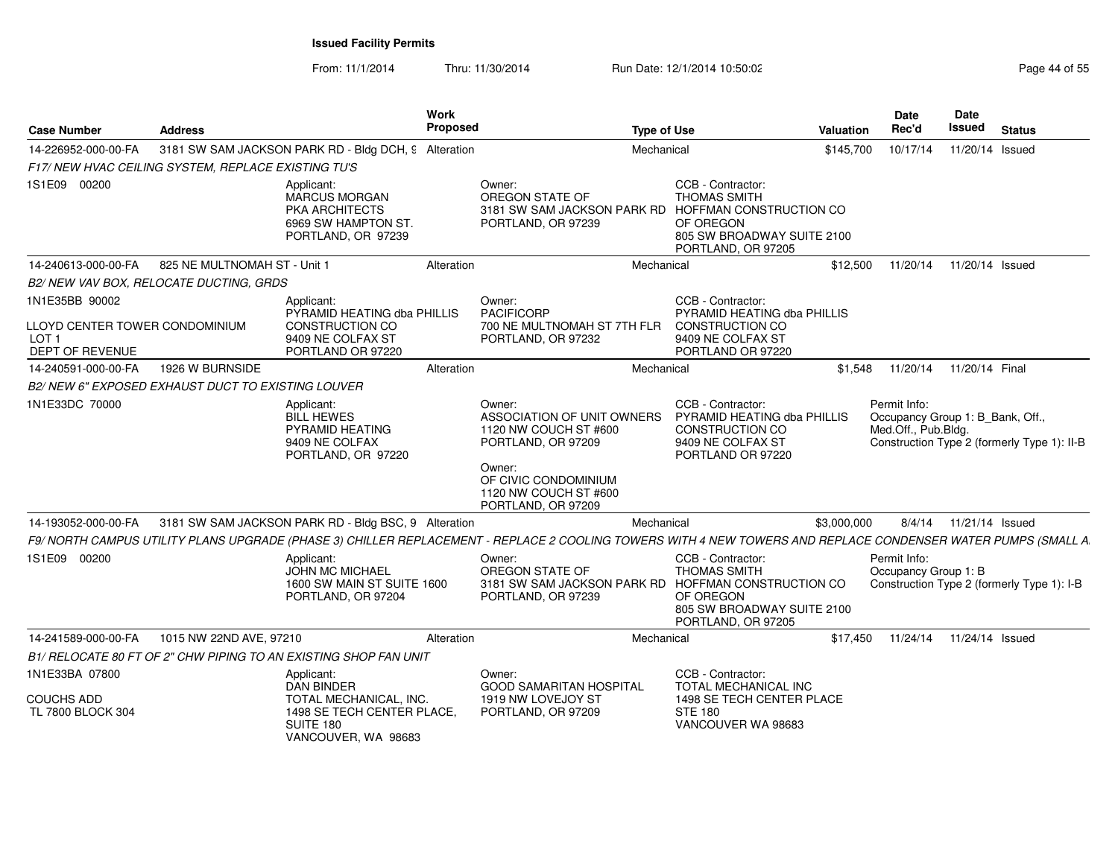| <b>Case Number</b>                                                                      | <b>Address</b>                                     |                                                                                                        | Work<br><b>Proposed</b> |                                                                                                                                                                      | <b>Type of Use</b> |                                                                                                                                      | <b>Valuation</b> | Date<br>Rec'd                        | <b>Date</b><br>Issued<br><b>Status</b>                                          |
|-----------------------------------------------------------------------------------------|----------------------------------------------------|--------------------------------------------------------------------------------------------------------|-------------------------|----------------------------------------------------------------------------------------------------------------------------------------------------------------------|--------------------|--------------------------------------------------------------------------------------------------------------------------------------|------------------|--------------------------------------|---------------------------------------------------------------------------------|
| 14-226952-000-00-FA                                                                     |                                                    | 3181 SW SAM JACKSON PARK RD - Bldg DCH, 9 Alteration                                                   |                         |                                                                                                                                                                      | Mechanical         |                                                                                                                                      | \$145,700        | 10/17/14                             | 11/20/14 Issued                                                                 |
|                                                                                         | F17/NEW HVAC CEILING SYSTEM. REPLACE EXISTING TU'S |                                                                                                        |                         |                                                                                                                                                                      |                    |                                                                                                                                      |                  |                                      |                                                                                 |
| 1S1E09 00200                                                                            |                                                    | Applicant:<br><b>MARCUS MORGAN</b><br>PKA ARCHITECTS<br>6969 SW HAMPTON ST.<br>PORTLAND, OR 97239      |                         | Owner:<br>OREGON STATE OF<br>3181 SW SAM JACKSON PARK RD<br>PORTLAND, OR 97239                                                                                       |                    | CCB - Contractor:<br><b>THOMAS SMITH</b><br>HOFFMAN CONSTRUCTION CO<br>OF OREGON<br>805 SW BROADWAY SUITE 2100<br>PORTLAND, OR 97205 |                  |                                      |                                                                                 |
| 14-240613-000-00-FA                                                                     | 825 NE MULTNOMAH ST - Unit 1                       |                                                                                                        | Alteration              |                                                                                                                                                                      | Mechanical         |                                                                                                                                      | \$12,500         | 11/20/14                             | 11/20/14 Issued                                                                 |
|                                                                                         | B2/ NEW VAV BOX, RELOCATE DUCTING, GRDS            |                                                                                                        |                         |                                                                                                                                                                      |                    |                                                                                                                                      |                  |                                      |                                                                                 |
| 1N1E35BB 90002<br>LLOYD CENTER TOWER CONDOMINIUM<br>LOT <sub>1</sub><br>DEPT OF REVENUE |                                                    | Applicant:<br>PYRAMID HEATING dba PHILLIS<br>CONSTRUCTION CO<br>9409 NE COLFAX ST<br>PORTLAND OR 97220 |                         | Owner:<br><b>PACIFICORP</b><br>700 NE MULTNOMAH ST 7TH FLR<br>PORTLAND, OR 97232                                                                                     |                    | CCB - Contractor:<br>PYRAMID HEATING dba PHILLIS<br><b>CONSTRUCTION CO</b><br>9409 NE COLFAX ST<br>PORTLAND OR 97220                 |                  |                                      |                                                                                 |
| 14-240591-000-00-FA                                                                     | 1926 W BURNSIDE                                    |                                                                                                        | Alteration              |                                                                                                                                                                      | Mechanical         |                                                                                                                                      | \$1.548          | 11/20/14                             | 11/20/14 Final                                                                  |
|                                                                                         | B2/NEW 6" EXPOSED EXHAUST DUCT TO EXISTING LOUVER  |                                                                                                        |                         |                                                                                                                                                                      |                    |                                                                                                                                      |                  |                                      |                                                                                 |
| 1N1E33DC 70000                                                                          |                                                    | Applicant:<br><b>BILL HEWES</b><br>PYRAMID HEATING<br>9409 NE COLFAX<br>PORTLAND, OR 97220             |                         | Owner:<br>ASSOCIATION OF UNIT OWNERS<br>1120 NW COUCH ST #600<br>PORTLAND, OR 97209<br>Owner:<br>OF CIVIC CONDOMINIUM<br>1120 NW COUCH ST #600<br>PORTLAND, OR 97209 |                    | CCB - Contractor:<br>PYRAMID HEATING dba PHILLIS<br>CONSTRUCTION CO<br>9409 NE COLFAX ST<br>PORTLAND OR 97220                        |                  | Permit Info:<br>Med.Off., Pub.Bldg.  | Occupancy Group 1: B_Bank, Off.,<br>Construction Type 2 (formerly Type 1): II-B |
| 14-193052-000-00-FA                                                                     |                                                    | 3181 SW SAM JACKSON PARK RD - Bldg BSC, 9 Alteration                                                   |                         |                                                                                                                                                                      | Mechanical         |                                                                                                                                      | \$3,000,000      | 8/4/14                               | 11/21/14 Issued                                                                 |
|                                                                                         |                                                    |                                                                                                        |                         | F9/ NORTH CAMPUS UTILITY PLANS UPGRADE (PHASE 3) CHILLER REPLACEMENT - REPLACE 2 COOLING TOWERS WITH 4 NEW TOWERS AND REPLACE CONDENSER WATER PUMPS (SMALL A         |                    |                                                                                                                                      |                  |                                      |                                                                                 |
| 1S1E09 00200                                                                            |                                                    | Applicant:<br><b>JOHN MC MICHAEL</b><br>1600 SW MAIN ST SUITE 1600<br>PORTLAND, OR 97204               |                         | Owner:<br>OREGON STATE OF<br>3181 SW SAM JACKSON PARK RD HOFFMAN CONSTRUCTION CO<br>PORTLAND, OR 97239                                                               |                    | CCB - Contractor:<br><b>THOMAS SMITH</b><br>OF OREGON<br>805 SW BROADWAY SUITE 2100<br>PORTLAND, OR 97205                            |                  | Permit Info:<br>Occupancy Group 1: B | Construction Type 2 (formerly Type 1): I-B                                      |
| 14-241589-000-00-FA                                                                     | 1015 NW 22ND AVE, 97210                            |                                                                                                        | Alteration              |                                                                                                                                                                      | Mechanical         |                                                                                                                                      | \$17.450         | 11/24/14                             | 11/24/14 Issued                                                                 |
|                                                                                         |                                                    | B1/ RELOCATE 80 FT OF 2" CHW PIPING TO AN EXISTING SHOP FAN UNIT                                       |                         |                                                                                                                                                                      |                    |                                                                                                                                      |                  |                                      |                                                                                 |
| 1N1E33BA 07800                                                                          |                                                    | Applicant:<br><b>DAN BINDER</b>                                                                        |                         | Owner:<br><b>GOOD SAMARITAN HOSPITAL</b>                                                                                                                             |                    | CCB - Contractor:<br>TOTAL MECHANICAL INC                                                                                            |                  |                                      |                                                                                 |
| <b>COUCHS ADD</b><br>TL 7800 BLOCK 304                                                  |                                                    | TOTAL MECHANICAL, INC.<br>1498 SE TECH CENTER PLACE.<br>SUITE 180<br>VANCOUVER, WA 98683               |                         | 1919 NW LOVEJOY ST<br>PORTLAND, OR 97209                                                                                                                             |                    | 1498 SE TECH CENTER PLACE<br><b>STE 180</b><br>VANCOUVER WA 98683                                                                    |                  |                                      |                                                                                 |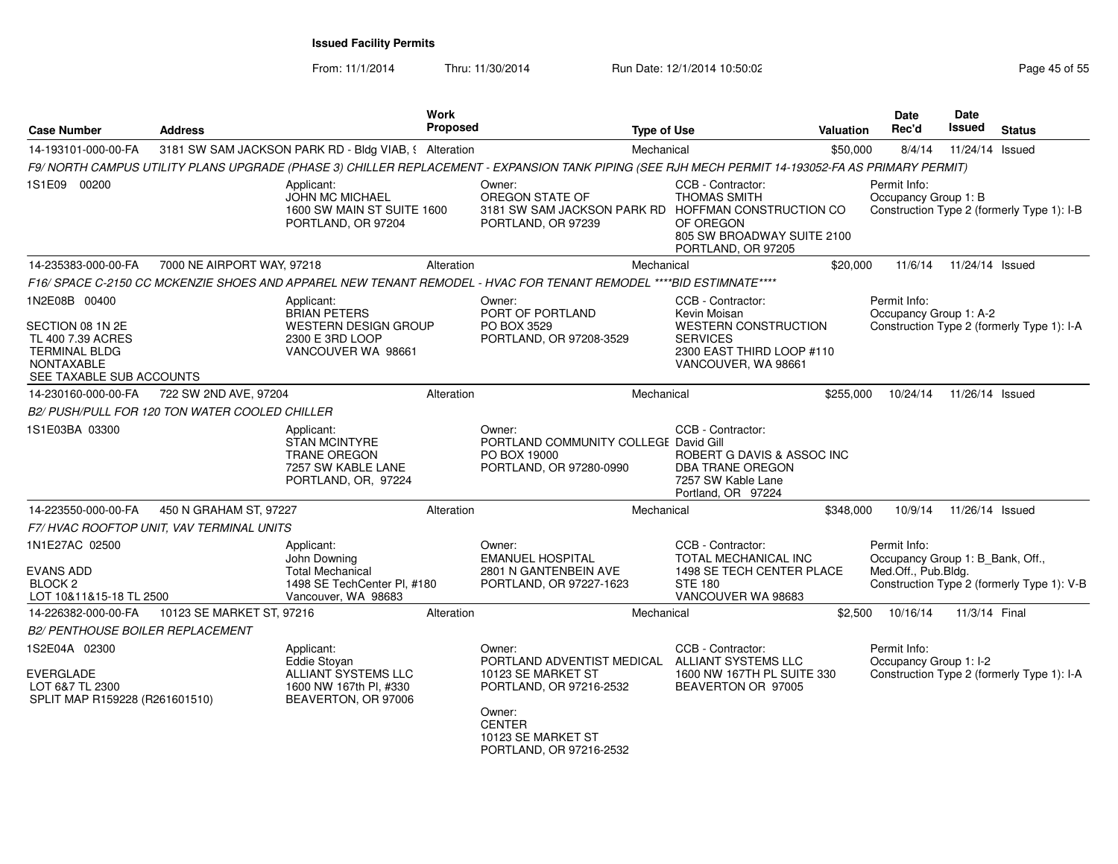From: 11/1/2014

Thru: 11/30/2014 Run Date: 12/1/2014 10:50:02 Run Date: 12/1/2014 10:50:02

| <b>Case Number</b>                                                                                                              | <b>Address</b>                                 |                                                                                                             | <b>Work</b><br><b>Proposed</b> |                                                                                                                                                  | <b>Type of Use</b>                                                                                                                      | <b>Valuation</b> | <b>Date</b><br>Rec'd                                                    | <b>Date</b><br>Issued | <b>Status</b>                              |
|---------------------------------------------------------------------------------------------------------------------------------|------------------------------------------------|-------------------------------------------------------------------------------------------------------------|--------------------------------|--------------------------------------------------------------------------------------------------------------------------------------------------|-----------------------------------------------------------------------------------------------------------------------------------------|------------------|-------------------------------------------------------------------------|-----------------------|--------------------------------------------|
| 14-193101-000-00-FA                                                                                                             |                                                | 3181 SW SAM JACKSON PARK RD - Bldg VIAB, § Alteration                                                       |                                |                                                                                                                                                  | Mechanical                                                                                                                              | \$50,000         | 8/4/14                                                                  | 11/24/14 Issued       |                                            |
|                                                                                                                                 |                                                |                                                                                                             |                                | F9/NORTH CAMPUS UTILITY PLANS UPGRADE (PHASE 3) CHILLER REPLACEMENT - EXPANSION TANK PIPING (SEE RJH MECH PERMIT 14-193052-FA AS PRIMARY PERMIT) |                                                                                                                                         |                  |                                                                         |                       |                                            |
| 1S1E09 00200                                                                                                                    |                                                | Applicant:<br><b>JOHN MC MICHAEL</b><br>1600 SW MAIN ST SUITE 1600<br>PORTLAND, OR 97204                    |                                | Owner:<br>OREGON STATE OF<br>3181 SW SAM JACKSON PARK RD<br>PORTLAND, OR 97239                                                                   | CCB - Contractor:<br><b>THOMAS SMITH</b><br>HOFFMAN CONSTRUCTION CO<br>OF OREGON<br>805 SW BROADWAY SUITE 2100<br>PORTLAND, OR 97205    |                  | Permit Info:<br>Occupancy Group 1: B                                    |                       | Construction Type 2 (formerly Type 1): I-B |
| 14-235383-000-00-FA                                                                                                             | 7000 NE AIRPORT WAY, 97218                     |                                                                                                             | Alteration                     |                                                                                                                                                  | Mechanical                                                                                                                              | \$20,000         | 11/6/14                                                                 | 11/24/14 Issued       |                                            |
|                                                                                                                                 |                                                |                                                                                                             |                                | F16/ SPACE C-2150 CC MCKENZIE SHOES AND APPAREL NEW TENANT REMODEL - HVAC FOR TENANT REMODEL ****BID ESTIMNATE****                               |                                                                                                                                         |                  |                                                                         |                       |                                            |
| 1N2E08B 00400<br>SECTION 08 1N 2E<br>TL 400 7.39 ACRES<br><b>TERMINAL BLDG</b><br><b>NONTAXABLE</b><br>SEE TAXABLE SUB ACCOUNTS |                                                | Applicant:<br><b>BRIAN PETERS</b><br><b>WESTERN DESIGN GROUP</b><br>2300 E 3RD LOOP<br>VANCOUVER WA 98661   |                                | Owner:<br>PORT OF PORTLAND<br>PO BOX 3529<br>PORTLAND, OR 97208-3529                                                                             | CCB - Contractor:<br>Kevin Moisan<br><b>WESTERN CONSTRUCTION</b><br><b>SERVICES</b><br>2300 EAST THIRD LOOP #110<br>VANCOUVER, WA 98661 |                  | Permit Info:<br>Occupancy Group 1: A-2                                  |                       | Construction Type 2 (formerly Type 1): I-A |
| 14-230160-000-00-FA                                                                                                             | 722 SW 2ND AVE, 97204                          |                                                                                                             | Alteration                     |                                                                                                                                                  | Mechanical                                                                                                                              | \$255,000        | 10/24/14                                                                | 11/26/14 Issued       |                                            |
|                                                                                                                                 | B2/ PUSH/PULL FOR 120 TON WATER COOLED CHILLER |                                                                                                             |                                |                                                                                                                                                  |                                                                                                                                         |                  |                                                                         |                       |                                            |
| 1S1E03BA 03300                                                                                                                  |                                                | Applicant:<br><b>STAN MCINTYRE</b><br><b>TRANE OREGON</b><br>7257 SW KABLE LANE<br>PORTLAND, OR, 97224      |                                | Owner:<br>PORTLAND COMMUNITY COLLEGE David Gill<br>PO BOX 19000<br>PORTLAND, OR 97280-0990                                                       | CCB - Contractor:<br>ROBERT G DAVIS & ASSOC INC<br><b>DBA TRANE OREGON</b><br>7257 SW Kable Lane<br>Portland, OR 97224                  |                  |                                                                         |                       |                                            |
| 14-223550-000-00-FA                                                                                                             | 450 N GRAHAM ST, 97227                         |                                                                                                             | Alteration                     |                                                                                                                                                  | Mechanical                                                                                                                              | \$348,000        | 10/9/14                                                                 | 11/26/14 Issued       |                                            |
|                                                                                                                                 | F7/HVAC ROOFTOP UNIT, VAV TERMINAL UNITS       |                                                                                                             |                                |                                                                                                                                                  |                                                                                                                                         |                  |                                                                         |                       |                                            |
| 1N1E27AC 02500<br><b>EVANS ADD</b><br>BLOCK <sub>2</sub><br>LOT 10&11&15-18 TL 2500                                             |                                                | Applicant:<br>John Downing<br><b>Total Mechanical</b><br>1498 SE TechCenter PI, #180<br>Vancouver, WA 98683 |                                | Owner:<br><b>EMANUEL HOSPITAL</b><br>2801 N GANTENBEIN AVE<br>PORTLAND, OR 97227-1623                                                            | CCB - Contractor:<br>TOTAL MECHANICAL INC<br>1498 SE TECH CENTER PLACE<br><b>STE 180</b><br>VANCOUVER WA 98683                          |                  | Permit Info:<br>Occupancy Group 1: B_Bank, Off.,<br>Med.Off., Pub.Bldg. |                       | Construction Type 2 (formerly Type 1): V-B |
| 14-226382-000-00-FA                                                                                                             | 10123 SE MARKET ST, 97216                      |                                                                                                             | Alteration                     |                                                                                                                                                  | Mechanical                                                                                                                              | \$2,500          | 10/16/14                                                                | 11/3/14 Final         |                                            |
| <b>B2/ PENTHOUSE BOILER REPLACEMENT</b>                                                                                         |                                                |                                                                                                             |                                |                                                                                                                                                  |                                                                                                                                         |                  |                                                                         |                       |                                            |
| 1S2E04A 02300<br><b>EVERGLADE</b><br>LOT 6&7 TL 2300<br>SPLIT MAP R159228 (R261601510)                                          |                                                | Applicant:<br>Eddie Stoyan<br>ALLIANT SYSTEMS LLC<br>1600 NW 167th PI, #330<br>BEAVERTON, OR 97006          |                                | Owner:<br>PORTLAND ADVENTIST MEDICAL<br>10123 SE MARKET ST<br>PORTLAND, OR 97216-2532<br>Owner:<br><b>CENTER</b><br>10123 SE MARKET ST           | CCB - Contractor:<br>ALLIANT SYSTEMS LLC<br>1600 NW 167TH PL SUITE 330<br>BEAVERTON OR 97005                                            |                  | Permit Info:<br>Occupancy Group 1: I-2                                  |                       | Construction Type 2 (formerly Type 1): I-A |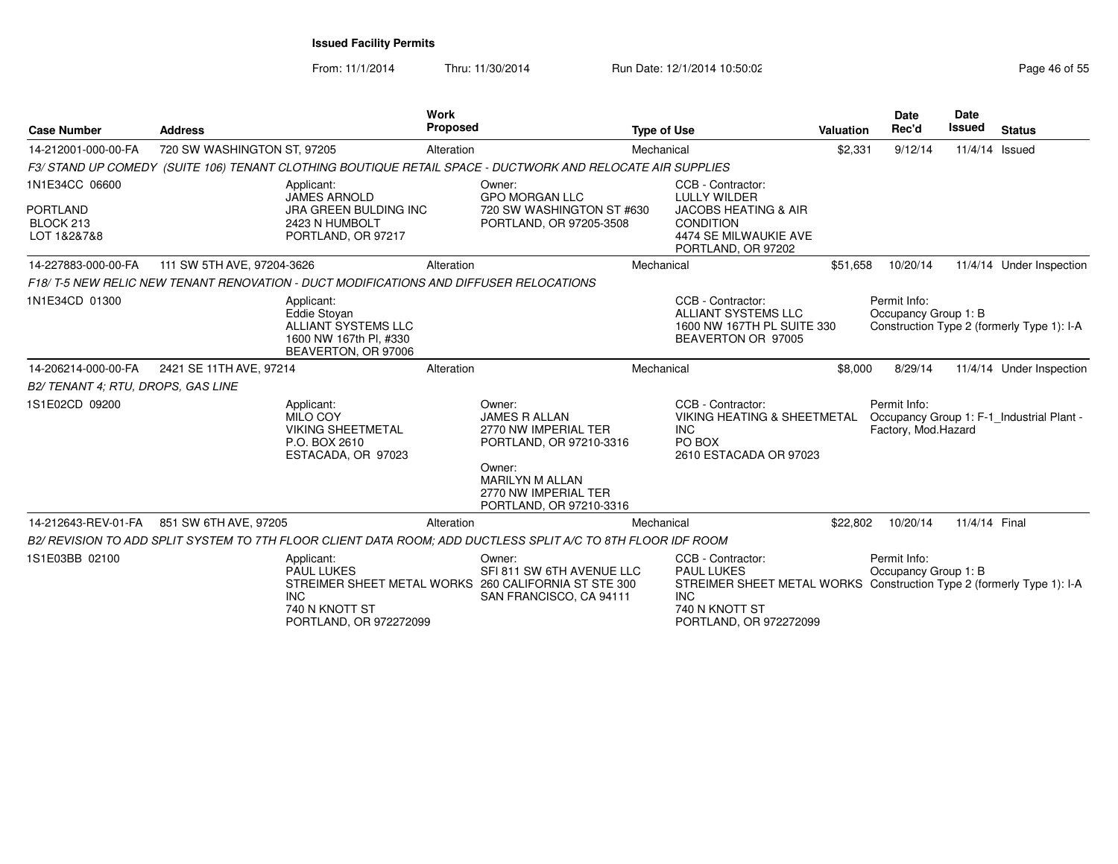| <b>Case Number</b>                                            | <b>Address</b>                                                                                                   | <b>Work</b><br><b>Proposed</b>                                                                                                                                           | <b>Type of Use</b>                                                                                                                                                          | Valuation | <b>Date</b><br>Rec'd                 | <b>Date</b><br>Issued | <b>Status</b>                              |
|---------------------------------------------------------------|------------------------------------------------------------------------------------------------------------------|--------------------------------------------------------------------------------------------------------------------------------------------------------------------------|-----------------------------------------------------------------------------------------------------------------------------------------------------------------------------|-----------|--------------------------------------|-----------------------|--------------------------------------------|
| 14-212001-000-00-FA                                           | 720 SW WASHINGTON ST, 97205                                                                                      | Alteration                                                                                                                                                               | Mechanical                                                                                                                                                                  | \$2,331   | 9/12/14                              | 11/4/14               | Issued                                     |
|                                                               | F3/ STAND UP COMEDY (SUITE 106) TENANT CLOTHING BOUTIQUE RETAIL SPACE - DUCTWORK AND RELOCATE AIR SUPPLIES       |                                                                                                                                                                          |                                                                                                                                                                             |           |                                      |                       |                                            |
| 1N1E34CC 06600<br><b>PORTLAND</b><br>BLOCK 213<br>LOT 1&2&7&8 | Applicant:<br><b>JAMES ARNOLD</b><br>JRA GREEN BULDING INC<br>2423 N HUMBOLT<br>PORTLAND, OR 97217               | Owner:<br><b>GPO MORGAN LLC</b><br>PORTLAND, OR 97205-3508                                                                                                               | CCB - Contractor:<br><b>LULLY WILDER</b><br>720 SW WASHINGTON ST #630<br><b>JACOBS HEATING &amp; AIR</b><br><b>CONDITION</b><br>4474 SE MILWAUKIE AVE<br>PORTLAND, OR 97202 |           |                                      |                       |                                            |
| 14-227883-000-00-FA                                           | 111 SW 5TH AVE, 97204-3626                                                                                       | Alteration                                                                                                                                                               | Mechanical                                                                                                                                                                  | \$51,658  | 10/20/14                             |                       | 11/4/14 Under Inspection                   |
|                                                               | F18/T-5 NEW RELIC NEW TENANT RENOVATION - DUCT MODIFICATIONS AND DIFFUSER RELOCATIONS                            |                                                                                                                                                                          |                                                                                                                                                                             |           |                                      |                       |                                            |
| 1N1E34CD 01300                                                | Applicant:<br><b>Eddie Stovan</b><br><b>ALLIANT SYSTEMS LLC</b><br>1600 NW 167th Pl, #330<br>BEAVERTON, OR 97006 |                                                                                                                                                                          | CCB - Contractor:<br><b>ALLIANT SYSTEMS LLC</b><br>1600 NW 167TH PL SUITE 330<br>BEAVERTON OR 97005                                                                         |           | Permit Info:<br>Occupancy Group 1: B |                       | Construction Type 2 (formerly Type 1): I-A |
| 14-206214-000-00-FA                                           | 2421 SE 11TH AVE, 97214                                                                                          | Alteration                                                                                                                                                               | Mechanical                                                                                                                                                                  | \$8,000   | 8/29/14                              |                       | 11/4/14 Under Inspection                   |
| B2/ TENANT 4: RTU, DROPS, GAS LINE                            |                                                                                                                  |                                                                                                                                                                          |                                                                                                                                                                             |           |                                      |                       |                                            |
| 1S1E02CD 09200                                                | Applicant:<br>MILO COY<br><b>VIKING SHEETMETAL</b><br>P.O. BOX 2610<br>ESTACADA, OR 97023                        | Owner:<br><b>JAMES R ALLAN</b><br>2770 NW IMPERIAL TER<br>PORTLAND, OR 97210-3316<br>Owner:<br><b>MARILYN M ALLAN</b><br>2770 NW IMPERIAL TER<br>PORTLAND, OR 97210-3316 | CCB - Contractor:<br><b>VIKING HEATING &amp; SHEETMETAL</b><br><b>INC</b><br>PO BOX<br>2610 ESTACADA OR 97023                                                               |           | Permit Info:<br>Factory, Mod.Hazard  |                       | Occupancy Group 1: F-1_Industrial Plant -  |
| 14-212643-REV-01-FA                                           | 851 SW 6TH AVE, 97205                                                                                            | Alteration                                                                                                                                                               | Mechanical                                                                                                                                                                  | \$22,802  | 10/20/14                             | 11/4/14 Final         |                                            |
|                                                               | B2/ REVISION TO ADD SPLIT SYSTEM TO 7TH FLOOR CLIENT DATA ROOM; ADD DUCTLESS SPLIT A/C TO 8TH FLOOR IDF ROOM     |                                                                                                                                                                          |                                                                                                                                                                             |           |                                      |                       |                                            |
| 1S1E03BB 02100                                                | Applicant:<br><b>PAUL LUKES</b><br><b>INC</b><br>740 N KNOTT ST<br>PORTLAND, OR 972272099                        | Owner:<br>SFI 811 SW 6TH AVENUE LLC<br>STREIMER SHEET METAL WORKS 260 CALIFORNIA ST STE 300<br>SAN FRANCISCO, CA 94111                                                   | CCB - Contractor:<br><b>PAUL LUKES</b><br>STREIMER SHEET METAL WORKS Construction Type 2 (formerly Type 1): I-A<br><b>INC</b><br>740 N KNOTT ST<br>PORTLAND, OR 972272099   |           | Permit Info:<br>Occupancy Group 1: B |                       |                                            |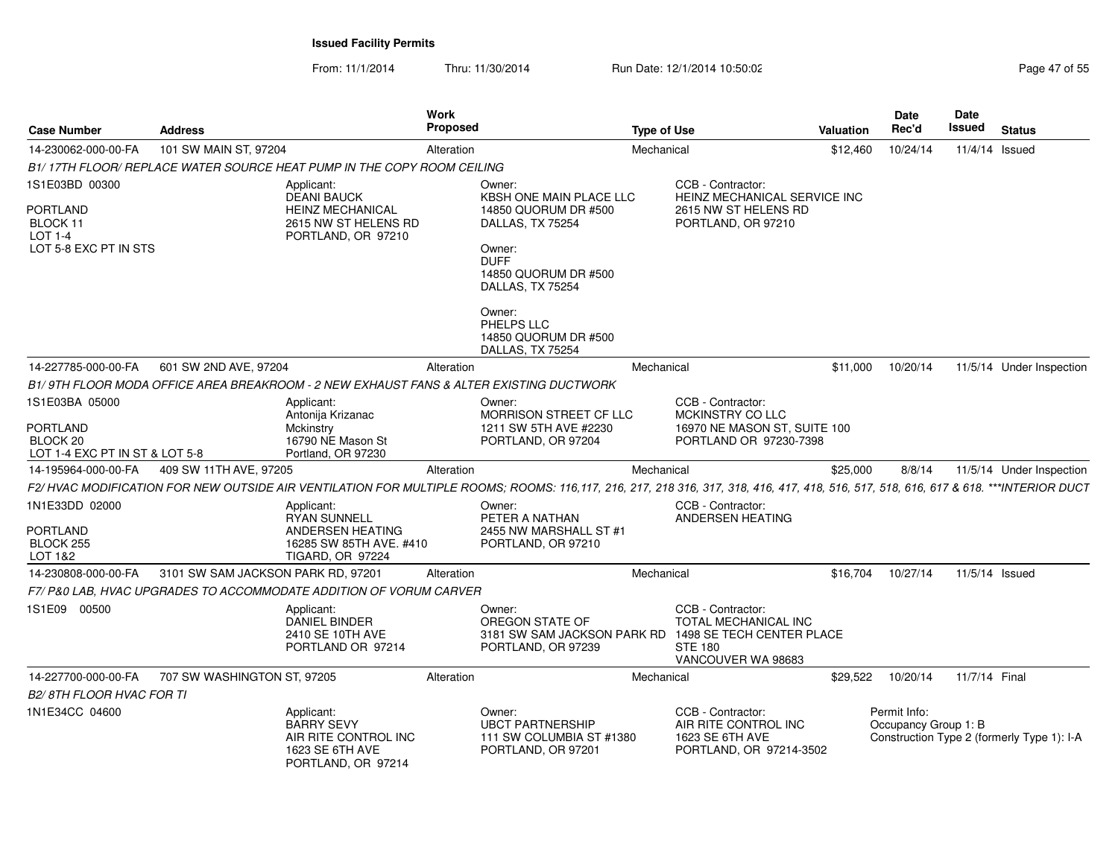| <b>Case Number</b>                                     | <b>Address</b>                     |                                                                                                  | Work<br>Proposed |                                                                                                                                                                                   | <b>Type of Use</b> |                                                                                                                | Valuation | Date<br>Rec'd                        | Date<br>Issued | <b>Status</b>                              |
|--------------------------------------------------------|------------------------------------|--------------------------------------------------------------------------------------------------|------------------|-----------------------------------------------------------------------------------------------------------------------------------------------------------------------------------|--------------------|----------------------------------------------------------------------------------------------------------------|-----------|--------------------------------------|----------------|--------------------------------------------|
| 14-230062-000-00-FA                                    | 101 SW MAIN ST, 97204              |                                                                                                  | Alteration       |                                                                                                                                                                                   | Mechanical         |                                                                                                                | \$12,460  | 10/24/14                             | 11/4/14 Issued |                                            |
|                                                        |                                    | B1/17TH FLOOR/ REPLACE WATER SOURCE HEAT PUMP IN THE COPY ROOM CEILING                           |                  |                                                                                                                                                                                   |                    |                                                                                                                |           |                                      |                |                                            |
| 1S1E03BD 00300                                         |                                    | Applicant:<br><b>DEANI BAUCK</b>                                                                 |                  | Owner:<br>KBSH ONE MAIN PLACE LLC                                                                                                                                                 |                    | CCB - Contractor:<br>HEINZ MECHANICAL SERVICE INC                                                              |           |                                      |                |                                            |
| <b>PORTLAND</b><br>BLOCK 11                            |                                    | <b>HEINZ MECHANICAL</b><br>2615 NW ST HELENS RD                                                  |                  | 14850 QUORUM DR #500<br>DALLAS, TX 75254                                                                                                                                          |                    | 2615 NW ST HELENS RD<br>PORTLAND, OR 97210                                                                     |           |                                      |                |                                            |
| <b>LOT 1-4</b><br>LOT 5-8 EXC PT IN STS                |                                    | PORTLAND, OR 97210                                                                               |                  | Owner:<br><b>DUFF</b><br>14850 QUORUM DR #500<br>DALLAS, TX 75254                                                                                                                 |                    |                                                                                                                |           |                                      |                |                                            |
|                                                        |                                    |                                                                                                  |                  | Owner:<br>PHELPS LLC<br>14850 QUORUM DR #500<br>DALLAS, TX 75254                                                                                                                  |                    |                                                                                                                |           |                                      |                |                                            |
| 14-227785-000-00-FA                                    | 601 SW 2ND AVE, 97204              |                                                                                                  | Alteration       |                                                                                                                                                                                   | Mechanical         |                                                                                                                | \$11,000  | 10/20/14                             |                | 11/5/14 Under Inspection                   |
|                                                        |                                    | B1/9TH FLOOR MODA OFFICE AREA BREAKROOM - 2 NEW EXHAUST FANS & ALTER EXISTING DUCTWORK           |                  |                                                                                                                                                                                   |                    |                                                                                                                |           |                                      |                |                                            |
| 1S1E03BA 05000                                         |                                    | Applicant:<br>Antonija Krizanac                                                                  |                  | Owner:<br>MORRISON STREET CF LLC                                                                                                                                                  |                    | CCB - Contractor:<br>MCKINSTRY CO LLC                                                                          |           |                                      |                |                                            |
| PORTLAND<br>BLOCK 20<br>LOT 1-4 EXC PT IN ST & LOT 5-8 |                                    | Mckinstry<br>16790 NE Mason St<br>Portland, OR 97230                                             |                  | 1211 SW 5TH AVE #2230<br>PORTLAND, OR 97204                                                                                                                                       |                    | 16970 NE MASON ST, SUITE 100<br>PORTLAND OR 97230-7398                                                         |           |                                      |                |                                            |
| 14-195964-000-00-FA                                    | 409 SW 11TH AVE, 97205             |                                                                                                  | Alteration       |                                                                                                                                                                                   | Mechanical         |                                                                                                                | \$25,000  | 8/8/14                               |                | 11/5/14 Under Inspection                   |
|                                                        |                                    |                                                                                                  |                  | F2/ HVAC MODIFICATION FOR NEW OUTSIDE AIR VENTILATION FOR MULTIPLE ROOMS: ROOMS: 116,117, 216, 217, 218, 317, 318, 416, 417, 418, 516, 517, 518, 616, 617 & 618. ***INTERIOR DUCT |                    |                                                                                                                |           |                                      |                |                                            |
| 1N1E33DD 02000                                         |                                    | Applicant:                                                                                       |                  | Owner:                                                                                                                                                                            |                    | CCB - Contractor:                                                                                              |           |                                      |                |                                            |
| <b>PORTLAND</b><br>BLOCK 255<br>LOT 1&2                |                                    | <b>RYAN SUNNELL</b><br>ANDERSEN HEATING<br>16285 SW 85TH AVE, #410<br><b>TIGARD, OR 97224</b>    |                  | PETER A NATHAN<br>2455 NW MARSHALL ST #1<br>PORTLAND, OR 97210                                                                                                                    |                    | ANDERSEN HEATING                                                                                               |           |                                      |                |                                            |
| 14-230808-000-00-FA                                    | 3101 SW SAM JACKSON PARK RD, 97201 |                                                                                                  | Alteration       |                                                                                                                                                                                   | Mechanical         |                                                                                                                | \$16,704  | 10/27/14                             | 11/5/14 Issued |                                            |
|                                                        |                                    | F7/P&0 LAB, HVAC UPGRADES TO ACCOMMODATE ADDITION OF VORUM CARVER                                |                  |                                                                                                                                                                                   |                    |                                                                                                                |           |                                      |                |                                            |
| 1S1E09 00500                                           |                                    | Applicant:<br><b>DANIEL BINDER</b><br>2410 SE 10TH AVE<br>PORTLAND OR 97214                      |                  | Owner:<br>OREGON STATE OF<br>3181 SW SAM JACKSON PARK RD<br>PORTLAND, OR 97239                                                                                                    |                    | CCB - Contractor:<br>TOTAL MECHANICAL INC<br>1498 SE TECH CENTER PLACE<br><b>STE 180</b><br>VANCOUVER WA 98683 |           |                                      |                |                                            |
| 14-227700-000-00-FA                                    | 707 SW WASHINGTON ST, 97205        |                                                                                                  | Alteration       |                                                                                                                                                                                   | Mechanical         |                                                                                                                | \$29.522  | 10/20/14                             | 11/7/14 Final  |                                            |
| B2/8TH FLOOR HVAC FOR TI                               |                                    |                                                                                                  |                  |                                                                                                                                                                                   |                    |                                                                                                                |           |                                      |                |                                            |
| 1N1E34CC 04600                                         |                                    | Applicant:<br><b>BARRY SEVY</b><br>AIR RITE CONTROL INC<br>1623 SE 6TH AVE<br>PORTLAND, OR 97214 |                  | Owner:<br><b>UBCT PARTNERSHIP</b><br>111 SW COLUMBIA ST #1380<br>PORTLAND, OR 97201                                                                                               |                    | CCB - Contractor:<br>AIR RITE CONTROL INC<br>1623 SE 6TH AVE<br>PORTLAND, OR 97214-3502                        |           | Permit Info:<br>Occupancy Group 1: B |                | Construction Type 2 (formerly Type 1): I-A |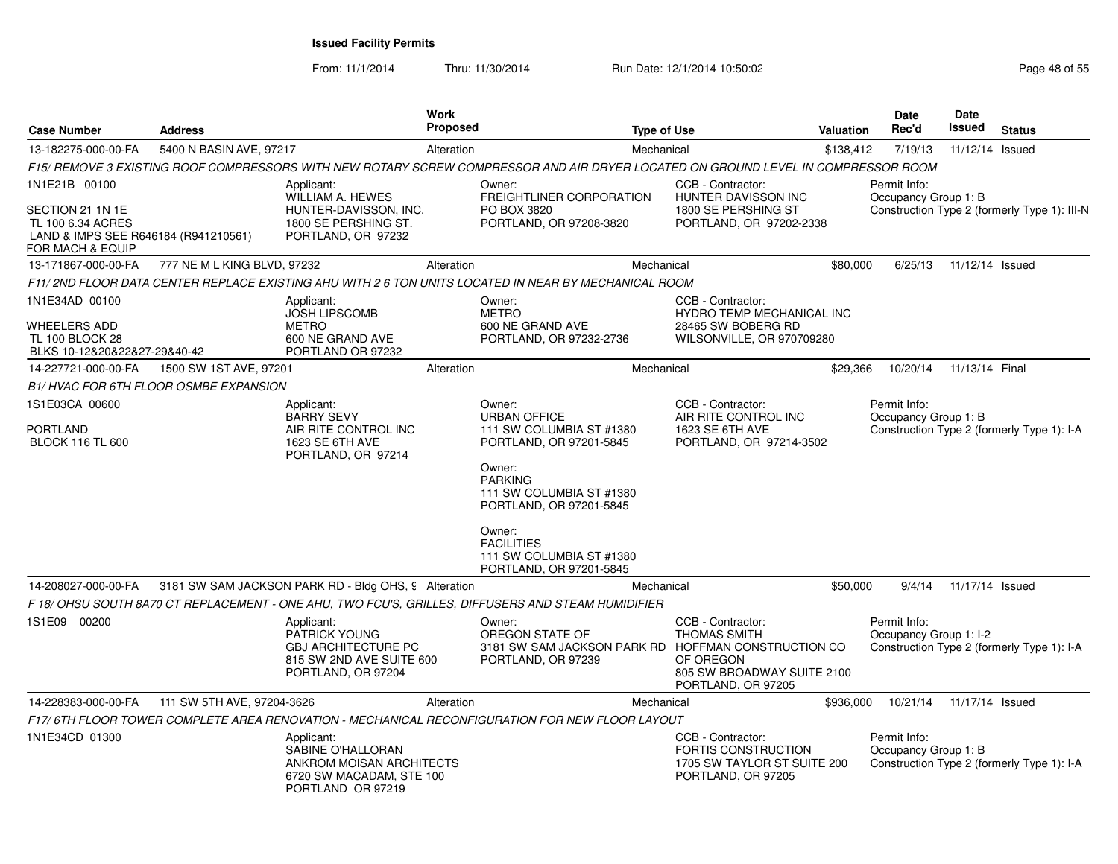From: 11/1/2014Thru: 11/30/2014 Run Date: 12/1/2014 10:50:02 Run Date: 12/1/2014 10:50:02

| <b>Case Number</b>                                                                                | <b>Address</b>              |                                                                                                                    | <b>Work</b><br>Proposed |                                                                                                                                           | <b>Type of Use</b>                                                                                        | Valuation | <b>Date</b><br>Rec'd                   | <b>Date</b><br>Issued | <b>Status</b>                                |
|---------------------------------------------------------------------------------------------------|-----------------------------|--------------------------------------------------------------------------------------------------------------------|-------------------------|-------------------------------------------------------------------------------------------------------------------------------------------|-----------------------------------------------------------------------------------------------------------|-----------|----------------------------------------|-----------------------|----------------------------------------------|
| 13-182275-000-00-FA                                                                               | 5400 N BASIN AVE, 97217     |                                                                                                                    | Alteration              |                                                                                                                                           | Mechanical                                                                                                | \$138,412 | 7/19/13                                | 11/12/14 Issued       |                                              |
|                                                                                                   |                             |                                                                                                                    |                         | F15/ REMOVE 3 EXISTING ROOF COMPRESSORS WITH NEW ROTARY SCREW COMPRESSOR AND AIR DRYER LOCATED ON GROUND LEVEL IN COMPRESSOR ROOM         |                                                                                                           |           |                                        |                       |                                              |
| 1N1E21B 00100                                                                                     |                             | Applicant:                                                                                                         |                         | Owner:                                                                                                                                    | CCB - Contractor:                                                                                         |           | Permit Info:                           |                       |                                              |
| SECTION 21 1N 1E<br>TL 100 6.34 ACRES<br>LAND & IMPS SEE R646184 (R941210561)<br>FOR MACH & EQUIP |                             | <b>WILLIAM A. HEWES</b><br>HUNTER-DAVISSON, INC.<br>1800 SE PERSHING ST.<br>PORTLAND, OR 97232                     |                         | FREIGHTLINER CORPORATION<br>PO BOX 3820<br>PORTLAND, OR 97208-3820                                                                        | HUNTER DAVISSON INC<br>1800 SE PERSHING ST<br>PORTLAND, OR 97202-2338                                     |           | Occupancy Group 1: B                   |                       | Construction Type 2 (formerly Type 1): III-N |
| 13-171867-000-00-FA                                                                               | 777 NE M L KING BLVD, 97232 |                                                                                                                    | Alteration              |                                                                                                                                           | Mechanical                                                                                                | \$80,000  | 6/25/13                                | 11/12/14 Issued       |                                              |
|                                                                                                   |                             |                                                                                                                    |                         | F11/ 2ND FLOOR DATA CENTER REPLACE EXISTING AHU WITH 2 6 TON UNITS LOCATED IN NEAR BY MECHANICAL ROOM                                     |                                                                                                           |           |                                        |                       |                                              |
| 1N1E34AD 00100<br>WHEELERS ADD<br><b>TL 100 BLOCK 28</b><br>BLKS 10-12&20&22&27-29&40-42          |                             | Applicant:<br><b>JOSH LIPSCOMB</b><br><b>METRO</b><br>600 NE GRAND AVE<br>PORTLAND OR 97232                        |                         | Owner:<br><b>METRO</b><br>600 NE GRAND AVE<br>PORTLAND, OR 97232-2736                                                                     | CCB - Contractor:<br><b>HYDRO TEMP MECHANICAL INC</b><br>28465 SW BOBERG RD<br>WILSONVILLE, OR 970709280  |           |                                        |                       |                                              |
| 14-227721-000-00-FA                                                                               | 1500 SW 1ST AVE, 97201      |                                                                                                                    | Alteration              |                                                                                                                                           | Mechanical                                                                                                | \$29,366  | 10/20/14                               | 11/13/14 Final        |                                              |
| B1/HVAC FOR 6TH FLOOR OSMBE EXPANSION                                                             |                             |                                                                                                                    |                         |                                                                                                                                           |                                                                                                           |           |                                        |                       |                                              |
| 1S1E03CA 00600<br>PORTLAND<br><b>BLOCK 116 TL 600</b>                                             |                             | Applicant:<br><b>BARRY SEVY</b><br>AIR RITE CONTROL INC<br>1623 SE 6TH AVE<br>PORTLAND, OR 97214                   |                         | Owner:<br><b>URBAN OFFICE</b><br>111 SW COLUMBIA ST #1380<br>PORTLAND, OR 97201-5845<br>Owner:<br><b>PARKING</b>                          | CCB - Contractor:<br>AIR RITE CONTROL INC<br>1623 SE 6TH AVE<br>PORTLAND, OR 97214-3502                   |           | Permit Info:<br>Occupancy Group 1: B   |                       | Construction Type 2 (formerly Type 1): I-A   |
|                                                                                                   |                             |                                                                                                                    |                         | 111 SW COLUMBIA ST #1380<br>PORTLAND, OR 97201-5845<br>Owner:<br><b>FACILITIES</b><br>111 SW COLUMBIA ST #1380<br>PORTLAND, OR 97201-5845 |                                                                                                           |           |                                        |                       |                                              |
| 14-208027-000-00-FA                                                                               |                             | 3181 SW SAM JACKSON PARK RD - Bldg OHS, 9 Alteration                                                               |                         |                                                                                                                                           | Mechanical                                                                                                | \$50,000  | 9/4/14                                 | 11/17/14 Issued       |                                              |
|                                                                                                   |                             |                                                                                                                    |                         | F 18/OHSU SOUTH 8A70 CT REPLACEMENT - ONE AHU, TWO FCU'S, GRILLES, DIFFUSERS AND STEAM HUMIDIFIER                                         |                                                                                                           |           |                                        |                       |                                              |
| 1S1E09 00200                                                                                      |                             | Applicant:<br><b>PATRICK YOUNG</b><br><b>GBJ ARCHITECTURE PC</b><br>815 SW 2ND AVE SUITE 600<br>PORTLAND, OR 97204 |                         | Owner:<br>OREGON STATE OF<br>3181 SW SAM JACKSON PARK RD HOFFMAN CONSTRUCTION CO<br>PORTLAND, OR 97239                                    | CCB - Contractor:<br><b>THOMAS SMITH</b><br>OF OREGON<br>805 SW BROADWAY SUITE 2100<br>PORTLAND, OR 97205 |           | Permit Info:<br>Occupancy Group 1: I-2 |                       | Construction Type 2 (formerly Type 1): I-A   |
| 14-228383-000-00-FA                                                                               | 111 SW 5TH AVE, 97204-3626  |                                                                                                                    | Alteration              |                                                                                                                                           | Mechanical                                                                                                | \$936,000 | 10/21/14                               | 11/17/14 Issued       |                                              |
|                                                                                                   |                             |                                                                                                                    |                         | F17/6TH FLOOR TOWER COMPLETE AREA RENOVATION - MECHANICAL RECONFIGURATION FOR NEW FLOOR LAYOUT                                            |                                                                                                           |           |                                        |                       |                                              |
| 1N1E34CD 01300                                                                                    |                             | Applicant:<br>SABINE O'HALLORAN<br>ANKROM MOISAN ARCHITECTS<br>6720 SW MACADAM, STE 100<br>PORTLAND OR 97219       |                         |                                                                                                                                           | CCB - Contractor:<br><b>FORTIS CONSTRUCTION</b><br>1705 SW TAYLOR ST SUITE 200<br>PORTLAND, OR 97205      |           | Permit Info:<br>Occupancy Group 1: B   |                       | Construction Type 2 (formerly Type 1): I-A   |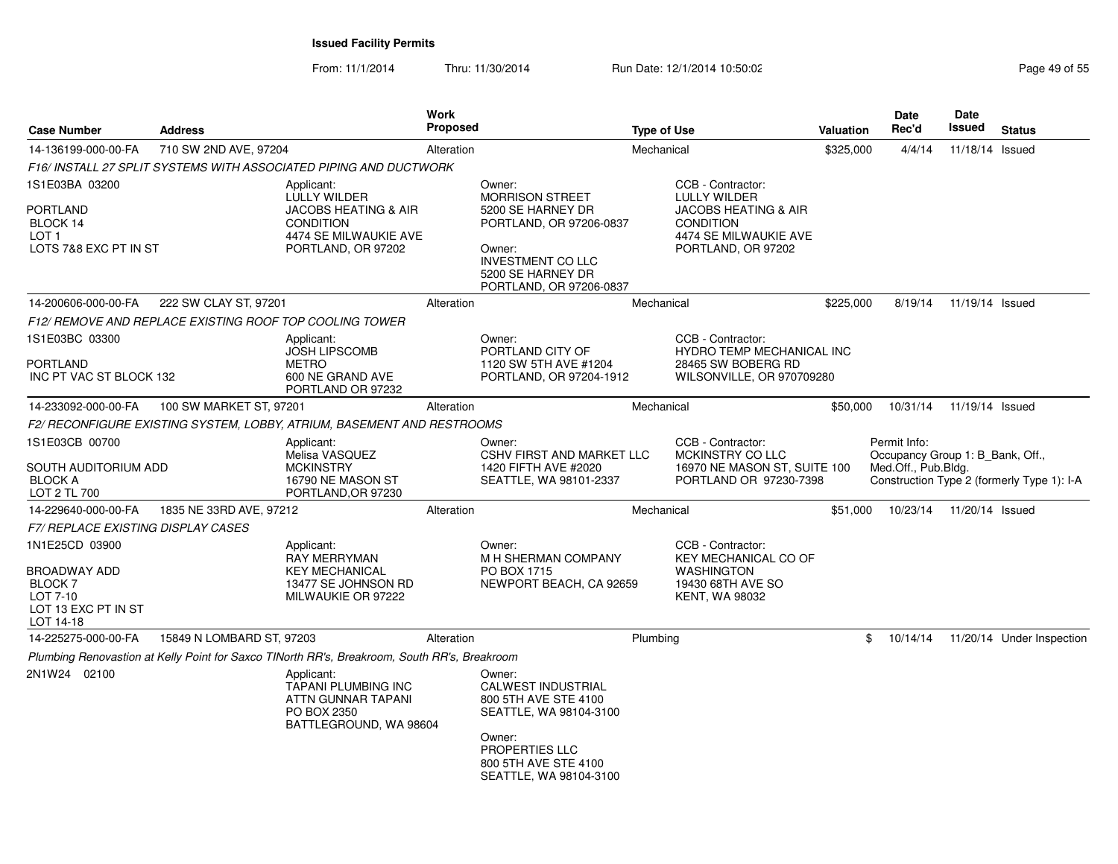From: 11/1/2014Thru: 11/30/2014 Run Date: 12/1/2014 10:50:02 Run Date: 12/1/2014 10:50:02

| <b>Case Number</b>                                                                               | <b>Address</b>                                          |                                                                                                                                         | Work<br><b>Proposed</b> |                                                                                                                                                                        | <b>Type of Use</b> |                                                                                                                                                | Valuation | <b>Date</b><br>Rec'd                                                    | Date<br>Issued  | <b>Status</b>                              |
|--------------------------------------------------------------------------------------------------|---------------------------------------------------------|-----------------------------------------------------------------------------------------------------------------------------------------|-------------------------|------------------------------------------------------------------------------------------------------------------------------------------------------------------------|--------------------|------------------------------------------------------------------------------------------------------------------------------------------------|-----------|-------------------------------------------------------------------------|-----------------|--------------------------------------------|
| 14-136199-000-00-FA                                                                              | 710 SW 2ND AVE, 97204                                   |                                                                                                                                         | Alteration              |                                                                                                                                                                        | Mechanical         |                                                                                                                                                | \$325,000 | 4/4/14                                                                  | 11/18/14 Issued |                                            |
|                                                                                                  |                                                         | F16/INSTALL 27 SPLIT SYSTEMS WITH ASSOCIATED PIPING AND DUCTWORK                                                                        |                         |                                                                                                                                                                        |                    |                                                                                                                                                |           |                                                                         |                 |                                            |
| 1S1E03BA 03200<br><b>PORTLAND</b><br>BLOCK 14<br>LOT <sub>1</sub><br>LOTS 7&8 EXC PT IN ST       |                                                         | Applicant:<br><b>LULLY WILDER</b><br><b>JACOBS HEATING &amp; AIR</b><br><b>CONDITION</b><br>4474 SE MILWAUKIE AVE<br>PORTLAND, OR 97202 |                         | Owner:<br><b>MORRISON STREET</b><br>5200 SE HARNEY DR<br>PORTLAND, OR 97206-0837<br>Owner:<br><b>INVESTMENT CO LLC</b><br>5200 SE HARNEY DR<br>PORTLAND, OR 97206-0837 |                    | CCB - Contractor:<br><b>LULLY WILDER</b><br><b>JACOBS HEATING &amp; AIR</b><br><b>CONDITION</b><br>4474 SE MILWAUKIE AVE<br>PORTLAND, OR 97202 |           |                                                                         |                 |                                            |
| 14-200606-000-00-FA                                                                              | 222 SW CLAY ST, 97201                                   |                                                                                                                                         | Alteration              |                                                                                                                                                                        | Mechanical         |                                                                                                                                                | \$225,000 | 8/19/14                                                                 | 11/19/14 Issued |                                            |
|                                                                                                  | F12/ REMOVE AND REPLACE EXISTING ROOF TOP COOLING TOWER |                                                                                                                                         |                         |                                                                                                                                                                        |                    |                                                                                                                                                |           |                                                                         |                 |                                            |
| 1S1E03BC 03300<br><b>PORTLAND</b><br>INC PT VAC ST BLOCK 132                                     |                                                         | Applicant:<br><b>JOSH LIPSCOMB</b><br><b>METRO</b><br>600 NE GRAND AVE<br>PORTLAND OR 97232                                             |                         | Owner:<br>PORTLAND CITY OF<br>1120 SW 5TH AVE #1204<br>PORTLAND, OR 97204-1912                                                                                         |                    | CCB - Contractor:<br>HYDRO TEMP MECHANICAL INC<br>28465 SW BOBERG RD<br>WILSONVILLE, OR 970709280                                              |           |                                                                         |                 |                                            |
| 14-233092-000-00-FA                                                                              | 100 SW MARKET ST, 97201                                 |                                                                                                                                         | Alteration              |                                                                                                                                                                        | Mechanical         |                                                                                                                                                | \$50,000  | 10/31/14                                                                | 11/19/14 Issued |                                            |
|                                                                                                  |                                                         | F2/ RECONFIGURE EXISTING SYSTEM, LOBBY, ATRIUM, BASEMENT AND RESTROOMS                                                                  |                         |                                                                                                                                                                        |                    |                                                                                                                                                |           |                                                                         |                 |                                            |
| 1S1E03CB 00700<br>SOUTH AUDITORIUM ADD<br><b>BLOCK A</b><br>LOT 2 TL 700                         |                                                         | Applicant:<br>Melisa VASQUEZ<br><b>MCKINSTRY</b><br>16790 NE MASON ST<br>PORTLAND, OR 97230                                             |                         | Owner:<br><b>CSHV FIRST AND MARKET LLC</b><br>1420 FIFTH AVE #2020<br>SEATTLE, WA 98101-2337                                                                           |                    | CCB - Contractor:<br>MCKINSTRY CO LLC<br>16970 NE MASON ST, SUITE 100<br>PORTLAND OR 97230-7398                                                |           | Permit Info:<br>Occupancy Group 1: B_Bank, Off.,<br>Med.Off., Pub.Bldg. |                 | Construction Type 2 (formerly Type 1): I-A |
| 14-229640-000-00-FA                                                                              | 1835 NE 33RD AVE, 97212                                 |                                                                                                                                         | Alteration              |                                                                                                                                                                        | Mechanical         |                                                                                                                                                | \$51,000  | 10/23/14                                                                | 11/20/14 Issued |                                            |
| F7/ REPLACE EXISTING DISPLAY CASES                                                               |                                                         |                                                                                                                                         |                         |                                                                                                                                                                        |                    |                                                                                                                                                |           |                                                                         |                 |                                            |
| 1N1E25CD 03900<br>BROADWAY ADD<br><b>BLOCK 7</b><br>LOT 7-10<br>LOT 13 EXC PT IN ST<br>LOT 14-18 |                                                         | Applicant:<br><b>RAY MERRYMAN</b><br><b>KEY MECHANICAL</b><br>13477 SE JOHNSON RD<br>MILWAUKIE OR 97222                                 |                         | Owner:<br>M H SHERMAN COMPANY<br>PO BOX 1715<br>NEWPORT BEACH, CA 92659                                                                                                |                    | CCB - Contractor:<br><b>KEY MECHANICAL CO OF</b><br><b>WASHINGTON</b><br>19430 68TH AVE SO<br><b>KENT, WA 98032</b>                            |           |                                                                         |                 |                                            |
| 14-225275-000-00-FA                                                                              | 15849 N LOMBARD ST, 97203                               |                                                                                                                                         | Alteration              |                                                                                                                                                                        | Plumbing           |                                                                                                                                                | \$        | 10/14/14                                                                |                 | 11/20/14 Under Inspection                  |
|                                                                                                  |                                                         | Plumbing Renovastion at Kelly Point for Saxco TINorth RR's, Breakroom, South RR's, Breakroom                                            |                         |                                                                                                                                                                        |                    |                                                                                                                                                |           |                                                                         |                 |                                            |
| 2N1W24 02100                                                                                     |                                                         | Applicant:<br><b>TAPANI PLUMBING INC</b><br>ATTN GUNNAR TAPANI<br>PO BOX 2350<br>BATTLEGROUND, WA 98604                                 |                         | Owner:<br><b>CALWEST INDUSTRIAL</b><br>800 5TH AVE STE 4100<br>SEATTLE, WA 98104-3100<br>Owner:<br>PROPERTIES LLC<br>800 5TH AVE STE 4100<br>SEATTLE, WA 98104-3100    |                    |                                                                                                                                                |           |                                                                         |                 |                                            |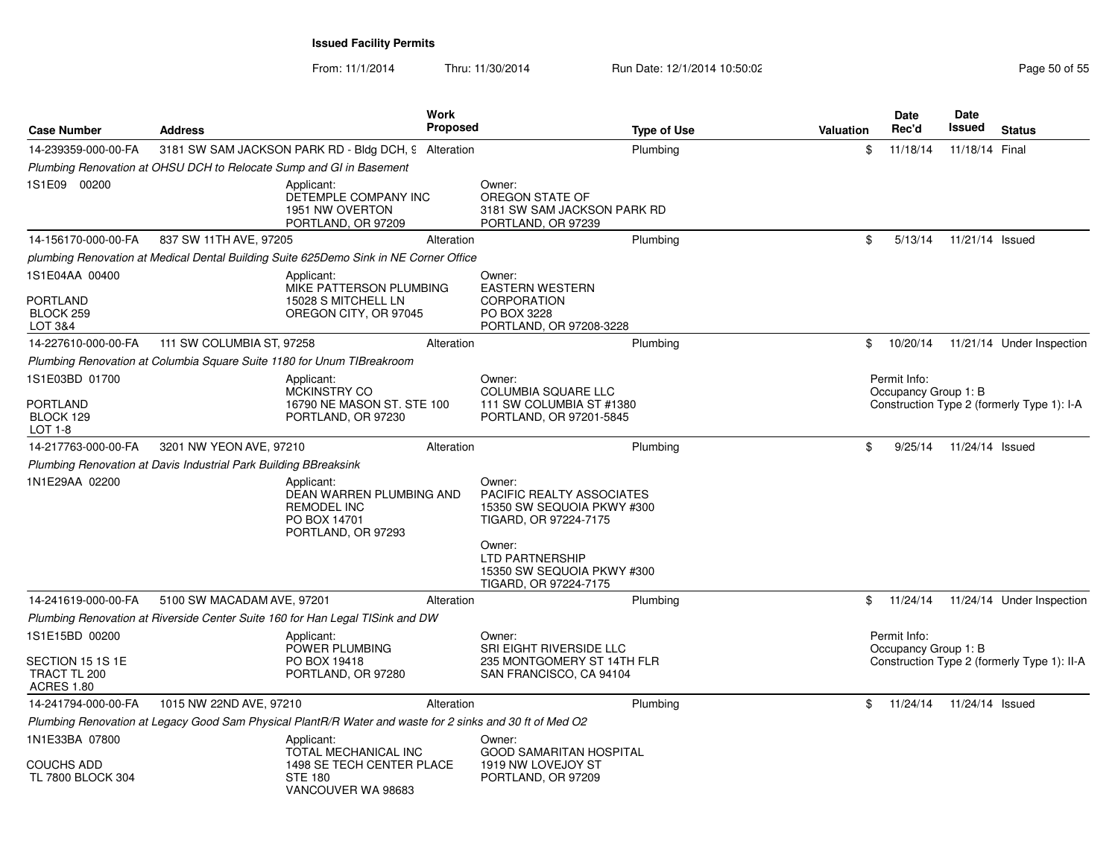| <b>Case Number</b>                                        | <b>Address</b>                                                   |                                                                                                                                                    | <b>Work</b><br><b>Proposed</b> |                                                                                                      | <b>Type of Use</b> | <b>Valuation</b> | <b>Date</b><br>Rec'd                 | Date<br>Issued  | <b>Status</b>                               |
|-----------------------------------------------------------|------------------------------------------------------------------|----------------------------------------------------------------------------------------------------------------------------------------------------|--------------------------------|------------------------------------------------------------------------------------------------------|--------------------|------------------|--------------------------------------|-----------------|---------------------------------------------|
|                                                           |                                                                  |                                                                                                                                                    |                                |                                                                                                      |                    |                  |                                      |                 |                                             |
| 14-239359-000-00-FA                                       |                                                                  | 3181 SW SAM JACKSON PARK RD - Bldg DCH, 9 Alteration                                                                                               |                                |                                                                                                      | Plumbing           | \$               | 11/18/14                             | 11/18/14 Final  |                                             |
| 1S1E09 00200                                              |                                                                  | Plumbing Renovation at OHSU DCH to Relocate Sump and GI in Basement<br>Applicant:<br>DETEMPLE COMPANY INC<br>1951 NW OVERTON<br>PORTLAND, OR 97209 |                                | Owner:<br>OREGON STATE OF<br>3181 SW SAM JACKSON PARK RD<br>PORTLAND, OR 97239                       |                    |                  |                                      |                 |                                             |
| 14-156170-000-00-FA                                       | 837 SW 11TH AVE, 97205                                           |                                                                                                                                                    | Alteration                     |                                                                                                      | Plumbing           | \$               | 5/13/14                              | 11/21/14 Issued |                                             |
|                                                           |                                                                  | plumbing Renovation at Medical Dental Building Suite 625Demo Sink in NE Corner Office                                                              |                                |                                                                                                      |                    |                  |                                      |                 |                                             |
| 1S1E04AA 00400<br><b>PORTLAND</b><br>BLOCK 259<br>LOT 3&4 |                                                                  | Applicant:<br>MIKE PATTERSON PLUMBING<br>15028 S MITCHELL LN<br>OREGON CITY, OR 97045                                                              |                                | Owner:<br><b>EASTERN WESTERN</b><br><b>CORPORATION</b><br>PO BOX 3228<br>PORTLAND, OR 97208-3228     |                    |                  |                                      |                 |                                             |
| 14-227610-000-00-FA                                       | 111 SW COLUMBIA ST, 97258                                        |                                                                                                                                                    | Alteration                     |                                                                                                      | Plumbing           | \$               | 10/20/14                             |                 | 11/21/14 Under Inspection                   |
|                                                           |                                                                  | Plumbing Renovation at Columbia Square Suite 1180 for Unum TIBreakroom                                                                             |                                |                                                                                                      |                    |                  |                                      |                 |                                             |
| 1S1E03BD 01700<br>PORTLAND<br>BLOCK 129<br>$LOT 1-8$      |                                                                  | Applicant:<br><b>MCKINSTRY CO</b><br>16790 NE MASON ST. STE 100<br>PORTLAND, OR 97230                                                              |                                | Owner:<br><b>COLUMBIA SQUARE LLC</b><br>111 SW COLUMBIA ST #1380<br>PORTLAND, OR 97201-5845          |                    |                  | Permit Info:<br>Occupancy Group 1: B |                 | Construction Type 2 (formerly Type 1): I-A  |
| 14-217763-000-00-FA                                       | 3201 NW YEON AVE, 97210                                          |                                                                                                                                                    | Alteration                     |                                                                                                      | Plumbing           | \$               | 9/25/14                              | 11/24/14 Issued |                                             |
|                                                           | Plumbing Renovation at Davis Industrial Park Building BBreaksink |                                                                                                                                                    |                                |                                                                                                      |                    |                  |                                      |                 |                                             |
| 1N1E29AA 02200                                            |                                                                  | Applicant:<br>DEAN WARREN PLUMBING AND<br><b>REMODEL INC</b><br>PO BOX 14701<br>PORTLAND, OR 97293                                                 |                                | Owner:<br>PACIFIC REALTY ASSOCIATES<br>15350 SW SEQUOIA PKWY #300<br>TIGARD, OR 97224-7175<br>Owner: |                    |                  |                                      |                 |                                             |
|                                                           |                                                                  |                                                                                                                                                    |                                | LTD PARTNERSHIP<br>15350 SW SEQUOIA PKWY #300<br>TIGARD, OR 97224-7175                               |                    |                  |                                      |                 |                                             |
| 14-241619-000-00-FA                                       | 5100 SW MACADAM AVE, 97201                                       |                                                                                                                                                    | Alteration                     |                                                                                                      | Plumbing           | \$               | 11/24/14                             |                 | 11/24/14 Under Inspection                   |
|                                                           |                                                                  | Plumbing Renovation at Riverside Center Suite 160 for Han Legal TISink and DW                                                                      |                                |                                                                                                      |                    |                  |                                      |                 |                                             |
| 1S1E15BD 00200<br>SECTION 15 1S 1E<br>TRACT TL 200        |                                                                  | Applicant:<br>POWER PLUMBING<br>PO BOX 19418<br>PORTLAND, OR 97280                                                                                 |                                | Owner:<br><b>SRI EIGHT RIVERSIDE LLC</b><br>235 MONTGOMERY ST 14TH FLR<br>SAN FRANCISCO, CA 94104    |                    |                  | Permit Info:<br>Occupancy Group 1: B |                 | Construction Type 2 (formerly Type 1): II-A |
| <b>ACRES 1.80</b>                                         |                                                                  |                                                                                                                                                    |                                |                                                                                                      |                    |                  |                                      |                 |                                             |
| 14-241794-000-00-FA                                       | 1015 NW 22ND AVE, 97210                                          |                                                                                                                                                    | Alteration                     |                                                                                                      | Plumbing           | \$               | 11/24/14                             | 11/24/14 Issued |                                             |
|                                                           |                                                                  | Plumbing Renovation at Legacy Good Sam Physical PlantR/R Water and waste for 2 sinks and 30 ft of Med O2                                           |                                |                                                                                                      |                    |                  |                                      |                 |                                             |
| 1N1E33BA 07800<br><b>COUCHS ADD</b><br>TL 7800 BLOCK 304  |                                                                  | Applicant:<br>TOTAL MECHANICAL INC<br>1498 SE TECH CENTER PLACE<br><b>STE 180</b><br>VANCOUVER WA 98683                                            |                                | Owner:<br><b>GOOD SAMARITAN HOSPITAL</b><br>1919 NW LOVEJOY ST<br>PORTLAND, OR 97209                 |                    |                  |                                      |                 |                                             |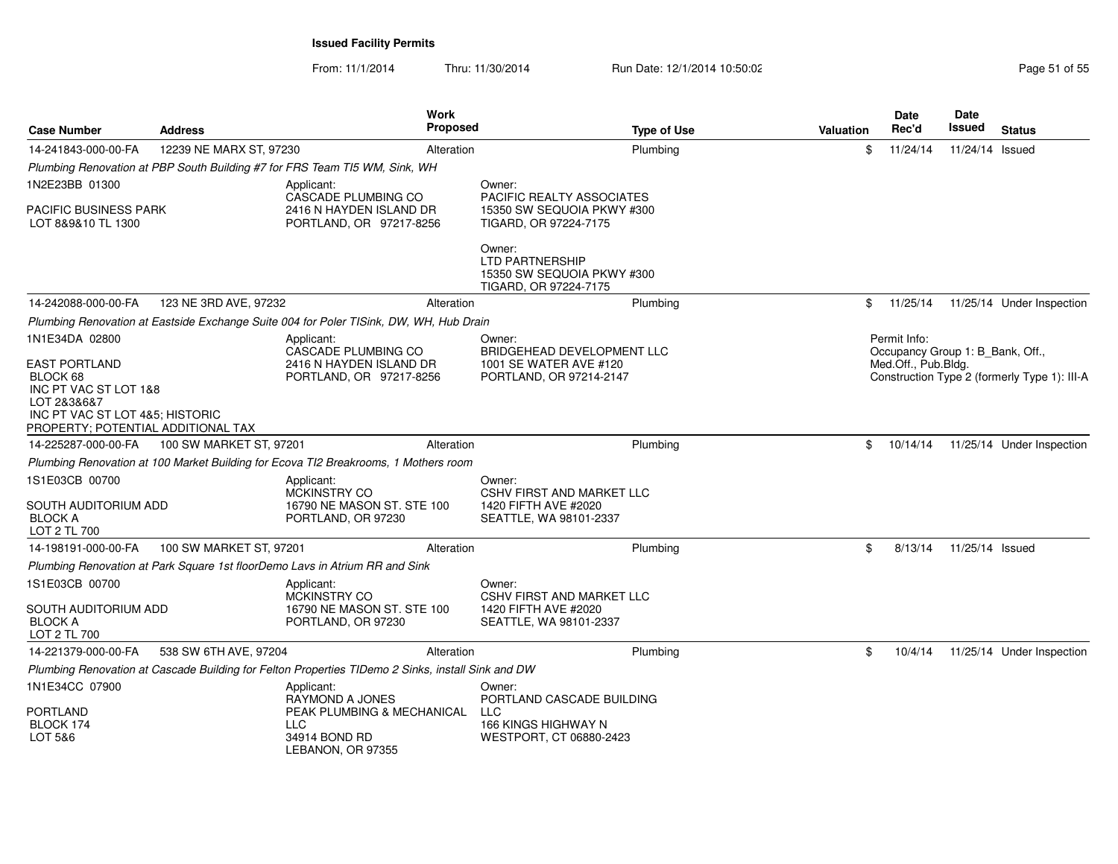From: 11/1/2014Thru: 11/30/2014 Run Date: 12/1/2014 10:50:02 Research 2010 12:00 Page 51 of 55

| <b>Case Number</b>                                                                                                                                | <b>Address</b>          | Work<br><b>Proposed</b>                                                                           |                                                                                              | <b>Type of Use</b> | <b>Valuation</b> | Date<br>Rec'd                                           | Date<br>Issued  | <b>Status</b>                                |
|---------------------------------------------------------------------------------------------------------------------------------------------------|-------------------------|---------------------------------------------------------------------------------------------------|----------------------------------------------------------------------------------------------|--------------------|------------------|---------------------------------------------------------|-----------------|----------------------------------------------|
| 14-241843-000-00-FA                                                                                                                               | 12239 NE MARX ST, 97230 | Alteration                                                                                        |                                                                                              | Plumbing           | \$               | 11/24/14                                                | 11/24/14 Issued |                                              |
|                                                                                                                                                   |                         | Plumbing Renovation at PBP South Building #7 for FRS Team TI5 WM, Sink, WH                        |                                                                                              |                    |                  |                                                         |                 |                                              |
| 1N2E23BB 01300                                                                                                                                    |                         | Applicant:                                                                                        | Owner:                                                                                       |                    |                  |                                                         |                 |                                              |
| PACIFIC BUSINESS PARK<br>LOT 8&9&10 TL 1300                                                                                                       |                         | CASCADE PLUMBING CO<br>2416 N HAYDEN ISLAND DR<br>PORTLAND, OR 97217-8256                         | PACIFIC REALTY ASSOCIATES<br>15350 SW SEQUOIA PKWY #300<br>TIGARD, OR 97224-7175             |                    |                  |                                                         |                 |                                              |
|                                                                                                                                                   |                         |                                                                                                   | Owner:<br>LTD PARTNERSHIP<br>15350 SW SEQUOIA PKWY #300<br>TIGARD, OR 97224-7175             |                    |                  |                                                         |                 |                                              |
| 14-242088-000-00-FA                                                                                                                               | 123 NE 3RD AVE, 97232   | Alteration                                                                                        |                                                                                              | Plumbing           | \$               | 11/25/14                                                |                 | 11/25/14 Under Inspection                    |
|                                                                                                                                                   |                         | Plumbing Renovation at Eastside Exchange Suite 004 for Poler TISink, DW, WH, Hub Drain            |                                                                                              |                    |                  |                                                         |                 |                                              |
| 1N1E34DA 02800                                                                                                                                    |                         | Applicant:                                                                                        | Owner:                                                                                       |                    |                  | Permit Info:                                            |                 |                                              |
| <b>EAST PORTLAND</b><br>BLOCK 68<br>INC PT VAC ST LOT 1&8<br>LOT 2&3&6&7<br>INC PT VAC ST LOT 4&5; HISTORIC<br>PROPERTY; POTENTIAL ADDITIONAL TAX |                         | CASCADE PLUMBING CO<br>2416 N HAYDEN ISLAND DR<br>PORTLAND, OR 97217-8256                         | BRIDGEHEAD DEVELOPMENT LLC<br>1001 SE WATER AVE #120<br>PORTLAND, OR 97214-2147              |                    |                  | Occupancy Group 1: B Bank, Off.,<br>Med.Off., Pub.Bldg. |                 | Construction Type 2 (formerly Type 1): III-A |
| 14-225287-000-00-FA                                                                                                                               | 100 SW MARKET ST, 97201 | Alteration                                                                                        |                                                                                              | Plumbing           | \$               | 10/14/14                                                |                 | 11/25/14 Under Inspection                    |
|                                                                                                                                                   |                         | Plumbing Renovation at 100 Market Building for Ecova TI2 Breakrooms, 1 Mothers room               |                                                                                              |                    |                  |                                                         |                 |                                              |
| 1S1E03CB 00700<br>SOUTH AUDITORIUM ADD<br><b>BLOCK A</b><br>LOT 2 TL 700                                                                          |                         | Applicant:<br><b>MCKINSTRY CO</b><br>16790 NE MASON ST. STE 100<br>PORTLAND, OR 97230             | Owner:<br><b>CSHV FIRST AND MARKET LLC</b><br>1420 FIFTH AVE #2020<br>SEATTLE, WA 98101-2337 |                    |                  |                                                         |                 |                                              |
| 14-198191-000-00-FA                                                                                                                               | 100 SW MARKET ST, 97201 | Alteration                                                                                        |                                                                                              | Plumbing           | \$               | 8/13/14                                                 | 11/25/14 Issued |                                              |
|                                                                                                                                                   |                         | Plumbing Renovation at Park Square 1st floorDemo Lavs in Atrium RR and Sink                       |                                                                                              |                    |                  |                                                         |                 |                                              |
| 1S1E03CB 00700                                                                                                                                    |                         | Applicant:<br><b>MCKINSTRY CO</b>                                                                 | Owner:<br><b>CSHV FIRST AND MARKET LLC</b>                                                   |                    |                  |                                                         |                 |                                              |
| SOUTH AUDITORIUM ADD<br><b>BLOCK A</b><br>LOT 2 TL 700                                                                                            |                         | 16790 NE MASON ST. STE 100<br>PORTLAND, OR 97230                                                  | 1420 FIFTH AVE #2020<br>SEATTLE, WA 98101-2337                                               |                    |                  |                                                         |                 |                                              |
| 14-221379-000-00-FA                                                                                                                               | 538 SW 6TH AVE, 97204   | Alteration                                                                                        |                                                                                              | Plumbing           | \$               | 10/4/14                                                 |                 | 11/25/14 Under Inspection                    |
|                                                                                                                                                   |                         | Plumbing Renovation at Cascade Building for Felton Properties TIDemo 2 Sinks, install Sink and DW |                                                                                              |                    |                  |                                                         |                 |                                              |
| 1N1E34CC 07900                                                                                                                                    |                         | Applicant:<br><b>RAYMOND A JONES</b>                                                              | Owner:<br>PORTLAND CASCADE BUILDING                                                          |                    |                  |                                                         |                 |                                              |
| PORTLAND<br>BLOCK 174<br>LOT 5&6                                                                                                                  |                         | PEAK PLUMBING & MECHANICAL<br><b>LLC</b><br>34914 BOND RD<br>LEBANON, OR 97355                    | <b>LLC</b><br>166 KINGS HIGHWAY N<br>WESTPORT, CT 06880-2423                                 |                    |                  |                                                         |                 |                                              |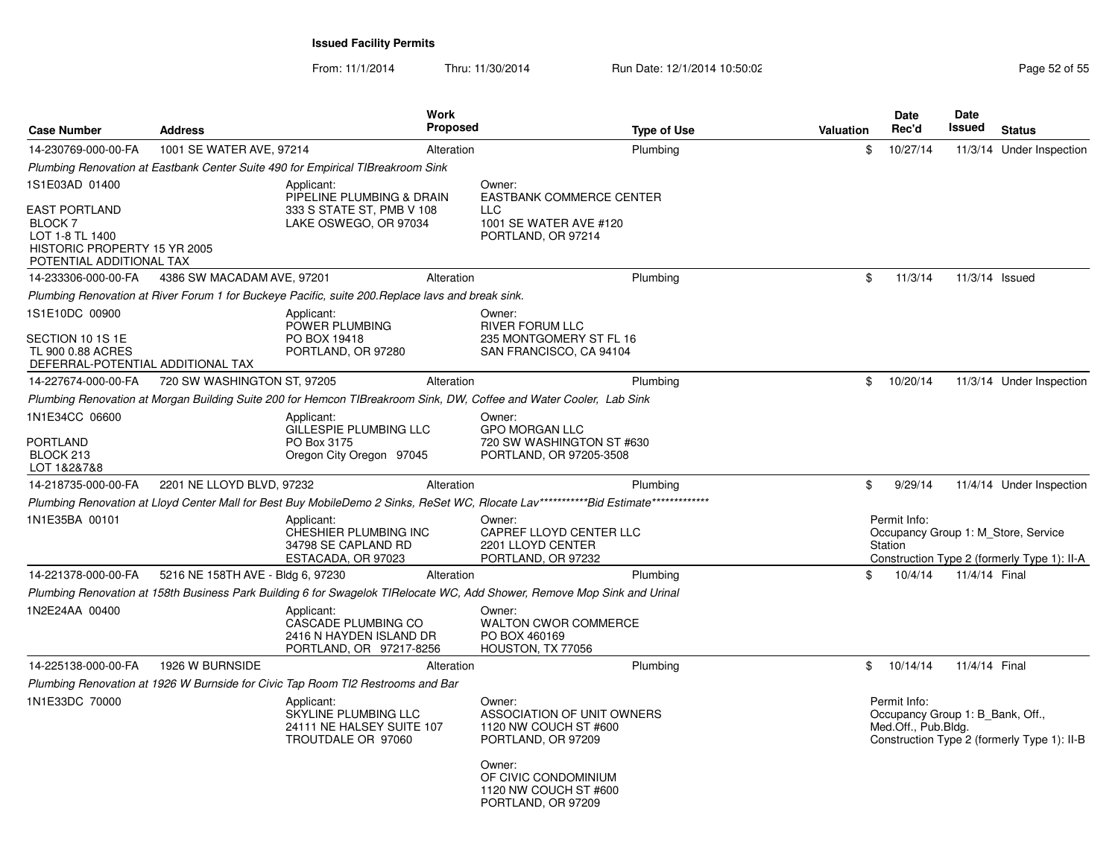| <b>Case Number</b>                                                                                             | <b>Address</b>                    | <b>Work</b><br><b>Proposed</b>                                                                                           |                                                                                               | <b>Type of Use</b> | <b>Valuation</b> | Date<br>Rec'd                                                           | Date<br>Issued | <b>Status</b>                                                                      |
|----------------------------------------------------------------------------------------------------------------|-----------------------------------|--------------------------------------------------------------------------------------------------------------------------|-----------------------------------------------------------------------------------------------|--------------------|------------------|-------------------------------------------------------------------------|----------------|------------------------------------------------------------------------------------|
| 14-230769-000-00-FA                                                                                            | 1001 SE WATER AVE, 97214          | Alteration                                                                                                               |                                                                                               | Plumbing           | \$               | 10/27/14                                                                |                | 11/3/14 Under Inspection                                                           |
|                                                                                                                |                                   | Plumbing Renovation at Eastbank Center Suite 490 for Empirical TIBreakroom Sink                                          |                                                                                               |                    |                  |                                                                         |                |                                                                                    |
| 1S1E03AD 01400                                                                                                 |                                   | Applicant:                                                                                                               | Owner:                                                                                        |                    |                  |                                                                         |                |                                                                                    |
| <b>EAST PORTLAND</b><br>BLOCK 7<br>LOT 1-8 TL 1400<br>HISTORIC PROPERTY 15 YR 2005<br>POTENTIAL ADDITIONAL TAX |                                   | PIPELINE PLUMBING & DRAIN<br>333 S STATE ST, PMB V 108<br>LAKE OSWEGO, OR 97034                                          | <b>EASTBANK COMMERCE CENTER</b><br><b>LLC</b><br>1001 SE WATER AVE #120<br>PORTLAND, OR 97214 |                    |                  |                                                                         |                |                                                                                    |
| 14-233306-000-00-FA                                                                                            | 4386 SW MACADAM AVE, 97201        | Alteration                                                                                                               |                                                                                               | Plumbing           | \$               | 11/3/14                                                                 | 11/3/14 Issued |                                                                                    |
|                                                                                                                |                                   | Plumbing Renovation at River Forum 1 for Buckeye Pacific, suite 200. Replace lavs and break sink.                        |                                                                                               |                    |                  |                                                                         |                |                                                                                    |
| 1S1E10DC 00900                                                                                                 |                                   | Applicant:<br>POWER PLUMBING                                                                                             | Owner:<br><b>RIVER FORUM LLC</b>                                                              |                    |                  |                                                                         |                |                                                                                    |
| SECTION 10 1S 1E<br>TL 900 0.88 ACRES<br>DEFERRAL-POTENTIAL ADDITIONAL TAX                                     |                                   | PO BOX 19418<br>PORTLAND, OR 97280                                                                                       | 235 MONTGOMERY ST FL 16<br>SAN FRANCISCO, CA 94104                                            |                    |                  |                                                                         |                |                                                                                    |
| 14-227674-000-00-FA                                                                                            | 720 SW WASHINGTON ST, 97205       | Alteration                                                                                                               |                                                                                               | Plumbing           | $\mathbb{S}$     | 10/20/14                                                                |                | 11/3/14 Under Inspection                                                           |
|                                                                                                                |                                   | Plumbing Renovation at Morgan Building Suite 200 for Hemcon TIBreakroom Sink, DW, Coffee and Water Cooler, Lab Sink      |                                                                                               |                    |                  |                                                                         |                |                                                                                    |
| 1N1E34CC 06600                                                                                                 |                                   | Applicant:                                                                                                               | Owner:                                                                                        |                    |                  |                                                                         |                |                                                                                    |
| <b>PORTLAND</b><br>BLOCK 213<br>LOT 1&2&7&8                                                                    |                                   | GILLESPIE PLUMBING LLC<br>PO Box 3175<br>Oregon City Oregon 97045                                                        | <b>GPO MORGAN LLC</b><br>720 SW WASHINGTON ST #630<br>PORTLAND, OR 97205-3508                 |                    |                  |                                                                         |                |                                                                                    |
| 14-218735-000-00-FA                                                                                            | 2201 NE LLOYD BLVD, 97232         | Alteration                                                                                                               |                                                                                               | Plumbing           | \$               | 9/29/14                                                                 |                | 11/4/14 Under Inspection                                                           |
|                                                                                                                |                                   |                                                                                                                          |                                                                                               |                    |                  |                                                                         |                |                                                                                    |
| 1N1E35BA 00101                                                                                                 |                                   | Applicant:<br>CHESHIER PLUMBING INC<br>34798 SE CAPLAND RD<br>ESTACADA, OR 97023                                         | Owner:<br>CAPREF LLOYD CENTER LLC<br>2201 LLOYD CENTER<br>PORTLAND, OR 97232                  |                    |                  | Permit Info:<br>Station                                                 |                | Occupancy Group 1: M Store, Service<br>Construction Type 2 (formerly Type 1): II-A |
| 14-221378-000-00-FA                                                                                            | 5216 NE 158TH AVE - Bldg 6, 97230 | Alteration                                                                                                               |                                                                                               | Plumbing           | \$               | 10/4/14                                                                 | 11/4/14 Final  |                                                                                    |
|                                                                                                                |                                   | Plumbing Renovation at 158th Business Park Building 6 for Swagelok TIRelocate WC, Add Shower, Remove Mop Sink and Urinal |                                                                                               |                    |                  |                                                                         |                |                                                                                    |
| 1N2E24AA 00400                                                                                                 |                                   | Applicant:<br>CASCADE PLUMBING CO<br>2416 N HAYDEN ISLAND DR<br>PORTLAND, OR 97217-8256                                  | Owner:<br><b>WALTON CWOR COMMERCE</b><br>PO BOX 460169<br>HOUSTON, TX 77056                   |                    |                  |                                                                         |                |                                                                                    |
| 14-225138-000-00-FA                                                                                            | 1926 W BURNSIDE                   | Alteration                                                                                                               |                                                                                               | Plumbing           | \$               | 10/14/14                                                                | 11/4/14 Final  |                                                                                    |
|                                                                                                                |                                   | Plumbing Renovation at 1926 W Burnside for Civic Tap Room TI2 Restrooms and Bar                                          |                                                                                               |                    |                  |                                                                         |                |                                                                                    |
| 1N1E33DC 70000                                                                                                 |                                   | Applicant:<br>SKYLINE PLUMBING LLC<br>24111 NE HALSEY SUITE 107<br>TROUTDALE OR 97060                                    | Owner:<br>ASSOCIATION OF UNIT OWNERS<br>1120 NW COUCH ST #600<br>PORTLAND, OR 97209<br>Owner: |                    |                  | Permit Info:<br>Occupancy Group 1: B Bank, Off.,<br>Med.Off., Pub.Bldg. |                | Construction Type 2 (formerly Type 1): II-B                                        |
|                                                                                                                |                                   |                                                                                                                          | OF CIVIC CONDOMINIUM<br>1120 NW COUCH ST #600<br>PORTLAND, OR 97209                           |                    |                  |                                                                         |                |                                                                                    |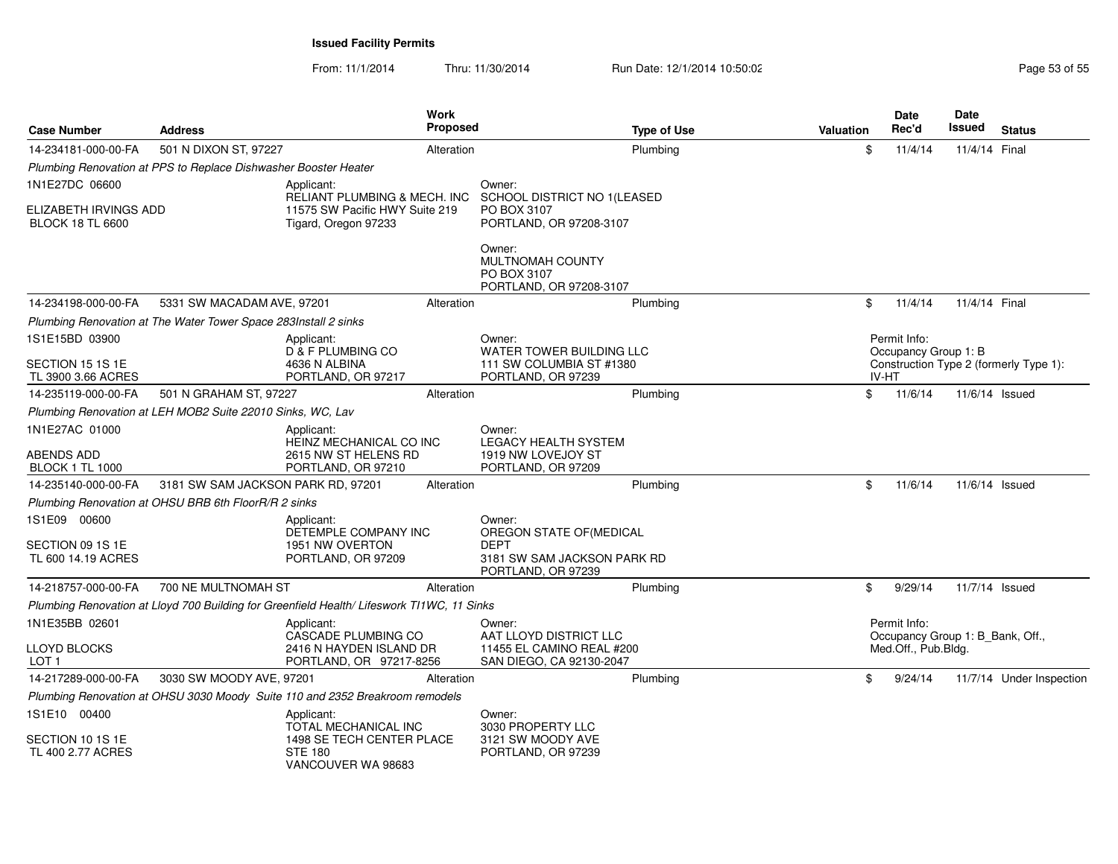From: 11/1/2014

Thru: 11/30/2014 Run Date: 12/1/2014 10:50:02 Research 2010 Page 53 of 55

| <b>Case Number</b>                                                                     | <b>Address</b>                                                  | <b>Work</b><br><b>Proposed</b>                                                             |                                                                      | <b>Type of Use</b>              | <b>Valuation</b> | <b>Date</b><br>Rec'd                                                                                                                                                           | Date<br><b>Issued</b> | <b>Status</b>            |  |
|----------------------------------------------------------------------------------------|-----------------------------------------------------------------|--------------------------------------------------------------------------------------------|----------------------------------------------------------------------|---------------------------------|------------------|--------------------------------------------------------------------------------------------------------------------------------------------------------------------------------|-----------------------|--------------------------|--|
| 14-234181-000-00-FA                                                                    | 501 N DIXON ST, 97227                                           | Alteration                                                                                 |                                                                      | Plumbing                        | \$               | 11/4/14                                                                                                                                                                        | 11/4/14 Final         |                          |  |
|                                                                                        | Plumbing Renovation at PPS to Replace Dishwasher Booster Heater |                                                                                            |                                                                      |                                 |                  |                                                                                                                                                                                |                       |                          |  |
| 1N1E27DC 06600                                                                         |                                                                 | Applicant:<br><b>RELIANT PLUMBING &amp; MECH. INC</b>                                      | Owner:                                                               | SCHOOL DISTRICT NO 1(LEASED     |                  |                                                                                                                                                                                |                       |                          |  |
| ELIZABETH IRVINGS ADD<br><b>BLOCK 18 TL 6600</b>                                       |                                                                 | 11575 SW Pacific HWY Suite 219<br>Tigard, Oregon 97233                                     | PO BOX 3107<br>PORTLAND, OR 97208-3107                               |                                 |                  |                                                                                                                                                                                |                       |                          |  |
|                                                                                        |                                                                 |                                                                                            | Owner:<br>MULTNOMAH COUNTY<br>PO BOX 3107<br>PORTLAND, OR 97208-3107 |                                 |                  |                                                                                                                                                                                |                       |                          |  |
| 14-234198-000-00-FA                                                                    | 5331 SW MACADAM AVE, 97201                                      | Alteration                                                                                 |                                                                      | Plumbing                        | \$               | 11/4/14                                                                                                                                                                        |                       |                          |  |
|                                                                                        | Plumbing Renovation at The Water Tower Space 283Install 2 sinks |                                                                                            |                                                                      |                                 |                  |                                                                                                                                                                                |                       |                          |  |
| 1S1E15BD 03900<br>Applicant:<br>D & F PLUMBING CO<br>SECTION 15 1S 1E<br>4636 N ALBINA |                                                                 |                                                                                            | Owner:                                                               | <b>WATER TOWER BUILDING LLC</b> |                  | 11/4/14 Final<br>Permit Info:<br>Occupancy Group 1: B<br>Construction Type 2 (formerly Type 1):<br>IV-HT<br>\$<br>11/6/14<br>11/6/14 Issued<br>\$<br>11/6/14<br>11/6/14 Issued |                       |                          |  |
| TL 3900 3.66 ACRES                                                                     |                                                                 | PORTLAND, OR 97217                                                                         | 111 SW COLUMBIA ST #1380<br>PORTLAND, OR 97239                       |                                 |                  |                                                                                                                                                                                |                       |                          |  |
| 14-235119-000-00-FA                                                                    | 501 N GRAHAM ST, 97227                                          | Alteration                                                                                 |                                                                      | Plumbing                        |                  |                                                                                                                                                                                |                       |                          |  |
|                                                                                        | Plumbing Renovation at LEH MOB2 Suite 22010 Sinks, WC, Lav      |                                                                                            |                                                                      |                                 |                  |                                                                                                                                                                                |                       |                          |  |
| 1N1E27AC 01000                                                                         |                                                                 | Applicant:<br>HEINZ MECHANICAL CO INC                                                      | Owner:<br><b>LEGACY HEALTH SYSTEM</b>                                |                                 |                  |                                                                                                                                                                                |                       |                          |  |
| ABENDS ADD<br><b>BLOCK 1 TL 1000</b>                                                   |                                                                 | 2615 NW ST HELENS RD<br>PORTLAND, OR 97210                                                 | 1919 NW LOVEJOY ST<br>PORTLAND, OR 97209                             |                                 |                  |                                                                                                                                                                                |                       |                          |  |
| 14-235140-000-00-FA                                                                    | 3181 SW SAM JACKSON PARK RD, 97201                              | Alteration                                                                                 |                                                                      | Plumbing                        |                  |                                                                                                                                                                                |                       |                          |  |
|                                                                                        | Plumbing Renovation at OHSU BRB 6th FloorR/R 2 sinks            |                                                                                            |                                                                      |                                 |                  |                                                                                                                                                                                |                       |                          |  |
| 1S1E09 00600                                                                           |                                                                 | Applicant:<br>DETEMPLE COMPANY INC                                                         | Owner:<br>OREGON STATE OF(MEDICAL                                    |                                 |                  |                                                                                                                                                                                |                       |                          |  |
| SECTION 09 1S 1E<br>TL 600 14.19 ACRES                                                 |                                                                 | 1951 NW OVERTON<br>PORTLAND, OR 97209                                                      | <b>DEPT</b><br>PORTLAND, OR 97239                                    | 3181 SW SAM JACKSON PARK RD     |                  |                                                                                                                                                                                |                       |                          |  |
| 14-218757-000-00-FA                                                                    | 700 NE MULTNOMAH ST                                             | Alteration                                                                                 |                                                                      | Plumbing                        | \$               | 9/29/14                                                                                                                                                                        | 11/7/14 Issued        |                          |  |
|                                                                                        |                                                                 | Plumbing Renovation at Lloyd 700 Building for Greenfield Health/ Lifeswork TI1WC, 11 Sinks |                                                                      |                                 |                  |                                                                                                                                                                                |                       |                          |  |
| 1N1E35BB 02601                                                                         |                                                                 | Applicant:<br>CASCADE PLUMBING CO                                                          | Owner:<br>AAT LLOYD DISTRICT LLC                                     |                                 |                  | Permit Info:<br>Occupancy Group 1: B_Bank, Off.,                                                                                                                               |                       |                          |  |
| LLOYD BLOCKS<br>LOT <sub>1</sub>                                                       |                                                                 | 2416 N HAYDEN ISLAND DR<br>PORTLAND, OR 97217-8256                                         | 11455 EL CAMINO REAL #200<br>SAN DIEGO, CA 92130-2047                |                                 |                  | Med.Off., Pub.Bldg.                                                                                                                                                            |                       |                          |  |
| 14-217289-000-00-FA                                                                    | 3030 SW MOODY AVE, 97201                                        | Alteration                                                                                 |                                                                      | Plumbing                        | \$               | 9/24/14                                                                                                                                                                        |                       | 11/7/14 Under Inspection |  |
|                                                                                        |                                                                 | Plumbing Renovation at OHSU 3030 Moody Suite 110 and 2352 Breakroom remodels               |                                                                      |                                 |                  |                                                                                                                                                                                |                       |                          |  |
| 1S1E10 00400                                                                           |                                                                 | Applicant:<br>TOTAL MECHANICAL INC                                                         | Owner:<br>3030 PROPERTY LLC                                          |                                 |                  |                                                                                                                                                                                |                       |                          |  |
| SECTION 10 1S 1E<br>TL 400 2.77 ACRES                                                  |                                                                 | 1498 SE TECH CENTER PLACE<br><b>STE 180</b><br>VANCOUVER WA 98683                          | 3121 SW MOODY AVE<br>PORTLAND, OR 97239                              |                                 |                  |                                                                                                                                                                                |                       |                          |  |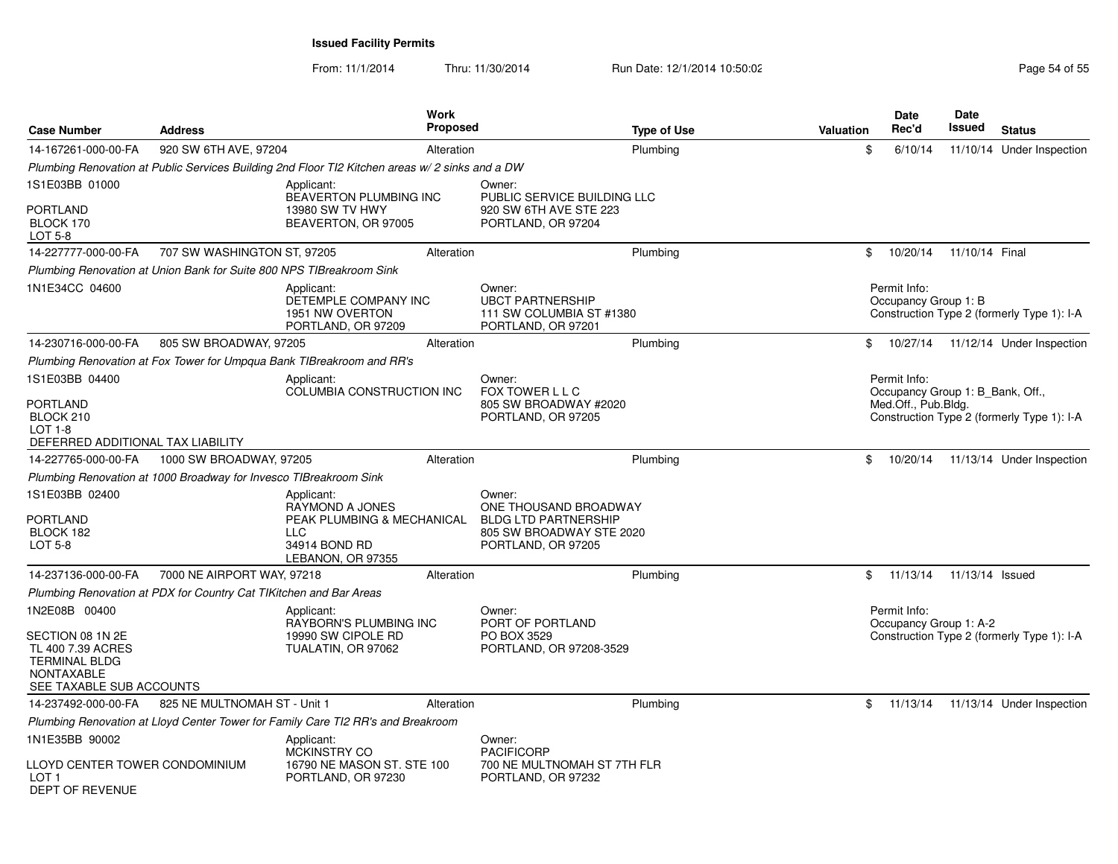| <b>Case Number</b>                                                                                             | <b>Address</b>                                                       |                                                                                                                 | <b>Work</b><br><b>Proposed</b> | <b>Type of Use</b>                                                                                               | <b>Valuation</b> | <b>Date</b><br>Rec'd                                    | <b>Date</b><br>Issued | <b>Status</b>                              |
|----------------------------------------------------------------------------------------------------------------|----------------------------------------------------------------------|-----------------------------------------------------------------------------------------------------------------|--------------------------------|------------------------------------------------------------------------------------------------------------------|------------------|---------------------------------------------------------|-----------------------|--------------------------------------------|
| 14-167261-000-00-FA                                                                                            | 920 SW 6TH AVE, 97204                                                |                                                                                                                 | Alteration                     | Plumbing                                                                                                         | \$               | 6/10/14                                                 |                       | 11/10/14 Under Inspection                  |
|                                                                                                                |                                                                      | Plumbing Renovation at Public Services Building 2nd Floor TI2 Kitchen areas w/ 2 sinks and a DW                 |                                |                                                                                                                  |                  |                                                         |                       |                                            |
| 1S1E03BB 01000                                                                                                 |                                                                      | Applicant:                                                                                                      |                                | Owner:                                                                                                           |                  |                                                         |                       |                                            |
| PORTLAND<br>BLOCK 170<br>LOT 5-8                                                                               |                                                                      | <b>BEAVERTON PLUMBING INC</b><br>13980 SW TV HWY<br>BEAVERTON, OR 97005                                         |                                | PUBLIC SERVICE BUILDING LLC<br>920 SW 6TH AVE STE 223<br>PORTLAND, OR 97204                                      |                  |                                                         |                       |                                            |
| 14-227777-000-00-FA                                                                                            | 707 SW WASHINGTON ST, 97205                                          |                                                                                                                 | Alteration                     | Plumbing                                                                                                         | \$               | 10/20/14                                                | 11/10/14 Final        |                                            |
|                                                                                                                | Plumbing Renovation at Union Bank for Suite 800 NPS TIBreakroom Sink |                                                                                                                 |                                |                                                                                                                  |                  |                                                         |                       |                                            |
| 1N1E34CC 04600                                                                                                 |                                                                      | Applicant:<br>DETEMPLE COMPANY INC<br>1951 NW OVERTON<br>PORTLAND, OR 97209                                     |                                | Owner:<br><b>UBCT PARTNERSHIP</b><br>111 SW COLUMBIA ST #1380<br>PORTLAND, OR 97201                              |                  | Permit Info:<br>Occupancy Group 1: B                    |                       | Construction Type 2 (formerly Type 1): I-A |
| 14-230716-000-00-FA                                                                                            | 805 SW BROADWAY, 97205                                               |                                                                                                                 | Alteration                     | Plumbing                                                                                                         |                  |                                                         |                       | \$ 10/27/14 11/12/14 Under Inspection      |
|                                                                                                                |                                                                      | Plumbing Renovation at Fox Tower for Umpqua Bank TIBreakroom and RR's                                           |                                |                                                                                                                  |                  |                                                         |                       |                                            |
| 1S1E03BB 04400                                                                                                 |                                                                      | Applicant:                                                                                                      |                                | Owner:                                                                                                           |                  | Permit Info:                                            |                       |                                            |
| PORTLAND<br>BLOCK 210<br>$LOT 1-8$<br>DEFERRED ADDITIONAL TAX LIABILITY                                        |                                                                      | COLUMBIA CONSTRUCTION INC                                                                                       |                                | FOX TOWER L L C<br>805 SW BROADWAY #2020<br>PORTLAND, OR 97205                                                   |                  | Occupancy Group 1: B Bank, Off.,<br>Med.Off., Pub.Bldg. |                       | Construction Type 2 (formerly Type 1): I-A |
| 14-227765-000-00-FA                                                                                            | 1000 SW BROADWAY, 97205                                              |                                                                                                                 | Alteration                     | Plumbing                                                                                                         | \$               | 10/20/14                                                |                       | 11/13/14 Under Inspection                  |
|                                                                                                                | Plumbing Renovation at 1000 Broadway for Invesco TIBreakroom Sink    |                                                                                                                 |                                |                                                                                                                  |                  |                                                         |                       |                                            |
| 1S1E03BB 02400<br>PORTLAND<br>BLOCK 182<br>LOT 5-8                                                             |                                                                      | Applicant:<br>RAYMOND A JONES<br>PEAK PLUMBING & MECHANICAL<br><b>LLC</b><br>34914 BOND RD<br>LEBANON, OR 97355 |                                | Owner:<br>ONE THOUSAND BROADWAY<br><b>BLDG LTD PARTNERSHIP</b><br>805 SW BROADWAY STE 2020<br>PORTLAND, OR 97205 |                  |                                                         |                       |                                            |
| 14-237136-000-00-FA                                                                                            | 7000 NE AIRPORT WAY, 97218                                           |                                                                                                                 | Alteration                     | Plumbing                                                                                                         | \$               | 11/13/14                                                | 11/13/14 Issued       |                                            |
|                                                                                                                | Plumbing Renovation at PDX for Country Cat TIKitchen and Bar Areas   |                                                                                                                 |                                |                                                                                                                  |                  |                                                         |                       |                                            |
| 1N2E08B 00400                                                                                                  |                                                                      | Applicant:                                                                                                      |                                | Owner:                                                                                                           |                  | Permit Info:                                            |                       |                                            |
| SECTION 08 1N 2E<br>TL 400 7.39 ACRES<br><b>TERMINAL BLDG</b><br><b>NONTAXABLE</b><br>SEE TAXABLE SUB ACCOUNTS |                                                                      | RAYBORN'S PLUMBING INC<br>19990 SW CIPOLE RD<br>TUALATIN, OR 97062                                              |                                | PORT OF PORTLAND<br>PO BOX 3529<br>PORTLAND, OR 97208-3529                                                       |                  | Occupancy Group 1: A-2                                  |                       | Construction Type 2 (formerly Type 1): I-A |
| 14-237492-000-00-FA                                                                                            | 825 NE MULTNOMAH ST - Unit 1                                         |                                                                                                                 | Alteration                     | Plumbing                                                                                                         | \$               |                                                         |                       | 11/13/14  11/13/14  Under Inspection       |
|                                                                                                                |                                                                      | Plumbing Renovation at Lloyd Center Tower for Family Care TI2 RR's and Breakroom                                |                                |                                                                                                                  |                  |                                                         |                       |                                            |
| 1N1E35BB 90002                                                                                                 |                                                                      | Applicant:                                                                                                      |                                | Owner:                                                                                                           |                  |                                                         |                       |                                            |
| LLOYD CENTER TOWER CONDOMINIUM<br>LOT 1<br><b>DEPT OF REVENUE</b>                                              |                                                                      | <b>MCKINSTRY CO</b><br>16790 NE MASON ST. STE 100<br>PORTLAND, OR 97230                                         |                                | <b>PACIFICORP</b><br>700 NE MULTNOMAH ST 7TH FLR<br>PORTLAND, OR 97232                                           |                  |                                                         |                       |                                            |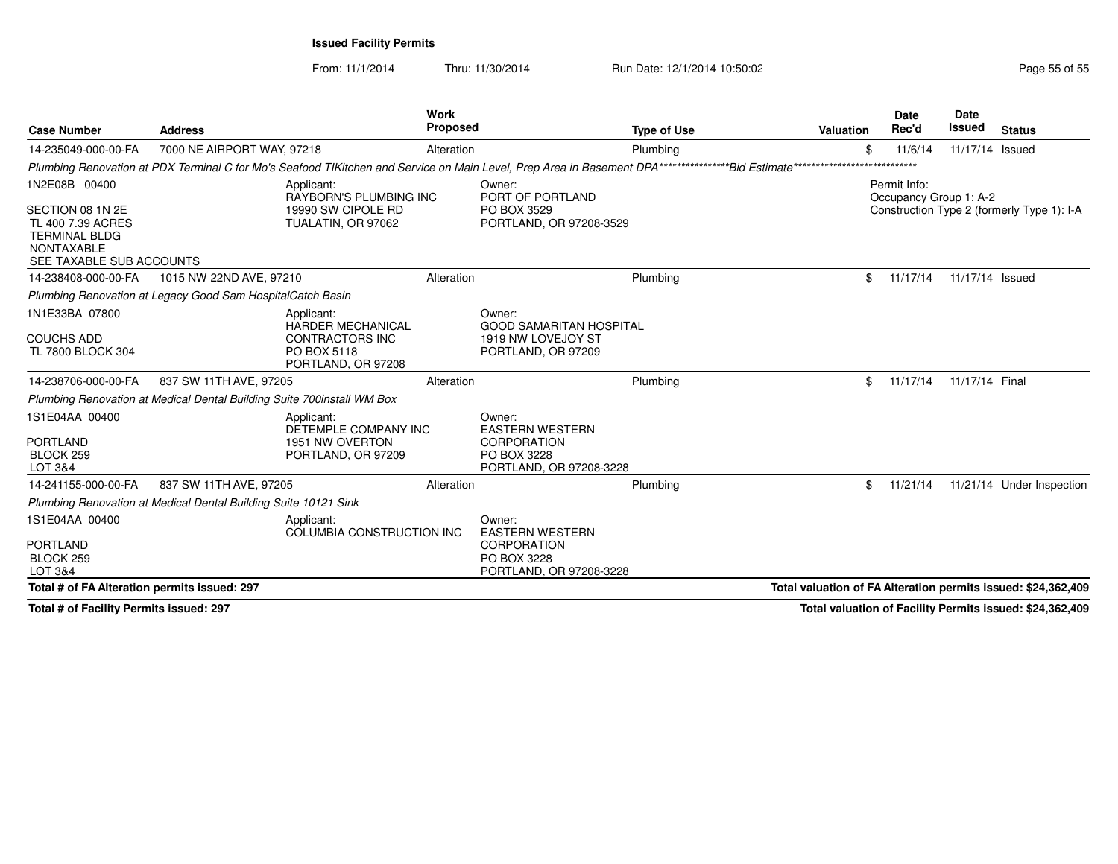From: 11/1/2014

Thru: 11/30/2014 Run Date: 12/1/2014 10:50:02 Research 2010 Rage 55 of 55

| <b>Case Number</b>                                                                                                              | <b>Address</b>                                                          |                                                                                                       | Work<br>Proposed |                                                                                                                                                        | <b>Type of Use</b> | <b>Valuation</b> | Date<br>Rec'd                          | <b>Date</b><br><b>Issued</b> | <b>Status</b>                                                 |
|---------------------------------------------------------------------------------------------------------------------------------|-------------------------------------------------------------------------|-------------------------------------------------------------------------------------------------------|------------------|--------------------------------------------------------------------------------------------------------------------------------------------------------|--------------------|------------------|----------------------------------------|------------------------------|---------------------------------------------------------------|
| 14-235049-000-00-FA                                                                                                             | 7000 NE AIRPORT WAY, 97218                                              |                                                                                                       | Alteration       |                                                                                                                                                        | Plumbing           |                  | \$<br>11/6/14                          | 11/17/14 Issued              |                                                               |
|                                                                                                                                 |                                                                         |                                                                                                       |                  | Plumbing Renovation at PDX Terminal C for Mo's Seafood TIKitchen and Service on Main Level, Prep Area in Basement DPA*******************Bid Estimate** |                    |                  | ******                                 |                              |                                                               |
| 1N2E08B 00400<br>SECTION 08 1N 2E<br>TL 400 7.39 ACRES<br><b>TERMINAL BLDG</b><br><b>NONTAXABLE</b><br>SEE TAXABLE SUB ACCOUNTS |                                                                         | Applicant:<br><b>RAYBORN'S PLUMBING INC</b><br>19990 SW CIPOLE RD<br>TUALATIN, OR 97062               |                  | Owner:<br>PORT OF PORTLAND<br>PO BOX 3529<br>PORTLAND, OR 97208-3529                                                                                   |                    |                  | Permit Info:<br>Occupancy Group 1: A-2 |                              | Construction Type 2 (formerly Type 1): I-A                    |
| 14-238408-000-00-FA                                                                                                             | 1015 NW 22ND AVE, 97210                                                 |                                                                                                       | Alteration       |                                                                                                                                                        | Plumbing           |                  | \$<br>11/17/14                         | 11/17/14 Issued              |                                                               |
|                                                                                                                                 | Plumbing Renovation at Legacy Good Sam HospitalCatch Basin              |                                                                                                       |                  |                                                                                                                                                        |                    |                  |                                        |                              |                                                               |
| 1N1E33BA 07800<br><b>COUCHS ADD</b><br>TL 7800 BLOCK 304                                                                        |                                                                         | Applicant:<br><b>HARDER MECHANICAL</b><br><b>CONTRACTORS INC</b><br>PO BOX 5118<br>PORTLAND, OR 97208 |                  | Owner:<br><b>GOOD SAMARITAN HOSPITAL</b><br>1919 NW LOVEJOY ST<br>PORTLAND, OR 97209                                                                   |                    |                  |                                        |                              |                                                               |
| 14-238706-000-00-FA                                                                                                             | 837 SW 11TH AVE, 97205                                                  |                                                                                                       | Alteration       |                                                                                                                                                        | Plumbing           |                  | \$<br>11/17/14                         | 11/17/14 Final               |                                                               |
|                                                                                                                                 | Plumbing Renovation at Medical Dental Building Suite 700 install WM Box |                                                                                                       |                  |                                                                                                                                                        |                    |                  |                                        |                              |                                                               |
| 1S1E04AA 00400<br><b>PORTLAND</b><br>BLOCK <sub>259</sub><br>LOT 3&4                                                            |                                                                         | Applicant:<br>DETEMPLE COMPANY INC<br>1951 NW OVERTON<br>PORTLAND, OR 97209                           |                  | Owner:<br><b>EASTERN WESTERN</b><br>CORPORATION<br>PO BOX 3228<br>PORTLAND, OR 97208-3228                                                              |                    |                  |                                        |                              |                                                               |
| 14-241155-000-00-FA                                                                                                             | 837 SW 11TH AVE, 97205                                                  |                                                                                                       | Alteration       |                                                                                                                                                        | Plumbing           |                  | \$<br>11/21/14                         |                              | 11/21/14 Under Inspection                                     |
|                                                                                                                                 | Plumbing Renovation at Medical Dental Building Suite 10121 Sink         |                                                                                                       |                  |                                                                                                                                                        |                    |                  |                                        |                              |                                                               |
| 1S1E04AA 00400<br><b>PORTLAND</b><br>BLOCK 259<br>LOT 3&4                                                                       |                                                                         | Applicant:<br>COLUMBIA CONSTRUCTION INC                                                               |                  | Owner:<br><b>EASTERN WESTERN</b><br><b>CORPORATION</b><br>PO BOX 3228<br>PORTLAND, OR 97208-3228                                                       |                    |                  |                                        |                              |                                                               |
| Total # of FA Alteration permits issued: 297                                                                                    |                                                                         |                                                                                                       |                  |                                                                                                                                                        |                    |                  |                                        |                              | Total valuation of FA Alteration permits issued: \$24,362,409 |

**Total # of Facility Permits issued: 297**

**Total valuation of Facility Permits issued: \$24,362,409**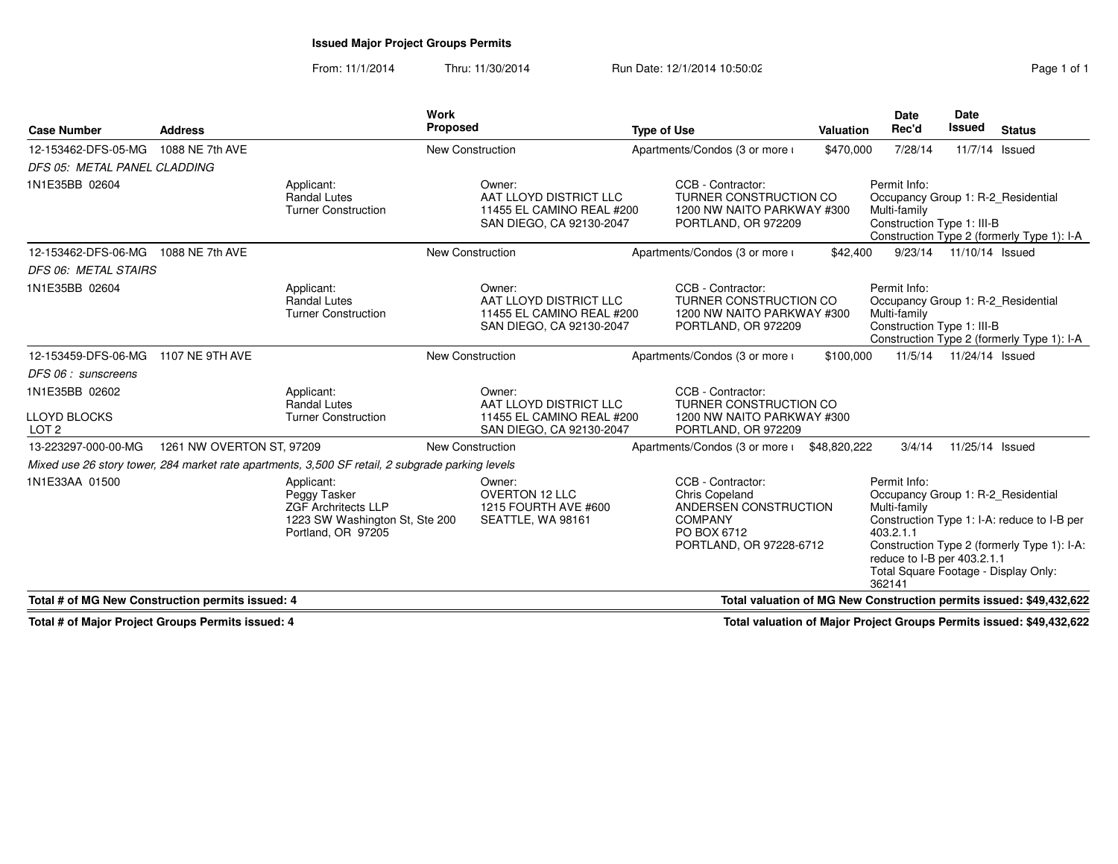## **Issued Major Project Groups Permits**

From: 11/1/2014Thru: 11/30/2014 Run Date: 12/1/2014 10:50:02 Research 2010 Rage 1 of 1

| <b>Case Number</b>                    | <b>Address</b>                                                                                                          |                                                                                                                  | Work<br><b>Proposed</b> |                                                                                 | <b>Type of Use</b> |                                                                                                                                 | <b>Valuation</b> | Date<br>Rec'd                                                                                                                                                    | <b>Date</b><br>Issued     | <b>Status</b>                                                                              |
|---------------------------------------|-------------------------------------------------------------------------------------------------------------------------|------------------------------------------------------------------------------------------------------------------|-------------------------|---------------------------------------------------------------------------------|--------------------|---------------------------------------------------------------------------------------------------------------------------------|------------------|------------------------------------------------------------------------------------------------------------------------------------------------------------------|---------------------------|--------------------------------------------------------------------------------------------|
| 12-153462-DFS-05-MG                   | 1088 NE 7th AVE                                                                                                         |                                                                                                                  | <b>New Construction</b> |                                                                                 |                    | Apartments/Condos (3 or more i                                                                                                  | \$470,000        | 7/28/14                                                                                                                                                          | 11/7/14 Issued            |                                                                                            |
| DFS 05: METAL PANEL CLADDING          |                                                                                                                         |                                                                                                                  |                         |                                                                                 |                    |                                                                                                                                 |                  |                                                                                                                                                                  |                           |                                                                                            |
| 1N1E35BB 02604                        |                                                                                                                         | Applicant:<br><b>Randal Lutes</b><br><b>Turner Construction</b>                                                  | Owner:                  | AAT LLOYD DISTRICT LLC<br>11455 EL CAMINO REAL #200<br>SAN DIEGO, CA 92130-2047 |                    | CCB - Contractor:<br>TURNER CONSTRUCTION CO<br>1200 NW NAITO PARKWAY #300<br>PORTLAND, OR 972209                                |                  | Permit Info:<br>Occupancy Group 1: R-2 Residential<br>Multi-family<br>Construction Type 1: III-B                                                                 |                           | Construction Type 2 (formerly Type 1): I-A                                                 |
| 12-153462-DFS-06-MG                   | 1088 NE 7th AVE                                                                                                         |                                                                                                                  | <b>New Construction</b> |                                                                                 |                    | Apartments/Condos (3 or more i                                                                                                  | \$42,400         | 9/23/14                                                                                                                                                          | 11/10/14 Issued           |                                                                                            |
| <b>DFS 06: METAL STAIRS</b>           |                                                                                                                         |                                                                                                                  |                         |                                                                                 |                    |                                                                                                                                 |                  |                                                                                                                                                                  |                           |                                                                                            |
| 1N1E35BB 02604                        |                                                                                                                         | Applicant:<br><b>Randal Lutes</b><br><b>Turner Construction</b>                                                  | Owner:                  | AAT LLOYD DISTRICT LLC<br>11455 EL CAMINO REAL #200<br>SAN DIEGO, CA 92130-2047 |                    | CCB - Contractor:<br>TURNER CONSTRUCTION CO<br>1200 NW NAITO PARKWAY #300<br>PORTLAND, OR 972209                                |                  | Permit Info:<br>Occupancy Group 1: R-2_Residential<br>Multi-family<br>Construction Type 1: III-B                                                                 |                           | Construction Type 2 (formerly Type 1): I-A                                                 |
| 12-153459-DFS-06-MG                   | 1107 NE 9TH AVE                                                                                                         |                                                                                                                  | <b>New Construction</b> |                                                                                 |                    | Apartments/Condos (3 or more i                                                                                                  | \$100,000        |                                                                                                                                                                  | 11/5/14  11/24/14  Issued |                                                                                            |
| DFS 06 : sunscreens                   |                                                                                                                         |                                                                                                                  |                         |                                                                                 |                    |                                                                                                                                 |                  |                                                                                                                                                                  |                           |                                                                                            |
| 1N1E35BB 02602<br><b>LLOYD BLOCKS</b> |                                                                                                                         | Applicant:<br><b>Randal Lutes</b><br><b>Turner Construction</b>                                                  | Owner:                  | AAT LLOYD DISTRICT LLC<br>11455 EL CAMINO REAL #200                             |                    | CCB - Contractor:<br>TURNER CONSTRUCTION CO<br>1200 NW NAITO PARKWAY #300                                                       |                  |                                                                                                                                                                  |                           |                                                                                            |
| LOT <sub>2</sub>                      |                                                                                                                         |                                                                                                                  |                         | SAN DIEGO, CA 92130-2047                                                        |                    | PORTLAND, OR 972209                                                                                                             |                  |                                                                                                                                                                  |                           |                                                                                            |
| 13-223297-000-00-MG                   | 1261 NW OVERTON ST, 97209                                                                                               |                                                                                                                  | <b>New Construction</b> |                                                                                 |                    | Apartments/Condos (3 or more i                                                                                                  | \$48,820,222     | 3/4/14                                                                                                                                                           | 11/25/14 Issued           |                                                                                            |
|                                       |                                                                                                                         | Mixed use 26 story tower, 284 market rate apartments, 3,500 SF retail, 2 subgrade parking levels                 |                         |                                                                                 |                    |                                                                                                                                 |                  |                                                                                                                                                                  |                           |                                                                                            |
| 1N1E33AA 01500                        |                                                                                                                         | Applicant:<br>Peggy Tasker<br><b>ZGF Archritects LLP</b><br>1223 SW Washington St, Ste 200<br>Portland, OR 97205 | Owner:                  | <b>OVERTON 12 LLC</b><br>1215 FOURTH AVE #600<br>SEATTLE, WA 98161              |                    | CCB - Contractor:<br><b>Chris Copeland</b><br>ANDERSEN CONSTRUCTION<br><b>COMPANY</b><br>PO BOX 6712<br>PORTLAND, OR 97228-6712 |                  | Permit Info:<br>Occupancy Group 1: R-2 Residential<br>Multi-family<br>403.2.1.1<br>reduce to I-B per 403.2.1.1<br>Total Square Footage - Display Only:<br>362141 |                           | Construction Type 1: I-A: reduce to I-B per<br>Construction Type 2 (formerly Type 1): I-A: |
|                                       | Total valuation of MG New Construction permits issued: \$49,432,622<br>Total # of MG New Construction permits issued: 4 |                                                                                                                  |                         |                                                                                 |                    |                                                                                                                                 |                  |                                                                                                                                                                  |                           |                                                                                            |

**Total # of Major Project Groups Permits issued: 4**

**Total valuation of Major Project Groups Permits issued: \$49,432,622**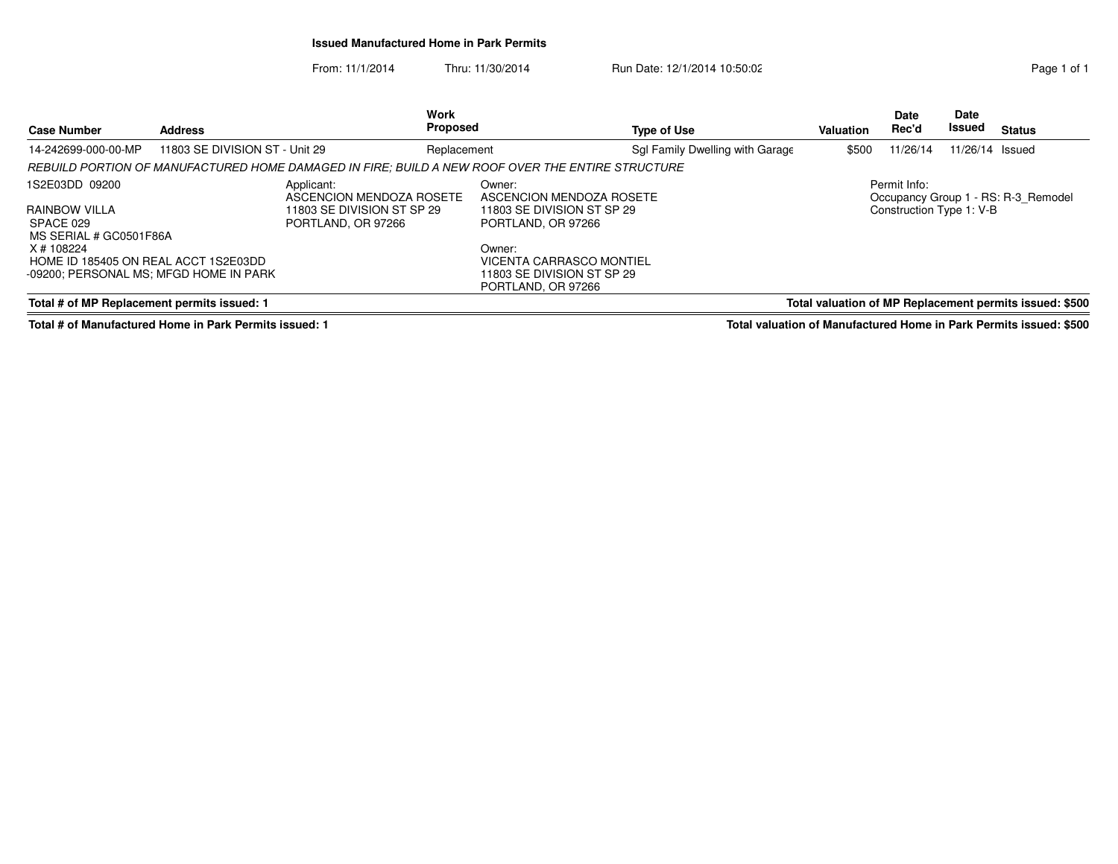## **Issued Manufactured Home in Park Permits**

From: 11/1/2014Thru: 11/30/2014 Run Date: 12/1/2014 10:50:02 Research 2010 Rage 1 of 1

| <b>Case Number</b>                                                                           | <b>Address</b>                                   | <b>Work</b><br><b>Proposed</b>                                                                   |                                                                                        | Type of Use                     | Valuation                | <b>Date</b><br>Rec'd | <b>Date</b><br>Issued | <b>Status</b>                                           |
|----------------------------------------------------------------------------------------------|--------------------------------------------------|--------------------------------------------------------------------------------------------------|----------------------------------------------------------------------------------------|---------------------------------|--------------------------|----------------------|-----------------------|---------------------------------------------------------|
| 14-242699-000-00-MP                                                                          | 11803 SE DIVISION ST - Unit 29                   | Replacement                                                                                      |                                                                                        | Sql Family Dwelling with Garage | \$500                    | 11/26/14             | 11/26/14 Issued       |                                                         |
|                                                                                              |                                                  | REBUILD PORTION OF MANUFACTURED HOME DAMAGED IN FIRE: BUILD A NEW ROOF OVER THE ENTIRE STRUCTURE |                                                                                        |                                 |                          |                      |                       |                                                         |
| 1S2E03DD 09200<br>Applicant:                                                                 |                                                  | ASCENCION MENDOZA ROSETE                                                                         | Owner:<br>ASCENCION MENDOZA ROSETE                                                     |                                 |                          | Permit Info:         |                       | Occupancy Group 1 - RS: R-3 Remodel                     |
| RAINBOW VILLA<br>SPACE 029<br>MS SERIAL # GC0501F86A                                         | 11803 SE DIVISION ST SP 29<br>PORTLAND, OR 97266 |                                                                                                  | 11803 SE DIVISION ST SP 29<br>PORTLAND, OR 97266                                       |                                 | Construction Type 1: V-B |                      |                       |                                                         |
| X # 108224<br>HOME ID 185405 ON REAL ACCT 1S2E03DD<br>-09200: PERSONAL MS: MFGD HOME IN PARK |                                                  |                                                                                                  | Owner:<br>VICENTA CARRASCO MONTIEL<br>11803 SE DIVISION ST SP 29<br>PORTLAND, OR 97266 |                                 |                          |                      |                       |                                                         |
| Total # of MP Replacement permits issued: 1                                                  |                                                  |                                                                                                  |                                                                                        |                                 |                          |                      |                       | Total valuation of MP Replacement permits issued: \$500 |

**Total # of Manufactured Home in Park Permits issued: 1**

**Total valuation of Manufactured Home in Park Permits issued: \$500**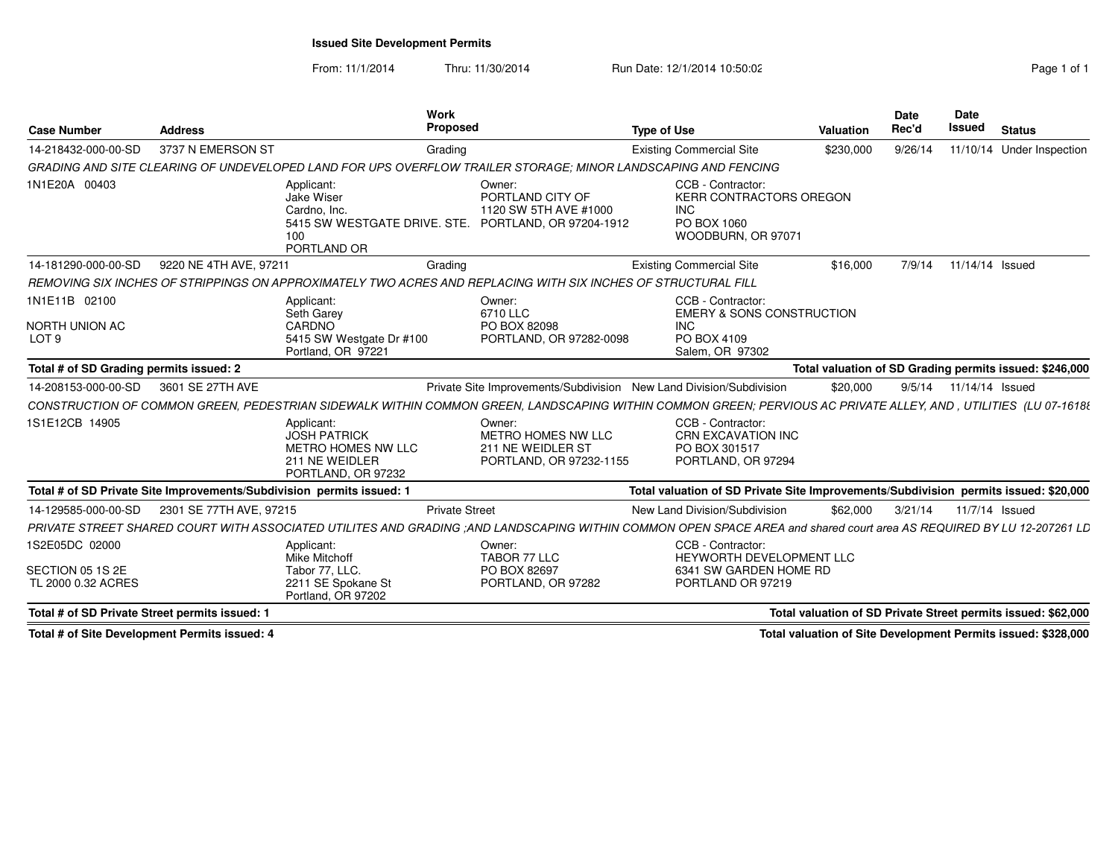## **Issued Site Development Permits**

From: 11/1/2014Thru: 11/30/2014 Run Date: 12/1/2014 10:50:02 Research 2010 Rage 1 of 1

| <b>Case Number</b>                                       | <b>Address</b>          | <b>Work</b><br>Proposed                                                                                                                                              |                                                                              | <b>Type of Use</b>                                                                              | <b>Valuation</b> | <b>Date</b><br>Rec'd | <b>Date</b><br><b>Issued</b> | <b>Status</b>                                                 |
|----------------------------------------------------------|-------------------------|----------------------------------------------------------------------------------------------------------------------------------------------------------------------|------------------------------------------------------------------------------|-------------------------------------------------------------------------------------------------|------------------|----------------------|------------------------------|---------------------------------------------------------------|
| 14-218432-000-00-SD                                      | 3737 N EMERSON ST       | Grading                                                                                                                                                              |                                                                              | <b>Existing Commercial Site</b>                                                                 | \$230,000        | 9/26/14              | 11/10/14                     | Under Inspection                                              |
|                                                          |                         | GRADING AND SITE CLEARING OF UNDEVELOPED LAND FOR UPS OVERFLOW TRAILER STORAGE; MINOR LANDSCAPING AND FENCING                                                        |                                                                              |                                                                                                 |                  |                      |                              |                                                               |
| 1N1E20A 00403                                            |                         | Applicant:<br>Jake Wiser<br>Cardno. Inc.<br>5415 SW WESTGATE DRIVE. STE. PORTLAND, OR 97204-1912<br>100<br>PORTLAND OR                                               | Owner:<br>PORTLAND CITY OF<br>1120 SW 5TH AVE #1000                          | CCB - Contractor:<br>KERR CONTRACTORS OREGON<br><b>INC</b><br>PO BOX 1060<br>WOODBURN, OR 97071 |                  |                      |                              |                                                               |
| 14-181290-000-00-SD                                      | 9220 NE 4TH AVE, 97211  | Grading                                                                                                                                                              |                                                                              | <b>Existing Commercial Site</b>                                                                 | \$16,000         | 7/9/14               | 11/14/14 Issued              |                                                               |
|                                                          |                         | REMOVING SIX INCHES OF STRIPPINGS ON APPROXIMATELY TWO ACRES AND REPLACING WITH SIX INCHES OF STRUCTURAL FILL                                                        |                                                                              |                                                                                                 |                  |                      |                              |                                                               |
| 1N1E11B 02100                                            |                         | Applicant:<br>Seth Garey                                                                                                                                             | Owner:<br>6710 LLC                                                           | CCB - Contractor:<br>EMERY & SONS CONSTRUCTION                                                  |                  |                      |                              |                                                               |
| NORTH UNION AC<br>LOT <sub>9</sub>                       |                         | CARDNO<br>5415 SW Westgate Dr #100<br>Portland, OR 97221                                                                                                             | PO BOX 82098<br>PORTLAND, OR 97282-0098                                      | <b>INC</b><br>PO BOX 4109<br>Salem, OR 97302                                                    |                  |                      |                              |                                                               |
| Total # of SD Grading permits issued: 2                  |                         |                                                                                                                                                                      |                                                                              |                                                                                                 |                  |                      |                              | Total valuation of SD Grading permits issued: \$246,000       |
| 14-208153-000-00-SD                                      | 3601 SE 27TH AVE        |                                                                                                                                                                      |                                                                              | Private Site Improvements/Subdivision New Land Division/Subdivision                             | \$20,000         | 9/5/14               | 11/14/14 Issued              |                                                               |
|                                                          |                         | CONSTRUCTION OF COMMON GREEN, PEDESTRIAN SIDEWALK WITHIN COMMON GREEN, LANDSCAPING WITHIN COMMON GREEN; PERVIOUS AC PRIVATE ALLEY, AND, UTILITIES (LU 07-1618)       |                                                                              |                                                                                                 |                  |                      |                              |                                                               |
| 1S1E12CB 14905                                           |                         | Applicant:<br><b>JOSH PATRICK</b><br>METRO HOMES NW LLC<br>211 NE WEIDLER<br>PORTLAND, OR 97232                                                                      | Owner:<br>METRO HOMES NW LLC<br>211 NE WEIDLER ST<br>PORTLAND, OR 97232-1155 | CCB - Contractor:<br><b>CRN EXCAVATION INC</b><br>PO BOX 301517<br>PORTLAND, OR 97294           |                  |                      |                              |                                                               |
|                                                          |                         | Total # of SD Private Site Improvements/Subdivision permits issued: 1                                                                                                |                                                                              | Total valuation of SD Private Site Improvements/Subdivision permits issued: \$20,000            |                  |                      |                              |                                                               |
| 14-129585-000-00-SD                                      | 2301 SE 77TH AVE, 97215 | <b>Private Street</b>                                                                                                                                                |                                                                              | New Land Division/Subdivision                                                                   | \$62,000         | 3/21/14              | 11/7/14 Issued               |                                                               |
|                                                          |                         | PRIVATE STREET SHARED COURT WITH ASSOCIATED UTILITES AND GRADING :AND LANDSCAPING WITHIN COMMON OPEN SPACE AREA and shared court area AS REQUIRED BY LU 12-207261 LD |                                                                              |                                                                                                 |                  |                      |                              |                                                               |
| 1S2E05DC 02000<br>SECTION 05 1S 2E<br>TL 2000 0.32 ACRES |                         | Applicant:<br>Mike Mitchoff<br>Tabor 77, LLC.<br>2211 SE Spokane St                                                                                                  | Owner:<br>TABOR 77 LLC<br>PO BOX 82697<br>PORTLAND, OR 97282                 | CCB - Contractor:<br>HEYWORTH DEVELOPMENT LLC<br>6341 SW GARDEN HOME RD<br>PORTLAND OR 97219    |                  |                      |                              |                                                               |
|                                                          |                         | Portland, OR 97202                                                                                                                                                   |                                                                              |                                                                                                 |                  |                      |                              |                                                               |
| Total # of SD Private Street permits issued: 1           |                         |                                                                                                                                                                      |                                                                              |                                                                                                 |                  |                      |                              | Total valuation of SD Private Street permits issued: \$62,000 |

**Total # of Site Development Permits issued: 4**

**Total valuation of Site Development Permits issued: \$328,000**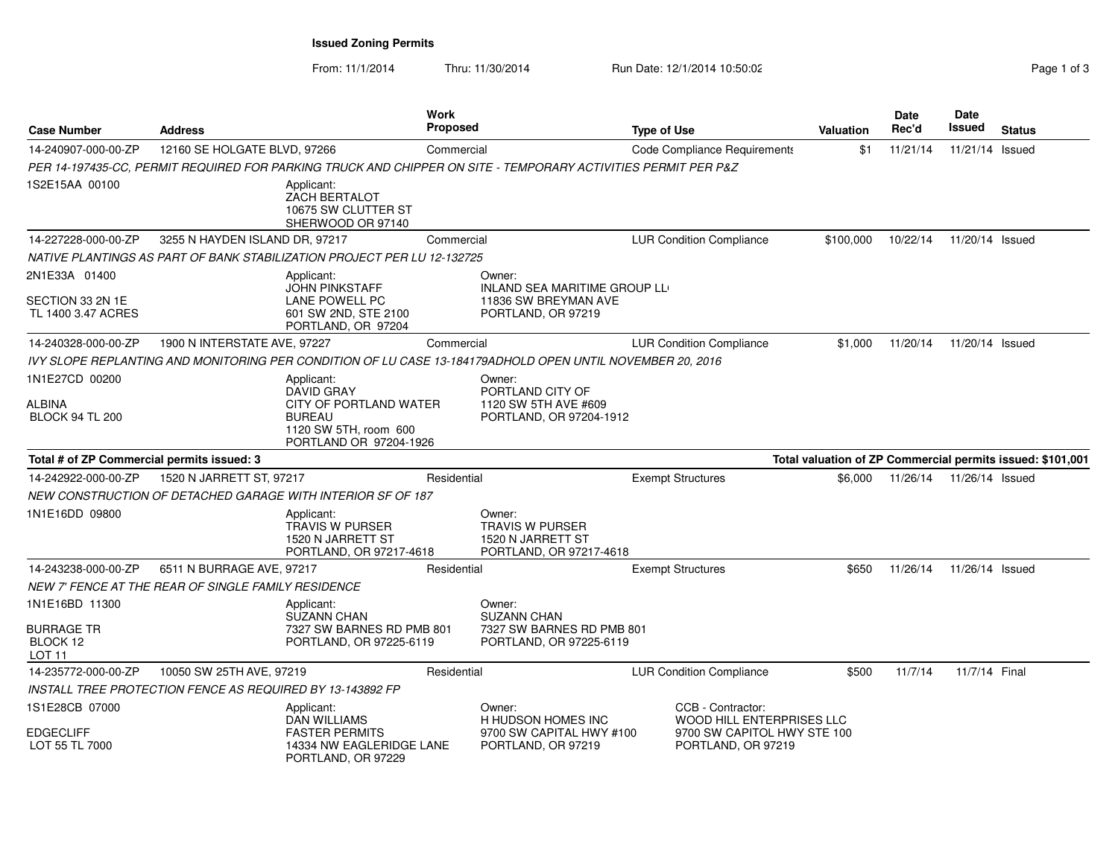**Issued Zoning Permits**

| Page 1 of 3 |  |  |
|-------------|--|--|
|             |  |  |

| <b>Case Number</b>                                      | <b>Address</b>                                                                                                | Work<br><b>Proposed</b> |                                                                                      | <b>Type of Use</b>                                                            | Valuation | <b>Date</b><br>Rec'd | Date<br>Issued  | <b>Status</b>                                              |
|---------------------------------------------------------|---------------------------------------------------------------------------------------------------------------|-------------------------|--------------------------------------------------------------------------------------|-------------------------------------------------------------------------------|-----------|----------------------|-----------------|------------------------------------------------------------|
| 14-240907-000-00-ZP                                     | 12160 SE HOLGATE BLVD, 97266                                                                                  | Commercial              |                                                                                      | Code Compliance Requirements                                                  | \$1       | 11/21/14             | 11/21/14 Issued |                                                            |
|                                                         | PER 14-197435-CC, PERMIT REQUIRED FOR PARKING TRUCK AND CHIPPER ON SITE - TEMPORARY ACTIVITIES PERMIT PER P&Z |                         |                                                                                      |                                                                               |           |                      |                 |                                                            |
| 1S2E15AA 00100                                          | Applicant:<br><b>ZACH BERTALOT</b><br>10675 SW CLUTTER ST<br>SHERWOOD OR 97140                                |                         |                                                                                      |                                                                               |           |                      |                 |                                                            |
| 14-227228-000-00-ZP                                     | 3255 N HAYDEN ISLAND DR, 97217                                                                                | Commercial              |                                                                                      | <b>LUR Condition Compliance</b>                                               | \$100,000 | 10/22/14             | 11/20/14 Issued |                                                            |
|                                                         | NATIVE PLANTINGS AS PART OF BANK STABILIZATION PROJECT PER LU 12-132725                                       |                         |                                                                                      |                                                                               |           |                      |                 |                                                            |
| 2N1E33A 01400<br>SECTION 33 2N 1E<br>TL 1400 3.47 ACRES | Applicant:<br>JOHN PINKSTAFF<br><b>LANE POWELL PC</b><br>601 SW 2ND, STE 2100<br>PORTLAND, OR 97204           |                         | Owner:<br>INLAND SEA MARITIME GROUP LL<br>11836 SW BREYMAN AVE<br>PORTLAND, OR 97219 |                                                                               |           |                      |                 |                                                            |
| 14-240328-000-00-ZP                                     | 1900 N INTERSTATE AVE, 97227                                                                                  | Commercial              |                                                                                      | <b>LUR Condition Compliance</b>                                               | \$1,000   | 11/20/14             | 11/20/14 Issued |                                                            |
|                                                         | IVY SLOPE REPLANTING AND MONITORING PER CONDITION OF LU CASE 13-184179ADHOLD OPEN UNTIL NOVEMBER 20, 2016     |                         |                                                                                      |                                                                               |           |                      |                 |                                                            |
| 1N1E27CD 00200<br>ALBINA<br><b>BLOCK 94 TL 200</b>      | Applicant:<br>DAVID GRAY<br>CITY OF PORTLAND WATER<br><b>BUREAU</b><br>1120 SW 5TH, room 600                  |                         | Owner:<br>PORTLAND CITY OF<br>1120 SW 5TH AVE #609<br>PORTLAND, OR 97204-1912        |                                                                               |           |                      |                 |                                                            |
| Total # of ZP Commercial permits issued: 3              | PORTLAND OR 97204-1926                                                                                        |                         |                                                                                      |                                                                               |           |                      |                 | Total valuation of ZP Commercial permits issued: \$101,001 |
| 14-242922-000-00-ZP                                     | 1520 N JARRETT ST, 97217                                                                                      | Residential             |                                                                                      | <b>Exempt Structures</b>                                                      | \$6,000   | 11/26/14             | 11/26/14 Issued |                                                            |
|                                                         | NEW CONSTRUCTION OF DETACHED GARAGE WITH INTERIOR SF OF 187                                                   |                         |                                                                                      |                                                                               |           |                      |                 |                                                            |
| 1N1E16DD 09800                                          | Applicant:<br><b>TRAVIS W PURSER</b><br>1520 N JARRETT ST<br>PORTLAND, OR 97217-4618                          |                         | Owner:<br><b>TRAVIS W PURSER</b><br>1520 N JARRETT ST<br>PORTLAND, OR 97217-4618     |                                                                               |           |                      |                 |                                                            |
| 14-243238-000-00-ZP                                     | 6511 N BURRAGE AVE, 97217                                                                                     | Residential             |                                                                                      | <b>Exempt Structures</b>                                                      | \$650     | 11/26/14             | 11/26/14 Issued |                                                            |
|                                                         | NEW 7' FENCE AT THE REAR OF SINGLE FAMILY RESIDENCE                                                           |                         |                                                                                      |                                                                               |           |                      |                 |                                                            |
| 1N1E16BD 11300                                          | Applicant:                                                                                                    |                         | Owner:                                                                               |                                                                               |           |                      |                 |                                                            |
| <b>BURRAGE TR</b><br>BLOCK 12<br><b>LOT 11</b>          | <b>SUZANN CHAN</b><br>7327 SW BARNES RD PMB 801<br>PORTLAND, OR 97225-6119                                    |                         | <b>SUZANN CHAN</b><br>7327 SW BARNES RD PMB 801<br>PORTLAND, OR 97225-6119           |                                                                               |           |                      |                 |                                                            |
| 14-235772-000-00-ZP                                     | 10050 SW 25TH AVE, 97219                                                                                      | Residential             |                                                                                      | <b>LUR Condition Compliance</b>                                               | \$500     | 11/7/14              | 11/7/14 Final   |                                                            |
|                                                         | INSTALL TREE PROTECTION FENCE AS REQUIRED BY 13-143892 FP                                                     |                         |                                                                                      |                                                                               |           |                      |                 |                                                            |
| 1S1E28CB 07000<br><b>EDGECLIFF</b>                      | Applicant:<br><b>DAN WILLIAMS</b><br><b>FASTER PERMITS</b>                                                    |                         | Owner:<br>H HUDSON HOMES INC<br>9700 SW CAPITAL HWY #100                             | CCB - Contractor:<br>WOOD HILL ENTERPRISES LLC<br>9700 SW CAPITOL HWY STE 100 |           |                      |                 |                                                            |
| LOT 55 TL 7000                                          | 14334 NW EAGLERIDGE LANE<br>PORTLAND, OR 97229                                                                |                         | PORTLAND, OR 97219                                                                   | PORTLAND, OR 97219                                                            |           |                      |                 |                                                            |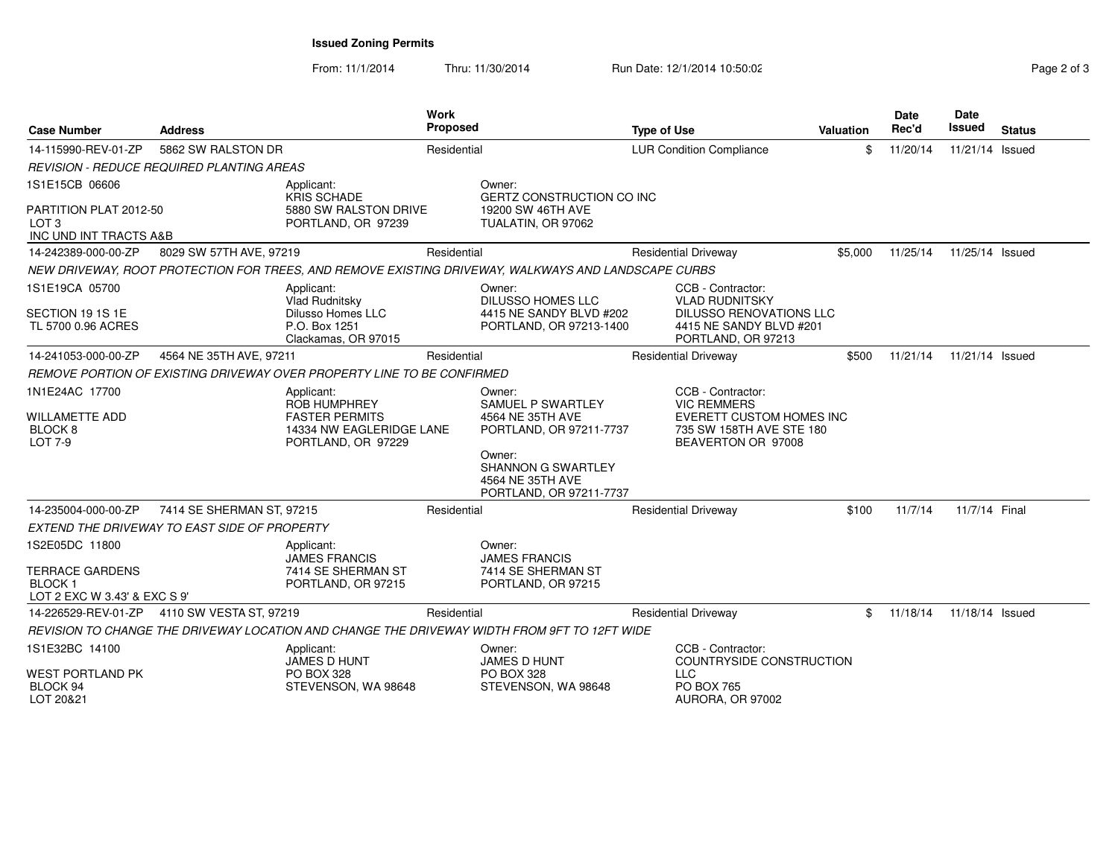**Issued Zoning Permits**

| <b>Case Number</b>                                                                     | <b>Address</b>                                   | <b>Work</b><br>Proposed                                                                               |             |                                                                                          | <b>Type of Use</b>              |                                                                                                                               | Valuation | Date<br>Rec'd | Date<br>Issued  | <b>Status</b> |
|----------------------------------------------------------------------------------------|--------------------------------------------------|-------------------------------------------------------------------------------------------------------|-------------|------------------------------------------------------------------------------------------|---------------------------------|-------------------------------------------------------------------------------------------------------------------------------|-----------|---------------|-----------------|---------------|
| 14-115990-REV-01-ZP                                                                    | 5862 SW RALSTON DR                               |                                                                                                       | Residential |                                                                                          | <b>LUR Condition Compliance</b> |                                                                                                                               | \$        | 11/20/14      | 11/21/14 Issued |               |
|                                                                                        | <b>REVISION - REDUCE REQUIRED PLANTING AREAS</b> |                                                                                                       |             |                                                                                          |                                 |                                                                                                                               |           |               |                 |               |
| 1S1E15CB 06606<br>PARTITION PLAT 2012-50<br>LOT <sub>3</sub><br>INC UND INT TRACTS A&B |                                                  | Applicant:<br><b>KRIS SCHADE</b><br>5880 SW RALSTON DRIVE<br>PORTLAND, OR 97239                       |             | Owner:<br><b>GERTZ CONSTRUCTION CO INC</b><br>19200 SW 46TH AVE<br>TUALATIN, OR 97062    |                                 |                                                                                                                               |           |               |                 |               |
| 14-242389-000-00-ZP                                                                    | 8029 SW 57TH AVE, 97219                          |                                                                                                       | Residential |                                                                                          |                                 | <b>Residential Driveway</b>                                                                                                   | \$5,000   | 11/25/14      | 11/25/14 Issued |               |
|                                                                                        |                                                  | NEW DRIVEWAY, ROOT PROTECTION FOR TREES, AND REMOVE EXISTING DRIVEWAY, WALKWAYS AND LANDSCAPE CURBS   |             |                                                                                          |                                 |                                                                                                                               |           |               |                 |               |
| 1S1E19CA 05700<br>SECTION 19 1S 1E<br>TL 5700 0.96 ACRES                               |                                                  | Applicant:<br>Vlad Rudnitsky<br><b>Dilusso Homes LLC</b><br>P.O. Box 1251<br>Clackamas, OR 97015      |             | Owner:<br><b>DILUSSO HOMES LLC</b><br>4415 NE SANDY BLVD #202<br>PORTLAND, OR 97213-1400 |                                 | CCB - Contractor:<br><b>VLAD RUDNITSKY</b><br><b>DILUSSO RENOVATIONS LLC</b><br>4415 NE SANDY BLVD #201<br>PORTLAND, OR 97213 |           |               |                 |               |
| 14-241053-000-00-ZP                                                                    | 4564 NE 35TH AVE, 97211                          |                                                                                                       | Residential |                                                                                          |                                 | <b>Residential Driveway</b>                                                                                                   | \$500     | 11/21/14      | 11/21/14 Issued |               |
|                                                                                        |                                                  | REMOVE PORTION OF EXISTING DRIVEWAY OVER PROPERTY LINE TO BE CONFIRMED                                |             |                                                                                          |                                 |                                                                                                                               |           |               |                 |               |
| 1N1E24AC 17700<br><b>WILLAMETTE ADD</b><br><b>BLOCK 8</b><br>LOT 7-9                   |                                                  | Applicant:<br>ROB HUMPHREY<br><b>FASTER PERMITS</b><br>14334 NW EAGLERIDGE LANE<br>PORTLAND, OR 97229 |             | Owner:<br>SAMUEL P SWARTLEY<br>4564 NE 35TH AVE<br>PORTLAND, OR 97211-7737<br>Owner:     |                                 | CCB - Contractor:<br><b>VIC REMMERS</b><br><b>EVERETT CUSTOM HOMES INC</b><br>735 SW 158TH AVE STE 180<br>BEAVERTON OR 97008  |           |               |                 |               |
|                                                                                        |                                                  |                                                                                                       |             | SHANNON G SWARTLEY<br>4564 NE 35TH AVE<br>PORTLAND, OR 97211-7737                        |                                 |                                                                                                                               |           |               |                 |               |
| 14-235004-000-00-ZP                                                                    | 7414 SE SHERMAN ST, 97215                        |                                                                                                       | Residential |                                                                                          |                                 | <b>Residential Driveway</b>                                                                                                   | \$100     | 11/7/14       | 11/7/14 Final   |               |
|                                                                                        | EXTEND THE DRIVEWAY TO EAST SIDE OF PROPERTY     |                                                                                                       |             |                                                                                          |                                 |                                                                                                                               |           |               |                 |               |
| 1S2E05DC 11800                                                                         |                                                  | Applicant:                                                                                            |             | Owner:                                                                                   |                                 |                                                                                                                               |           |               |                 |               |
| <b>TERRACE GARDENS</b><br><b>BLOCK1</b><br>LOT 2 EXC W 3.43' & EXC S 9'                |                                                  | <b>JAMES FRANCIS</b><br>7414 SE SHERMAN ST<br>PORTLAND, OR 97215                                      |             | <b>JAMES FRANCIS</b><br>7414 SE SHERMAN ST<br>PORTLAND, OR 97215                         |                                 |                                                                                                                               |           |               |                 |               |
|                                                                                        | 14-226529-REV-01-ZP 4110 SW VESTA ST, 97219      |                                                                                                       | Residential |                                                                                          |                                 | <b>Residential Driveway</b>                                                                                                   | \$        | 11/18/14      | 11/18/14 Issued |               |
|                                                                                        |                                                  | REVISION TO CHANGE THE DRIVEWAY LOCATION AND CHANGE THE DRIVEWAY WIDTH FROM 9FT TO 12FT WIDE          |             |                                                                                          |                                 |                                                                                                                               |           |               |                 |               |
| 1S1E32BC 14100                                                                         |                                                  | Applicant:<br>JAMES D HUNT                                                                            |             | Owner:<br><b>JAMES D HUNT</b>                                                            |                                 | CCB - Contractor:<br>COUNTRYSIDE CONSTRUCTION                                                                                 |           |               |                 |               |
| <b>WEST PORTLAND PK</b><br>BLOCK 94<br>LOT 20&21                                       |                                                  | <b>PO BOX 328</b><br>STEVENSON, WA 98648                                                              |             | <b>PO BOX 328</b><br>STEVENSON, WA 98648                                                 |                                 | LLC.<br><b>PO BOX 765</b><br>AURORA, OR 97002                                                                                 |           |               |                 |               |